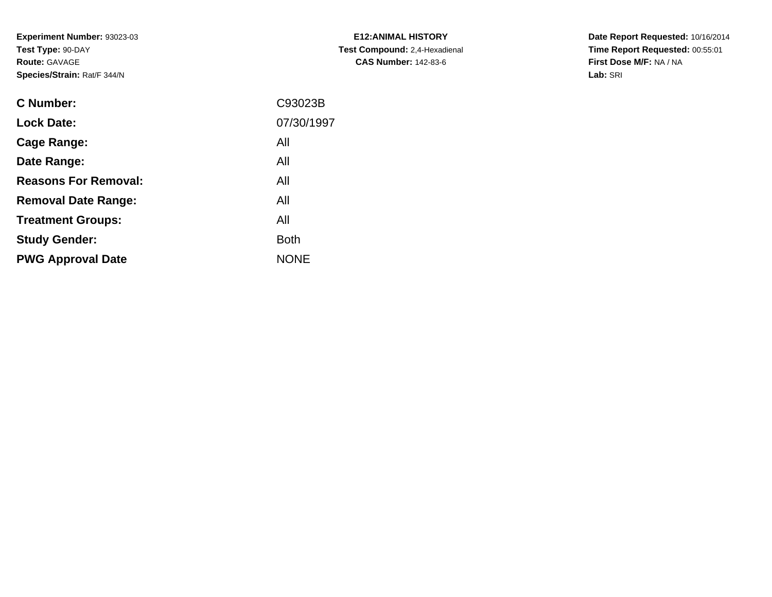**Experiment Number:** 93023-03**Test Type:** 90-DAY**Route:** GAVAGE**Species/Strain:** Rat/F 344/N

| <b>E12: ANIMAL HISTORY</b>    |
|-------------------------------|
| Test Compound: 2,4-Hexadienal |
| <b>CAS Number: 142-83-6</b>   |

**Date Report Requested:** 10/16/2014 **Time Report Requested:** 00:55:01**First Dose M/F:** NA / NA**Lab:** SRI

| C93023B     |
|-------------|
| 07/30/1997  |
| All         |
| All         |
| All         |
| All         |
| All         |
| <b>Both</b> |
| <b>NONE</b> |
|             |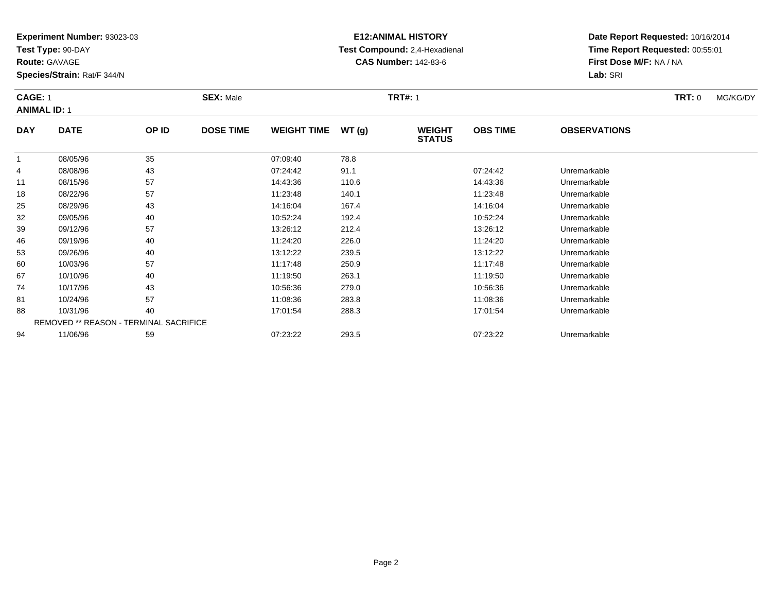**Test Type:** 90-DAY

**Route:** GAVAGE

60

67

74

81

88

94

**Species/Strain:** Rat/F 344/N

REMOVED \*\* REASON - TERMINAL SACRIFICE

# **E12:ANIMAL HISTORY Test Compound:** 2,4-Hexadienal **CAS Number:** 142-83-6

**Date Report Requested:** 10/16/2014**Time Report Requested:** 00:55:01**First Dose M/F:** NA / NA**Lab:** SRI

### **CAGE:** 1 **SEX:** Male **TRT#:** <sup>1</sup> **TRT:** 0 MG/KG/DY**ANIMAL ID:** 1**DAY DATE OP ID DOSE TIME WEIGHT TIME WT (g) WEIGHT STATUSOBS TIME OBSERVATIONS** 11 08/05/96 35 07:09:40 78.8 4 08/08/96 <sup>43</sup> 07:24:42 91.1 07:24:42 Unremarkable 11 08/15/96 <sup>57</sup> 14:43:36 110.6 14:43:36 Unremarkable 188 08/22/96 57 57 11:23:48 140.1 108/22/96 Unremarkable 25 08/29/96 <sup>43</sup> 14:16:04 167.4 14:16:04 Unremarkable 32 09/05/96 <sup>40</sup> 10:52:24 192.4 10:52:24 Unremarkable 39 09/12/96 <sup>57</sup> 13:26:12 212.4 13:26:12 Unremarkable 46 09/19/96 <sup>40</sup> 11:24:20 226.0 11:24:20 Unremarkable 5309/26/96 <sup>40</sup> 13:12:22 239.5 13:12:22 Unremarkable

0 10/03/96 57 57 11:17:48 250.9 11:00 11:17:48 Unremarkable

7 10/10/96 40 40 11:19:50 263.1 11:19:50 11:19:50 11:19:50 Unremarkable

10/17/96 <sup>43</sup> 10:56:36 279.0 10:56:36 Unremarkable

10/24/96 <sup>57</sup> 11:08:36 283.8 11:08:36 Unremarkable

10/31/96 <sup>40</sup> 17:01:54 288.3 17:01:54 Unremarkable

11/06/96 <sup>59</sup> 07:23:22 293.5 07:23:22 Unremarkable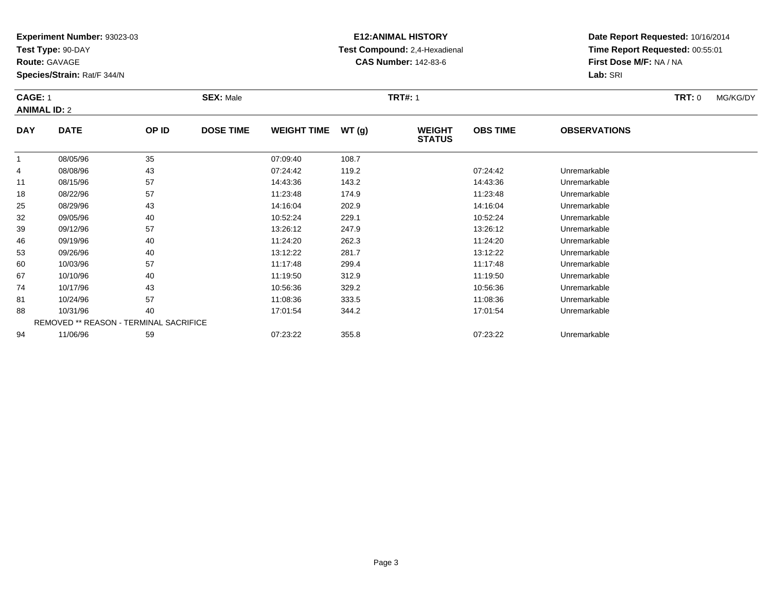**Test Type:** 90-DAY

**Route:** GAVAGE

**Species/Strain:** Rat/F 344/N

# **E12:ANIMAL HISTORY Test Compound:** 2,4-Hexadienal **CAS Number:** 142-83-6

**Date Report Requested:** 10/16/2014**Time Report Requested:** 00:55:01**First Dose M/F:** NA / NA**Lab:** SRI

### **CAGE:** 1 **SEX:** Male **TRT#:** <sup>1</sup> **TRT:** 0 MG/KG/DY**ANIMAL ID:** 2**DAY DATE OP IDDOSE TIME WEIGHT TIME WT** (g) **STATUSOBS TIME OBSERVATIONS** 11 08/05/96 35 07:09:40 108.7 4 08/08/96 <sup>43</sup> 07:24:42 119.2 07:24:42 Unremarkable 111 08/15/96 57 57 14:43:36 143.2 143.2 14:43:36 Dhremarkable 1808/22/96 <sup>57</sup> 11:23:48 174.9 11:23:48 Unremarkable

|    | 08/05/96 | 35                                            | 07:09:40 | 108.7 |          |              |  |
|----|----------|-----------------------------------------------|----------|-------|----------|--------------|--|
| 4  | 08/08/96 | 43                                            | 07:24:42 | 119.2 | 07:24:42 | Unremarkable |  |
| 11 | 08/15/96 | 57                                            | 14:43:36 | 143.2 | 14:43:36 | Unremarkable |  |
| 18 | 08/22/96 | 57                                            | 11:23:48 | 174.9 | 11:23:48 | Unremarkable |  |
| 25 | 08/29/96 | 43                                            | 14:16:04 | 202.9 | 14:16:04 | Unremarkable |  |
| 32 | 09/05/96 | 40                                            | 10:52:24 | 229.1 | 10:52:24 | Unremarkable |  |
| 39 | 09/12/96 | 57                                            | 13:26:12 | 247.9 | 13:26:12 | Unremarkable |  |
| 46 | 09/19/96 | 40                                            | 11:24:20 | 262.3 | 11:24:20 | Unremarkable |  |
| 53 | 09/26/96 | 40                                            | 13:12:22 | 281.7 | 13:12:22 | Unremarkable |  |
| 60 | 10/03/96 | 57                                            | 11:17:48 | 299.4 | 11:17:48 | Unremarkable |  |
| 67 | 10/10/96 | 40                                            | 11:19:50 | 312.9 | 11:19:50 | Unremarkable |  |
| 74 | 10/17/96 | 43                                            | 10:56:36 | 329.2 | 10:56:36 | Unremarkable |  |
| 81 | 10/24/96 | 57                                            | 11:08:36 | 333.5 | 11:08:36 | Unremarkable |  |
| 88 | 10/31/96 | 40                                            | 17:01:54 | 344.2 | 17:01:54 | Unremarkable |  |
|    |          | <b>REMOVED ** REASON - TERMINAL SACRIFICE</b> |          |       |          |              |  |
| 94 | 11/06/96 | 59                                            | 07:23:22 | 355.8 | 07:23:22 | Unremarkable |  |
|    |          |                                               |          |       |          |              |  |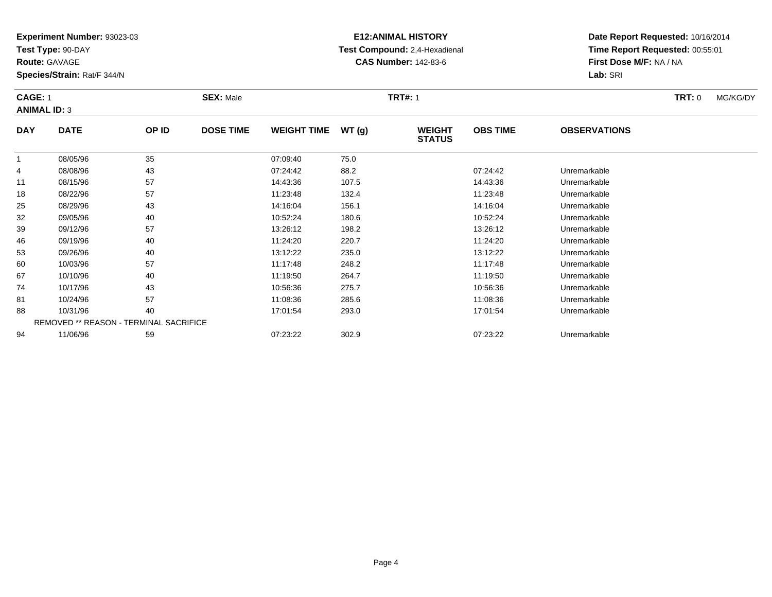**Test Type:** 90-DAY

**Route:** GAVAGE

**Species/Strain:** Rat/F 344/N

# **E12:ANIMAL HISTORY Test Compound:** 2,4-Hexadienal **CAS Number:** 142-83-6

**Date Report Requested:** 10/16/2014**Time Report Requested:** 00:55:01**First Dose M/F:** NA / NA**Lab:** SRI

### **CAGE:** 1 **SEX:** Male **TRT#:** <sup>1</sup> **TRT:** 0 MG/KG/DY**ANIMAL ID:** 3**DAY DATE OP IDDOSE TIME WEIGHT TIME WT** (g) **STATUSOBS TIME OBSERVATIONS**  $\overline{1}$  08/05/96 <sup>35</sup> 07:09:40 75.0 4 08/08/96 <sup>43</sup> 07:24:42 88.2 07:24:42 Unremarkable 1108/15/96 <sup>57</sup> 14:43:36 107.5 14:43:36 Unremarkable

| 4  | 08/08/96                                      | 43 | 07:24:42 | 88.2  | 07:24:42 | Unremarkable |
|----|-----------------------------------------------|----|----------|-------|----------|--------------|
| 11 | 08/15/96                                      | 57 | 14:43:36 | 107.5 | 14:43:36 | Unremarkable |
| 18 | 08/22/96                                      | 57 | 11:23:48 | 132.4 | 11:23:48 | Unremarkable |
| 25 | 08/29/96                                      | 43 | 14:16:04 | 156.1 | 14:16:04 | Unremarkable |
| 32 | 09/05/96                                      | 40 | 10:52:24 | 180.6 | 10:52:24 | Unremarkable |
| 39 | 09/12/96                                      | 57 | 13:26:12 | 198.2 | 13:26:12 | Unremarkable |
| 46 | 09/19/96                                      | 40 | 11:24:20 | 220.7 | 11:24:20 | Unremarkable |
| 53 | 09/26/96                                      | 40 | 13:12:22 | 235.0 | 13:12:22 | Unremarkable |
| 60 | 10/03/96                                      | 57 | 11:17:48 | 248.2 | 11:17:48 | Unremarkable |
| 67 | 10/10/96                                      | 40 | 11:19:50 | 264.7 | 11:19:50 | Unremarkable |
| 74 | 10/17/96                                      | 43 | 10:56:36 | 275.7 | 10:56:36 | Unremarkable |
| 81 | 10/24/96                                      | 57 | 11:08:36 | 285.6 | 11:08:36 | Unremarkable |
| 88 | 10/31/96                                      | 40 | 17:01:54 | 293.0 | 17:01:54 | Unremarkable |
|    | <b>REMOVED ** REASON - TERMINAL SACRIFICE</b> |    |          |       |          |              |
| 94 | 11/06/96                                      | 59 | 07:23:22 | 302.9 | 07:23:22 | Unremarkable |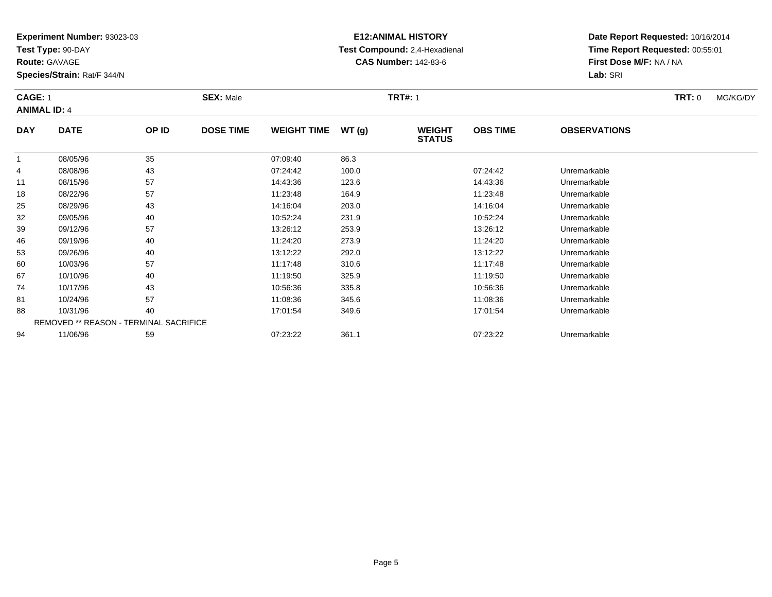**Test Type:** 90-DAY

**Route:** GAVAGE

53

60

67

74

81

88

94

**Species/Strain:** Rat/F 344/N

REMOVED \*\* REASON - TERMINAL SACRIFICE

# **E12:ANIMAL HISTORY Test Compound:** 2,4-Hexadienal **CAS Number:** 142-83-6

**Date Report Requested:** 10/16/2014**Time Report Requested:** 00:55:01**First Dose M/F:** NA / NA**Lab:** SRI

### **CAGE:** 1 **SEX:** Male **TRT#:** <sup>1</sup> **TRT:** 0 MG/KG/DY**ANIMAL ID:** 4**DAY DATE OP IDDOSE TIME WEIGHT TIME WT** (g) **STATUSOBS TIME OBSERVATIONS** 1 08/05/96 <sup>35</sup> 07:09:40 86.3 4 08/08/96 <sup>43</sup> 07:24:42 100.0 07:24:42 Unremarkable 11 08/15/96 <sup>57</sup> 14:43:36 123.6 14:43:36 Unremarkable 18 08/22/96 <sup>57</sup> 11:23:48 164.9 11:23:48 Unremarkable 25 08/29/96 <sup>43</sup> 14:16:04 203.0 14:16:04 Unremarkable 32 09/05/96 <sup>40</sup> 10:52:24 231.9 10:52:24 Unremarkable 39 09/12/96 <sup>57</sup> 13:26:12 253.9 13:26:12 Unremarkable 4609/19/96 <sup>40</sup> 11:24:20 273.9 11:24:20 Unremarkable

09/26/96 <sup>40</sup> 13:12:22 292.0 13:12:22 Unremarkable

0 10/03/96 57 57 11:17:48 310.6 10.06 11:17:48 Unremarkable

10/10/96 <sup>40</sup> 11:19:50 325.9 11:19:50 Unremarkable

10/17/96 <sup>43</sup> 10:56:36 335.8 10:56:36 Unremarkable

1 10/24/96 57 57 11:08:36 345.6 11:08:36 11:08:36 11:08:36 Unremarkable

8 10/31/96 40 40 17:01:54 349.6 17:00 17:01 17:01:54 Junremarkable

11/06/96 <sup>59</sup> 07:23:22 361.1 07:23:22 Unremarkable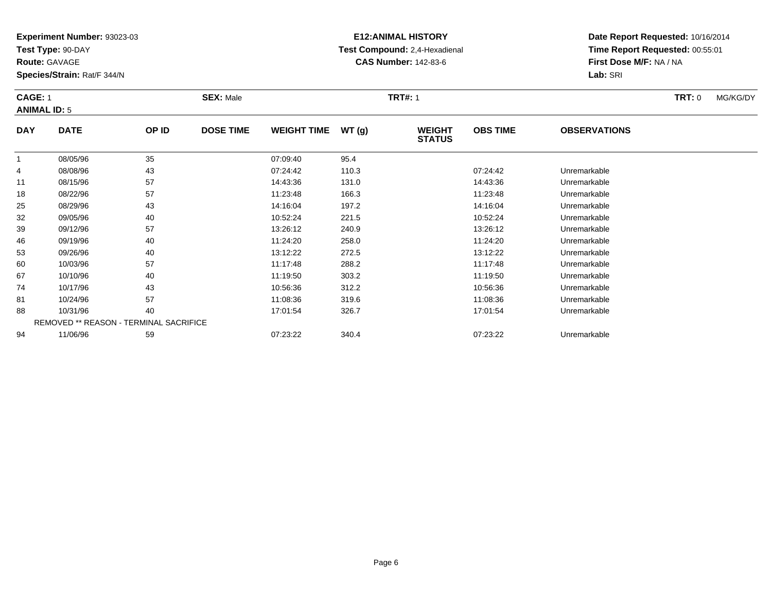**Test Type:** 90-DAY

**Route:** GAVAGE

67

74

81

88

94

**Species/Strain:** Rat/F 344/N

REMOVED \*\* REASON - TERMINAL SACRIFICE

# **E12:ANIMAL HISTORY Test Compound:** 2,4-Hexadienal **CAS Number:** 142-83-6

**Date Report Requested:** 10/16/2014**Time Report Requested:** 00:55:01**First Dose M/F:** NA / NA**Lab:** SRI

### **CAGE:** 1 **SEX:** Male **TRT#:** <sup>1</sup> **TRT:** 0 MG/KG/DY**ANIMAL ID:** 5**DAY DATE OP IDDOSE TIME WEIGHT TIME WT** (g) **STATUSOBS TIME OBSERVATIONS** 1 08/05/96 <sup>35</sup> 07:09:40 95.4 4 08/08/96 <sup>43</sup> 07:24:42 110.3 07:24:42 Unremarkable 111 08/15/96 57 57 14:43:36 131.0 131.0 131.0 14:43:36 Unremarkable 18 08/22/96 <sup>57</sup> 11:23:48 166.3 11:23:48 Unremarkable 25 08/29/96 <sup>43</sup> 14:16:04 197.2 14:16:04 Unremarkable 32 09/05/96 <sup>40</sup> 10:52:24 221.5 10:52:24 Unremarkable 39 09/12/96 <sup>57</sup> 13:26:12 240.9 13:26:12 Unremarkable 46 09/19/96 <sup>40</sup> 11:24:20 258.0 11:24:20 Unremarkable 53 09/26/96 <sup>40</sup> 13:12:22 272.5 13:12:22 Unremarkable 600 10/03/96 57 57 11:17:48 288.2 11:18 11:17:48 Dhremarkable

10/10/96 <sup>40</sup> 11:19:50 303.2 11:19:50 Unremarkable

10/17/96 <sup>43</sup> 10:56:36 312.2 10:56:36 Unremarkable

1 10/24/96 57 57 11:08:36 319.6 319.6 11:08:36 11:08:36 11:08:36 Unremarkable

10/31/96 <sup>40</sup> 17:01:54 326.7 17:01:54 Unremarkable

11/06/96 <sup>59</sup> 07:23:22 340.4 07:23:22 Unremarkable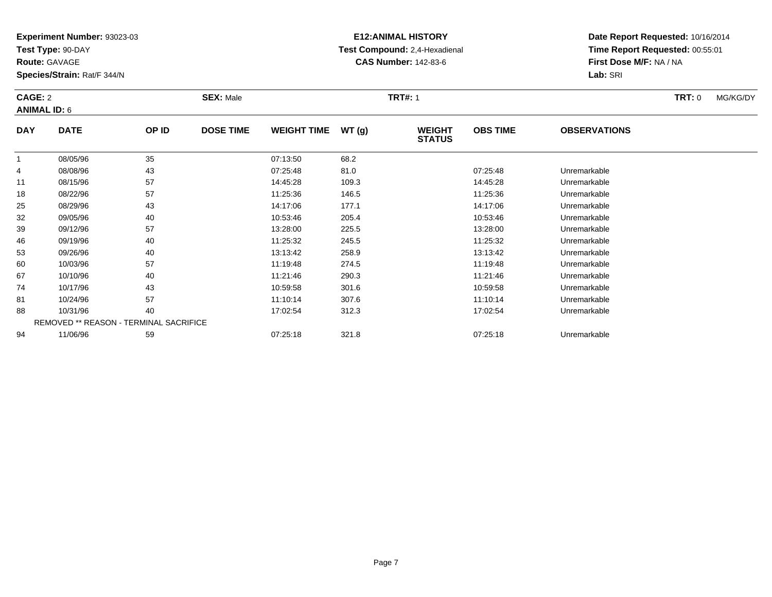**Test Type:** 90-DAY

**Route:** GAVAGE

81

88

94

**Species/Strain:** Rat/F 344/N

REMOVED \*\* REASON - TERMINAL SACRIFICE

# **E12:ANIMAL HISTORY Test Compound:** 2,4-Hexadienal **CAS Number:** 142-83-6

**Date Report Requested:** 10/16/2014**Time Report Requested:** 00:55:01**First Dose M/F:** NA / NA**Lab:** SRI

### **CAGE:** 2 **SEX:** Male **TRT#:** <sup>1</sup> **TRT:** 0 MG/KG/DY**ANIMAL ID:** 6**DAY DATE OP ID DOSE TIME WEIGHT TIME WT (g) WEIGHT STATUSOBS TIME OBSERVATIONS** 1 08/05/96 <sup>35</sup> 07:13:50 68.2 4 08/08/96 <sup>43</sup> 07:25:48 81.0 07:25:48 Unremarkable 11 08/15/96 <sup>57</sup> 14:45:28 109.3 14:45:28 Unremarkable 18 08/22/96 <sup>57</sup> 11:25:36 146.5 11:25:36 Unremarkable 25 08/29/96 <sup>43</sup> 14:17:06 177.1 14:17:06 Unremarkable 32 09/05/96 <sup>40</sup> 10:53:46 205.4 10:53:46 Unremarkable 39 09/12/96 <sup>57</sup> 13:28:00 225.5 13:28:00 Unremarkable 466 09/19/96 40 40 11:25:32 245.5 11:25:32 11:25:32 Dhremarkable 53 09/26/96 <sup>40</sup> 13:13:42 258.9 13:13:42 Unremarkable 600 10/03/96 57 57 11:19:48 274.5 12 11:19:48 10/03/96 Unremarkable 67 10/10/96 <sup>40</sup> 11:21:46 290.3 11:21:46 Unremarkable 7410/17/96 <sup>43</sup> 10:59:58 301.6 10:59:58 Unremarkable

10/24/96 <sup>57</sup> 11:10:14 307.6 11:10:14 Unremarkable

10/31/96 <sup>40</sup> 17:02:54 312.3 17:02:54 Unremarkable

11/06/96 <sup>59</sup> 07:25:18 321.8 07:25:18 Unremarkable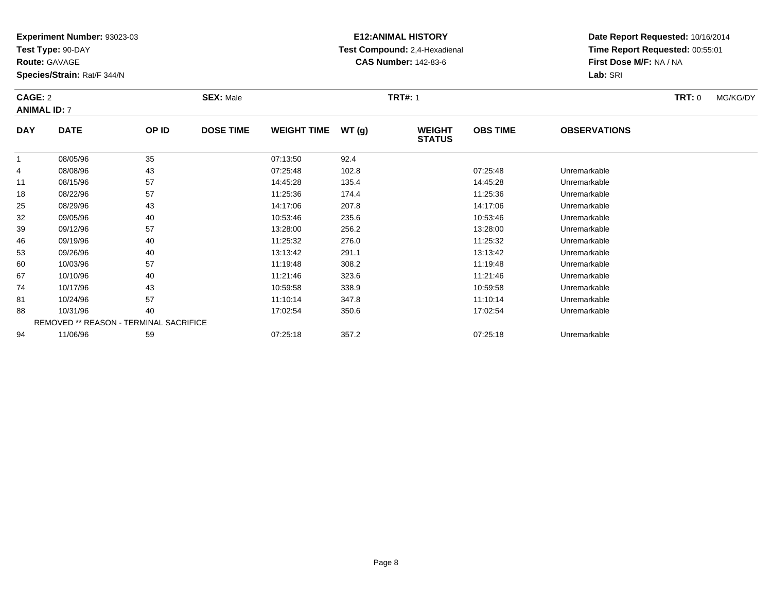**Test Type:** 90-DAY

**Route:** GAVAGE

74

81

88

94

**Species/Strain:** Rat/F 344/N

REMOVED \*\* REASON - TERMINAL SACRIFICE

# **E12:ANIMAL HISTORY Test Compound:** 2,4-Hexadienal **CAS Number:** 142-83-6

**Date Report Requested:** 10/16/2014**Time Report Requested:** 00:55:01**First Dose M/F:** NA / NA**Lab:** SRI

### **CAGE:** 2 **SEX:** Male **TRT#:** <sup>1</sup> **TRT:** 0 MG/KG/DY**ANIMAL ID:** 7**DAY DATE OP IDDOSE TIME WEIGHT TIME WT** (g) **STATUSOBS TIME OBSERVATIONS** 1 08/05/96 <sup>35</sup> 07:13:50 92.4 4 08/08/96 <sup>43</sup> 07:25:48 102.8 07:25:48 Unremarkable 11 08/15/96 <sup>57</sup> 14:45:28 135.4 14:45:28 Unremarkable 188 08/22/96 57 57 11:25:36 174.4 11:45 174.4 11:25:36 Dhremarkable 25 08/29/96 <sup>43</sup> 14:17:06 207.8 14:17:06 Unremarkable 32 09/05/96 <sup>40</sup> 10:53:46 235.6 10:53:46 Unremarkable 39 09/12/96 <sup>57</sup> 13:28:00 256.2 13:28:00 Unremarkable 46 09/19/96 <sup>40</sup> 11:25:32 276.0 11:25:32 Unremarkable 533 09/26/96 40 40 13:13:42 291.1 13:14 291.1 13:13:42 Unremarkable 600 10/03/96 57 57 11:19:48 308.2 11:19:48 10/03/96 Unremarkable 6710/10/96 <sup>40</sup> 11:21:46 323.6 11:21:46 Unremarkable

10/17/96 <sup>43</sup> 10:59:58 338.9 10:59:58 Unremarkable

10/24/96 <sup>57</sup> 11:10:14 347.8 11:10:14 Unremarkable

10/31/96 <sup>40</sup> 17:02:54 350.6 17:02:54 Unremarkable

11/06/96 <sup>59</sup> 07:25:18 357.2 07:25:18 Unremarkable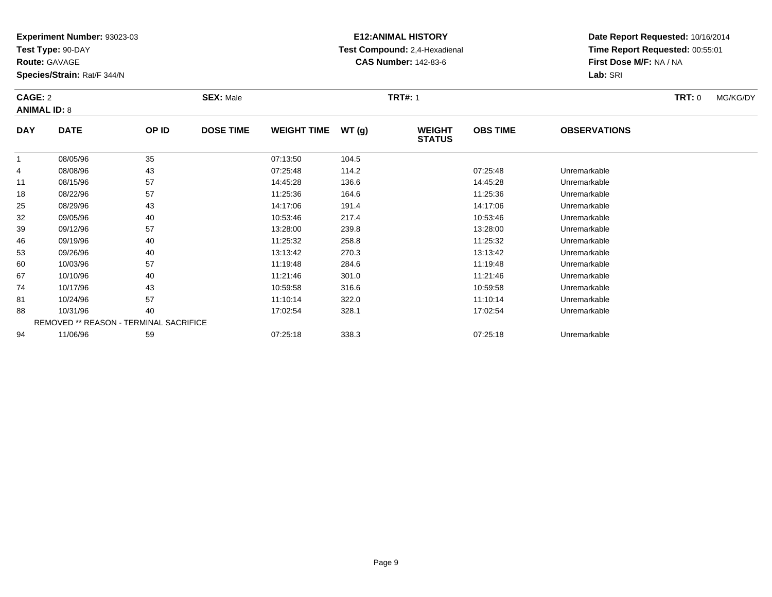**Test Type:** 90-DAY

**Route:** GAVAGE

94

**Species/Strain:** Rat/F 344/N

REMOVED \*\* REASON - TERMINAL SACRIFICE

# **E12:ANIMAL HISTORY Test Compound:** 2,4-Hexadienal **CAS Number:** 142-83-6

**Date Report Requested:** 10/16/2014**Time Report Requested:** 00:55:01**First Dose M/F:** NA / NA**Lab:** SRI

| CAGE: 2<br><b>ANIMAL ID: 8</b> |             |       | <b>SEX: Male</b> |                    |       | <b>TRT#: 1</b>                 |                 |                     | TRT: 0 | MG/KG/DY |
|--------------------------------|-------------|-------|------------------|--------------------|-------|--------------------------------|-----------------|---------------------|--------|----------|
| <b>DAY</b>                     | <b>DATE</b> | OP ID | <b>DOSE TIME</b> | <b>WEIGHT TIME</b> | WT(g) | <b>WEIGHT</b><br><b>STATUS</b> | <b>OBS TIME</b> | <b>OBSERVATIONS</b> |        |          |
| 1                              | 08/05/96    | 35    |                  | 07:13:50           | 104.5 |                                |                 |                     |        |          |
| 4                              | 08/08/96    | 43    |                  | 07:25:48           | 114.2 |                                | 07:25:48        | Unremarkable        |        |          |
| 11                             | 08/15/96    | 57    |                  | 14:45:28           | 136.6 |                                | 14:45:28        | Unremarkable        |        |          |
| 18                             | 08/22/96    | 57    |                  | 11:25:36           | 164.6 |                                | 11:25:36        | Unremarkable        |        |          |
| 25                             | 08/29/96    | 43    |                  | 14:17:06           | 191.4 |                                | 14:17:06        | Unremarkable        |        |          |
| 32                             | 09/05/96    | 40    |                  | 10:53:46           | 217.4 |                                | 10:53:46        | Unremarkable        |        |          |
| 39                             | 09/12/96    | 57    |                  | 13:28:00           | 239.8 |                                | 13:28:00        | Unremarkable        |        |          |
| 46                             | 09/19/96    | 40    |                  | 11:25:32           | 258.8 |                                | 11:25:32        | Unremarkable        |        |          |
| 53                             | 09/26/96    | 40    |                  | 13:13:42           | 270.3 |                                | 13:13:42        | Unremarkable        |        |          |
| 60                             | 10/03/96    | 57    |                  | 11:19:48           | 284.6 |                                | 11:19:48        | Unremarkable        |        |          |
| 67                             | 10/10/96    | 40    |                  | 11:21:46           | 301.0 |                                | 11:21:46        | Unremarkable        |        |          |
| 74                             | 10/17/96    | 43    |                  | 10:59:58           | 316.6 |                                | 10:59:58        | Unremarkable        |        |          |
| 81                             | 10/24/96    | 57    |                  | 11:10:14           | 322.0 |                                | 11:10:14        | Unremarkable        |        |          |
| 88                             | 10/31/96    | 40    |                  | 17:02:54           | 328.1 |                                | 17:02:54        | Unremarkable        |        |          |

11/06/96 <sup>59</sup> 07:25:18 338.3 07:25:18 Unremarkable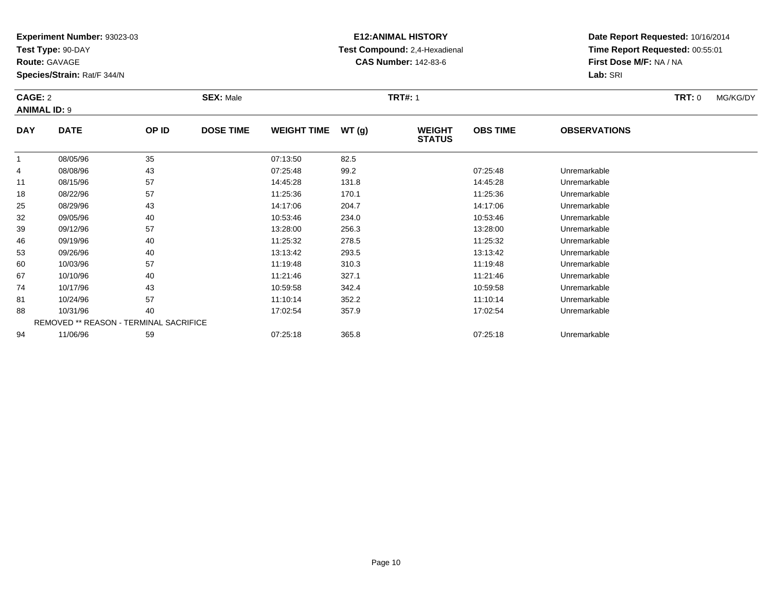**Test Type:** 90-DAY

**Route:** GAVAGE

88

94

**Species/Strain:** Rat/F 344/N

REMOVED \*\* REASON - TERMINAL SACRIFICE

# **E12:ANIMAL HISTORY Test Compound:** 2,4-Hexadienal **CAS Number:** 142-83-6

**Date Report Requested:** 10/16/2014**Time Report Requested:** 00:55:01**First Dose M/F:** NA / NA**Lab:** SRI

#### **CAGE:** 2 **SEX:** Male **TRT#:** <sup>1</sup> **TRT:** 0 MG/KG/DY**ANIMAL ID:** 9**DAY DATE OP IDDOSE TIME WEIGHT TIME WT** (g) **STATUSOBS TIME OBSERVATIONS** 1 08/05/96 <sup>35</sup> 07:13:50 82.5 4 08/08/96 <sup>43</sup> 07:25:48 99.2 07:25:48 Unremarkable 11 08/15/96 <sup>57</sup> 14:45:28 131.8 14:45:28 Unremarkable 188 08/22/96 57 57 11:25:36 170.1 108/22/96 Unremarkable 25 08/29/96 <sup>43</sup> 14:17:06 204.7 14:17:06 Unremarkable 32 09/05/96 <sup>40</sup> 10:53:46 234.0 10:53:46 Unremarkable 39 09/12/96 <sup>57</sup> 13:28:00 256.3 13:28:00 Unremarkable 46 09/19/96 <sup>40</sup> 11:25:32 278.5 11:25:32 Unremarkable 53 09/26/96 <sup>40</sup> 13:13:42 293.5 13:13:42 Unremarkable 600 10/03/96 57 57 11:19:48 310.3 10.3 11:19:48 Dhremarkable 677 10/10/96 40 40 11:21:46 327.1 11:21:46 10/10/96 Unremarkable 74 10/17/96 <sup>43</sup> 10:59:58 342.4 10:59:58 Unremarkable 8110/24/96 <sup>57</sup> 11:10:14 352.2 11:10:14 Unremarkable

10/31/96 <sup>40</sup> 17:02:54 357.9 17:02:54 Unremarkable

11/06/96 <sup>59</sup> 07:25:18 365.8 07:25:18 Unremarkable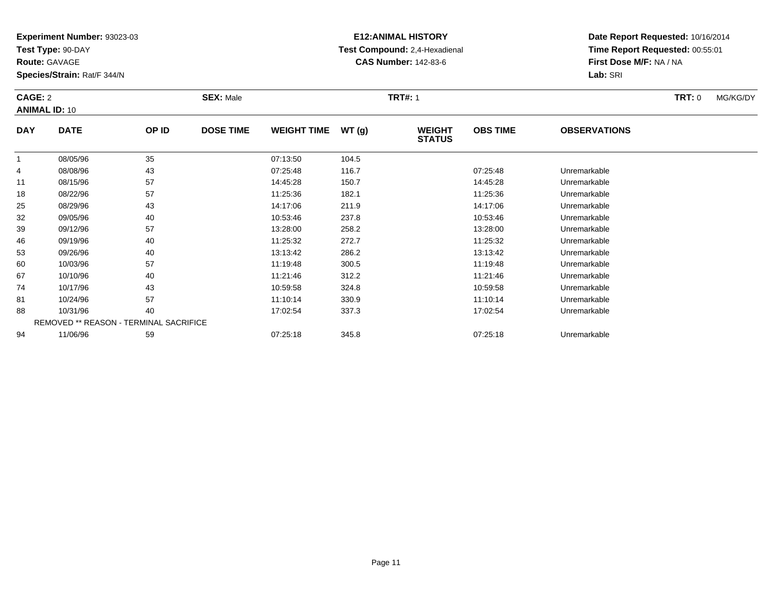**Test Type:** 90-DAY

**Route:** GAVAGE

94

**Species/Strain:** Rat/F 344/N

# **E12:ANIMAL HISTORY Test Compound:** 2,4-Hexadienal **CAS Number:** 142-83-6

**Date Report Requested:** 10/16/2014**Time Report Requested:** 00:55:01**First Dose M/F:** NA / NA**Lab:** SRI

| CAGE: 2    | <b>ANIMAL ID: 10</b>                          |       | <b>SEX: Male</b> |                    |       | <b>TRT#: 1</b>                 |                 |                     | <b>TRT: 0</b> | MG/KG/DY |
|------------|-----------------------------------------------|-------|------------------|--------------------|-------|--------------------------------|-----------------|---------------------|---------------|----------|
| <b>DAY</b> | <b>DATE</b>                                   | OP ID | <b>DOSE TIME</b> | <b>WEIGHT TIME</b> | WT(g) | <b>WEIGHT</b><br><b>STATUS</b> | <b>OBS TIME</b> | <b>OBSERVATIONS</b> |               |          |
| 1          | 08/05/96                                      | 35    |                  | 07:13:50           | 104.5 |                                |                 |                     |               |          |
| 4          | 08/08/96                                      | 43    |                  | 07:25:48           | 116.7 |                                | 07:25:48        | Unremarkable        |               |          |
| 11         | 08/15/96                                      | 57    |                  | 14:45:28           | 150.7 |                                | 14:45:28        | Unremarkable        |               |          |
| 18         | 08/22/96                                      | 57    |                  | 11:25:36           | 182.1 |                                | 11:25:36        | Unremarkable        |               |          |
| 25         | 08/29/96                                      | 43    |                  | 14:17:06           | 211.9 |                                | 14:17:06        | Unremarkable        |               |          |
| 32         | 09/05/96                                      | 40    |                  | 10:53:46           | 237.8 |                                | 10:53:46        | Unremarkable        |               |          |
| 39         | 09/12/96                                      | 57    |                  | 13:28:00           | 258.2 |                                | 13:28:00        | Unremarkable        |               |          |
| 46         | 09/19/96                                      | 40    |                  | 11:25:32           | 272.7 |                                | 11:25:32        | Unremarkable        |               |          |
| 53         | 09/26/96                                      | 40    |                  | 13:13:42           | 286.2 |                                | 13:13:42        | Unremarkable        |               |          |
| 60         | 10/03/96                                      | 57    |                  | 11:19:48           | 300.5 |                                | 11:19:48        | Unremarkable        |               |          |
| 67         | 10/10/96                                      | 40    |                  | 11:21:46           | 312.2 |                                | 11:21:46        | Unremarkable        |               |          |
| 74         | 10/17/96                                      | 43    |                  | 10:59:58           | 324.8 |                                | 10:59:58        | Unremarkable        |               |          |
| 81         | 10/24/96                                      | 57    |                  | 11:10:14           | 330.9 |                                | 11:10:14        | Unremarkable        |               |          |
| 88         | 10/31/96                                      | 40    |                  | 17:02:54           | 337.3 |                                | 17:02:54        | Unremarkable        |               |          |
|            | <b>REMOVED ** REASON - TERMINAL SACRIFICE</b> |       |                  |                    |       |                                |                 |                     |               |          |

11/06/96 <sup>59</sup> 07:25:18 345.8 07:25:18 Unremarkable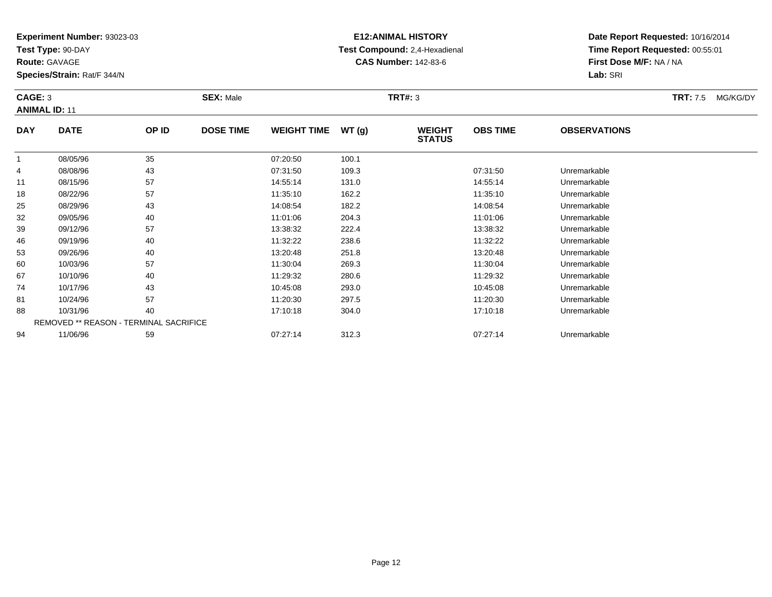**Test Type:** 90-DAY

**Route:** GAVAGE

46

53

60

67

74

81

88

94

**Species/Strain:** Rat/F 344/N

REMOVED \*\* REASON - TERMINAL SACRIFICE

# **E12:ANIMAL HISTORY Test Compound:** 2,4-Hexadienal **CAS Number:** 142-83-6

**Date Report Requested:** 10/16/2014**Time Report Requested:** 00:55:01**First Dose M/F:** NA / NA**Lab:** SRI

### **CAGE:** 3 **SEX:** Male **TRT#:** <sup>3</sup> **TRT:** 7.5 MG/KG/DY**ANIMAL ID:** 11**DAY DATE OP ID DOSE TIME WEIGHT TIME WT (g) WEIGHT STATUSOBS TIME OBSERVATIONS** 1 08/05/96 <sup>35</sup> 07:20:50 100.1 4 08/08/96 <sup>43</sup> 07:31:50 109.3 07:31:50 Unremarkable 11 08/15/96 <sup>57</sup> 14:55:14 131.0 14:55:14 Unremarkable 18 08/22/96 <sup>57</sup> 11:35:10 162.2 11:35:10 Unremarkable 25 08/29/96 <sup>43</sup> 14:08:54 182.2 14:08:54 Unremarkable 32 09/05/96 <sup>40</sup> 11:01:06 204.3 11:01:06 Unremarkable 3909/12/96 <sup>57</sup> 13:38:32 222.4 13:38:32 Unremarkable

6 09/19/96 40 40 11:32:22 238.6 11:32:22 12:32:22 Dhremarkable

09/26/96 <sup>40</sup> 13:20:48 251.8 13:20:48 Unremarkable

0 10/03/96 57 57 11:30:04 269.3 11:30 11:30 11:30:04 Diremarkable

10/10/96 <sup>40</sup> 11:29:32 280.6 11:29:32 Unremarkable

10/17/96 <sup>43</sup> 10:45:08 293.0 10:45:08 Unremarkable

1 10/24/96 57 57 11:20:30 297.5 11:20 11:20 11:20:30 11:20:30 Unremarkable

8 10/31/96 40 40 17:10:18 304.0 17:10 18 17:10:18 304.0

11/06/96 <sup>59</sup> 07:27:14 312.3 07:27:14 Unremarkable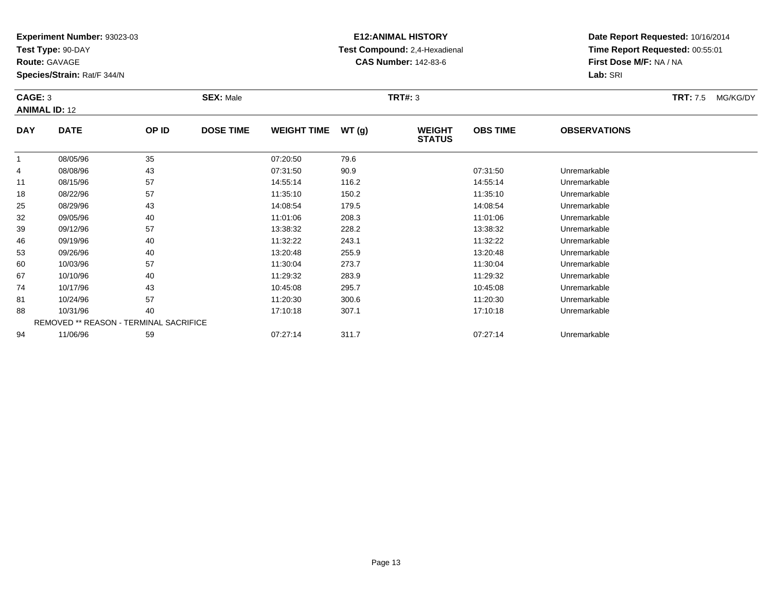**Test Type:** 90-DAY

**Route:** GAVAGE

46

53

60

67

74

81

88

94

**Species/Strain:** Rat/F 344/N

# **E12:ANIMAL HISTORY Test Compound:** 2,4-Hexadienal **CAS Number:** 142-83-6

**Date Report Requested:** 10/16/2014**Time Report Requested:** 00:55:01**First Dose M/F:** NA / NA**Lab:** SRI

### **CAGE:** 3 **SEX:** Male **TRT#:** <sup>3</sup> **TRT:** 7.5 MG/KG/DY**ANIMAL ID:** 12**DAY DATE OP ID DOSE TIME WEIGHT TIME WT (g) WEIGHT STATUSOBS TIME OBSERVATIONS** 1 08/05/96 <sup>35</sup> 07:20:50 79.6 4 08/08/96 <sup>43</sup> 07:31:50 90.9 07:31:50 Unremarkable 11 08/15/96 <sup>57</sup> 14:55:14 116.2 14:55:14 Unremarkable 18 08/22/96 <sup>57</sup> 11:35:10 150.2 11:35:10 Unremarkable 25 08/29/96 <sup>43</sup> 14:08:54 179.5 14:08:54 Unremarkable 32 09/05/96 <sup>40</sup> 11:01:06 208.3 11:01:06 Unremarkable 39

 09/12/96 <sup>57</sup> 13:38:32 228.2 13:38:32 Unremarkable 6 09/19/96 40 40 11:32:22 243.1 11:32:22 11:32:22 Dhremarkable 09/26/96 <sup>40</sup> 13:20:48 255.9 13:20:48 Unremarkable 0 10/03/96 57 57 11:30:04 273.7 11:30.04 11:30:04 Dhremarkable 10/10/96 <sup>40</sup> 11:29:32 283.9 11:29:32 Unremarkable 10/17/96 <sup>43</sup> 10:45:08 295.7 10:45:08 Unremarkable 1 10/24/96 57 57 11:20:30 300.6 11:20 11:20 11:20:30 8 10/31/96 40 40 17:10:18 307.1 17:10:18 307.1 17:10:18 17:10:18 Unremarkable REMOVED \*\* REASON - TERMINAL SACRIFICE11/06/96 <sup>59</sup> 07:27:14 311.7 07:27:14 Unremarkable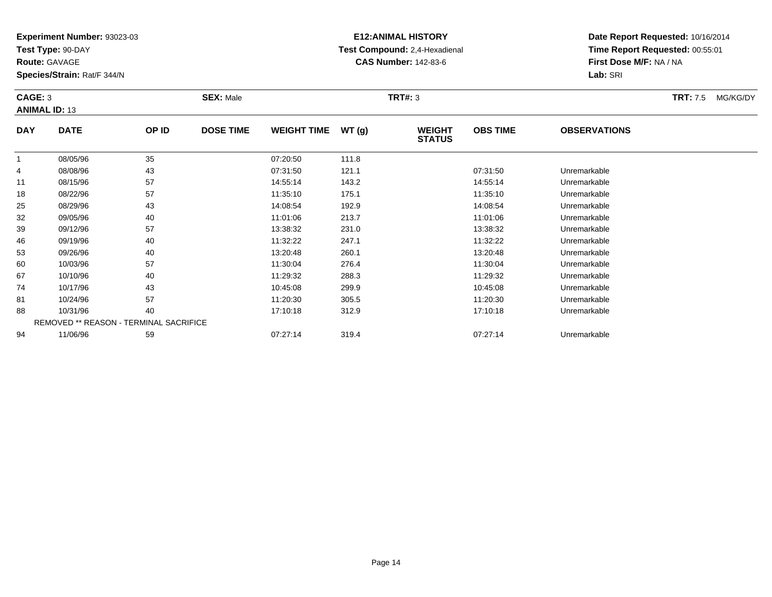**Test Type:** 90-DAY

**Route:** GAVAGE

88

94

**Species/Strain:** Rat/F 344/N

REMOVED \*\* REASON - TERMINAL SACRIFICE

# **E12:ANIMAL HISTORY Test Compound:** 2,4-Hexadienal **CAS Number:** 142-83-6

**Date Report Requested:** 10/16/2014**Time Report Requested:** 00:55:01**First Dose M/F:** NA / NA**Lab:** SRI

| CAGE: 3    | <b>ANIMAL ID: 13</b> |       | <b>SEX: Male</b> |                    |       | <b>TRT#: 3</b>                 |                 |                     | <b>TRT:</b> 7.5 | MG/KG/DY |
|------------|----------------------|-------|------------------|--------------------|-------|--------------------------------|-----------------|---------------------|-----------------|----------|
| <b>DAY</b> | <b>DATE</b>          | OP ID | <b>DOSE TIME</b> | <b>WEIGHT TIME</b> | WT(g) | <b>WEIGHT</b><br><b>STATUS</b> | <b>OBS TIME</b> | <b>OBSERVATIONS</b> |                 |          |
|            | 08/05/96             | 35    |                  | 07:20:50           | 111.8 |                                |                 |                     |                 |          |
| 4          | 08/08/96             | 43    |                  | 07:31:50           | 121.1 |                                | 07:31:50        | Unremarkable        |                 |          |
| 11         | 08/15/96             | 57    |                  | 14:55:14           | 143.2 |                                | 14:55:14        | Unremarkable        |                 |          |
| 18         | 08/22/96             | 57    |                  | 11:35:10           | 175.1 |                                | 11:35:10        | Unremarkable        |                 |          |
| 25         | 08/29/96             | 43    |                  | 14:08:54           | 192.9 |                                | 14:08:54        | Unremarkable        |                 |          |
| 32         | 09/05/96             | 40    |                  | 11:01:06           | 213.7 |                                | 11:01:06        | Unremarkable        |                 |          |
| 39         | 09/12/96             | 57    |                  | 13:38:32           | 231.0 |                                | 13:38:32        | Unremarkable        |                 |          |
| 46         | 09/19/96             | 40    |                  | 11:32:22           | 247.1 |                                | 11:32:22        | Unremarkable        |                 |          |
| 53         | 09/26/96             | 40    |                  | 13:20:48           | 260.1 |                                | 13:20:48        | Unremarkable        |                 |          |
| 60         | 10/03/96             | 57    |                  | 11:30:04           | 276.4 |                                | 11:30:04        | Unremarkable        |                 |          |
| 67         | 10/10/96             | 40    |                  | 11:29:32           | 288.3 |                                | 11:29:32        | Unremarkable        |                 |          |
| 74         | 10/17/96             | 43    |                  | 10:45:08           | 299.9 |                                | 10:45:08        | Unremarkable        |                 |          |
| 81         | 10/24/96             | 57    |                  | 11:20:30           | 305.5 |                                | 11:20:30        | Unremarkable        |                 |          |

1 10/24/96 57 57 11:20:30 305.5 11:20:30 11:20:30 11:20:30

8 10/31/96 40 40 17:10:18 312.9 312.9 17:10:18 17:10:18

11/06/96 <sup>59</sup> 07:27:14 319.4 07:27:14 Unremarkable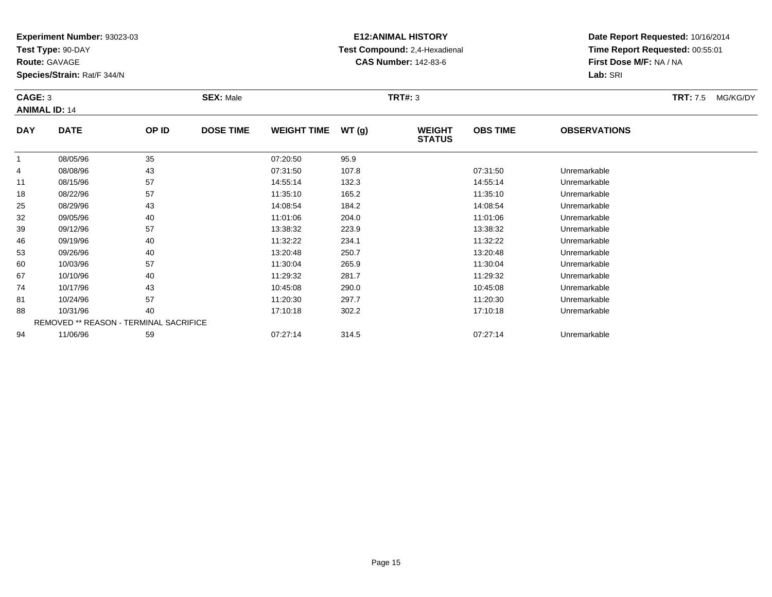**Test Type:** 90-DAY

**Route:** GAVAGE

**Species/Strain:** Rat/F 344/N

# **E12:ANIMAL HISTORY Test Compound:** 2,4-Hexadienal **CAS Number:** 142-83-6

**Date Report Requested:** 10/16/2014**Time Report Requested:** 00:55:01**First Dose M/F:** NA / NA**Lab:** SRI

### **CAGE:** 3 **SEX:** Male **TRT#:** <sup>3</sup> **TRT:** 7.5 MG/KG/DY**ANIMAL ID:** 14**DAY DATE OP IDDOSE TIME WEIGHT TIME WT** (g) **STATUSOBS TIME OBSERVATIONS** 1 08/05/96 <sup>35</sup> 07:20:50 95.9 4 08/08/96 <sup>43</sup> 07:31:50 107.8 07:31:50 Unremarkable 11 08/15/96 <sup>57</sup> 14:55:14 132.3 14:55:14 Unremarkable 18 08/22/96 <sup>57</sup> 11:35:10 165.2 11:35:10 Unremarkable 25 08/29/96 <sup>43</sup> 14:08:54 184.2 14:08:54 Unremarkable 3209/05/96 <sup>40</sup> 11:01:06 204.0 11:01:06 Unremarkable

| .  | 00, 10, 00 | <u>.</u>                                      | .        | .     | .        | --------------- |  |
|----|------------|-----------------------------------------------|----------|-------|----------|-----------------|--|
| 18 | 08/22/96   | 57                                            | 11:35:10 | 165.2 | 11:35:10 | Unremarkable    |  |
| 25 | 08/29/96   | 43                                            | 14:08:54 | 184.2 | 14:08:54 | Unremarkable    |  |
| 32 | 09/05/96   | 40                                            | 11:01:06 | 204.0 | 11:01:06 | Unremarkable    |  |
| 39 | 09/12/96   | 57                                            | 13:38:32 | 223.9 | 13:38:32 | Unremarkable    |  |
| 46 | 09/19/96   | 40                                            | 11:32:22 | 234.1 | 11:32:22 | Unremarkable    |  |
| 53 | 09/26/96   | 40                                            | 13:20:48 | 250.7 | 13:20:48 | Unremarkable    |  |
| 60 | 10/03/96   | 57                                            | 11:30:04 | 265.9 | 11:30:04 | Unremarkable    |  |
| 67 | 10/10/96   | 40                                            | 11:29:32 | 281.7 | 11:29:32 | Unremarkable    |  |
| 74 | 10/17/96   | 43                                            | 10:45:08 | 290.0 | 10:45:08 | Unremarkable    |  |
| 81 | 10/24/96   | 57                                            | 11:20:30 | 297.7 | 11:20:30 | Unremarkable    |  |
| 88 | 10/31/96   | 40                                            | 17:10:18 | 302.2 | 17:10:18 | Unremarkable    |  |
|    |            | <b>REMOVED ** REASON - TERMINAL SACRIFICE</b> |          |       |          |                 |  |
| 94 | 11/06/96   | 59                                            | 07:27:14 | 314.5 | 07:27:14 | Unremarkable    |  |
|    |            |                                               |          |       |          |                 |  |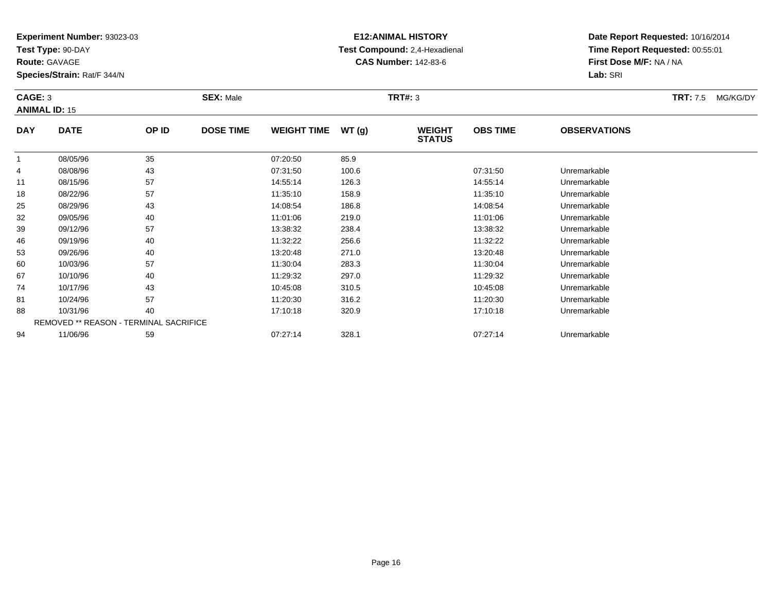**Test Type:** 90-DAY

**Route:** GAVAGE

88

94

**Species/Strain:** Rat/F 344/N

# **E12:ANIMAL HISTORY Test Compound:** 2,4-Hexadienal **CAS Number:** 142-83-6

**Date Report Requested:** 10/16/2014**Time Report Requested:** 00:55:01**First Dose M/F:** NA / NA**Lab:** SRI

| CAGE: 3<br><b>ANIMAL ID: 15</b> |             |       | <b>SEX: Male</b> |                    |       | <b>TRT#: 3</b>                 |                 |                     | <b>TRT:</b> 7.5 | MG/KG/DY |
|---------------------------------|-------------|-------|------------------|--------------------|-------|--------------------------------|-----------------|---------------------|-----------------|----------|
| <b>DAY</b>                      | <b>DATE</b> | OP ID | <b>DOSE TIME</b> | <b>WEIGHT TIME</b> | WT(g) | <b>WEIGHT</b><br><b>STATUS</b> | <b>OBS TIME</b> | <b>OBSERVATIONS</b> |                 |          |
|                                 | 08/05/96    | 35    |                  | 07:20:50           | 85.9  |                                |                 |                     |                 |          |
| 4                               | 08/08/96    | 43    |                  | 07:31:50           | 100.6 |                                | 07:31:50        | Unremarkable        |                 |          |
| 11                              | 08/15/96    | 57    |                  | 14:55:14           | 126.3 |                                | 14:55:14        | Unremarkable        |                 |          |
| 18                              | 08/22/96    | 57    |                  | 11:35:10           | 158.9 |                                | 11:35:10        | Unremarkable        |                 |          |
| 25                              | 08/29/96    | 43    |                  | 14:08:54           | 186.8 |                                | 14:08:54        | Unremarkable        |                 |          |
| 32                              | 09/05/96    | 40    |                  | 11:01:06           | 219.0 |                                | 11:01:06        | Unremarkable        |                 |          |
| 39                              | 09/12/96    | 57    |                  | 13:38:32           | 238.4 |                                | 13:38:32        | Unremarkable        |                 |          |
| 46                              | 09/19/96    | 40    |                  | 11:32:22           | 256.6 |                                | 11:32:22        | Unremarkable        |                 |          |
| 53                              | 09/26/96    | 40    |                  | 13:20:48           | 271.0 |                                | 13:20:48        | Unremarkable        |                 |          |
| 60                              | 10/03/96    | 57    |                  | 11:30:04           | 283.3 |                                | 11:30:04        | Unremarkable        |                 |          |
| 67                              | 10/10/96    | 40    |                  | 11:29:32           | 297.0 |                                | 11:29:32        | Unremarkable        |                 |          |
| 74                              | 10/17/96    | 43    |                  | 10:45:08           | 310.5 |                                | 10:45:08        | Unremarkable        |                 |          |
| 81                              | 10/24/96    | 57    |                  | 11:20:30           | 316.2 |                                | 11:20:30        | Unremarkable        |                 |          |

10/31/96 <sup>40</sup> 17:10:18 320.9 17:10:18 Unremarkable

11/06/96 <sup>59</sup> 07:27:14 328.1 07:27:14 Unremarkable

REMOVED \*\* REASON - TERMINAL SACRIFICE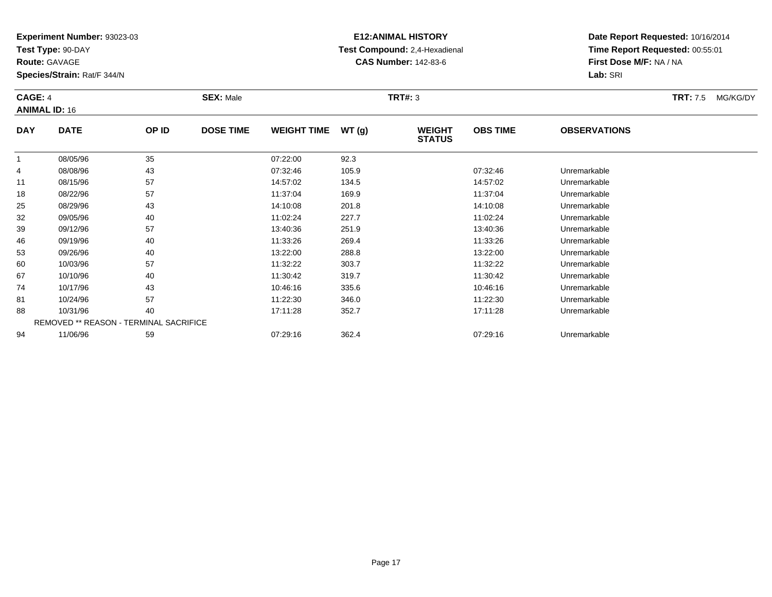**Test Type:** 90-DAY

**Route:** GAVAGE

60

67

74

81

88

94

**Species/Strain:** Rat/F 344/N

REMOVED \*\* REASON - TERMINAL SACRIFICE

# **E12:ANIMAL HISTORY Test Compound:** 2,4-Hexadienal **CAS Number:** 142-83-6

**Date Report Requested:** 10/16/2014**Time Report Requested:** 00:55:01**First Dose M/F:** NA / NA**Lab:** SRI

#### **CAGE:** 4 **SEX:** Male **TRT#:** <sup>3</sup> **TRT:** 7.5 MG/KG/DY**ANIMAL ID:** 16**DAY DATE OP ID DOSE TIME WEIGHT TIME WT (g) WEIGHT STATUSOBS TIME OBSERVATIONS** 1 08/05/96 <sup>35</sup> 07:22:00 92.3 4 08/08/96 <sup>43</sup> 07:32:46 105.9 07:32:46 Unremarkable 11 08/15/96 <sup>57</sup> 14:57:02 134.5 14:57:02 Unremarkable 18 08/22/96 <sup>57</sup> 11:37:04 169.9 11:37:04 Unremarkable 25 08/29/96 <sup>43</sup> 14:10:08 201.8 14:10:08 Unremarkable 322 09/05/96 40 40 11:02:24 227.7 11:02:24 11:02:24 Dhremarkable 39 09/12/96 <sup>57</sup> 13:40:36 251.9 13:40:36 Unremarkable 466 09/19/96 40 40 11:33:26 269.4 1269.4 11:33:26 Dhremarkable 5309/26/96 <sup>40</sup> 13:22:00 288.8 13:22:00 Unremarkable

0 10/03/96 57 57 11:32:22 303.7 11:32:22 1303.7 11:32:22 Unremarkable

10/10/96 <sup>40</sup> 11:30:42 319.7 11:30:42 Unremarkable

10/17/96 <sup>43</sup> 10:46:16 335.6 10:46:16 Unremarkable

1 10/24/96 57 57 11:22:30 346.0 11:20 11:22:30 11:22:30

8 10/31/96 40 40 17:11:28 352.7 17:11:28 17:11:28 Jhremarkable

11/06/96 <sup>59</sup> 07:29:16 362.4 07:29:16 Unremarkable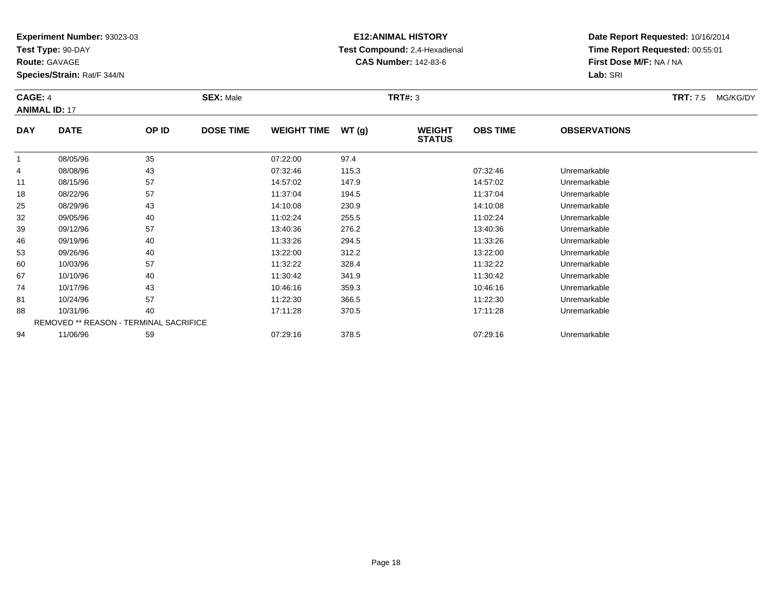**Test Type:** 90-DAY

**Route:** GAVAGE

53

60

67

74

81

88

94

**Species/Strain:** Rat/F 344/N

REMOVED \*\* REASON - TERMINAL SACRIFICE

# **E12:ANIMAL HISTORY Test Compound:** 2,4-Hexadienal **CAS Number:** 142-83-6

**Date Report Requested:** 10/16/2014**Time Report Requested:** 00:55:01**First Dose M/F:** NA / NA**Lab:** SRI

### **CAGE:** 4 **SEX:** Male **TRT#:** <sup>3</sup> **TRT:** 7.5 MG/KG/DY**ANIMAL ID:** 17**DAY DATE OP ID DOSE TIME WEIGHT TIME WT (g) WEIGHT STATUSOBS TIME OBSERVATIONS** 1 08/05/96 <sup>35</sup> 07:22:00 97.4 4 08/08/96 <sup>43</sup> 07:32:46 115.3 07:32:46 Unremarkable 11 08/15/96 <sup>57</sup> 14:57:02 147.9 14:57:02 Unremarkable 18 08/22/96 <sup>57</sup> 11:37:04 194.5 11:37:04 Unremarkable 25 08/29/96 <sup>43</sup> 14:10:08 230.9 14:10:08 Unremarkable 322 09/05/96 40 40 11:02:24 255.5 11:02:24 11:02:24 Dhremarkable 39 09/12/96 <sup>57</sup> 13:40:36 276.2 13:40:36 Unremarkable 4609/19/96 <sup>40</sup> 11:33:26 294.5 11:33:26 Unremarkable

09/26/96 <sup>40</sup> 13:22:00 312.2 13:22:00 Unremarkable

0 10/03/96 57 57 11:32:22 328.4 11:32.2 11:32:22 57

10/10/96 <sup>40</sup> 11:30:42 341.9 11:30:42 Unremarkable

10/17/96 <sup>43</sup> 10:46:16 359.3 10:46:16 Unremarkable

1 10/24/96 57 57 11:22:30 366.5 11:22:30 10/24/96 Unremarkable

8 10/31/96 40 40 17:11:28 370.5 17:128 17:11:28 Unremarkable

11/06/96 <sup>59</sup> 07:29:16 378.5 07:29:16 Unremarkable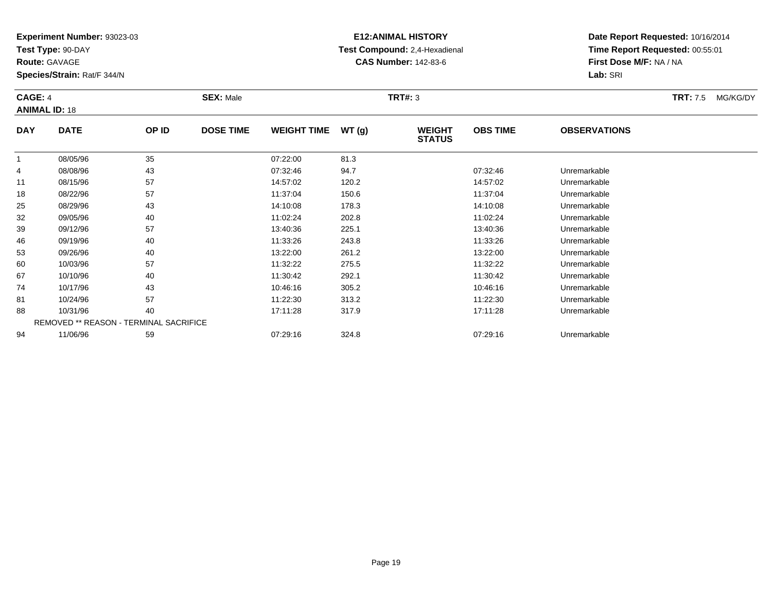**Test Type:** 90-DAY

**Route:** GAVAGE

88

94

**Species/Strain:** Rat/F 344/N

REMOVED \*\* REASON - TERMINAL SACRIFICE

# **E12:ANIMAL HISTORY Test Compound:** 2,4-Hexadienal **CAS Number:** 142-83-6

**Date Report Requested:** 10/16/2014**Time Report Requested:** 00:55:01**First Dose M/F:** NA / NA**Lab:** SRI

| CAGE: 4<br><b>ANIMAL ID: 18</b> |             |       | <b>SEX: Male</b> |                    |       | <b>TRT#: 3</b>                 |                 |                     | <b>TRT: 7.5</b> | MG/KG/DY |
|---------------------------------|-------------|-------|------------------|--------------------|-------|--------------------------------|-----------------|---------------------|-----------------|----------|
| <b>DAY</b>                      | <b>DATE</b> | OP ID | <b>DOSE TIME</b> | <b>WEIGHT TIME</b> | WT(g) | <b>WEIGHT</b><br><b>STATUS</b> | <b>OBS TIME</b> | <b>OBSERVATIONS</b> |                 |          |
|                                 | 08/05/96    | 35    |                  | 07:22:00           | 81.3  |                                |                 |                     |                 |          |
| 4                               | 08/08/96    | 43    |                  | 07:32:46           | 94.7  |                                | 07:32:46        | Unremarkable        |                 |          |
| 11                              | 08/15/96    | 57    |                  | 14:57:02           | 120.2 |                                | 14:57:02        | Unremarkable        |                 |          |
| 18                              | 08/22/96    | 57    |                  | 11:37:04           | 150.6 |                                | 11:37:04        | Unremarkable        |                 |          |
| 25                              | 08/29/96    | 43    |                  | 14:10:08           | 178.3 |                                | 14:10:08        | Unremarkable        |                 |          |
| 32                              | 09/05/96    | 40    |                  | 11:02:24           | 202.8 |                                | 11:02:24        | Unremarkable        |                 |          |
| 39                              | 09/12/96    | 57    |                  | 13:40:36           | 225.1 |                                | 13:40:36        | Unremarkable        |                 |          |
| 46                              | 09/19/96    | 40    |                  | 11:33:26           | 243.8 |                                | 11:33:26        | Unremarkable        |                 |          |
| 53                              | 09/26/96    | 40    |                  | 13:22:00           | 261.2 |                                | 13:22:00        | Unremarkable        |                 |          |
| 60                              | 10/03/96    | 57    |                  | 11:32:22           | 275.5 |                                | 11:32:22        | Unremarkable        |                 |          |
| 67                              | 10/10/96    | 40    |                  | 11:30:42           | 292.1 |                                | 11:30:42        | Unremarkable        |                 |          |
| 74                              | 10/17/96    | 43    |                  | 10:46:16           | 305.2 |                                | 10:46:16        | Unremarkable        |                 |          |
| 81                              | 10/24/96    | 57    |                  | 11:22:30           | 313.2 |                                | 11:22:30        | Unremarkable        |                 |          |

8 10/31/96 40 40 17:11:28 317.9 17:19 17:11:28 Jnremarkable

11/06/96 <sup>59</sup> 07:29:16 324.8 07:29:16 Unremarkable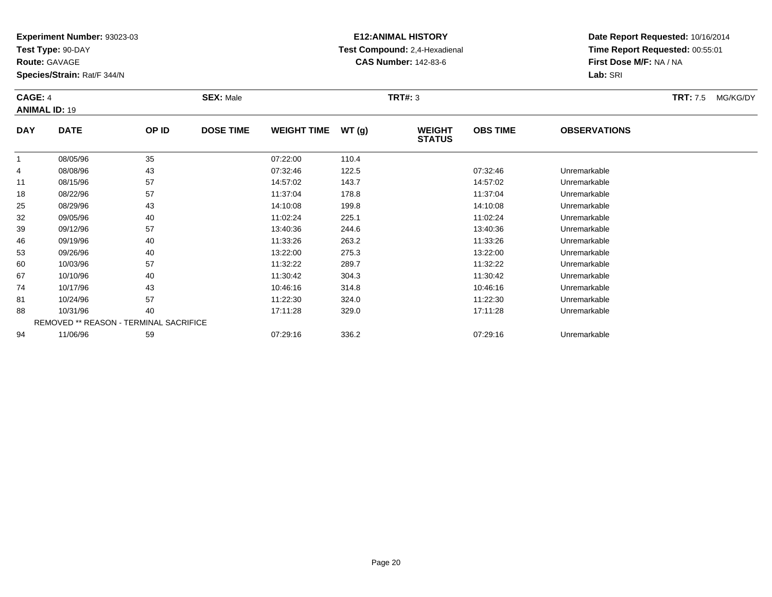**Test Type:** 90-DAY

**Route:** GAVAGE

94

**Species/Strain:** Rat/F 344/N

REMOVED \*\* REASON - TERMINAL SACRIFICE

# **E12:ANIMAL HISTORY Test Compound:** 2,4-Hexadienal **CAS Number:** 142-83-6

**Date Report Requested:** 10/16/2014**Time Report Requested:** 00:55:01**First Dose M/F:** NA / NA**Lab:** SRI

| CAGE: 4<br><b>ANIMAL ID: 19</b> |             |       | <b>SEX: Male</b> |                    |       | <b>TRT#: 3</b>                 |                 |                     | <b>TRT: 7.5</b> | MG/KG/DY |
|---------------------------------|-------------|-------|------------------|--------------------|-------|--------------------------------|-----------------|---------------------|-----------------|----------|
| <b>DAY</b>                      | <b>DATE</b> | OP ID | <b>DOSE TIME</b> | <b>WEIGHT TIME</b> | WT(g) | <b>WEIGHT</b><br><b>STATUS</b> | <b>OBS TIME</b> | <b>OBSERVATIONS</b> |                 |          |
| 1                               | 08/05/96    | 35    |                  | 07:22:00           | 110.4 |                                |                 |                     |                 |          |
| 4                               | 08/08/96    | 43    |                  | 07:32:46           | 122.5 |                                | 07:32:46        | Unremarkable        |                 |          |
| 11                              | 08/15/96    | 57    |                  | 14:57:02           | 143.7 |                                | 14:57:02        | Unremarkable        |                 |          |
| 18                              | 08/22/96    | 57    |                  | 11:37:04           | 178.8 |                                | 11:37:04        | Unremarkable        |                 |          |
| 25                              | 08/29/96    | 43    |                  | 14:10:08           | 199.8 |                                | 14:10:08        | Unremarkable        |                 |          |
| 32                              | 09/05/96    | 40    |                  | 11:02:24           | 225.1 |                                | 11:02:24        | Unremarkable        |                 |          |
| 39                              | 09/12/96    | 57    |                  | 13:40:36           | 244.6 |                                | 13:40:36        | Unremarkable        |                 |          |
| 46                              | 09/19/96    | 40    |                  | 11:33:26           | 263.2 |                                | 11:33:26        | Unremarkable        |                 |          |
| 53                              | 09/26/96    | 40    |                  | 13:22:00           | 275.3 |                                | 13:22:00        | Unremarkable        |                 |          |
| 60                              | 10/03/96    | 57    |                  | 11:32:22           | 289.7 |                                | 11:32:22        | Unremarkable        |                 |          |
| 67                              | 10/10/96    | 40    |                  | 11:30:42           | 304.3 |                                | 11:30:42        | Unremarkable        |                 |          |
| 74                              | 10/17/96    | 43    |                  | 10:46:16           | 314.8 |                                | 10:46:16        | Unremarkable        |                 |          |
| 81                              | 10/24/96    | 57    |                  | 11:22:30           | 324.0 |                                | 11:22:30        | Unremarkable        |                 |          |
| 88                              | 10/31/96    | 40    |                  | 17:11:28           | 329.0 |                                | 17:11:28        | Unremarkable        |                 |          |

11/06/96 <sup>59</sup> 07:29:16 336.2 07:29:16 Unremarkable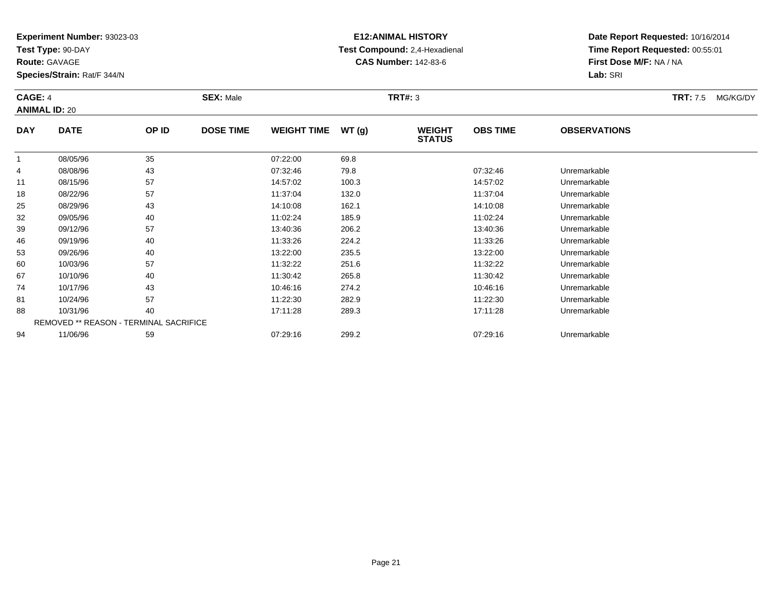**Test Type:** 90-DAY

**Route:** GAVAGE

81

88

94

**Species/Strain:** Rat/F 344/N

REMOVED \*\* REASON - TERMINAL SACRIFICE

# **E12:ANIMAL HISTORY Test Compound:** 2,4-Hexadienal **CAS Number:** 142-83-6

**Date Report Requested:** 10/16/2014**Time Report Requested:** 00:55:01**First Dose M/F:** NA / NA**Lab:** SRI

### **CAGE:** 4 **SEX:** Male **TRT#:** <sup>3</sup> **TRT:** 7.5 MG/KG/DY**ANIMAL ID:** 20**DAY DATE OP ID DOSE TIME WEIGHT TIME WT (g) WEIGHT STATUSOBS TIME OBSERVATIONS** 1 08/05/96 <sup>35</sup> 07:22:00 69.8 4 08/08/96 <sup>43</sup> 07:32:46 79.8 07:32:46 Unremarkable 11 08/15/96 <sup>57</sup> 14:57:02 100.3 14:57:02 Unremarkable 18 08/22/96 <sup>57</sup> 11:37:04 132.0 11:37:04 Unremarkable 25 08/29/96 <sup>43</sup> 14:10:08 162.1 14:10:08 Unremarkable 32 09/05/96 <sup>40</sup> 11:02:24 185.9 11:02:24 Unremarkable 39 09/12/96 <sup>57</sup> 13:40:36 206.2 13:40:36 Unremarkable 46 09/19/96 <sup>40</sup> 11:33:26 224.2 11:33:26 Unremarkable 533 09/26/96 40 40 13:22:00 235.5 13:23:00 13:22:00 13:22:00 13:22:00 Unremarkable 600 10/03/96 57 57 11:32:22 251.6 11:32.2 11:32:22 10/03/96 Unremarkable 67 10/10/96 <sup>40</sup> 11:30:42 265.8 11:30:42 Unremarkable 74

10/17/96 <sup>43</sup> 10:46:16 274.2 10:46:16 Unremarkable

10/24/96 <sup>57</sup> 11:22:30 282.9 11:22:30 Unremarkable

10/31/96 <sup>40</sup> 17:11:28 289.3 17:11:28 Unremarkable

11/06/96 <sup>59</sup> 07:29:16 299.2 07:29:16 Unremarkable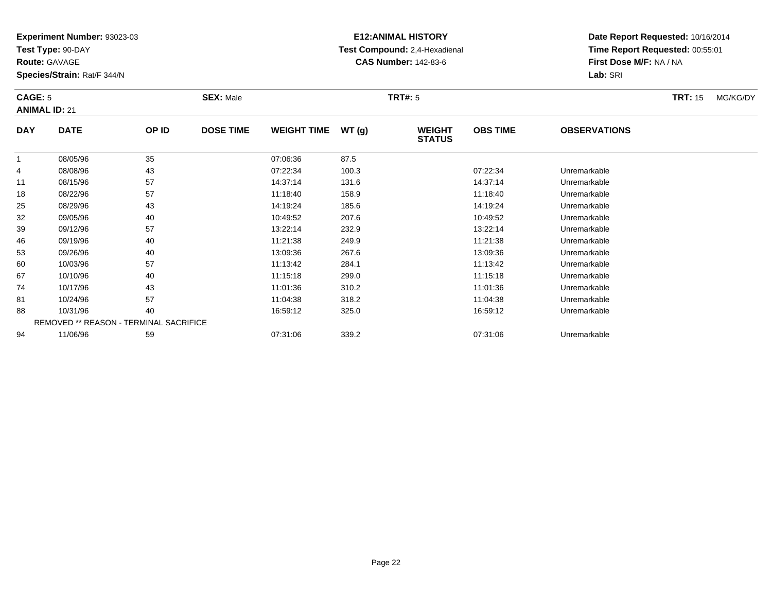**Test Type:** 90-DAY

**Route:** GAVAGE

**Species/Strain:** Rat/F 344/N

# **E12:ANIMAL HISTORY Test Compound:** 2,4-Hexadienal **CAS Number:** 142-83-6

**Date Report Requested:** 10/16/2014**Time Report Requested:** 00:55:01**First Dose M/F:** NA / NA**Lab:** SRI

### **CAGE:** 5 **SEX:** Male **TRT#:** <sup>5</sup> **TRT:** 15 MG/KG/DY**ANIMAL ID:** 21**DAY DATE OP IDDOSE TIME WEIGHT TIME WT** (g) **STATUSOBS TIME OBSERVATIONS** 1 08/05/96 <sup>35</sup> 07:06:36 87.5 4 08/08/96 <sup>43</sup> 07:22:34 100.3 07:22:34 Unremarkable 1108/15/96 <sup>57</sup> 14:37:14 131.6 14:37:14 Unremarkable

| 11 | 08/15/96 | 57                                            | 14:37:14 | 131.6 | 14:37:14 | Unremarkable |
|----|----------|-----------------------------------------------|----------|-------|----------|--------------|
| 18 | 08/22/96 | 57                                            | 11:18:40 | 158.9 | 11:18:40 | Unremarkable |
| 25 | 08/29/96 | 43                                            | 14:19:24 | 185.6 | 14:19:24 | Unremarkable |
| 32 | 09/05/96 | 40                                            | 10:49:52 | 207.6 | 10:49:52 | Unremarkable |
| 39 | 09/12/96 | 57                                            | 13:22:14 | 232.9 | 13:22:14 | Unremarkable |
| 46 | 09/19/96 | 40                                            | 11:21:38 | 249.9 | 11:21:38 | Unremarkable |
| 53 | 09/26/96 | 40                                            | 13:09:36 | 267.6 | 13:09:36 | Unremarkable |
| 60 | 10/03/96 | 57                                            | 11:13:42 | 284.1 | 11:13:42 | Unremarkable |
| 67 | 10/10/96 | 40                                            | 11:15:18 | 299.0 | 11:15:18 | Unremarkable |
| 74 | 10/17/96 | 43                                            | 11:01:36 | 310.2 | 11:01:36 | Unremarkable |
| 81 | 10/24/96 | 57                                            | 11:04:38 | 318.2 | 11:04:38 | Unremarkable |
| 88 | 10/31/96 | 40                                            | 16:59:12 | 325.0 | 16:59:12 | Unremarkable |
|    |          | <b>REMOVED ** REASON - TERMINAL SACRIFICE</b> |          |       |          |              |
| 94 | 11/06/96 | 59                                            | 07:31:06 | 339.2 | 07:31:06 | Unremarkable |
|    |          |                                               |          |       |          |              |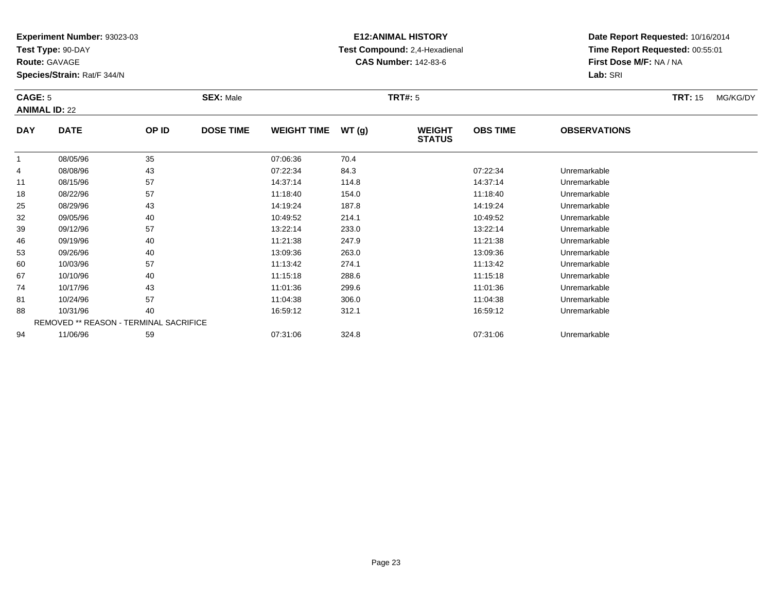**Test Type:** 90-DAY

**Route:** GAVAGE

**Species/Strain:** Rat/F 344/N

# **E12:ANIMAL HISTORY Test Compound:** 2,4-Hexadienal **CAS Number:** 142-83-6

**Date Report Requested:** 10/16/2014**Time Report Requested:** 00:55:01**First Dose M/F:** NA / NA**Lab:** SRI

### **CAGE:** 5 **SEX:** Male **TRT#:** <sup>5</sup> **TRT:** 15 MG/KG/DY**ANIMAL ID:** 22**DAY DATE OP IDDOSE TIME WEIGHT TIME WT** (g) **STATUSOBS TIME OBSERVATIONS**  $\overline{1}$  08/05/96 <sup>35</sup> 07:06:36 70.4 408/08/96 <sup>43</sup> 07:22:34 84.3 07:22:34 Unremarkable

|    | <u>UU/UU/UU</u> | ັບບ                                           | 0.0000   | 10.7  |          |              |  |
|----|-----------------|-----------------------------------------------|----------|-------|----------|--------------|--|
| 4  | 08/08/96        | 43                                            | 07:22:34 | 84.3  | 07:22:34 | Unremarkable |  |
| 11 | 08/15/96        | 57                                            | 14:37:14 | 114.8 | 14:37:14 | Unremarkable |  |
| 18 | 08/22/96        | 57                                            | 11:18:40 | 154.0 | 11:18:40 | Unremarkable |  |
| 25 | 08/29/96        | 43                                            | 14:19:24 | 187.8 | 14:19:24 | Unremarkable |  |
| 32 | 09/05/96        | 40                                            | 10:49:52 | 214.1 | 10:49:52 | Unremarkable |  |
| 39 | 09/12/96        | 57                                            | 13:22:14 | 233.0 | 13:22:14 | Unremarkable |  |
| 46 | 09/19/96        | 40                                            | 11:21:38 | 247.9 | 11:21:38 | Unremarkable |  |
| 53 | 09/26/96        | 40                                            | 13:09:36 | 263.0 | 13:09:36 | Unremarkable |  |
| 60 | 10/03/96        | 57                                            | 11:13:42 | 274.1 | 11:13:42 | Unremarkable |  |
| 67 | 10/10/96        | 40                                            | 11:15:18 | 288.6 | 11:15:18 | Unremarkable |  |
| 74 | 10/17/96        | 43                                            | 11:01:36 | 299.6 | 11:01:36 | Unremarkable |  |
| 81 | 10/24/96        | 57                                            | 11:04:38 | 306.0 | 11:04:38 | Unremarkable |  |
| 88 | 10/31/96        | 40                                            | 16:59:12 | 312.1 | 16:59:12 | Unremarkable |  |
|    |                 | <b>REMOVED ** REASON - TERMINAL SACRIFICE</b> |          |       |          |              |  |
| 94 | 11/06/96        | 59                                            | 07:31:06 | 324.8 | 07:31:06 | Unremarkable |  |
|    |                 |                                               |          |       |          |              |  |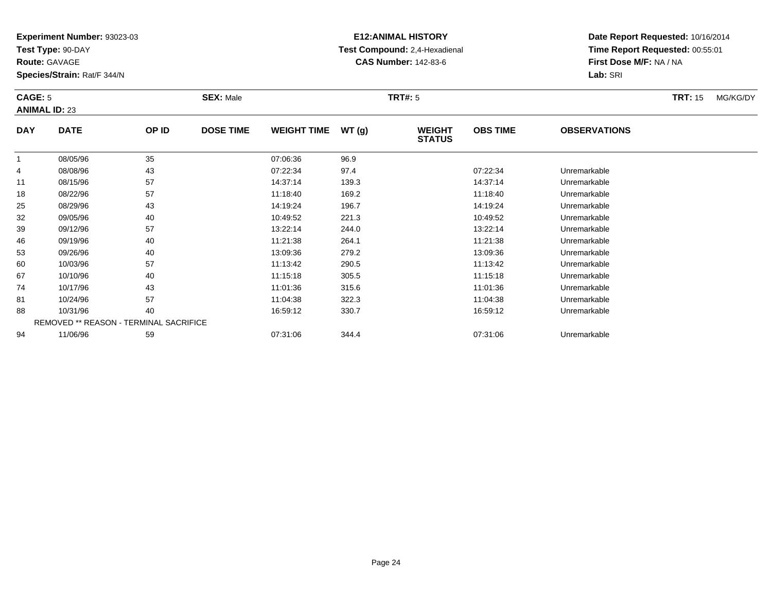**Test Type:** 90-DAY

**Route:** GAVAGE

53

60

67

74

81

88

94

**Species/Strain:** Rat/F 344/N

REMOVED \*\* REASON - TERMINAL SACRIFICE

# **E12:ANIMAL HISTORY Test Compound:** 2,4-Hexadienal **CAS Number:** 142-83-6

**Date Report Requested:** 10/16/2014**Time Report Requested:** 00:55:01**First Dose M/F:** NA / NA**Lab:** SRI

### **CAGE:** 5 **SEX:** Male **TRT#:** <sup>5</sup> **TRT:** 15 MG/KG/DY**ANIMAL ID:** 23**DAY DATE OP ID DOSE TIME WEIGHT TIME WT (g) WEIGHT STATUSOBS TIME OBSERVATIONS** 11 08/05/96 35 07:06:36 96.9 4 08/08/96 <sup>43</sup> 07:22:34 97.4 07:22:34 Unremarkable 11 08/15/96 <sup>57</sup> 14:37:14 139.3 14:37:14 Unremarkable 18 08/22/96 <sup>57</sup> 11:18:40 169.2 11:18:40 Unremarkable 25 08/29/96 <sup>43</sup> 14:19:24 196.7 14:19:24 Unremarkable 32 09/05/96 <sup>40</sup> 10:49:52 221.3 10:49:52 Unremarkable 39 09/12/96 <sup>57</sup> 13:22:14 244.0 13:22:14 Unremarkable 4609/19/96 <sup>40</sup> 11:21:38 264.1 11:21:38 Unremarkable

09/26/96 <sup>40</sup> 13:09:36 279.2 13:09:36 Unremarkable

0 10/03/96 57 57 11:13:42 290.5 11:13:42 11:13:42 10/03/96 Unremarkable

10/10/96 <sup>40</sup> 11:15:18 305.5 11:15:18 Unremarkable

10/17/96 <sup>43</sup> 11:01:36 315.6 11:01:36 Unremarkable

10/24/96 <sup>57</sup> 11:04:38 322.3 11:04:38 Unremarkable

10/31/96 <sup>40</sup> 16:59:12 330.7 16:59:12 Unremarkable

11/06/96 <sup>59</sup> 07:31:06 344.4 07:31:06 Unremarkable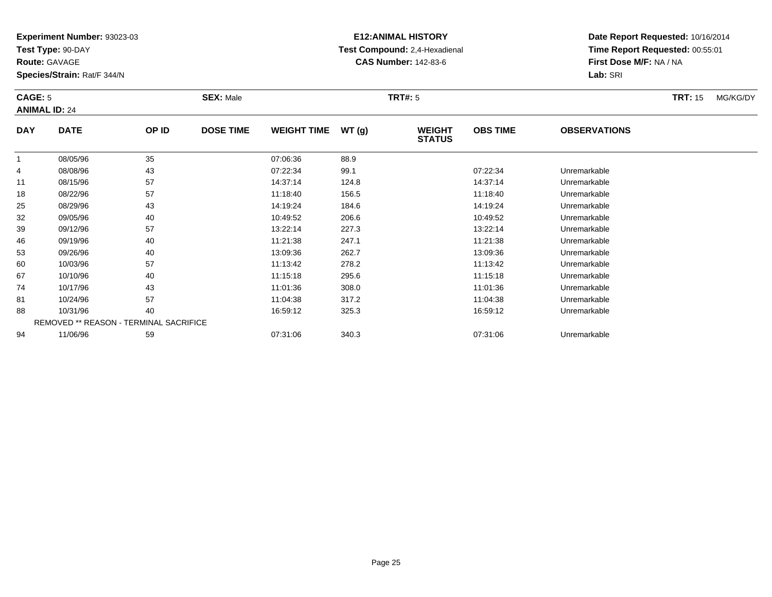**Test Type:** 90-DAY

**Route:** GAVAGE

74

81

88

94

**Species/Strain:** Rat/F 344/N

REMOVED \*\* REASON - TERMINAL SACRIFICE

# **E12:ANIMAL HISTORY Test Compound:** 2,4-Hexadienal **CAS Number:** 142-83-6

**Date Report Requested:** 10/16/2014**Time Report Requested:** 00:55:01**First Dose M/F:** NA / NA**Lab:** SRI

#### **CAGE:** 5 **SEX:** Male **TRT#:** <sup>5</sup> **TRT:** 15 MG/KG/DY**ANIMAL ID:** 24**DAY DATE OP ID DOSE TIME WEIGHT TIME WT (g) WEIGHT STATUSOBS TIME OBSERVATIONS** 1 08/05/96 <sup>35</sup> 07:06:36 88.9 4 08/08/96 <sup>43</sup> 07:22:34 99.1 07:22:34 Unremarkable 11 08/15/96 <sup>57</sup> 14:37:14 124.8 14:37:14 Unremarkable 18 08/22/96 <sup>57</sup> 11:18:40 156.5 11:18:40 Unremarkable 25 08/29/96 <sup>43</sup> 14:19:24 184.6 14:19:24 Unremarkable 32 09/05/96 <sup>40</sup> 10:49:52 206.6 10:49:52 Unremarkable 39 09/12/96 <sup>57</sup> 13:22:14 227.3 13:22:14 Unremarkable 46 09/19/96 <sup>40</sup> 11:21:38 247.1 11:21:38 Unremarkable 533 09/26/96 40 40 13:09:36 262.7 13:09.36 13:09 13:09:36 13:09:36 Unremarkable 600 10/03/96 57 57 11:13:42 278.2 11:13:42 11:13:42 Unremarkable 6710/10/96 <sup>40</sup> 11:15:18 295.6 11:15:18 Unremarkable

10/17/96 <sup>43</sup> 11:01:36 308.0 11:01:36 Unremarkable

1 10/24/96 57 57 11:04:38 317.2 11:04:38 10/24/96 Unremarkable

10/31/96 <sup>40</sup> 16:59:12 325.3 16:59:12 Unremarkable

11/06/96 <sup>59</sup> 07:31:06 340.3 07:31:06 Unremarkable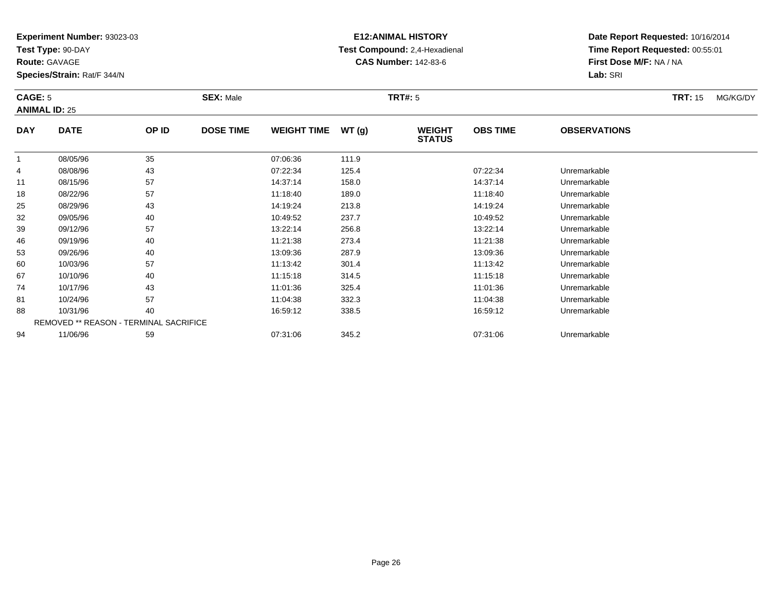**Test Type:** 90-DAY

**Route:** GAVAGE

67

74

81

88

94

**Species/Strain:** Rat/F 344/N

REMOVED \*\* REASON - TERMINAL SACRIFICE

# **E12:ANIMAL HISTORY Test Compound:** 2,4-Hexadienal **CAS Number:** 142-83-6

**Date Report Requested:** 10/16/2014**Time Report Requested:** 00:55:01**First Dose M/F:** NA / NA**Lab:** SRI

#### **CAGE:** 5 **SEX:** Male **TRT#:** <sup>5</sup> **TRT:** 15 MG/KG/DY**ANIMAL ID:** 25**DAY DATE OP ID DOSE TIME WEIGHT TIME WT (g) WEIGHT STATUSOBS TIME OBSERVATIONS** 1 08/05/96 <sup>35</sup> 07:06:36 111.9 4 08/08/96 <sup>43</sup> 07:22:34 125.4 07:22:34 Unremarkable 11 08/15/96 <sup>57</sup> 14:37:14 158.0 14:37:14 Unremarkable 18 08/22/96 <sup>57</sup> 11:18:40 189.0 11:18:40 Unremarkable 25 08/29/96 <sup>43</sup> 14:19:24 213.8 14:19:24 Unremarkable 322 09/05/96 40 40 10:49:52 237.7 10:49.52 10:49.52 10:49 10:49 237.7 39 09/12/96 <sup>57</sup> 13:22:14 256.8 13:22:14 Unremarkable 46 09/19/96 <sup>40</sup> 11:21:38 273.4 11:21:38 Unremarkable 53 09/26/96 <sup>40</sup> 13:09:36 287.9 13:09:36 Unremarkable 600 10/03/96 57 57 11:13:42 301.4 10/03/96 Unremarkable

10/10/96 <sup>40</sup> 11:15:18 314.5 11:15:18 Unremarkable

10/17/96 <sup>43</sup> 11:01:36 325.4 11:01:36 Unremarkable

1 10/24/96 57 57 11:04:38 332.3 11:04:38 10/24/96 Unremarkable

8 10/31/96 40 40 16:59:12 338.5 16:59:12 16:59:12 16:59:12 Inremarkable

11/06/96 <sup>59</sup> 07:31:06 345.2 07:31:06 Unremarkable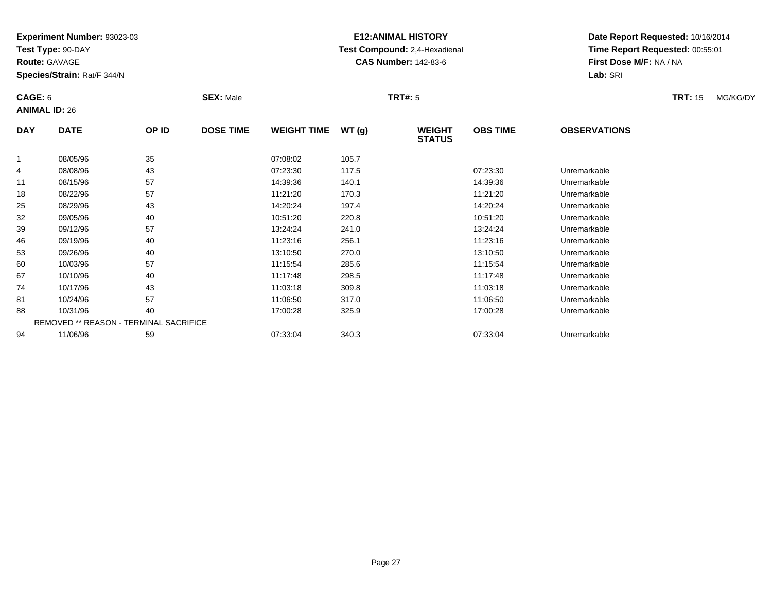**Test Type:** 90-DAY

**Route:** GAVAGE

94

**Species/Strain:** Rat/F 344/N

REMOVED \*\* REASON - TERMINAL SACRIFICE

# **E12:ANIMAL HISTORY Test Compound:** 2,4-Hexadienal **CAS Number:** 142-83-6

**Date Report Requested:** 10/16/2014**Time Report Requested:** 00:55:01**First Dose M/F:** NA / NA**Lab:** SRI

#### **CAGE:** 6 **SEX:** Male **TRT#:** <sup>5</sup> **TRT:** 15 MG/KG/DY**ANIMAL ID:** 26**DAY DATE OP ID DOSE TIME WEIGHT TIME WT (g) WEIGHT STATUSOBS TIME OBSERVATIONS** 11 08/05/96 35 07:08:02 105.7 4 08/08/96 <sup>43</sup> 07:23:30 117.5 07:23:30 Unremarkable 111 08/15/96 57 57 14:39:36 140.1 14:00 14:39 14:05 14:39:36 Unremarkable 18 08/22/96 <sup>57</sup> 11:21:20 170.3 11:21:20 Unremarkable 25 08/29/96 <sup>43</sup> 14:20:24 197.4 14:20:24 Unremarkable 32 09/05/96 <sup>40</sup> 10:51:20 220.8 10:51:20 Unremarkable 399 09/12/96 57 57 13:24:24 241.0 13:24.24 13:24:24 09/12/96 Unremarkable 466 09/19/96 40 40 11:23:16 256.1 11:25.1 11:23:16 Dhremarkable 53 09/26/96 <sup>40</sup> 13:10:50 270.0 13:10:50 Unremarkable 600 10/03/96 57 57 11:15:54 285.6 11:15:54 11:15:54 Dhremarkable 67 10/10/96 <sup>40</sup> 11:17:48 298.5 11:17:48 Unremarkable 74 10/17/96 <sup>43</sup> 11:03:18 309.8 11:03:18 Unremarkable 81 10/24/96 <sup>57</sup> 11:06:50 317.0 11:06:50 Unremarkable 8810/31/96 <sup>40</sup> 17:00:28 325.9 17:00:28 Unremarkable

11/06/96 <sup>59</sup> 07:33:04 340.3 07:33:04 Unremarkable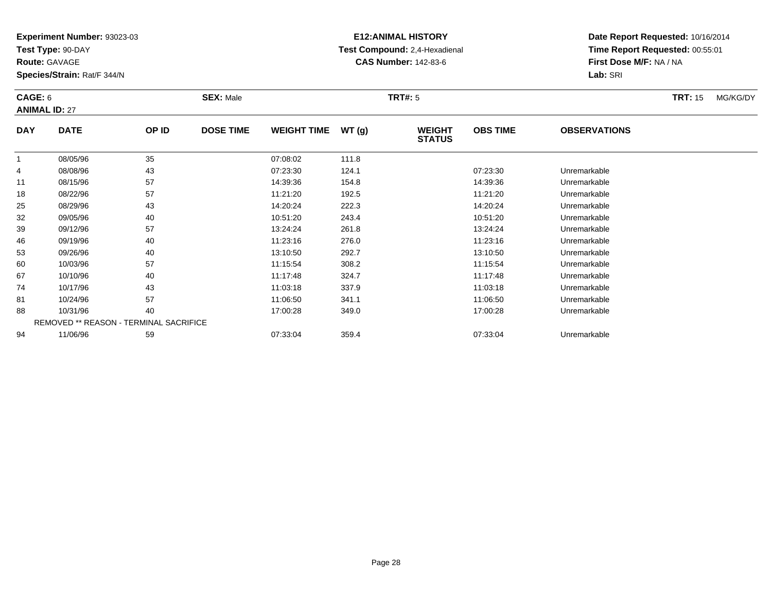**Test Type:** 90-DAY

**Route:** GAVAGE

53

60

67

74

81

88

94

**Species/Strain:** Rat/F 344/N

REMOVED \*\* REASON - TERMINAL SACRIFICE

# **E12:ANIMAL HISTORY Test Compound:** 2,4-Hexadienal **CAS Number:** 142-83-6

**Date Report Requested:** 10/16/2014**Time Report Requested:** 00:55:01**First Dose M/F:** NA / NA**Lab:** SRI

### **CAGE:** 6 **SEX:** Male **TRT#:** <sup>5</sup> **TRT:** 15 MG/KG/DY**ANIMAL ID:** 27**DAY DATE OP ID DOSE TIME WEIGHT TIME WT (g) WEIGHT STATUSOBS TIME OBSERVATIONS** 1 08/05/96 <sup>35</sup> 07:08:02 111.8 4 08/08/96 <sup>43</sup> 07:23:30 124.1 07:23:30 Unremarkable 11 08/15/96 <sup>57</sup> 14:39:36 154.8 14:39:36 Unremarkable 18 08/22/96 <sup>57</sup> 11:21:20 192.5 11:21:20 Unremarkable 25 08/29/96 <sup>43</sup> 14:20:24 222.3 14:20:24 Unremarkable 32 09/05/96 <sup>40</sup> 10:51:20 243.4 10:51:20 Unremarkable 39 09/12/96 <sup>57</sup> 13:24:24 261.8 13:24:24 Unremarkable 466 09/19/96 40 40 11:23:16 276.0 11:25 11:23:16 Dhremarkable

3 09/26/96 40 40 13:10:50 292.7 13:10:50 13:10:50 13:10:50 13:10:50

0 10/03/96 57 57 11:15:54 308.2 11:15:54 11:15:54 Dhremarkable

10/10/96 <sup>40</sup> 11:17:48 324.7 11:17:48 Unremarkable

10/17/96 <sup>43</sup> 11:03:18 337.9 11:03:18 Unremarkable

1 10/24/96 57 57 11:06:50 341.1 11:06:50 10/24/96 Unremarkable

10/31/96 <sup>40</sup> 17:00:28 349.0 17:00:28 Unremarkable

11/06/96 <sup>59</sup> 07:33:04 359.4 07:33:04 Unremarkable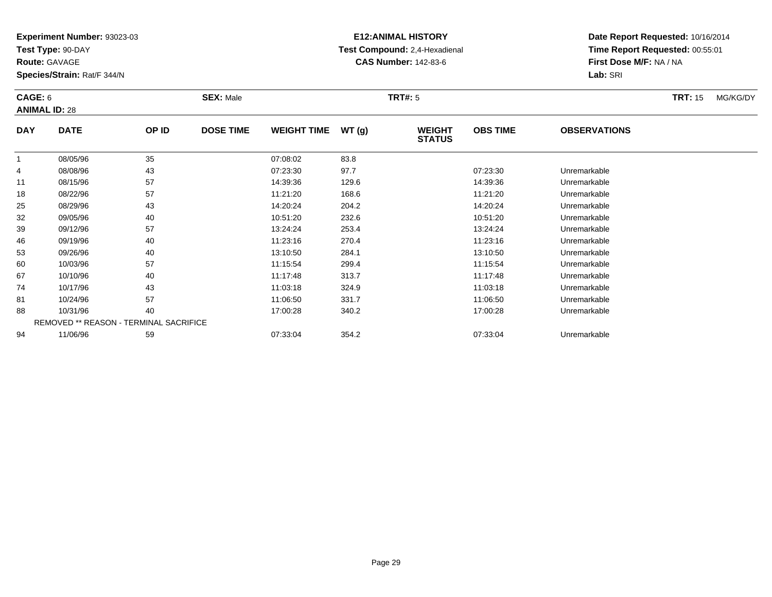**Test Type:** 90-DAY

**Route:** GAVAGE

74

81

88

94

**Species/Strain:** Rat/F 344/N

REMOVED \*\* REASON - TERMINAL SACRIFICE

# **E12:ANIMAL HISTORY Test Compound:** 2,4-Hexadienal **CAS Number:** 142-83-6

**Date Report Requested:** 10/16/2014**Time Report Requested:** 00:55:01**First Dose M/F:** NA / NA**Lab:** SRI

| CAGE: 6<br><b>ANIMAL ID: 28</b> |             |       | <b>SEX: Male</b><br><b>TRT#: 5</b> |                    |       |                                |                 |                     | <b>TRT: 15</b> | MG/KG/DY |
|---------------------------------|-------------|-------|------------------------------------|--------------------|-------|--------------------------------|-----------------|---------------------|----------------|----------|
| <b>DAY</b>                      | <b>DATE</b> | OP ID | <b>DOSE TIME</b>                   | <b>WEIGHT TIME</b> | WT(g) | <b>WEIGHT</b><br><b>STATUS</b> | <b>OBS TIME</b> | <b>OBSERVATIONS</b> |                |          |
|                                 | 08/05/96    | 35    |                                    | 07:08:02           | 83.8  |                                |                 |                     |                |          |
| 4                               | 08/08/96    | 43    |                                    | 07:23:30           | 97.7  |                                | 07:23:30        | Unremarkable        |                |          |
| 11                              | 08/15/96    | 57    |                                    | 14:39:36           | 129.6 |                                | 14:39:36        | Unremarkable        |                |          |
| 18                              | 08/22/96    | 57    |                                    | 11:21:20           | 168.6 |                                | 11:21:20        | Unremarkable        |                |          |
| 25                              | 08/29/96    | 43    |                                    | 14:20:24           | 204.2 |                                | 14:20:24        | Unremarkable        |                |          |
| 32                              | 09/05/96    | 40    |                                    | 10:51:20           | 232.6 |                                | 10:51:20        | Unremarkable        |                |          |
| 39                              | 09/12/96    | 57    |                                    | 13:24:24           | 253.4 |                                | 13:24:24        | Unremarkable        |                |          |
| 46                              | 09/19/96    | 40    |                                    | 11:23:16           | 270.4 |                                | 11:23:16        | Unremarkable        |                |          |
| 53                              | 09/26/96    | 40    |                                    | 13:10:50           | 284.1 |                                | 13:10:50        | Unremarkable        |                |          |
| 60                              | 10/03/96    | 57    |                                    | 11:15:54           | 299.4 |                                | 11:15:54        | Unremarkable        |                |          |
| 67                              | 10/10/96    | 40    |                                    | 11:17:48           | 313.7 |                                | 11:17:48        | Unremarkable        |                |          |

10/17/96 <sup>43</sup> 11:03:18 324.9 11:03:18 Unremarkable

1 10/24/96 57 57 11:06:50 331.7 11:06:50 10/24/96 Unremarkable

10/31/96 <sup>40</sup> 17:00:28 340.2 17:00:28 Unremarkable

11/06/96 <sup>59</sup> 07:33:04 354.2 07:33:04 Unremarkable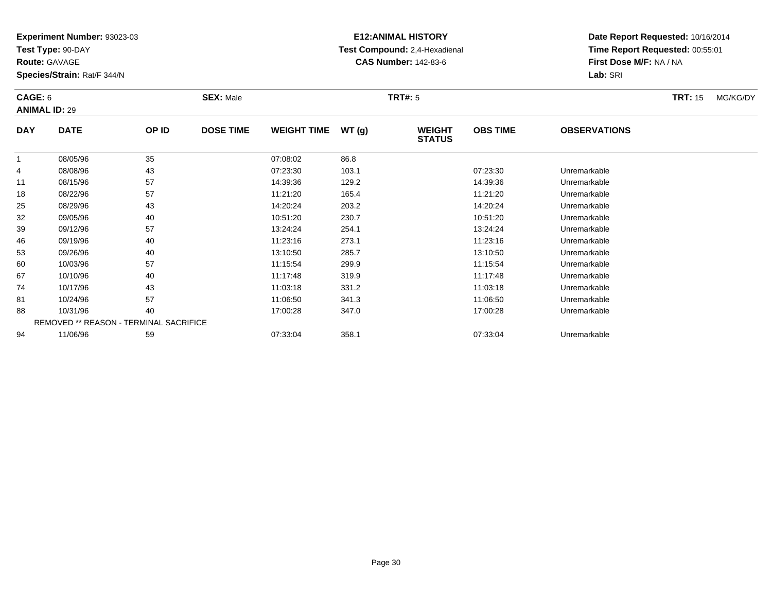**Test Type:** 90-DAY

**Route:** GAVAGE

74

81

88

94

**Species/Strain:** Rat/F 344/N

REMOVED \*\* REASON - TERMINAL SACRIFICE

# **E12:ANIMAL HISTORY Test Compound:** 2,4-Hexadienal **CAS Number:** 142-83-6

**Date Report Requested:** 10/16/2014**Time Report Requested:** 00:55:01**First Dose M/F:** NA / NA**Lab:** SRI

#### **CAGE:** 6 **SEX:** Male **TRT#:** <sup>5</sup> **TRT:** 15 MG/KG/DY**ANIMAL ID:** 29**DAY DATE OP ID DOSE TIME WEIGHT TIME WT (g) WEIGHT STATUSOBS TIME OBSERVATIONS** 1 08/05/96 <sup>35</sup> 07:08:02 86.8 4 08/08/96 <sup>43</sup> 07:23:30 103.1 07:23:30 Unremarkable 11 08/15/96 <sup>57</sup> 14:39:36 129.2 14:39:36 Unremarkable 18 08/22/96 <sup>57</sup> 11:21:20 165.4 11:21:20 Unremarkable 25 08/29/96 <sup>43</sup> 14:20:24 203.2 14:20:24 Unremarkable 32 09/05/96 <sup>40</sup> 10:51:20 230.7 10:51:20 Unremarkable 399 09/12/96 57 57 13:24:24 254.1 254.1 13:24:24 Unremarkable 466 09/19/96 40 40 11:23:16 273.1 11:23:16 11:23:16 Dhremarkable 533 09/26/96 40 40 13:10:50 285.7 13:10:50 13:10:50 13:10:50 13:10:50 Unremarkable 600 10/03/96 57 57 11:15:54 299.9 11:15:54 11:15:54 Dhremarkable 6710/10/96 <sup>40</sup> 11:17:48 319.9 11:17:48 Unremarkable

10/17/96 <sup>43</sup> 11:03:18 331.2 11:03:18 Unremarkable

1 10/24/96 57 57 11:06:50 341.3 11:06:50 10/24/96 Unremarkable

10/31/96 <sup>40</sup> 17:00:28 347.0 17:00:28 Unremarkable

11/06/96 <sup>59</sup> 07:33:04 358.1 07:33:04 Unremarkable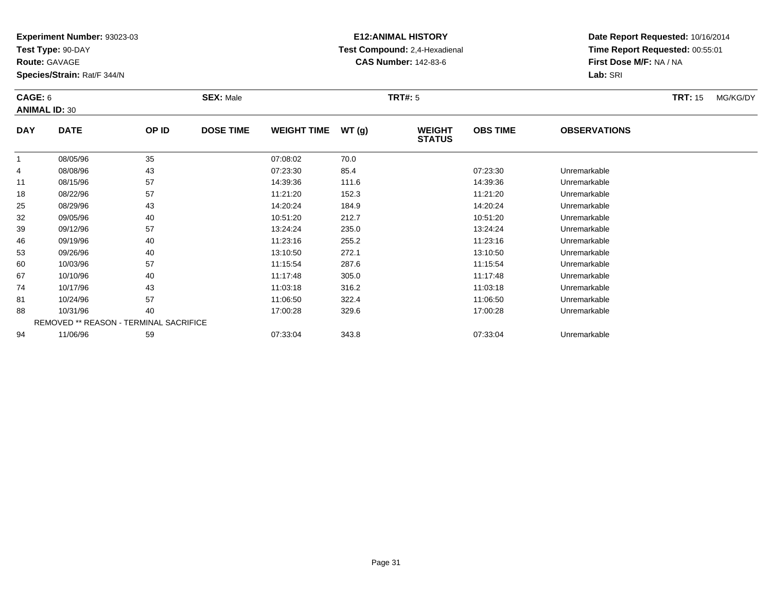**Test Type:** 90-DAY

**Route:** GAVAGE

67

74

81

88

94

**Species/Strain:** Rat/F 344/N

REMOVED \*\* REASON - TERMINAL SACRIFICE

# **E12:ANIMAL HISTORY Test Compound:** 2,4-Hexadienal **CAS Number:** 142-83-6

**Date Report Requested:** 10/16/2014**Time Report Requested:** 00:55:01**First Dose M/F:** NA / NA**Lab:** SRI

#### **CAGE:** 6 **SEX:** Male **TRT#:** <sup>5</sup> **TRT:** 15 MG/KG/DY**ANIMAL ID:** 30**DAY DATE OP ID DOSE TIME WEIGHT TIME WT (g) WEIGHT STATUSOBS TIME OBSERVATIONS** 1 08/05/96 <sup>35</sup> 07:08:02 70.0 4 08/08/96 <sup>43</sup> 07:23:30 85.4 07:23:30 Unremarkable 111 08/15/96 57 57 14:39:36 111.6 14:39 111.6 14:39:36 Dhremarkable 18 08/22/96 <sup>57</sup> 11:21:20 152.3 11:21:20 Unremarkable 25 08/29/96 <sup>43</sup> 14:20:24 184.9 14:20:24 Unremarkable 32 09/05/96 <sup>40</sup> 10:51:20 212.7 10:51:20 Unremarkable 39 09/12/96 <sup>57</sup> 13:24:24 235.0 13:24:24 Unremarkable 466 09/19/96 40 40 11:23:16 255.2 11:25 11:23:16 Dhremarkable 533 09/26/96 40 40 13:10:50 272.1 13:10:50 13:10:50 13:10:50 Dhremarkable 600 10/03/96 57 57 11:15:54 287.6 11:15:54 11:15:54 Dhremarkable

10/10/96 <sup>40</sup> 11:17:48 305.0 11:17:48 Unremarkable

10/17/96 <sup>43</sup> 11:03:18 316.2 11:03:18 Unremarkable

1 10/24/96 57 57 11:06:50 322.4 11:06:50 11:06:50 11:06:50 Unremarkable

10/31/96 <sup>40</sup> 17:00:28 329.6 17:00:28 Unremarkable

11/06/96 <sup>59</sup> 07:33:04 343.8 07:33:04 Unremarkable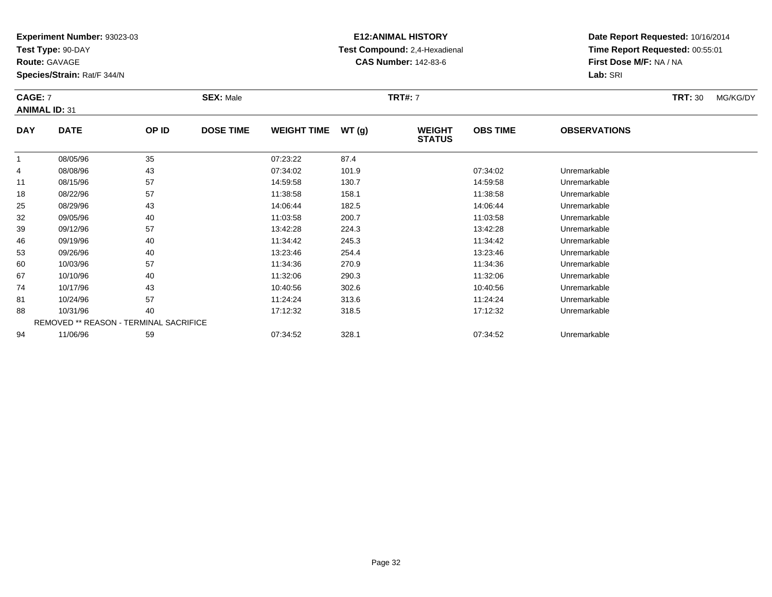**Test Type:** 90-DAY

**Route:** GAVAGE

**Species/Strain:** Rat/F 344/N

# **E12:ANIMAL HISTORY Test Compound:** 2,4-Hexadienal **CAS Number:** 142-83-6

**Date Report Requested:** 10/16/2014**Time Report Requested:** 00:55:01**First Dose M/F:** NA / NA**Lab:** SRI

### **CAGE:** 7 **SEX:** Male **TRT#:** <sup>7</sup> **TRT:** 30 MG/KG/DY**ANIMAL ID:** 31**DAY DATE OP IDDOSE TIME WEIGHT TIME WT** (g) **STATUSOBS TIME OBSERVATIONS** 1 08/05/96 <sup>35</sup> 07:23:22 87.4 4 08/08/96 <sup>43</sup> 07:34:02 101.9 07:34:02 Unremarkable  $111$  08/15/96 <sup>57</sup> 14:59:58 130.7 14:59:58 Unremarkable 18 08/22/96 <sup>57</sup> 11:38:58 158.1 11:38:58 Unremarkable 25 08/29/96 <sup>43</sup> 14:06:44 182.5 14:06:44 Unremarkable 32

| 11 | 08/15/96 | 57                                            | 14:59:58 | 130.7 | 14:59:58 | Unremarkable |  |
|----|----------|-----------------------------------------------|----------|-------|----------|--------------|--|
| 18 | 08/22/96 | 57                                            | 11:38:58 | 158.1 | 11:38:58 | Unremarkable |  |
| 25 | 08/29/96 | 43                                            | 14:06:44 | 182.5 | 14:06:44 | Unremarkable |  |
| 32 | 09/05/96 | 40                                            | 11:03:58 | 200.7 | 11:03:58 | Unremarkable |  |
| 39 | 09/12/96 | 57                                            | 13:42:28 | 224.3 | 13:42:28 | Unremarkable |  |
| 46 | 09/19/96 | 40                                            | 11:34:42 | 245.3 | 11:34:42 | Unremarkable |  |
| 53 | 09/26/96 | 40                                            | 13:23:46 | 254.4 | 13:23:46 | Unremarkable |  |
| 60 | 10/03/96 | 57                                            | 11:34:36 | 270.9 | 11:34:36 | Unremarkable |  |
| 67 | 10/10/96 | 40                                            | 11:32:06 | 290.3 | 11:32:06 | Unremarkable |  |
| 74 | 10/17/96 | 43                                            | 10:40:56 | 302.6 | 10:40:56 | Unremarkable |  |
| 81 | 10/24/96 | 57                                            | 11:24:24 | 313.6 | 11:24:24 | Unremarkable |  |
| 88 | 10/31/96 | 40                                            | 17:12:32 | 318.5 | 17:12:32 | Unremarkable |  |
|    |          | <b>REMOVED ** REASON - TERMINAL SACRIFICE</b> |          |       |          |              |  |
| 94 | 11/06/96 | 59                                            | 07:34:52 | 328.1 | 07:34:52 | Unremarkable |  |
|    |          |                                               |          |       |          |              |  |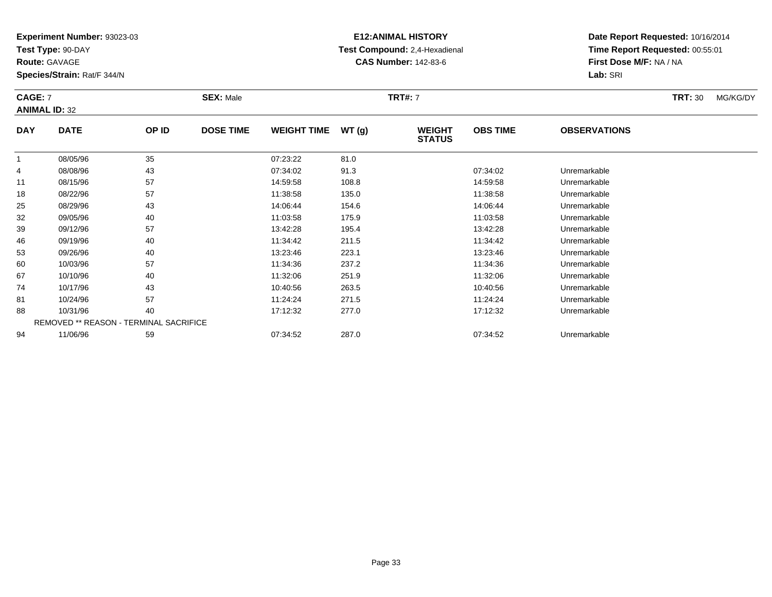**Test Type:** 90-DAY

**Route:** GAVAGE

46

53

60

67

74

81

88

94

**Species/Strain:** Rat/F 344/N

REMOVED \*\* REASON - TERMINAL SACRIFICE

# **E12:ANIMAL HISTORY Test Compound:** 2,4-Hexadienal **CAS Number:** 142-83-6

**Date Report Requested:** 10/16/2014**Time Report Requested:** 00:55:01**First Dose M/F:** NA / NA**Lab:** SRI

| <b>CAGE: 7</b><br><b>ANIMAL ID: 32</b> |             |       | <b>SEX: Male</b> |                    |       | <b>TRT#: 7</b>                 |                 |                     | <b>TRT: 30</b> | MG/KG/DY |
|----------------------------------------|-------------|-------|------------------|--------------------|-------|--------------------------------|-----------------|---------------------|----------------|----------|
| <b>DAY</b>                             | <b>DATE</b> | OP ID | <b>DOSE TIME</b> | <b>WEIGHT TIME</b> | WT(g) | <b>WEIGHT</b><br><b>STATUS</b> | <b>OBS TIME</b> | <b>OBSERVATIONS</b> |                |          |
|                                        | 08/05/96    | 35    |                  | 07:23:22           | 81.0  |                                |                 |                     |                |          |
| 4                                      | 08/08/96    | 43    |                  | 07:34:02           | 91.3  |                                | 07:34:02        | Unremarkable        |                |          |
| 11                                     | 08/15/96    | 57    |                  | 14:59:58           | 108.8 |                                | 14:59:58        | Unremarkable        |                |          |
| 18                                     | 08/22/96    | 57    |                  | 11:38:58           | 135.0 |                                | 11:38:58        | Unremarkable        |                |          |
| 25                                     | 08/29/96    | 43    |                  | 14:06:44           | 154.6 |                                | 14:06:44        | Unremarkable        |                |          |
| 32                                     | 09/05/96    | 40    |                  | 11:03:58           | 175.9 |                                | 11:03:58        | Unremarkable        |                |          |
| 39                                     | 09/12/96    | 57    |                  | 13:42:28           | 195.4 |                                | 13:42:28        | Unremarkable        |                |          |

6 09/19/96 40 40 11:34:42 211.5 11:34:42 11:34:42 Dhremarkable

3 09/26/96 40 40 13:23:46 223.1 13:23:46 13:23:46 13:23:46 Unremarkable

0 10/03/96 57 57 11:34:36 237.2 11:34:36 11:34:36 Dhremarkable

10/10/96 <sup>40</sup> 11:32:06 251.9 11:32:06 Unremarkable

10/17/96 <sup>43</sup> 10:40:56 263.5 10:40:56 Unremarkable

1 10/24/96 57 57 11:24:24 271.5 11:24:24 1/24:24 10/24/96 Unremarkable

8 10/31/96 40 40 17:12:32 277.0 17:12:32 17:12:32 Unremarkable

11/06/96 <sup>59</sup> 07:34:52 287.0 07:34:52 Unremarkable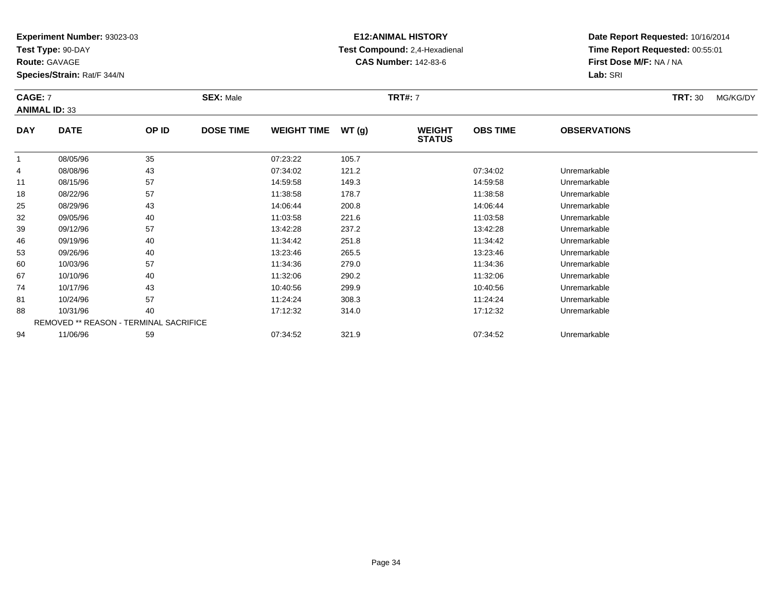**Test Type:** 90-DAY

**Route:** GAVAGE

81

88

94

**Species/Strain:** Rat/F 344/N

REMOVED \*\* REASON - TERMINAL SACRIFICE

# **E12:ANIMAL HISTORY Test Compound:** 2,4-Hexadienal **CAS Number:** 142-83-6

**Date Report Requested:** 10/16/2014**Time Report Requested:** 00:55:01**First Dose M/F:** NA / NA**Lab:** SRI

| <b>CAGE: 7</b><br><b>ANIMAL ID: 33</b> |             | <b>SEX: Male</b><br><b>TRT#: 7</b> |                  |                    |       |                                |                 |                     | MG/KG/DY |  |
|----------------------------------------|-------------|------------------------------------|------------------|--------------------|-------|--------------------------------|-----------------|---------------------|----------|--|
| <b>DAY</b>                             | <b>DATE</b> | OP ID                              | <b>DOSE TIME</b> | <b>WEIGHT TIME</b> | WT(g) | <b>WEIGHT</b><br><b>STATUS</b> | <b>OBS TIME</b> | <b>OBSERVATIONS</b> |          |  |
|                                        | 08/05/96    | 35                                 |                  | 07:23:22           | 105.7 |                                |                 |                     |          |  |
| 4                                      | 08/08/96    | 43                                 |                  | 07:34:02           | 121.2 |                                | 07:34:02        | Unremarkable        |          |  |
| 11                                     | 08/15/96    | 57                                 |                  | 14:59:58           | 149.3 |                                | 14:59:58        | Unremarkable        |          |  |
| 18                                     | 08/22/96    | 57                                 |                  | 11:38:58           | 178.7 |                                | 11:38:58        | Unremarkable        |          |  |
| 25                                     | 08/29/96    | 43                                 |                  | 14:06:44           | 200.8 |                                | 14:06:44        | Unremarkable        |          |  |
| 32                                     | 09/05/96    | 40                                 |                  | 11:03:58           | 221.6 |                                | 11:03:58        | Unremarkable        |          |  |
| 39                                     | 09/12/96    | 57                                 |                  | 13:42:28           | 237.2 |                                | 13:42:28        | Unremarkable        |          |  |
| 46                                     | 09/19/96    | 40                                 |                  | 11:34:42           | 251.8 |                                | 11:34:42        | Unremarkable        |          |  |
| 53                                     | 09/26/96    | 40                                 |                  | 13:23:46           | 265.5 |                                | 13:23:46        | Unremarkable        |          |  |
| 60                                     | 10/03/96    | 57                                 |                  | 11:34:36           | 279.0 |                                | 11:34:36        | Unremarkable        |          |  |
| 67                                     | 10/10/96    | 40                                 |                  | 11:32:06           | 290.2 |                                | 11:32:06        | Unremarkable        |          |  |
| 74                                     | 10/17/96    | 43                                 |                  | 10:40:56           | 299.9 |                                | 10:40:56        | Unremarkable        |          |  |

1 10/24/96 57 57 11:24:24 308.3 11:24:24 10/24/96 Unremarkable

8 10/31/96 40 40 17:12:32 314.0 17:12:32 17:12:32 Junremarkable

11/06/96 <sup>59</sup> 07:34:52 321.9 07:34:52 Unremarkable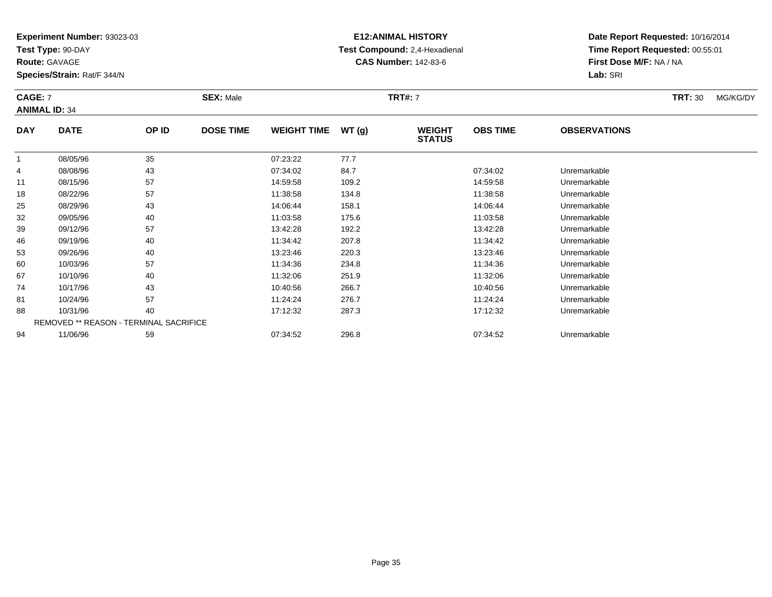**Test Type:** 90-DAY

**Route:** GAVAGE

**Species/Strain:** Rat/F 344/N

# **E12:ANIMAL HISTORY Test Compound:** 2,4-Hexadienal **CAS Number:** 142-83-6

**Date Report Requested:** 10/16/2014**Time Report Requested:** 00:55:01**First Dose M/F:** NA / NA**Lab:** SRI

### **CAGE:** 7 **SEX:** Male **TRT#:** <sup>7</sup> **TRT:** 30 MG/KG/DY**ANIMAL ID:** 34**DAY DATE OP IDDOSE TIME WEIGHT TIME WT** (g) **STATUSOBS TIMEOBSERVATIONS**

|    | 08/05/96 | 35                                            | 07:23:22 | 77.7  |          |              |  |
|----|----------|-----------------------------------------------|----------|-------|----------|--------------|--|
| 4  | 08/08/96 | 43                                            | 07:34:02 | 84.7  | 07:34:02 | Unremarkable |  |
| 11 | 08/15/96 | 57                                            | 14:59:58 | 109.2 | 14:59:58 | Unremarkable |  |
| 18 | 08/22/96 | 57                                            | 11:38:58 | 134.8 | 11:38:58 | Unremarkable |  |
| 25 | 08/29/96 | 43                                            | 14:06:44 | 158.1 | 14:06:44 | Unremarkable |  |
| 32 | 09/05/96 | 40                                            | 11:03:58 | 175.6 | 11:03:58 | Unremarkable |  |
| 39 | 09/12/96 | 57                                            | 13:42:28 | 192.2 | 13:42:28 | Unremarkable |  |
| 46 | 09/19/96 | 40                                            | 11:34:42 | 207.8 | 11:34:42 | Unremarkable |  |
| 53 | 09/26/96 | 40                                            | 13:23:46 | 220.3 | 13:23:46 | Unremarkable |  |
| 60 | 10/03/96 | 57                                            | 11:34:36 | 234.8 | 11:34:36 | Unremarkable |  |
| 67 | 10/10/96 | 40                                            | 11:32:06 | 251.9 | 11:32:06 | Unremarkable |  |
| 74 | 10/17/96 | 43                                            | 10:40:56 | 266.7 | 10:40:56 | Unremarkable |  |
| 81 | 10/24/96 | 57                                            | 11:24:24 | 276.7 | 11:24:24 | Unremarkable |  |
| 88 | 10/31/96 | 40                                            | 17:12:32 | 287.3 | 17:12:32 | Unremarkable |  |
|    |          | <b>REMOVED ** REASON - TERMINAL SACRIFICE</b> |          |       |          |              |  |
| 94 | 11/06/96 | 59                                            | 07:34:52 | 296.8 | 07:34:52 | Unremarkable |  |
|    |          |                                               |          |       |          |              |  |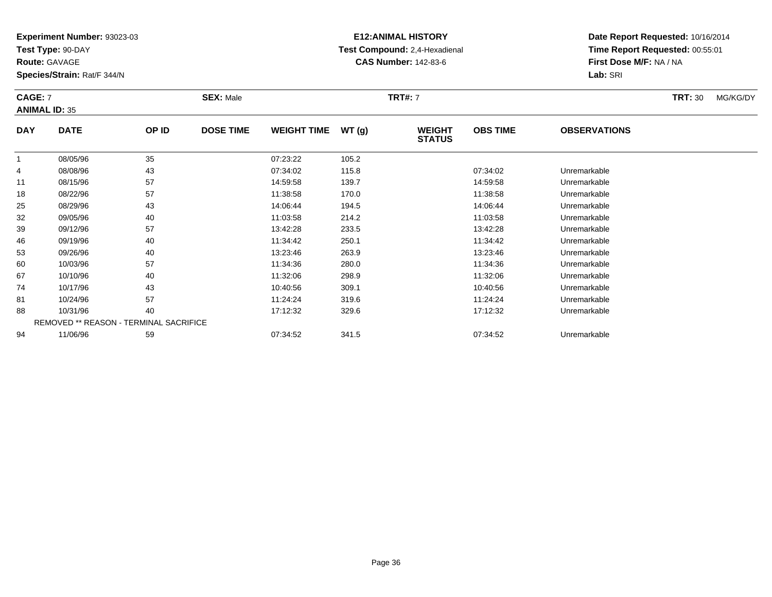**Test Type:** 90-DAY

**Route:** GAVAGE

74

81

88

94

**Species/Strain:** Rat/F 344/N

REMOVED \*\* REASON - TERMINAL SACRIFICE

# **E12:ANIMAL HISTORY Test Compound:** 2,4-Hexadienal **CAS Number:** 142-83-6

**Date Report Requested:** 10/16/2014**Time Report Requested:** 00:55:01**First Dose M/F:** NA / NA**Lab:** SRI

| <b>CAGE: 7</b><br><b>ANIMAL ID: 35</b> |             |       | <b>SEX: Male</b> |                    |       | <b>TRT#: 7</b>                 |                 |                     | <b>TRT: 30</b> | MG/KG/DY |
|----------------------------------------|-------------|-------|------------------|--------------------|-------|--------------------------------|-----------------|---------------------|----------------|----------|
| <b>DAY</b>                             | <b>DATE</b> | OP ID | <b>DOSE TIME</b> | <b>WEIGHT TIME</b> | WT(g) | <b>WEIGHT</b><br><b>STATUS</b> | <b>OBS TIME</b> | <b>OBSERVATIONS</b> |                |          |
|                                        | 08/05/96    | 35    |                  | 07:23:22           | 105.2 |                                |                 |                     |                |          |
| 4                                      | 08/08/96    | 43    |                  | 07:34:02           | 115.8 |                                | 07:34:02        | Unremarkable        |                |          |
| 11                                     | 08/15/96    | 57    |                  | 14:59:58           | 139.7 |                                | 14:59:58        | Unremarkable        |                |          |
| 18                                     | 08/22/96    | 57    |                  | 11:38:58           | 170.0 |                                | 11:38:58        | Unremarkable        |                |          |
| 25                                     | 08/29/96    | 43    |                  | 14:06:44           | 194.5 |                                | 14:06:44        | Unremarkable        |                |          |
| 32                                     | 09/05/96    | 40    |                  | 11:03:58           | 214.2 |                                | 11:03:58        | Unremarkable        |                |          |
| 39                                     | 09/12/96    | 57    |                  | 13:42:28           | 233.5 |                                | 13:42:28        | Unremarkable        |                |          |
| 46                                     | 09/19/96    | 40    |                  | 11:34:42           | 250.1 |                                | 11:34:42        | Unremarkable        |                |          |
| 53                                     | 09/26/96    | 40    |                  | 13:23:46           | 263.9 |                                | 13:23:46        | Unremarkable        |                |          |
| 60                                     | 10/03/96    | 57    |                  | 11:34:36           | 280.0 |                                | 11:34:36        | Unremarkable        |                |          |
| 67                                     | 10/10/96    | 40    |                  | 11:32:06           | 298.9 |                                | 11:32:06        | Unremarkable        |                |          |

10/17/96 <sup>43</sup> 10:40:56 309.1 10:40:56 Unremarkable

1 10/24/96 57 57 11:24:24 319.6 11:00 11:24:24 Unremarkable

10/31/96 <sup>40</sup> 17:12:32 329.6 17:12:32 Unremarkable

11/06/96 <sup>59</sup> 07:34:52 341.5 07:34:52 Unremarkable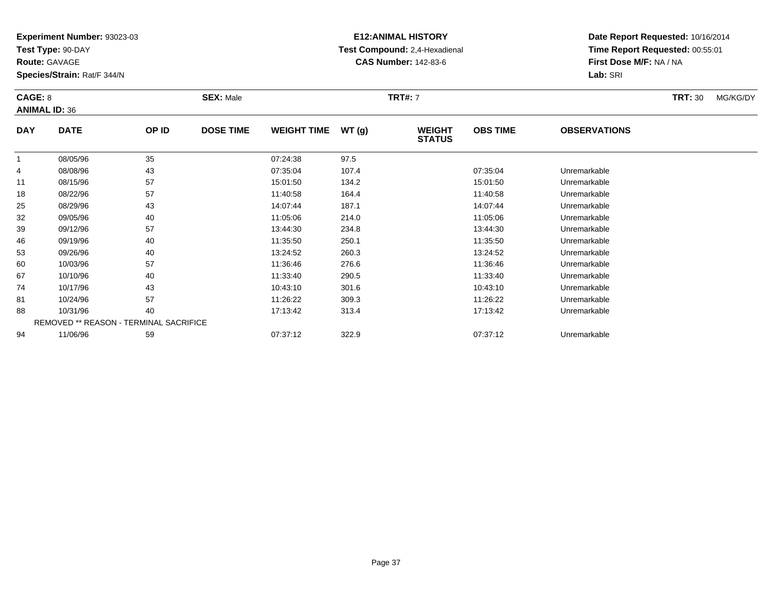**Test Type:** 90-DAY

**Route:** GAVAGE

88

94

**Species/Strain:** Rat/F 344/N

REMOVED \*\* REASON - TERMINAL SACRIFICE

### **E12:ANIMAL HISTORY Test Compound:** 2,4-Hexadienal **CAS Number:** 142-83-6

**Date Report Requested:** 10/16/2014**Time Report Requested:** 00:55:01**First Dose M/F:** NA / NA**Lab:** SRI

| CAGE: 8<br><b>ANIMAL ID: 36</b> |             |       | <b>SEX: Male</b> |                    |       | <b>TRT#: 7</b>                 |                 |                     | <b>TRT: 30</b> | MG/KG/DY |
|---------------------------------|-------------|-------|------------------|--------------------|-------|--------------------------------|-----------------|---------------------|----------------|----------|
| <b>DAY</b>                      | <b>DATE</b> | OP ID | <b>DOSE TIME</b> | <b>WEIGHT TIME</b> | WT(g) | <b>WEIGHT</b><br><b>STATUS</b> | <b>OBS TIME</b> | <b>OBSERVATIONS</b> |                |          |
|                                 | 08/05/96    | 35    |                  | 07:24:38           | 97.5  |                                |                 |                     |                |          |
| 4                               | 08/08/96    | 43    |                  | 07:35:04           | 107.4 |                                | 07:35:04        | Unremarkable        |                |          |
| 11                              | 08/15/96    | 57    |                  | 15:01:50           | 134.2 |                                | 15:01:50        | Unremarkable        |                |          |
| 18                              | 08/22/96    | 57    |                  | 11:40:58           | 164.4 |                                | 11:40:58        | Unremarkable        |                |          |
| 25                              | 08/29/96    | 43    |                  | 14:07:44           | 187.1 |                                | 14:07:44        | Unremarkable        |                |          |
| 32                              | 09/05/96    | 40    |                  | 11:05:06           | 214.0 |                                | 11:05:06        | Unremarkable        |                |          |
| 39                              | 09/12/96    | 57    |                  | 13:44:30           | 234.8 |                                | 13:44:30        | Unremarkable        |                |          |
| 46                              | 09/19/96    | 40    |                  | 11:35:50           | 250.1 |                                | 11:35:50        | Unremarkable        |                |          |
| 53                              | 09/26/96    | 40    |                  | 13:24:52           | 260.3 |                                | 13:24:52        | Unremarkable        |                |          |
| 60                              | 10/03/96    | 57    |                  | 11:36:46           | 276.6 |                                | 11:36:46        | Unremarkable        |                |          |
| 67                              | 10/10/96    | 40    |                  | 11:33:40           | 290.5 |                                | 11:33:40        | Unremarkable        |                |          |
| 74                              | 10/17/96    | 43    |                  | 10:43:10           | 301.6 |                                | 10:43:10        | Unremarkable        |                |          |
| 81                              | 10/24/96    | 57    |                  | 11:26:22           | 309.3 |                                | 11:26:22        | Unremarkable        |                |          |

8 10/31/96 40 40 17:13:42 313.4 17:13:42 17:13:42 Unremarkable

11/06/96 <sup>59</sup> 07:37:12 322.9 07:37:12 Unremarkable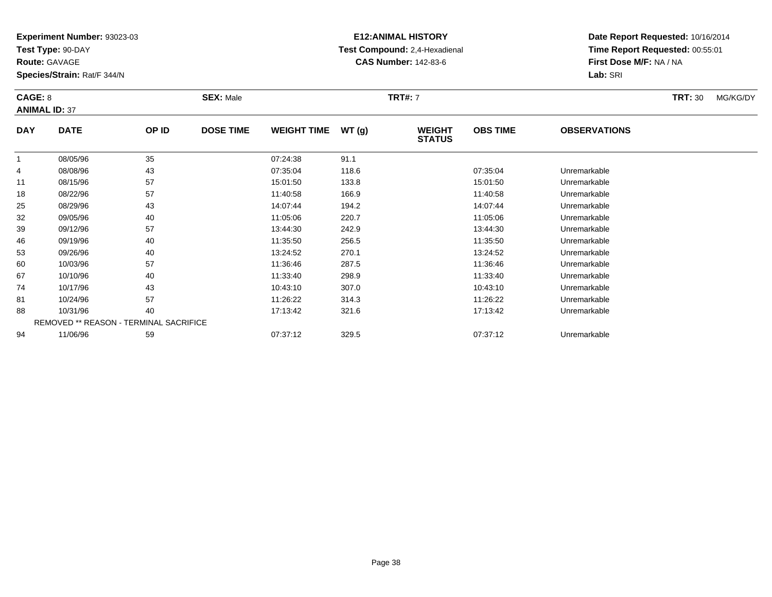**Test Type:** 90-DAY

**Route:** GAVAGE

94

**Species/Strain:** Rat/F 344/N

REMOVED \*\* REASON - TERMINAL SACRIFICE

## **E12:ANIMAL HISTORY Test Compound:** 2,4-Hexadienal **CAS Number:** 142-83-6

**Date Report Requested:** 10/16/2014**Time Report Requested:** 00:55:01**First Dose M/F:** NA / NA**Lab:** SRI

| CAGE: 8    | <b>ANIMAL ID: 37</b> |       | <b>SEX: Male</b> |                    |       | <b>TRT#: 7</b>                 |                 |                     | <b>TRT: 30</b> | MG/KG/DY |
|------------|----------------------|-------|------------------|--------------------|-------|--------------------------------|-----------------|---------------------|----------------|----------|
| <b>DAY</b> | <b>DATE</b>          | OP ID | <b>DOSE TIME</b> | <b>WEIGHT TIME</b> | WT(g) | <b>WEIGHT</b><br><b>STATUS</b> | <b>OBS TIME</b> | <b>OBSERVATIONS</b> |                |          |
|            | 08/05/96             | 35    |                  | 07:24:38           | 91.1  |                                |                 |                     |                |          |
| 4          | 08/08/96             | 43    |                  | 07:35:04           | 118.6 |                                | 07:35:04        | Unremarkable        |                |          |
| 11         | 08/15/96             | 57    |                  | 15:01:50           | 133.8 |                                | 15:01:50        | Unremarkable        |                |          |
| 18         | 08/22/96             | 57    |                  | 11:40:58           | 166.9 |                                | 11:40:58        | Unremarkable        |                |          |
| 25         | 08/29/96             | 43    |                  | 14:07:44           | 194.2 |                                | 14:07:44        | Unremarkable        |                |          |
| 32         | 09/05/96             | 40    |                  | 11:05:06           | 220.7 |                                | 11:05:06        | Unremarkable        |                |          |
| 39         | 09/12/96             | 57    |                  | 13:44:30           | 242.9 |                                | 13:44:30        | Unremarkable        |                |          |
| 46         | 09/19/96             | 40    |                  | 11:35:50           | 256.5 |                                | 11:35:50        | Unremarkable        |                |          |
| 53         | 09/26/96             | 40    |                  | 13:24:52           | 270.1 |                                | 13:24:52        | Unremarkable        |                |          |
| 60         | 10/03/96             | 57    |                  | 11:36:46           | 287.5 |                                | 11:36:46        | Unremarkable        |                |          |
| 67         | 10/10/96             | 40    |                  | 11:33:40           | 298.9 |                                | 11:33:40        | Unremarkable        |                |          |
| 74         | 10/17/96             | 43    |                  | 10:43:10           | 307.0 |                                | 10:43:10        | Unremarkable        |                |          |
| 81         | 10/24/96             | 57    |                  | 11:26:22           | 314.3 |                                | 11:26:22        | Unremarkable        |                |          |
| 88         | 10/31/96             | 40    |                  | 17:13:42           | 321.6 |                                | 17:13:42        | Unremarkable        |                |          |

8 10/31/96 40 40 17:13:42 321.6 17:13:42 Junremarkable

11/06/96 <sup>59</sup> 07:37:12 329.5 07:37:12 Unremarkable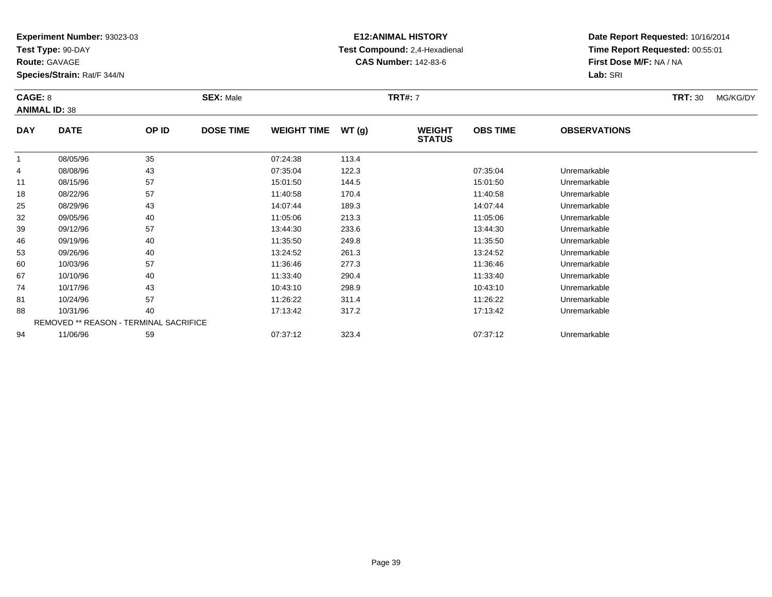**Test Type:** 90-DAY

**Route:** GAVAGE

94

**Species/Strain:** Rat/F 344/N

REMOVED \*\* REASON - TERMINAL SACRIFICE

## **E12:ANIMAL HISTORY Test Compound:** 2,4-Hexadienal **CAS Number:** 142-83-6

**Date Report Requested:** 10/16/2014**Time Report Requested:** 00:55:01**First Dose M/F:** NA / NA**Lab:** SRI

| CAGE: 8<br><b>ANIMAL ID: 38</b> |             |       | <b>SEX: Male</b> |                    |       | <b>TRT#: 7</b>                 |                 |                     | <b>TRT: 30</b> | MG/KG/DY |
|---------------------------------|-------------|-------|------------------|--------------------|-------|--------------------------------|-----------------|---------------------|----------------|----------|
| <b>DAY</b>                      | <b>DATE</b> | OP ID | <b>DOSE TIME</b> | <b>WEIGHT TIME</b> | WT(g) | <b>WEIGHT</b><br><b>STATUS</b> | <b>OBS TIME</b> | <b>OBSERVATIONS</b> |                |          |
|                                 | 08/05/96    | 35    |                  | 07:24:38           | 113.4 |                                |                 |                     |                |          |
| 4                               | 08/08/96    | 43    |                  | 07:35:04           | 122.3 |                                | 07:35:04        | Unremarkable        |                |          |
| 11                              | 08/15/96    | 57    |                  | 15:01:50           | 144.5 |                                | 15:01:50        | Unremarkable        |                |          |
| 18                              | 08/22/96    | 57    |                  | 11:40:58           | 170.4 |                                | 11:40:58        | Unremarkable        |                |          |
| 25                              | 08/29/96    | 43    |                  | 14:07:44           | 189.3 |                                | 14:07:44        | Unremarkable        |                |          |
| 32                              | 09/05/96    | 40    |                  | 11:05:06           | 213.3 |                                | 11:05:06        | Unremarkable        |                |          |
| 39                              | 09/12/96    | 57    |                  | 13:44:30           | 233.6 |                                | 13:44:30        | Unremarkable        |                |          |
| 46                              | 09/19/96    | 40    |                  | 11:35:50           | 249.8 |                                | 11:35:50        | Unremarkable        |                |          |
| 53                              | 09/26/96    | 40    |                  | 13:24:52           | 261.3 |                                | 13:24:52        | Unremarkable        |                |          |
| 60                              | 10/03/96    | 57    |                  | 11:36:46           | 277.3 |                                | 11:36:46        | Unremarkable        |                |          |
| 67                              | 10/10/96    | 40    |                  | 11:33:40           | 290.4 |                                | 11:33:40        | Unremarkable        |                |          |
| 74                              | 10/17/96    | 43    |                  | 10:43:10           | 298.9 |                                | 10:43:10        | Unremarkable        |                |          |
| 81                              | 10/24/96    | 57    |                  | 11:26:22           | 311.4 |                                | 11:26:22        | Unremarkable        |                |          |
| 88                              | 10/31/96    | 40    |                  | 17:13:42           | 317.2 |                                | 17:13:42        | Unremarkable        |                |          |

11/06/96 <sup>59</sup> 07:37:12 323.4 07:37:12 Unremarkable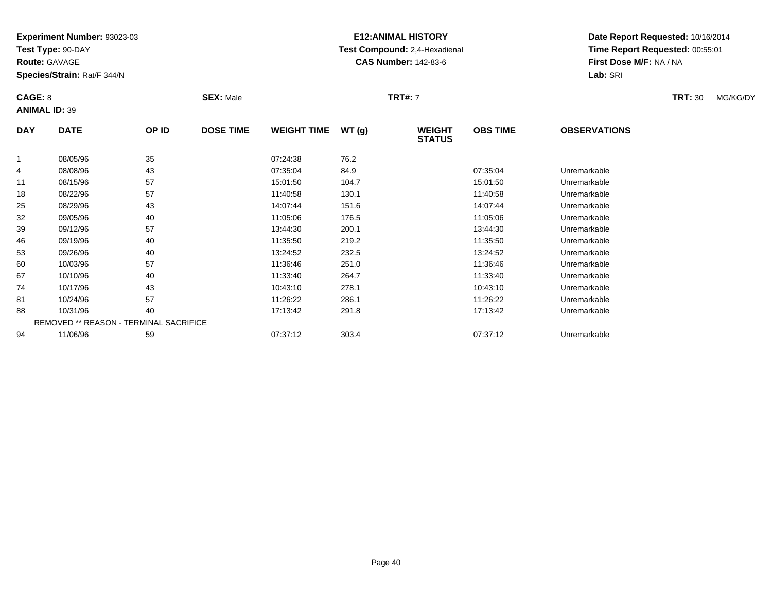**Test Type:** 90-DAY

**Route:** GAVAGE

81

88

94

**Species/Strain:** Rat/F 344/N

REMOVED \*\* REASON - TERMINAL SACRIFICE

### **E12:ANIMAL HISTORY Test Compound:** 2,4-Hexadienal **CAS Number:** 142-83-6

**Date Report Requested:** 10/16/2014**Time Report Requested:** 00:55:01**First Dose M/F:** NA / NA**Lab:** SRI

| CAGE: 8<br><b>ANIMAL ID: 39</b> |             |       | <b>SEX: Male</b> |                    |       | <b>TRT#: 7</b>                 |                 |                     | <b>TRT: 30</b> | MG/KG/DY |
|---------------------------------|-------------|-------|------------------|--------------------|-------|--------------------------------|-----------------|---------------------|----------------|----------|
| <b>DAY</b>                      | <b>DATE</b> | OP ID | <b>DOSE TIME</b> | <b>WEIGHT TIME</b> | WT(g) | <b>WEIGHT</b><br><b>STATUS</b> | <b>OBS TIME</b> | <b>OBSERVATIONS</b> |                |          |
|                                 | 08/05/96    | 35    |                  | 07:24:38           | 76.2  |                                |                 |                     |                |          |
| 4                               | 08/08/96    | 43    |                  | 07:35:04           | 84.9  |                                | 07:35:04        | Unremarkable        |                |          |
| 11                              | 08/15/96    | 57    |                  | 15:01:50           | 104.7 |                                | 15:01:50        | Unremarkable        |                |          |
| 18                              | 08/22/96    | 57    |                  | 11:40:58           | 130.1 |                                | 11:40:58        | Unremarkable        |                |          |
| 25                              | 08/29/96    | 43    |                  | 14:07:44           | 151.6 |                                | 14:07:44        | Unremarkable        |                |          |
| 32                              | 09/05/96    | 40    |                  | 11:05:06           | 176.5 |                                | 11:05:06        | Unremarkable        |                |          |
| 39                              | 09/12/96    | 57    |                  | 13:44:30           | 200.1 |                                | 13:44:30        | Unremarkable        |                |          |
| 46                              | 09/19/96    | 40    |                  | 11:35:50           | 219.2 |                                | 11:35:50        | Unremarkable        |                |          |
| 53                              | 09/26/96    | 40    |                  | 13:24:52           | 232.5 |                                | 13:24:52        | Unremarkable        |                |          |
| 60                              | 10/03/96    | 57    |                  | 11:36:46           | 251.0 |                                | 11:36:46        | Unremarkable        |                |          |
| 67                              | 10/10/96    | 40    |                  | 11:33:40           | 264.7 |                                | 11:33:40        | Unremarkable        |                |          |
| 74                              | 10/17/96    | 43    |                  | 10:43:10           | 278.1 |                                | 10:43:10        | Unremarkable        |                |          |

1 10/24/96 57 57 11:26:22 286.1 11:26.1 11:26:22 1280.1

8 10/31/96 40 40 17:13:42 291.8 19 17:13:42 17:13:42 Unremarkable

11/06/96 <sup>59</sup> 07:37:12 303.4 07:37:12 Unremarkable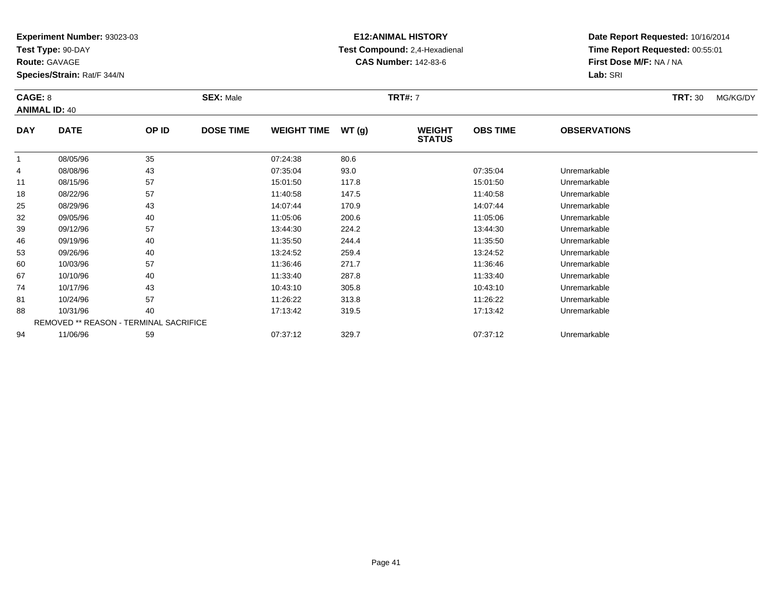**Test Type:** 90-DAY

**Route:** GAVAGE

94

**Species/Strain:** Rat/F 344/N

# **E12:ANIMAL HISTORY Test Compound:** 2,4-Hexadienal **CAS Number:** 142-83-6

**Date Report Requested:** 10/16/2014**Time Report Requested:** 00:55:01**First Dose M/F:** NA / NA**Lab:** SRI

| CAGE: 8    | <b>ANIMAL ID: 40</b>                   |       | <b>SEX: Male</b> |                    |       | <b>TRT#: 7</b>                 |                 |                     | <b>TRT: 30</b> | MG/KG/DY |
|------------|----------------------------------------|-------|------------------|--------------------|-------|--------------------------------|-----------------|---------------------|----------------|----------|
| <b>DAY</b> | <b>DATE</b>                            | OP ID | <b>DOSE TIME</b> | <b>WEIGHT TIME</b> | WT(g) | <b>WEIGHT</b><br><b>STATUS</b> | <b>OBS TIME</b> | <b>OBSERVATIONS</b> |                |          |
| 1          | 08/05/96                               | 35    |                  | 07:24:38           | 80.6  |                                |                 |                     |                |          |
| 4          | 08/08/96                               | 43    |                  | 07:35:04           | 93.0  |                                | 07:35:04        | Unremarkable        |                |          |
| 11         | 08/15/96                               | 57    |                  | 15:01:50           | 117.8 |                                | 15:01:50        | Unremarkable        |                |          |
| 18         | 08/22/96                               | 57    |                  | 11:40:58           | 147.5 |                                | 11:40:58        | Unremarkable        |                |          |
| 25         | 08/29/96                               | 43    |                  | 14:07:44           | 170.9 |                                | 14:07:44        | Unremarkable        |                |          |
| 32         | 09/05/96                               | 40    |                  | 11:05:06           | 200.6 |                                | 11:05:06        | Unremarkable        |                |          |
| 39         | 09/12/96                               | 57    |                  | 13:44:30           | 224.2 |                                | 13:44:30        | Unremarkable        |                |          |
| 46         | 09/19/96                               | 40    |                  | 11:35:50           | 244.4 |                                | 11:35:50        | Unremarkable        |                |          |
| 53         | 09/26/96                               | 40    |                  | 13:24:52           | 259.4 |                                | 13:24:52        | Unremarkable        |                |          |
| 60         | 10/03/96                               | 57    |                  | 11:36:46           | 271.7 |                                | 11:36:46        | Unremarkable        |                |          |
| 67         | 10/10/96                               | 40    |                  | 11:33:40           | 287.8 |                                | 11:33:40        | Unremarkable        |                |          |
| 74         | 10/17/96                               | 43    |                  | 10:43:10           | 305.8 |                                | 10:43:10        | Unremarkable        |                |          |
| 81         | 10/24/96                               | 57    |                  | 11:26:22           | 313.8 |                                | 11:26:22        | Unremarkable        |                |          |
| 88         | 10/31/96                               | 40    |                  | 17:13:42           | 319.5 |                                | 17:13:42        | Unremarkable        |                |          |
|            | REMOVED ** REASON - TERMINAL SACRIFICE |       |                  |                    |       |                                |                 |                     |                |          |

11/06/96 <sup>59</sup> 07:37:12 329.7 07:37:12 Unremarkable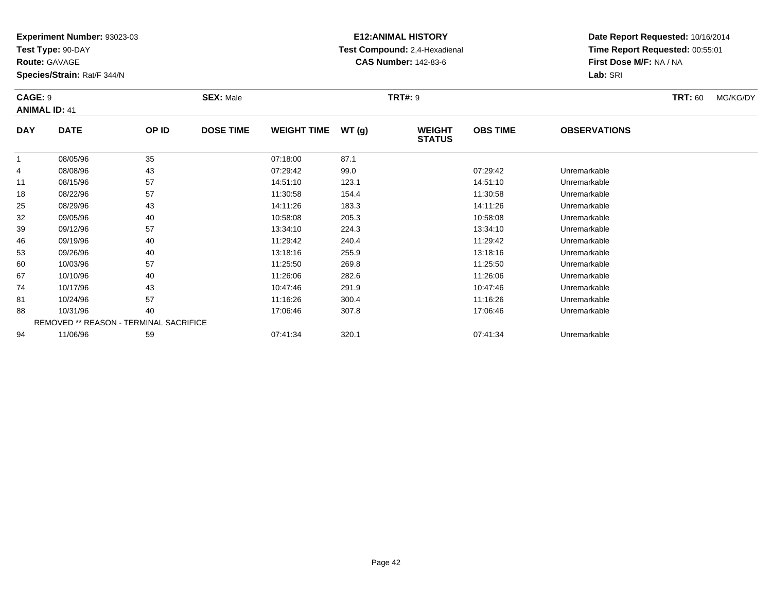**Test Type:** 90-DAY

**Route:** GAVAGE

53

60

67

74

81

88

94

**Species/Strain:** Rat/F 344/N

REMOVED \*\* REASON - TERMINAL SACRIFICE

### **E12:ANIMAL HISTORY Test Compound:** 2,4-Hexadienal **CAS Number:** 142-83-6

**Date Report Requested:** 10/16/2014**Time Report Requested:** 00:55:01**First Dose M/F:** NA / NA**Lab:** SRI

#### **CAGE:** 9 **SEX:** Male **TRT#:** <sup>9</sup> **TRT:** 60 MG/KG/DY**ANIMAL ID:** 41**DAY DATE OP ID DOSE TIME WEIGHT TIME WT (g) WEIGHT STATUSOBS TIME OBSERVATIONS** 1 08/05/96 <sup>35</sup> 07:18:00 87.1 4 08/08/96 <sup>43</sup> 07:29:42 99.0 07:29:42 Unremarkable 111 08/15/96 57 57 14:51:10 123.1 13.1 14:51:10 Dhremarkable 188 08/22/96 57 57 11:30:58 154.4 154.4 11:30:58 Unremarkable 25 08/29/96 <sup>43</sup> 14:11:26 183.3 14:11:26 Unremarkable 32 09/05/96 <sup>40</sup> 10:58:08 205.3 10:58:08 Unremarkable 39 09/12/96 <sup>57</sup> 13:34:10 224.3 13:34:10 Unremarkable 466 09/19/96 40 40 11:29:42 240.4 120 11:29:42 11:29:42 11:29:42 Unremarkable

09/26/96 <sup>40</sup> 13:18:16 255.9 13:18:16 Unremarkable

0 10/03/96 57 57 11:25:50 269.8 11:25.50 11:25:50 11:25:50 Unremarkable

10/10/96 <sup>40</sup> 11:26:06 282.6 11:26:06 Unremarkable

10/17/96 <sup>43</sup> 10:47:46 291.9 10:47:46 Unremarkable

10/24/96 <sup>57</sup> 11:16:26 300.4 11:16:26 Unremarkable

10/31/96 <sup>40</sup> 17:06:46 307.8 17:06:46 Unremarkable

11/06/96 <sup>59</sup> 07:41:34 320.1 07:41:34 Unremarkable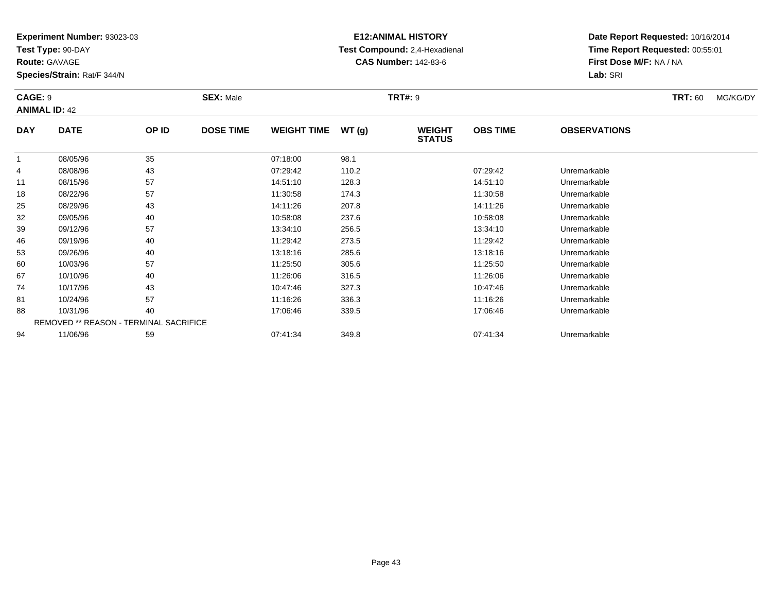**Test Type:** 90-DAY

**Route:** GAVAGE

67

74

81

88

94

**Species/Strain:** Rat/F 344/N

REMOVED \*\* REASON - TERMINAL SACRIFICE

### **E12:ANIMAL HISTORY Test Compound:** 2,4-Hexadienal **CAS Number:** 142-83-6

**Date Report Requested:** 10/16/2014**Time Report Requested:** 00:55:01**First Dose M/F:** NA / NA**Lab:** SRI

#### **CAGE:** 9 **SEX:** Male **TRT#:** <sup>9</sup> **TRT:** 60 MG/KG/DY**ANIMAL ID:** 42**DAY DATE OP ID DOSE TIME WEIGHT TIME WT (g) WEIGHT STATUSOBS TIME OBSERVATIONS** 1 08/05/96 <sup>35</sup> 07:18:00 98.1 4 08/08/96 <sup>43</sup> 07:29:42 110.2 07:29:42 Unremarkable 11 08/15/96 <sup>57</sup> 14:51:10 128.3 14:51:10 Unremarkable 18 08/22/96 <sup>57</sup> 11:30:58 174.3 11:30:58 Unremarkable 25 08/29/96 <sup>43</sup> 14:11:26 207.8 14:11:26 Unremarkable 32 09/05/96 <sup>40</sup> 10:58:08 237.6 10:58:08 Unremarkable 39 09/12/96 <sup>57</sup> 13:34:10 256.5 13:34:10 Unremarkable 466 09/19/96 40 40 11:29:42 273.5 11:29 11:29:42 Dhremarkable 53 09/26/96 <sup>40</sup> 13:18:16 285.6 13:18:16 Unremarkable 600 10/03/96 57 57 11:25:50 305.6 11:25.50 11:25:50 11:25:50 Unremarkable

10/10/96 <sup>40</sup> 11:26:06 316.5 11:26:06 Unremarkable

10/17/96 <sup>43</sup> 10:47:46 327.3 10:47:46 Unremarkable

10/24/96 <sup>57</sup> 11:16:26 336.3 11:16:26 Unremarkable

8 10/31/96 40 40 17:06:46 339.5 17:06:46 339.5 17:06:46 19 17:06:46 Unremarkable

11/06/96 <sup>59</sup> 07:41:34 349.8 07:41:34 Unremarkable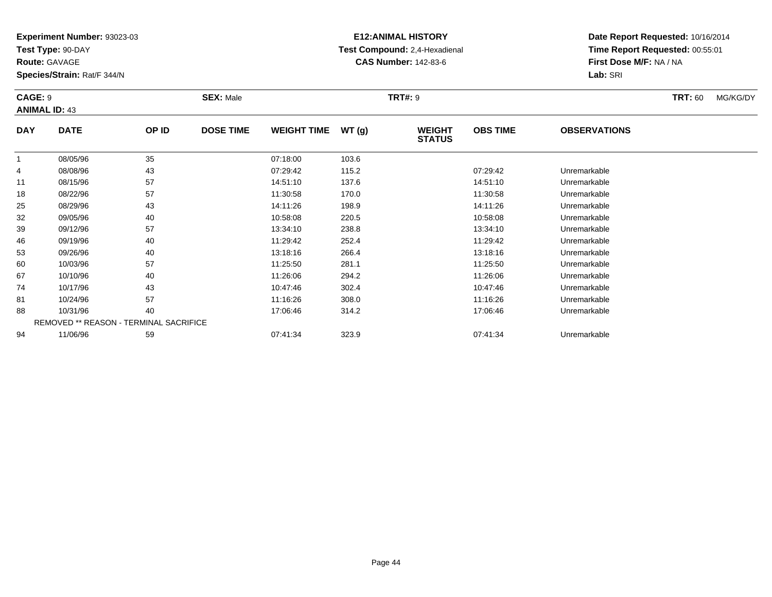**Test Type:** 90-DAY

**Route:** GAVAGE

94

**Species/Strain:** Rat/F 344/N

### **E12:ANIMAL HISTORY Test Compound:** 2,4-Hexadienal **CAS Number:** 142-83-6

**Date Report Requested:** 10/16/2014**Time Report Requested:** 00:55:01**First Dose M/F:** NA / NA**Lab:** SRI

#### **CAGE:** 9 **SEX:** Male **TRT#:** <sup>9</sup> **TRT:** 60 MG/KG/DY**ANIMAL ID:** 43**DAY DATE OP IDDOSE TIME WEIGHT TIME WT** (g) **STATUSOBS TIME OBSERVATIONS** 11 08/05/96 35 07:18:00 103.6 4 08/08/96 <sup>43</sup> 07:29:42 115.2 07:29:42 Unremarkable 11 08/15/96 <sup>57</sup> 14:51:10 137.6 14:51:10 Unremarkable 18 08/22/96 <sup>57</sup> 11:30:58 170.0 11:30:58 Unremarkable 25 08/29/96 <sup>43</sup> 14:11:26 198.9 14:11:26 Unremarkable 32 09/05/96 <sup>40</sup> 10:58:08 220.5 10:58:08 Unremarkable 39 09/12/96 <sup>57</sup> 13:34:10 238.8 13:34:10 Unremarkable 466 09/19/96 40 40 11:29:42 252.4 11:29 11:29 11:29:42 Dhremarkable 53 09/26/96 <sup>40</sup> 13:18:16 266.4 13:18:16 Unremarkable 600 10/03/96 57 57 11:25:50 281.1 11:25.50 11:25:50 11:25:50 11:25:50 Unremarkable 67 10/10/96 <sup>40</sup> 11:26:06 294.2 11:26:06 Unremarkable 74 10/17/96 <sup>43</sup> 10:47:46 302.4 10:47:46 Unremarkable 81 10/24/96 <sup>57</sup> 11:16:26 308.0 11:16:26 Unremarkable 88 10/31/96 <sup>40</sup> 17:06:46 314.2 17:06:46 Unremarkable REMOVED \*\* REASON - TERMINAL SACRIFICE

11/06/96 <sup>59</sup> 07:41:34 323.9 07:41:34 Unremarkable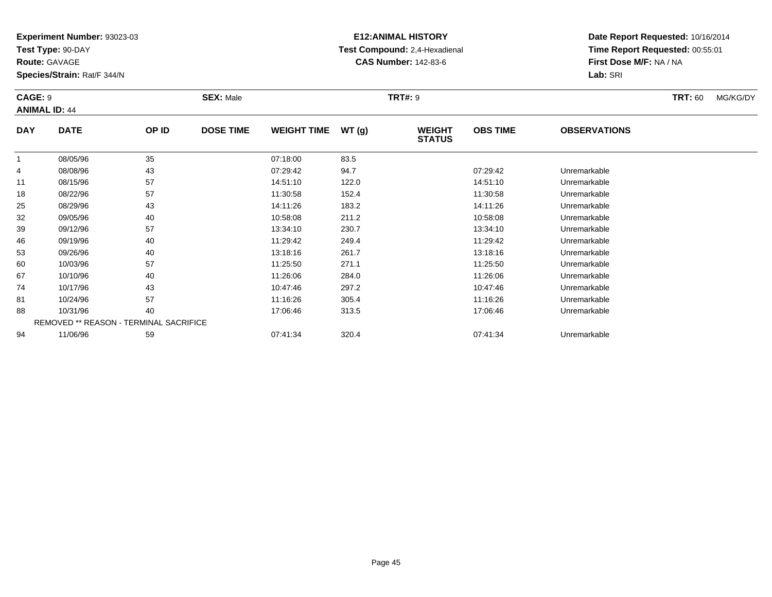**Test Type:** 90-DAY

**Route:** GAVAGE

74

81

88

94

**Species/Strain:** Rat/F 344/N

REMOVED \*\* REASON - TERMINAL SACRIFICE

### **E12:ANIMAL HISTORY Test Compound:** 2,4-Hexadienal **CAS Number:** 142-83-6

**Date Report Requested:** 10/16/2014**Time Report Requested:** 00:55:01**First Dose M/F:** NA / NA**Lab:** SRI

#### **CAGE:** 9 **SEX:** Male **TRT#:** <sup>9</sup> **TRT:** 60 MG/KG/DY**ANIMAL ID:** 44**DAY DATE OP ID DOSE TIME WEIGHT TIME WT (g) WEIGHT STATUSOBS TIME OBSERVATIONS** 1 08/05/96 <sup>35</sup> 07:18:00 83.5 4 08/08/96 <sup>43</sup> 07:29:42 94.7 07:29:42 Unremarkable 11 08/15/96 <sup>57</sup> 14:51:10 122.0 14:51:10 Unremarkable 18 08/22/96 <sup>57</sup> 11:30:58 152.4 11:30:58 Unremarkable 25 08/29/96 <sup>43</sup> 14:11:26 183.2 14:11:26 Unremarkable 322 09/05/96 40 40 10:58:08 211.2 11.2 10:58:08 Unremarkable 39 09/12/96 <sup>57</sup> 13:34:10 230.7 13:34:10 Unremarkable 466 09/19/96 40 40 11:29:42 249.4 249.4 11:29:42 11:29:42 Unremarkable 533 09/26/96 40 40 13:18:16 261.7 261.7 13:18:16 13:18:16 261.7 600 10/03/96 57 57 11:25:50 271.1 11:25:50 11:25:50 11:25:50 11:25:50 Unremarkable 6710/10/96 <sup>40</sup> 11:26:06 284.0 11:26:06 Unremarkable

10/17/96 <sup>43</sup> 10:47:46 297.2 10:47:46 Unremarkable

10/24/96 <sup>57</sup> 11:16:26 305.4 11:16:26 Unremarkable

8 10/31/96 40 40 17:06:46 313.5 17:06:46 313.5 17:06:46 17:06:46 Unremarkable

11/06/96 <sup>59</sup> 07:41:34 320.4 07:41:34 Unremarkable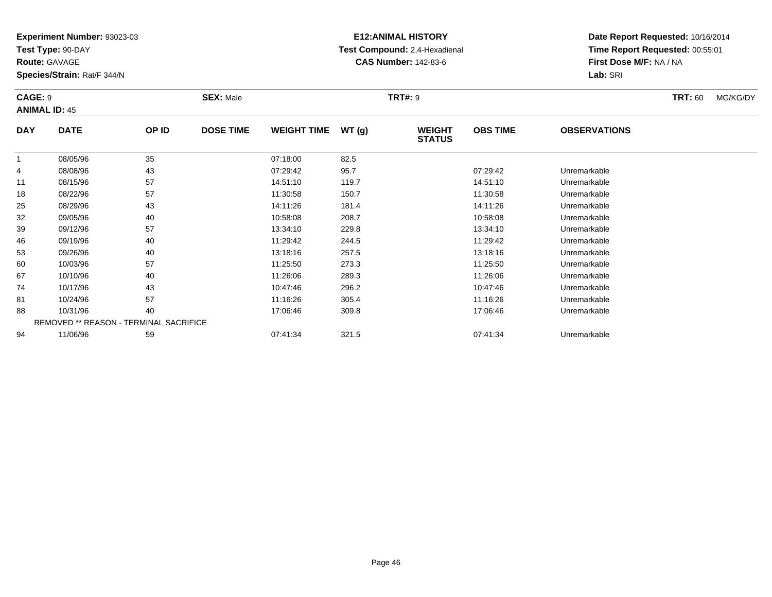**Test Type:** 90-DAY

**Route:** GAVAGE

81

88

94

**Species/Strain:** Rat/F 344/N

REMOVED \*\* REASON - TERMINAL SACRIFICE

### **E12:ANIMAL HISTORY Test Compound:** 2,4-Hexadienal **CAS Number:** 142-83-6

**Date Report Requested:** 10/16/2014**Time Report Requested:** 00:55:01**First Dose M/F:** NA / NA**Lab:** SRI

#### **CAGE:** 9 **SEX:** Male **TRT#:** <sup>9</sup> **TRT:** 60 MG/KG/DY**ANIMAL ID:** 45**DAY DATE OP ID DOSE TIME WEIGHT TIME WT (g) WEIGHT STATUSOBS TIME OBSERVATIONS** 1 08/05/96 <sup>35</sup> 07:18:00 82.5 4 08/08/96 <sup>43</sup> 07:29:42 95.7 07:29:42 Unremarkable 11 08/15/96 <sup>57</sup> 14:51:10 119.7 14:51:10 Unremarkable 18 08/22/96 <sup>57</sup> 11:30:58 150.7 11:30:58 Unremarkable 25 08/29/96 <sup>43</sup> 14:11:26 181.4 14:11:26 Unremarkable 32 09/05/96 <sup>40</sup> 10:58:08 208.7 10:58:08 Unremarkable 39 09/12/96 <sup>57</sup> 13:34:10 229.8 13:34:10 Unremarkable 466 09/19/96 40 40 11:29:42 244.5 11:29.42 11:29:42 Dhremarkable 533 09/26/96 40 40 13:18:16 257.5 13:18:16 13:18:16 13:18:16 Dhremarkable 600 10/03/96 57 57 11:25:50 273.3 11:25.50 11:25:50 11:25:50 11:25:50 Unremarkable 67 10/10/96 <sup>40</sup> 11:26:06 289.3 11:26:06 Unremarkable 7410/17/96 <sup>43</sup> 10:47:46 296.2 10:47:46 Unremarkable

10/24/96 <sup>57</sup> 11:16:26 305.4 11:16:26 Unremarkable

10/31/96 <sup>40</sup> 17:06:46 309.8 17:06:46 Unremarkable

11/06/96 <sup>59</sup> 07:41:34 321.5 07:41:34 Unremarkable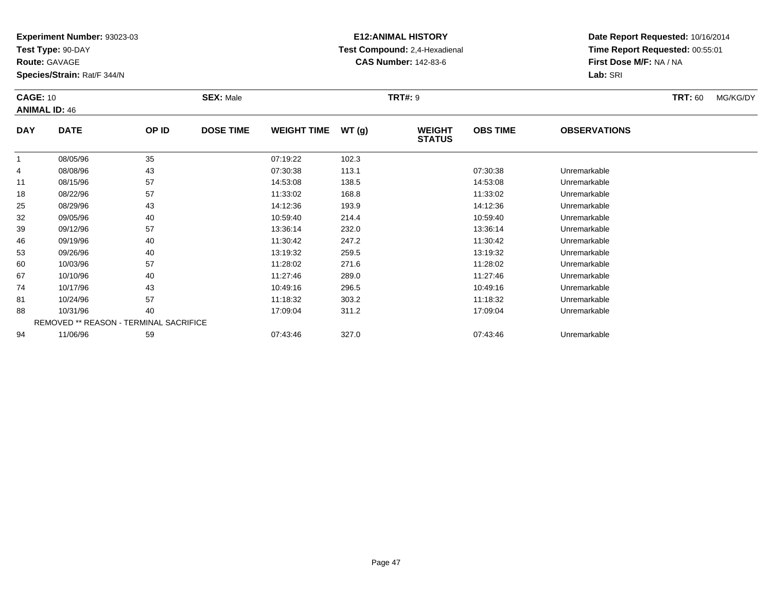**Test Type:** 90-DAY

**Route:** GAVAGE

**Species/Strain:** Rat/F 344/N

# **E12:ANIMAL HISTORY Test Compound:** 2,4-Hexadienal **CAS Number:** 142-83-6

**Date Report Requested:** 10/16/2014**Time Report Requested:** 00:55:01**First Dose M/F:** NA / NA**Lab:** SRI

| <b>CAGE: 10</b> | <b>ANIMAL ID: 46</b>                   |       | <b>SEX: Male</b> |                    |       | <b>TRT#: 9</b>                 |                 |                     | <b>TRT: 60</b> | MG/KG/DY |
|-----------------|----------------------------------------|-------|------------------|--------------------|-------|--------------------------------|-----------------|---------------------|----------------|----------|
| <b>DAY</b>      | <b>DATE</b>                            | OP ID | <b>DOSE TIME</b> | <b>WEIGHT TIME</b> | WT(g) | <b>WEIGHT</b><br><b>STATUS</b> | <b>OBS TIME</b> | <b>OBSERVATIONS</b> |                |          |
|                 | 08/05/96                               | 35    |                  | 07:19:22           | 102.3 |                                |                 |                     |                |          |
| 4               | 08/08/96                               | 43    |                  | 07:30:38           | 113.1 |                                | 07:30:38        | Unremarkable        |                |          |
| 11              | 08/15/96                               | 57    |                  | 14:53:08           | 138.5 |                                | 14:53:08        | Unremarkable        |                |          |
| 18              | 08/22/96                               | 57    |                  | 11:33:02           | 168.8 |                                | 11:33:02        | Unremarkable        |                |          |
| 25              | 08/29/96                               | 43    |                  | 14:12:36           | 193.9 |                                | 14:12:36        | Unremarkable        |                |          |
| 32              | 09/05/96                               | 40    |                  | 10:59:40           | 214.4 |                                | 10:59:40        | Unremarkable        |                |          |
| 39              | 09/12/96                               | 57    |                  | 13:36:14           | 232.0 |                                | 13:36:14        | Unremarkable        |                |          |
| 46              | 09/19/96                               | 40    |                  | 11:30:42           | 247.2 |                                | 11:30:42        | Unremarkable        |                |          |
| 53              | 09/26/96                               | 40    |                  | 13:19:32           | 259.5 |                                | 13:19:32        | Unremarkable        |                |          |
| 60              | 10/03/96                               | 57    |                  | 11:28:02           | 271.6 |                                | 11:28:02        | Unremarkable        |                |          |
| 67              | 10/10/96                               | 40    |                  | 11:27:46           | 289.0 |                                | 11:27:46        | Unremarkable        |                |          |
| 74              | 10/17/96                               | 43    |                  | 10:49:16           | 296.5 |                                | 10:49:16        | Unremarkable        |                |          |
| 81              | 10/24/96                               | 57    |                  | 11:18:32           | 303.2 |                                | 11:18:32        | Unremarkable        |                |          |
| 88              | 10/31/96                               | 40    |                  | 17:09:04           | 311.2 |                                | 17:09:04        | Unremarkable        |                |          |
|                 | REMOVED ** REASON - TERMINAL SACRIFICE |       |                  |                    |       |                                |                 |                     |                |          |
| 94              | 11/06/96                               | 59    |                  | 07:43:46           | 327.0 |                                | 07:43:46        | Unremarkable        |                |          |

11/06/96 <sup>59</sup> 07:43:46 327.0 07:43:46 Unremarkable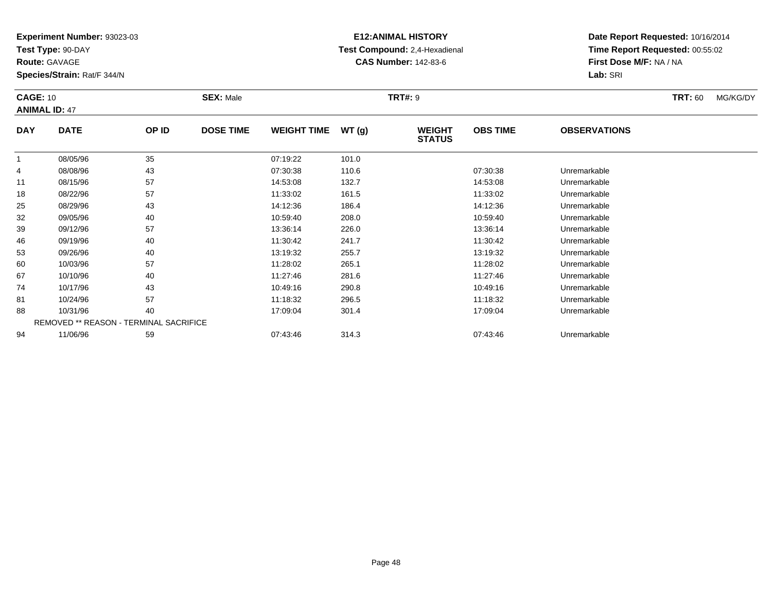**Test Type:** 90-DAY

**Route:** GAVAGE

60

67

74

81

88

94

**Species/Strain:** Rat/F 344/N

REMOVED \*\* REASON - TERMINAL SACRIFICE

### **E12:ANIMAL HISTORY Test Compound:** 2,4-Hexadienal **CAS Number:** 142-83-6

**Date Report Requested:** 10/16/2014**Time Report Requested:** 00:55:02**First Dose M/F:** NA / NA**Lab:** SRI

#### **CAGE:** 10 **SEX:** Male **TRT#:** <sup>9</sup> **TRT:** 60 MG/KG/DY**ANIMAL ID:** 47**DAY DATE OP ID DOSE TIME WEIGHT TIME WT (g) WEIGHT STATUSOBS TIME OBSERVATIONS** 11 08/05/96 35 07:19:22 101.0 4 08/08/96 <sup>43</sup> 07:30:38 110.6 07:30:38 Unremarkable 111 08/15/96 57 57 14:53:08 132.7 132.7 132.7 1353:08 Unremarkable 188 08/22/96 57 57 11:33:02 161.5 161.5 161.5 11:33:02 Unremarkable 25 08/29/96 <sup>43</sup> 14:12:36 186.4 14:12:36 Unremarkable 32 09/05/96 <sup>40</sup> 10:59:40 208.0 10:59:40 Unremarkable 39 09/12/96 <sup>57</sup> 13:36:14 226.0 13:36:14 Unremarkable 466 09/19/96 40 40 11:30:42 241.7 11:30.42 11:30:42 Dhremarkable 533 09/26/96 40 40 13:19:32 255.7 13:19:32 13:19:32 13:19:32 Unremarkable

0 10/03/96 57 57 11:28:02 265.1 11:28.02 10/03/96 Unremarkable

10/10/96 <sup>40</sup> 11:27:46 281.6 11:27:46 Unremarkable

10/17/96 <sup>43</sup> 10:49:16 290.8 10:49:16 Unremarkable

10/24/96 <sup>57</sup> 11:18:32 296.5 11:18:32 Unremarkable

8 10/31/96 40 40 17:09:04 301.4 17:09 14 17:09 104 17:09:04 Diremarkable

11/06/96 <sup>59</sup> 07:43:46 314.3 07:43:46 Unremarkable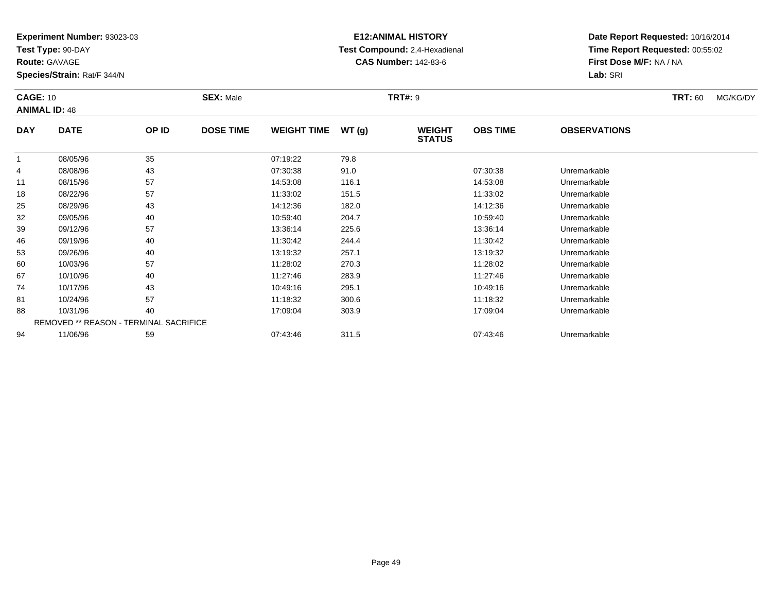**Test Type:** 90-DAY

**Route:** GAVAGE

94

**Species/Strain:** Rat/F 344/N

REMOVED \*\* REASON - TERMINAL SACRIFICE

### **E12:ANIMAL HISTORY Test Compound:** 2,4-Hexadienal **CAS Number:** 142-83-6

**Date Report Requested:** 10/16/2014**Time Report Requested:** 00:55:02**First Dose M/F:** NA / NA**Lab:** SRI

#### **CAGE:** 10 **SEX:** Male **TRT#:** <sup>9</sup> **TRT:** 60 MG/KG/DY**ANIMAL ID:** 48**DAY DATE OP ID DOSE TIME WEIGHT TIME WT (g) WEIGHT STATUSOBS TIME OBSERVATIONS** 1 08/05/96 <sup>35</sup> 07:19:22 79.8 4 08/08/96 <sup>43</sup> 07:30:38 91.0 07:30:38 Unremarkable 111 08/15/96 57 57 14:53:08 116.1 16.1 14:53:08 Unremarkable 188 08/22/96 57 57 11:33:02 151.5 151.5 151.5 11:33:02 Unremarkable 25 08/29/96 <sup>43</sup> 14:12:36 182.0 14:12:36 Unremarkable 32 09/05/96 <sup>40</sup> 10:59:40 204.7 10:59:40 Unremarkable 39 09/12/96 <sup>57</sup> 13:36:14 225.6 13:36:14 Unremarkable 466 09/19/96 40 40 11:30:42 244.4 11:30 11:30:42 Dhremarkable 533 09/26/96 40 40 13:19:32 257.1 13:19:32 13:19:32 13:19:32 Unremarkable 600 10/03/96 57 57 11:28:02 270.3 120 11:28:02 10/03/96 Unremarkable 67 10/10/96 <sup>40</sup> 11:27:46 283.9 11:27:46 Unremarkable 74 10/17/96 <sup>43</sup> 10:49:16 295.1 10:49:16 Unremarkable 81 10/24/96 <sup>57</sup> 11:18:32 300.6 11:18:32 Unremarkable 8810/31/96 <sup>40</sup> 17:09:04 303.9 17:09:04 Unremarkable

11/06/96 <sup>59</sup> 07:43:46 311.5 07:43:46 Unremarkable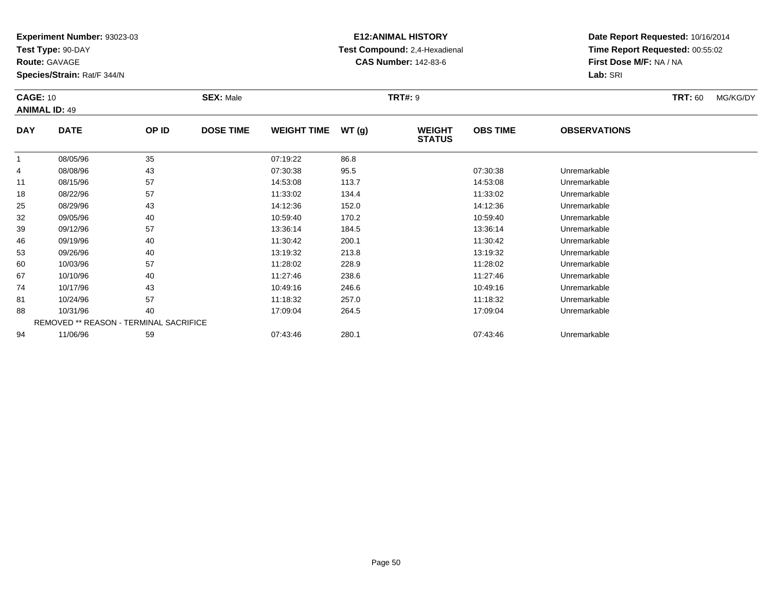**Test Type:** 90-DAY

**Route:** GAVAGE

94

**Species/Strain:** Rat/F 344/N

REMOVED \*\* REASON - TERMINAL SACRIFICE

## **E12:ANIMAL HISTORY Test Compound:** 2,4-Hexadienal **CAS Number:** 142-83-6

**Date Report Requested:** 10/16/2014**Time Report Requested:** 00:55:02**First Dose M/F:** NA / NA**Lab:** SRI

| <b>CAGE: 10</b><br><b>ANIMAL ID: 49</b> |             |       | <b>SEX: Male</b> |                    |       | <b>TRT#: 9</b>                 |                 |                     | <b>TRT: 60</b> | MG/KG/DY |
|-----------------------------------------|-------------|-------|------------------|--------------------|-------|--------------------------------|-----------------|---------------------|----------------|----------|
| <b>DAY</b>                              | <b>DATE</b> | OP ID | <b>DOSE TIME</b> | <b>WEIGHT TIME</b> | WT(g) | <b>WEIGHT</b><br><b>STATUS</b> | <b>OBS TIME</b> | <b>OBSERVATIONS</b> |                |          |
| 1                                       | 08/05/96    | 35    |                  | 07:19:22           | 86.8  |                                |                 |                     |                |          |
| 4                                       | 08/08/96    | 43    |                  | 07:30:38           | 95.5  |                                | 07:30:38        | Unremarkable        |                |          |
| 11                                      | 08/15/96    | 57    |                  | 14:53:08           | 113.7 |                                | 14:53:08        | Unremarkable        |                |          |
| 18                                      | 08/22/96    | 57    |                  | 11:33:02           | 134.4 |                                | 11:33:02        | Unremarkable        |                |          |
| 25                                      | 08/29/96    | 43    |                  | 14:12:36           | 152.0 |                                | 14:12:36        | Unremarkable        |                |          |
| 32                                      | 09/05/96    | 40    |                  | 10:59:40           | 170.2 |                                | 10:59:40        | Unremarkable        |                |          |
| 39                                      | 09/12/96    | 57    |                  | 13:36:14           | 184.5 |                                | 13:36:14        | Unremarkable        |                |          |
| 46                                      | 09/19/96    | 40    |                  | 11:30:42           | 200.1 |                                | 11:30:42        | Unremarkable        |                |          |
| 53                                      | 09/26/96    | 40    |                  | 13:19:32           | 213.8 |                                | 13:19:32        | Unremarkable        |                |          |
| 60                                      | 10/03/96    | 57    |                  | 11:28:02           | 228.9 |                                | 11:28:02        | Unremarkable        |                |          |
| 67                                      | 10/10/96    | 40    |                  | 11:27:46           | 238.6 |                                | 11:27:46        | Unremarkable        |                |          |
| 74                                      | 10/17/96    | 43    |                  | 10:49:16           | 246.6 |                                | 10:49:16        | Unremarkable        |                |          |
| 81                                      | 10/24/96    | 57    |                  | 11:18:32           | 257.0 |                                | 11:18:32        | Unremarkable        |                |          |
| 88                                      | 10/31/96    | 40    |                  | 17:09:04           | 264.5 |                                | 17:09:04        | Unremarkable        |                |          |

11/06/96 <sup>59</sup> 07:43:46 280.1 07:43:46 Unremarkable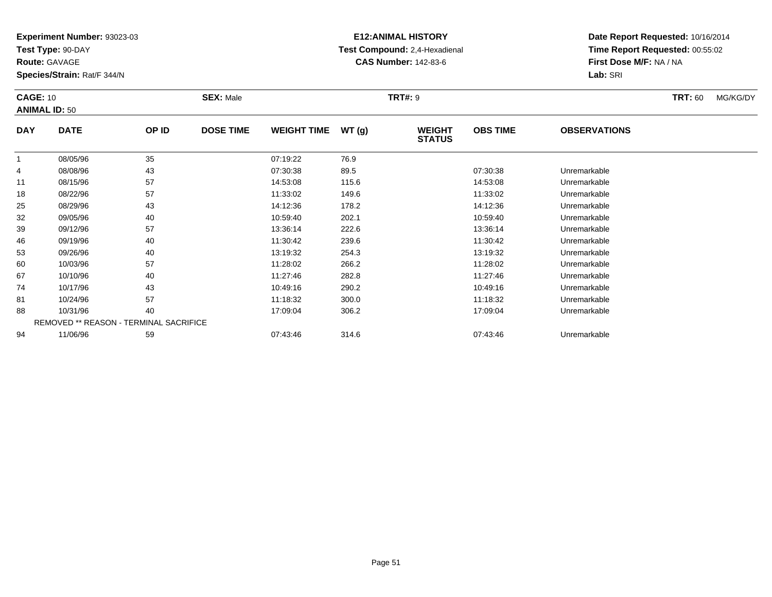**Test Type:** 90-DAY

88

94

**Species/Strain:** Rat/F 344/N

## **E12:ANIMAL HISTORY Test Compound:** 2,4-Hexadienal **CAS Number:** 142-83-6

**Date Report Requested:** 10/16/2014**Time Report Requested:** 00:55:02**First Dose M/F:** NA / NA**Lab:** SRI

| <b>CAGE: 10</b><br><b>ANIMAL ID: 50</b> |             |       | <b>SEX: Male</b> |                    |       | <b>TRT#: 9</b>                 |                 |                     | <b>TRT: 60</b> | MG/KG/DY |
|-----------------------------------------|-------------|-------|------------------|--------------------|-------|--------------------------------|-----------------|---------------------|----------------|----------|
| <b>DAY</b>                              | <b>DATE</b> | OP ID | <b>DOSE TIME</b> | <b>WEIGHT TIME</b> | WT(g) | <b>WEIGHT</b><br><b>STATUS</b> | <b>OBS TIME</b> | <b>OBSERVATIONS</b> |                |          |
|                                         | 08/05/96    | 35    |                  | 07:19:22           | 76.9  |                                |                 |                     |                |          |
| 4                                       | 08/08/96    | 43    |                  | 07:30:38           | 89.5  |                                | 07:30:38        | Unremarkable        |                |          |
| 11                                      | 08/15/96    | 57    |                  | 14:53:08           | 115.6 |                                | 14:53:08        | Unremarkable        |                |          |
| 18                                      | 08/22/96    | 57    |                  | 11:33:02           | 149.6 |                                | 11:33:02        | Unremarkable        |                |          |
| 25                                      | 08/29/96    | 43    |                  | 14:12:36           | 178.2 |                                | 14:12:36        | Unremarkable        |                |          |
| 32                                      | 09/05/96    | 40    |                  | 10:59:40           | 202.1 |                                | 10:59:40        | Unremarkable        |                |          |
| 39                                      | 09/12/96    | 57    |                  | 13:36:14           | 222.6 |                                | 13:36:14        | Unremarkable        |                |          |
| 46                                      | 09/19/96    | 40    |                  | 11:30:42           | 239.6 |                                | 11:30:42        | Unremarkable        |                |          |
| 53                                      | 09/26/96    | 40    |                  | 13:19:32           | 254.3 |                                | 13:19:32        | Unremarkable        |                |          |
| 60                                      | 10/03/96    | 57    |                  | 11:28:02           | 266.2 |                                | 11:28:02        | Unremarkable        |                |          |
| 67                                      | 10/10/96    | 40    |                  | 11:27:46           | 282.8 |                                | 11:27:46        | Unremarkable        |                |          |
| 74                                      | 10/17/96    | 43    |                  | 10:49:16           | 290.2 |                                | 10:49:16        | Unremarkable        |                |          |
| 81                                      | 10/24/96    | 57    |                  | 11:18:32           | 300.0 |                                | 11:18:32        | Unremarkable        |                |          |

10/31/96 <sup>40</sup> 17:09:04 306.2 17:09:04 Unremarkable

11/06/96 <sup>59</sup> 07:43:46 314.6 07:43:46 Unremarkable

**Route:** GAVAGE

REMOVED \*\* REASON - TERMINAL SACRIFICE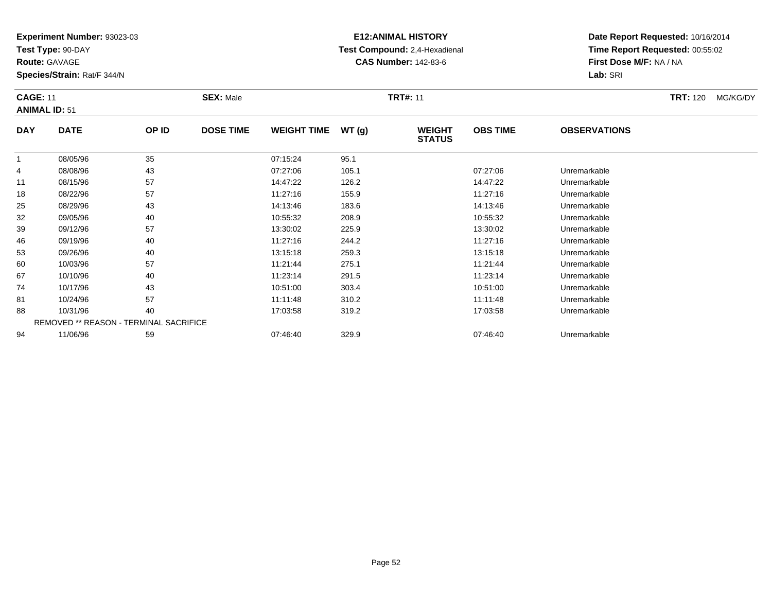**Test Type:** 90-DAY

**Route:** GAVAGE

**Species/Strain:** Rat/F 344/N

# **E12:ANIMAL HISTORY Test Compound:** 2,4-Hexadienal **CAS Number:** 142-83-6

**Date Report Requested:** 10/16/2014 **Time Report Requested:** 00:55:02**First Dose M/F:** NA / NA**Lab:** SRI

#### **CAGE:** 11 **SEX:** Male **TRT#:** <sup>11</sup> **TRT:** 120 MG/KG/DY**ANIMAL ID:** 51**DAY DATE OP IDDOSE TIME WEIGHT TIME WT** (g) **STATUSOBS TIME OBSERVATIONS**  $\overline{1}$  08/05/96 <sup>35</sup> 07:15:24 95.1 4 08/08/96 <sup>43</sup> 07:27:06 105.1 07:27:06 Unremarkable 11 08/15/96 <sup>57</sup> 14:47:22 126.2 14:47:22 Unremarkable 1808/22/96 <sup>57</sup> 11:27:16 155.9 11:27:16 Unremarkable

| 4  | 08/08/96 | 43                                            | 07:27:06 | 105.1 | 07:27:06 | Unremarkable |
|----|----------|-----------------------------------------------|----------|-------|----------|--------------|
| 11 | 08/15/96 | 57                                            | 14:47:22 | 126.2 | 14:47:22 | Unremarkable |
| 18 | 08/22/96 | 57                                            | 11:27:16 | 155.9 | 11:27:16 | Unremarkable |
| 25 | 08/29/96 | 43                                            | 14:13:46 | 183.6 | 14:13:46 | Unremarkable |
| 32 | 09/05/96 | 40                                            | 10:55:32 | 208.9 | 10:55:32 | Unremarkable |
| 39 | 09/12/96 | 57                                            | 13:30:02 | 225.9 | 13:30:02 | Unremarkable |
| 46 | 09/19/96 | 40                                            | 11:27:16 | 244.2 | 11:27:16 | Unremarkable |
| 53 | 09/26/96 | 40                                            | 13:15:18 | 259.3 | 13:15:18 | Unremarkable |
| 60 | 10/03/96 | 57                                            | 11:21:44 | 275.1 | 11:21:44 | Unremarkable |
| 67 | 10/10/96 | 40                                            | 11:23:14 | 291.5 | 11:23:14 | Unremarkable |
| 74 | 10/17/96 | 43                                            | 10:51:00 | 303.4 | 10:51:00 | Unremarkable |
| 81 | 10/24/96 | 57                                            | 11:11:48 | 310.2 | 11:11:48 | Unremarkable |
| 88 | 10/31/96 | 40                                            | 17:03:58 | 319.2 | 17:03:58 | Unremarkable |
|    |          | <b>REMOVED ** REASON - TERMINAL SACRIFICE</b> |          |       |          |              |
| 94 | 11/06/96 | 59                                            | 07:46:40 | 329.9 | 07:46:40 | Unremarkable |
|    |          |                                               |          |       |          |              |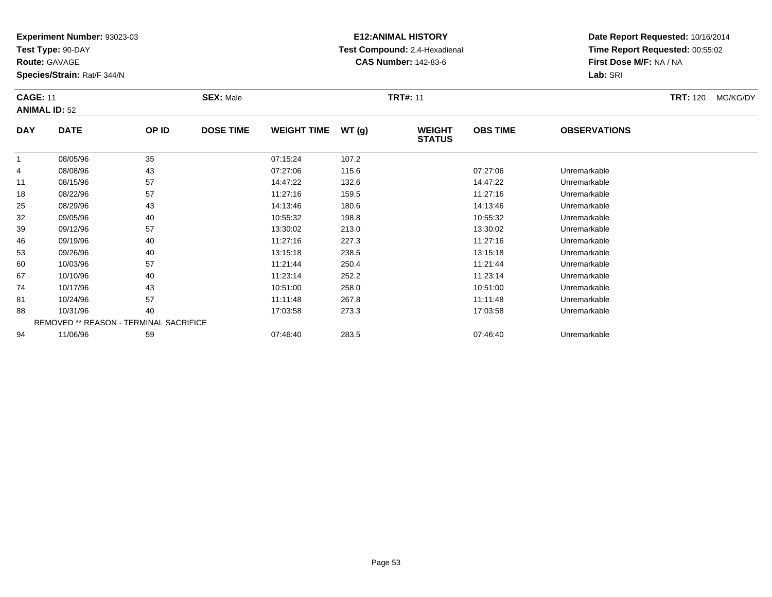**Test Type:** 90-DAY

**Route:** GAVAGE

**Species/Strain:** Rat/F 344/N

# **E12:ANIMAL HISTORY Test Compound:** 2,4-Hexadienal **CAS Number:** 142-83-6

**Date Report Requested:** 10/16/2014 **Time Report Requested:** 00:55:02**First Dose M/F:** NA / NA**Lab:** SRI

#### **CAGE:** 11 **SEX:** Male **TRT#:** <sup>11</sup> **TRT:** 120 MG/KG/DY**ANIMAL ID:** 52**DAY DATE OP IDDOSE TIME WEIGHT TIME WT** (g) **STATUSOBS TIME OBSERVATIONS** 1 08/05/96 <sup>35</sup> 07:15:24 107.2 4 08/08/96 <sup>43</sup> 07:27:06 115.6 07:27:06 Unremarkable 11 08/15/96 <sup>57</sup> 14:47:22 132.6 14:47:22 Unremarkable 188 08/22/96 57 57 11:27:16 159.5 159.5 159.5 11:27:16 Diremarkable 2508/29/96 <sup>43</sup> 14:13:46 180.6 14:13:46 Unremarkable

| $\mathbf{r}$ | <u>vui vui vu</u> | ᠇◡                                            |          | .     |          | <u>UHUHUHUUU</u> |  |
|--------------|-------------------|-----------------------------------------------|----------|-------|----------|------------------|--|
| 11           | 08/15/96          | 57                                            | 14:47:22 | 132.6 | 14:47:22 | Unremarkable     |  |
| 18           | 08/22/96          | 57                                            | 11:27:16 | 159.5 | 11:27:16 | Unremarkable     |  |
| 25           | 08/29/96          | 43                                            | 14:13:46 | 180.6 | 14:13:46 | Unremarkable     |  |
| 32           | 09/05/96          | 40                                            | 10:55:32 | 198.8 | 10:55:32 | Unremarkable     |  |
| 39           | 09/12/96          | 57                                            | 13:30:02 | 213.0 | 13:30:02 | Unremarkable     |  |
| 46           | 09/19/96          | 40                                            | 11:27:16 | 227.3 | 11:27:16 | Unremarkable     |  |
| 53           | 09/26/96          | 40                                            | 13:15:18 | 238.5 | 13:15:18 | Unremarkable     |  |
| 60           | 10/03/96          | 57                                            | 11:21:44 | 250.4 | 11:21:44 | Unremarkable     |  |
| 67           | 10/10/96          | 40                                            | 11:23:14 | 252.2 | 11:23:14 | Unremarkable     |  |
| 74           | 10/17/96          | 43                                            | 10:51:00 | 258.0 | 10:51:00 | Unremarkable     |  |
| 81           | 10/24/96          | 57                                            | 11:11:48 | 267.8 | 11:11:48 | Unremarkable     |  |
| 88           | 10/31/96          | 40                                            | 17:03:58 | 273.3 | 17:03:58 | Unremarkable     |  |
|              |                   | <b>REMOVED ** REASON - TERMINAL SACRIFICE</b> |          |       |          |                  |  |
| 94           | 11/06/96          | 59                                            | 07:46:40 | 283.5 | 07:46:40 | Unremarkable     |  |
|              |                   |                                               |          |       |          |                  |  |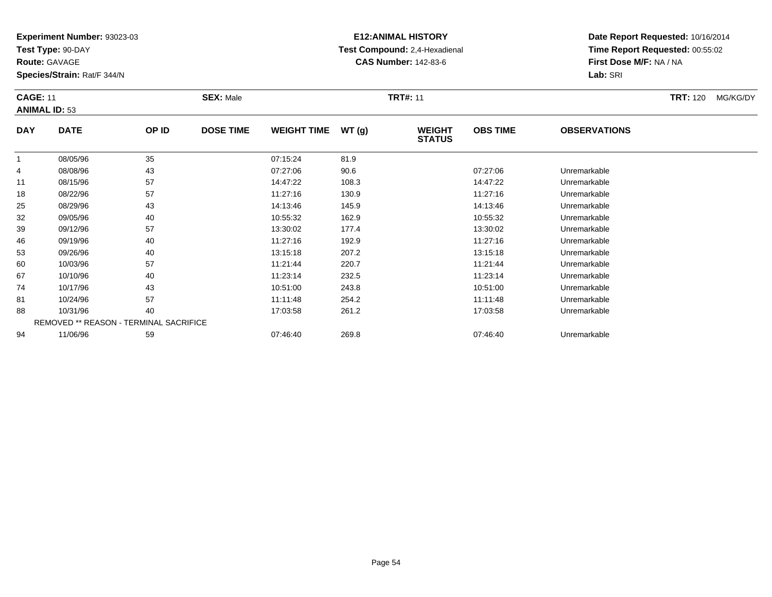**Test Type:** 90-DAY

**Route:** GAVAGE

**Species/Strain:** Rat/F 344/N

# **E12:ANIMAL HISTORY Test Compound:** 2,4-Hexadienal **CAS Number:** 142-83-6

**Date Report Requested:** 10/16/2014 **Time Report Requested:** 00:55:02**First Dose M/F:** NA / NA**Lab:** SRI

#### **CAGE:** 11 **SEX:** Male **TRT#:** <sup>11</sup> **TRT:** 120 MG/KG/DY**ANIMAL ID:** 53**DAY DATE OP IDDOSE TIME WEIGHT TIME WT** (g) **STATUSOBS TIME OBSERVATIONS**  $\overline{1}$  08/05/96 <sup>35</sup> 07:15:24 81.9 4 08/08/96 <sup>43</sup> 07:27:06 90.6 07:27:06 Unremarkable 11 08/15/96 <sup>57</sup> 14:47:22 108.3 14:47:22 Unremarkable 18 08/22/96 <sup>57</sup> 11:27:16 130.9 11:27:16 Unremarkable 2508/29/96 <sup>43</sup> 14:13:46 145.9 14:13:46 Unremarkable

|    | <u>UU/UU/90</u> | ູບບ                                           | <b>UL.IJ.</b> Z4 | 01.J  |          |              |  |
|----|-----------------|-----------------------------------------------|------------------|-------|----------|--------------|--|
| 4  | 08/08/96        | 43                                            | 07:27:06         | 90.6  | 07:27:06 | Unremarkable |  |
| 11 | 08/15/96        | 57                                            | 14:47:22         | 108.3 | 14:47:22 | Unremarkable |  |
| 18 | 08/22/96        | 57                                            | 11:27:16         | 130.9 | 11:27:16 | Unremarkable |  |
| 25 | 08/29/96        | 43                                            | 14:13:46         | 145.9 | 14:13:46 | Unremarkable |  |
| 32 | 09/05/96        | 40                                            | 10:55:32         | 162.9 | 10:55:32 | Unremarkable |  |
| 39 | 09/12/96        | 57                                            | 13:30:02         | 177.4 | 13:30:02 | Unremarkable |  |
| 46 | 09/19/96        | 40                                            | 11:27:16         | 192.9 | 11:27:16 | Unremarkable |  |
| 53 | 09/26/96        | 40                                            | 13:15:18         | 207.2 | 13:15:18 | Unremarkable |  |
| 60 | 10/03/96        | 57                                            | 11:21:44         | 220.7 | 11:21:44 | Unremarkable |  |
| 67 | 10/10/96        | 40                                            | 11:23:14         | 232.5 | 11:23:14 | Unremarkable |  |
| 74 | 10/17/96        | 43                                            | 10:51:00         | 243.8 | 10:51:00 | Unremarkable |  |
| 81 | 10/24/96        | 57                                            | 11:11:48         | 254.2 | 11:11:48 | Unremarkable |  |
| 88 | 10/31/96        | 40                                            | 17:03:58         | 261.2 | 17:03:58 | Unremarkable |  |
|    |                 | <b>REMOVED ** REASON - TERMINAL SACRIFICE</b> |                  |       |          |              |  |
| 94 | 11/06/96        | 59                                            | 07:46:40         | 269.8 | 07:46:40 | Unremarkable |  |
|    |                 |                                               |                  |       |          |              |  |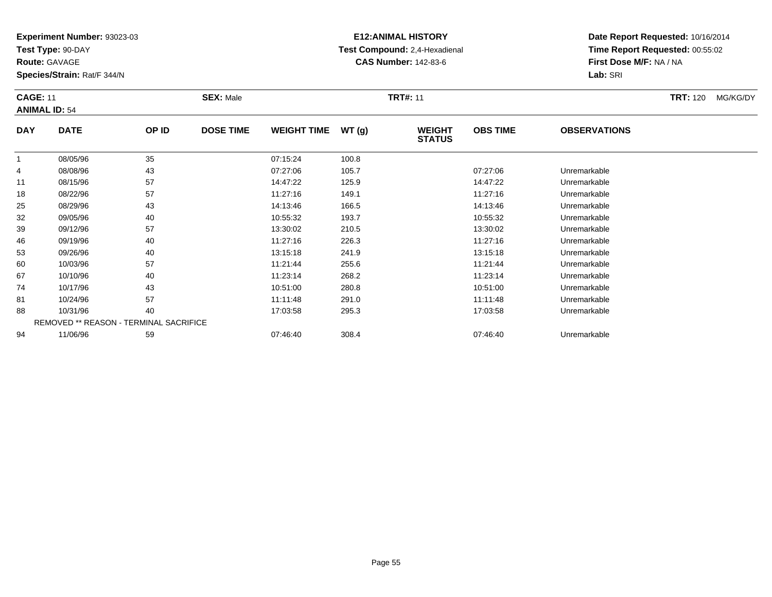**Test Type:** 90-DAY

**Route:** GAVAGE

46

53

60

67

74

81

88

94

**Species/Strain:** Rat/F 344/N

REMOVED \*\* REASON - TERMINAL SACRIFICE

### **E12:ANIMAL HISTORY Test Compound:** 2,4-Hexadienal **CAS Number:** 142-83-6

**Date Report Requested:** 10/16/2014**Time Report Requested:** 00:55:02**First Dose M/F:** NA / NA**Lab:** SRI

#### **CAGE:** 11 **SEX:** Male **TRT#:** <sup>11</sup> **TRT:** 120 MG/KG/DY**ANIMAL ID:** 54**DAY DATE OP IDDOSE TIME WEIGHT TIME WT** (g) **STATUSOBS TIME OBSERVATIONS** 1 08/05/96 <sup>35</sup> 07:15:24 100.8 4 08/08/96 <sup>43</sup> 07:27:06 105.7 07:27:06 Unremarkable 11 08/15/96 <sup>57</sup> 14:47:22 125.9 14:47:22 Unremarkable 188 08/22/96 57 57 11:27:16 149.1 199.1 11:27:16 149.1 11:27:16 Dhremarkable 25 08/29/96 <sup>43</sup> 14:13:46 166.5 14:13:46 Unremarkable 32 09/05/96 <sup>40</sup> 10:55:32 193.7 10:55:32 Unremarkable 3909/12/96 <sup>57</sup> 13:30:02 210.5 13:30:02 Unremarkable

09/19/96 <sup>40</sup> 11:27:16 226.3 11:27:16 Unremarkable

09/26/96 <sup>40</sup> 13:15:18 241.9 13:15:18 Unremarkable

0 10/03/96 57 57 11:21:44 255.6 11:25.6 11:21:44 Dhremarkable

10/10/96 <sup>40</sup> 11:23:14 268.2 11:23:14 Unremarkable

10/17/96 <sup>43</sup> 10:51:00 280.8 10:51:00 Unremarkable

1 10/24/96 57 57 11:11:48 291.0 11:00 11:11:48 Unremarkable

8 10/31/96 40 40 17:03:58 295.3 295.3 17:03:58 Unremarkable

11/06/96 <sup>59</sup> 07:46:40 308.4 07:46:40 Unremarkable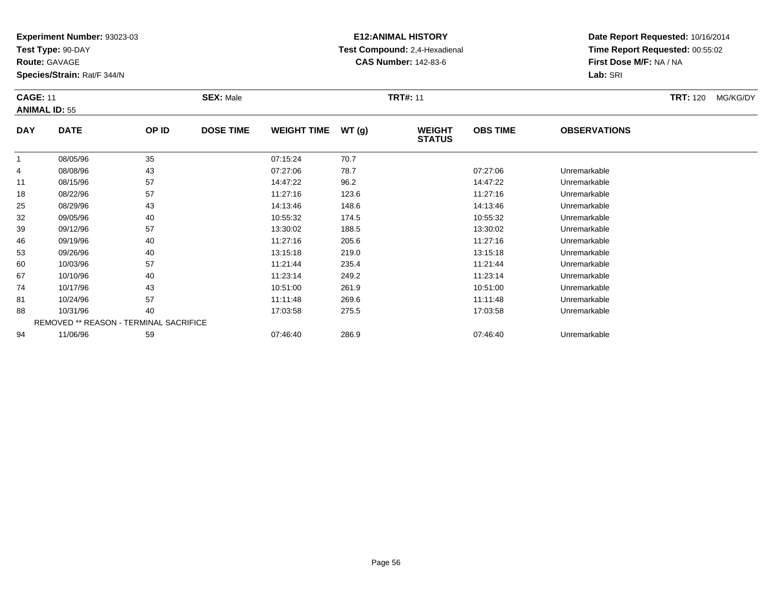**Test Type:** 90-DAY

**Route:** GAVAGE

**Species/Strain:** Rat/F 344/N

# **E12:ANIMAL HISTORY Test Compound:** 2,4-Hexadienal **CAS Number:** 142-83-6

|                | <b>CAGE: 11</b><br><b>ANIMAL ID: 55</b> |          | <b>SEX: Male</b> |                      |              |                                | <b>TRT#: 11</b> |                     |  |  |
|----------------|-----------------------------------------|----------|------------------|----------------------|--------------|--------------------------------|-----------------|---------------------|--|--|
| <b>DAY</b>     | <b>DATE</b>                             | OP ID    | <b>DOSE TIME</b> | <b>WEIGHT TIME</b>   | WT(g)        | <b>WEIGHT</b><br><b>STATUS</b> | <b>OBS TIME</b> | <b>OBSERVATIONS</b> |  |  |
| $\overline{4}$ | 08/05/96<br>08/08/96                    | 35<br>43 |                  | 07:15:24<br>07:27:06 | 70.7<br>78.7 |                                | 07:27:06        | Unremarkable        |  |  |

| 4  | 08/08/96 | 43                                            | 07:27:06 | 78.7  | 07:27:06 | Unremarkable |  |
|----|----------|-----------------------------------------------|----------|-------|----------|--------------|--|
| 11 | 08/15/96 | 57                                            | 14:47:22 | 96.2  | 14:47:22 | Unremarkable |  |
| 18 | 08/22/96 | 57                                            | 11:27:16 | 123.6 | 11:27:16 | Unremarkable |  |
| 25 | 08/29/96 | 43                                            | 14:13:46 | 148.6 | 14:13:46 | Unremarkable |  |
| 32 | 09/05/96 | 40                                            | 10:55:32 | 174.5 | 10:55:32 | Unremarkable |  |
| 39 | 09/12/96 | 57                                            | 13:30:02 | 188.5 | 13:30:02 | Unremarkable |  |
| 46 | 09/19/96 | 40                                            | 11:27:16 | 205.6 | 11:27:16 | Unremarkable |  |
| 53 | 09/26/96 | 40                                            | 13:15:18 | 219.0 | 13:15:18 | Unremarkable |  |
| 60 | 10/03/96 | 57                                            | 11:21:44 | 235.4 | 11:21:44 | Unremarkable |  |
| 67 | 10/10/96 | 40                                            | 11:23:14 | 249.2 | 11:23:14 | Unremarkable |  |
| 74 | 10/17/96 | 43                                            | 10:51:00 | 261.9 | 10:51:00 | Unremarkable |  |
| 81 | 10/24/96 | 57                                            | 11:11:48 | 269.6 | 11:11:48 | Unremarkable |  |
| 88 | 10/31/96 | 40                                            | 17:03:58 | 275.5 | 17:03:58 | Unremarkable |  |
|    |          | <b>REMOVED ** REASON - TERMINAL SACRIFICE</b> |          |       |          |              |  |
| 94 | 11/06/96 | 59                                            | 07:46:40 | 286.9 | 07:46:40 | Unremarkable |  |
|    |          |                                               |          |       |          |              |  |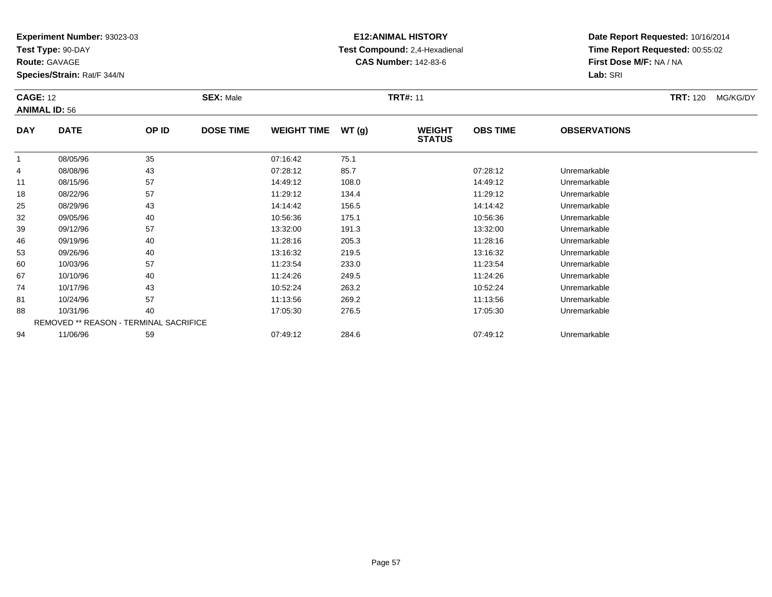**Test Type:** 90-DAY

**Route:** GAVAGE

**Species/Strain:** Rat/F 344/N

# **E12:ANIMAL HISTORY Test Compound:** 2,4-Hexadienal **CAS Number:** 142-83-6

| <b>CAGE: 12</b> | <b>ANIMAL ID: 56</b> |       | <b>SEX: Male</b> |                    |       | <b>TRT#: 11</b>                | <b>TRT:</b> 120<br>MG/KG/DY |                     |  |
|-----------------|----------------------|-------|------------------|--------------------|-------|--------------------------------|-----------------------------|---------------------|--|
| <b>DAY</b>      | <b>DATE</b>          | OP ID | <b>DOSE TIME</b> | <b>WEIGHT TIME</b> | WT(g) | <b>WEIGHT</b><br><b>STATUS</b> | <b>OBS TIME</b>             | <b>OBSERVATIONS</b> |  |
|                 | 08/05/96             | 35    |                  | 07:16:42           | 75.1  |                                |                             |                     |  |
| 4               | 08/08/96             | 43    |                  | 07:28:12           | 85.7  |                                | 07:28:12                    | Unremarkable        |  |
| 11              | 08/15/96             | 57    |                  | 14:49:12           | 108.0 |                                | 14:49:12                    | Unremarkable        |  |
| 18              | 08/22/96             | 57    |                  | 11:29:12           | 134.4 |                                | 11:29:12                    | Unremarkable        |  |
| 25              | 08/29/96             | 43    |                  | 14:14:42           | 156.5 |                                | 14:14:42                    | Unremarkable        |  |

| 4  | 08/08/96 | 43                                            | 07:28:12 | 85.7  | 07:28:12 | Unremarkable |
|----|----------|-----------------------------------------------|----------|-------|----------|--------------|
| 11 | 08/15/96 | 57                                            | 14:49:12 | 108.0 | 14:49:12 | Unremarkable |
| 18 | 08/22/96 | 57                                            | 11:29:12 | 134.4 | 11:29:12 | Unremarkable |
| 25 | 08/29/96 | 43                                            | 14:14:42 | 156.5 | 14:14:42 | Unremarkable |
| 32 | 09/05/96 | 40                                            | 10:56:36 | 175.1 | 10:56:36 | Unremarkable |
| 39 | 09/12/96 | 57                                            | 13:32:00 | 191.3 | 13:32:00 | Unremarkable |
| 46 | 09/19/96 | 40                                            | 11:28:16 | 205.3 | 11:28:16 | Unremarkable |
| 53 | 09/26/96 | 40                                            | 13:16:32 | 219.5 | 13:16:32 | Unremarkable |
| 60 | 10/03/96 | 57                                            | 11:23:54 | 233.0 | 11:23:54 | Unremarkable |
| 67 | 10/10/96 | 40                                            | 11:24:26 | 249.5 | 11:24:26 | Unremarkable |
| 74 | 10/17/96 | 43                                            | 10:52:24 | 263.2 | 10:52:24 | Unremarkable |
| 81 | 10/24/96 | 57                                            | 11:13:56 | 269.2 | 11:13:56 | Unremarkable |
| 88 | 10/31/96 | 40                                            | 17:05:30 | 276.5 | 17:05:30 | Unremarkable |
|    |          | <b>REMOVED ** REASON - TERMINAL SACRIFICE</b> |          |       |          |              |
| 94 | 11/06/96 | 59                                            | 07:49:12 | 284.6 | 07:49:12 | Unremarkable |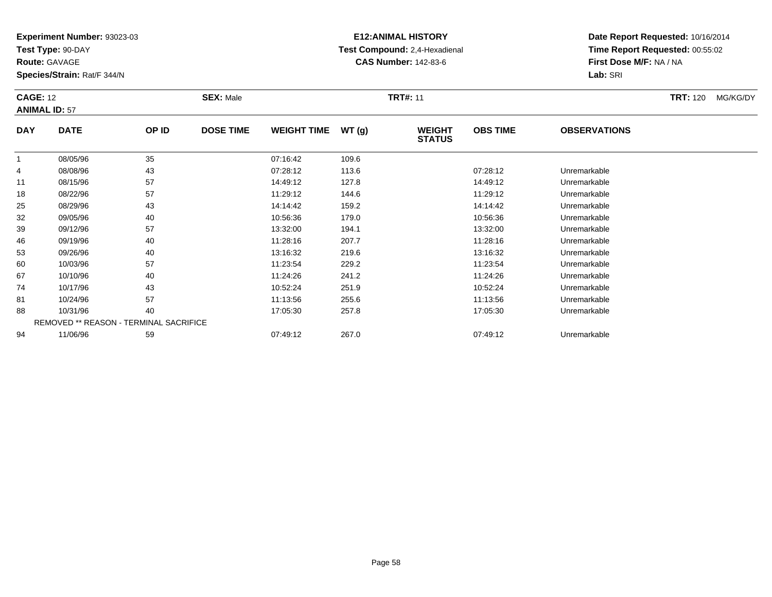**Test Type:** 90-DAY

**Route:** GAVAGE

81

88

94

**Species/Strain:** Rat/F 344/N

REMOVED \*\* REASON - TERMINAL SACRIFICE

## **E12:ANIMAL HISTORY Test Compound:** 2,4-Hexadienal **CAS Number:** 142-83-6

**Date Report Requested:** 10/16/2014**Time Report Requested:** 00:55:02**First Dose M/F:** NA / NA**Lab:** SRI

|            | <b>CAGE: 12</b><br><b>ANIMAL ID: 57</b> |       | <b>SEX: Male</b> |                    |       | <b>TRT#: 11</b>                | <b>TRT: 120</b> | MG/KG/DY            |  |  |
|------------|-----------------------------------------|-------|------------------|--------------------|-------|--------------------------------|-----------------|---------------------|--|--|
| <b>DAY</b> | <b>DATE</b>                             | OP ID | <b>DOSE TIME</b> | <b>WEIGHT TIME</b> | WT(g) | <b>WEIGHT</b><br><b>STATUS</b> | <b>OBS TIME</b> | <b>OBSERVATIONS</b> |  |  |
|            | 08/05/96                                | 35    |                  | 07:16:42           | 109.6 |                                |                 |                     |  |  |
| 4          | 08/08/96                                | 43    |                  | 07:28:12           | 113.6 |                                | 07:28:12        | Unremarkable        |  |  |
| 11         | 08/15/96                                | 57    |                  | 14:49:12           | 127.8 |                                | 14:49:12        | Unremarkable        |  |  |
| 18         | 08/22/96                                | 57    |                  | 11:29:12           | 144.6 |                                | 11:29:12        | Unremarkable        |  |  |
| 25         | 08/29/96                                | 43    |                  | 14:14:42           | 159.2 |                                | 14:14:42        | Unremarkable        |  |  |
| 32         | 09/05/96                                | 40    |                  | 10:56:36           | 179.0 |                                | 10:56:36        | Unremarkable        |  |  |
| 39         | 09/12/96                                | 57    |                  | 13:32:00           | 194.1 |                                | 13:32:00        | Unremarkable        |  |  |
| 46         | 09/19/96                                | 40    |                  | 11:28:16           | 207.7 |                                | 11:28:16        | Unremarkable        |  |  |
| 53         | 09/26/96                                | 40    |                  | 13:16:32           | 219.6 |                                | 13:16:32        | Unremarkable        |  |  |
| 60         | 10/03/96                                | 57    |                  | 11:23:54           | 229.2 |                                | 11:23:54        | Unremarkable        |  |  |
| 67         | 10/10/96                                | 40    |                  | 11:24:26           | 241.2 |                                | 11:24:26        | Unremarkable        |  |  |
| 74         | 10/17/96                                | 43    |                  | 10:52:24           | 251.9 |                                | 10:52:24        | Unremarkable        |  |  |

10/24/96 <sup>57</sup> 11:13:56 255.6 11:13:56 Unremarkable

10/31/96 <sup>40</sup> 17:05:30 257.8 17:05:30 Unremarkable

11/06/96 <sup>59</sup> 07:49:12 267.0 07:49:12 Unremarkable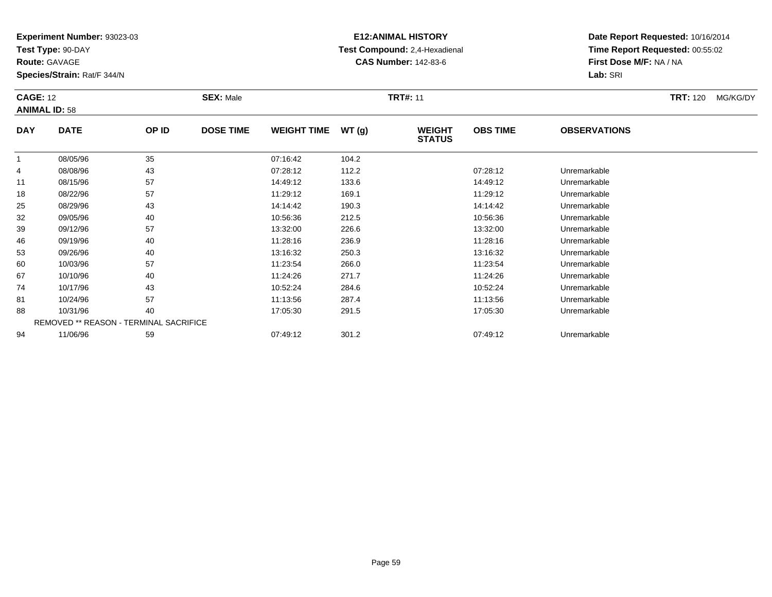**Test Type:** 90-DAY

**Route:** GAVAGE

88

94

**Species/Strain:** Rat/F 344/N

REMOVED \*\* REASON - TERMINAL SACRIFICE

## **E12:ANIMAL HISTORY Test Compound:** 2,4-Hexadienal **CAS Number:** 142-83-6

**Date Report Requested:** 10/16/2014**Time Report Requested:** 00:55:02**First Dose M/F:** NA / NA**Lab:** SRI

| <b>CAGE: 12</b><br><b>ANIMAL ID: 58</b> |             |       | <b>SEX: Male</b> |                    |       | <b>TRT#: 11</b>                |                 |                     | <b>TRT: 120</b> | MG/KG/DY |
|-----------------------------------------|-------------|-------|------------------|--------------------|-------|--------------------------------|-----------------|---------------------|-----------------|----------|
| <b>DAY</b>                              | <b>DATE</b> | OP ID | <b>DOSE TIME</b> | <b>WEIGHT TIME</b> | WT(g) | <b>WEIGHT</b><br><b>STATUS</b> | <b>OBS TIME</b> | <b>OBSERVATIONS</b> |                 |          |
| 1                                       | 08/05/96    | 35    |                  | 07:16:42           | 104.2 |                                |                 |                     |                 |          |
| 4                                       | 08/08/96    | 43    |                  | 07:28:12           | 112.2 |                                | 07:28:12        | Unremarkable        |                 |          |
| 11                                      | 08/15/96    | 57    |                  | 14:49:12           | 133.6 |                                | 14:49:12        | Unremarkable        |                 |          |
| 18                                      | 08/22/96    | 57    |                  | 11:29:12           | 169.1 |                                | 11:29:12        | Unremarkable        |                 |          |
| 25                                      | 08/29/96    | 43    |                  | 14:14:42           | 190.3 |                                | 14:14:42        | Unremarkable        |                 |          |
| 32                                      | 09/05/96    | 40    |                  | 10:56:36           | 212.5 |                                | 10:56:36        | Unremarkable        |                 |          |
| 39                                      | 09/12/96    | 57    |                  | 13:32:00           | 226.6 |                                | 13:32:00        | Unremarkable        |                 |          |
| 46                                      | 09/19/96    | 40    |                  | 11:28:16           | 236.9 |                                | 11:28:16        | Unremarkable        |                 |          |
| 53                                      | 09/26/96    | 40    |                  | 13:16:32           | 250.3 |                                | 13:16:32        | Unremarkable        |                 |          |
| 60                                      | 10/03/96    | 57    |                  | 11:23:54           | 266.0 |                                | 11:23:54        | Unremarkable        |                 |          |
| 67                                      | 10/10/96    | 40    |                  | 11:24:26           | 271.7 |                                | 11:24:26        | Unremarkable        |                 |          |
| 74                                      | 10/17/96    | 43    |                  | 10:52:24           | 284.6 |                                | 10:52:24        | Unremarkable        |                 |          |
| 81                                      | 10/24/96    | 57    |                  | 11:13:56           | 287.4 |                                | 11:13:56        | Unremarkable        |                 |          |

8 10/31/96 40 40 17:05:30 291.5 17:05:30 17:05:30 17:05:30 17:05:30 Unremarkable

11/06/96 <sup>59</sup> 07:49:12 301.2 07:49:12 Unremarkable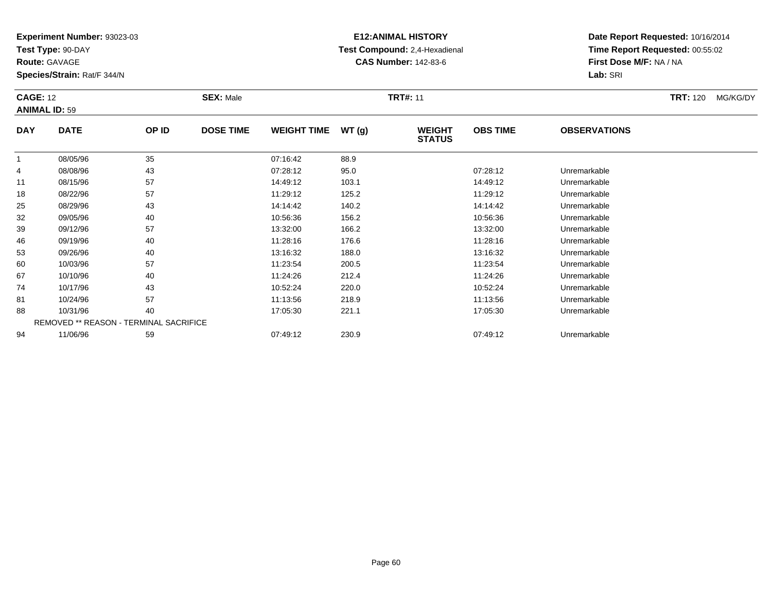**Test Type:** 90-DAY

**Route:** GAVAGE

60

67

74

81

88

94

**Species/Strain:** Rat/F 344/N

REMOVED \*\* REASON - TERMINAL SACRIFICE

## **E12:ANIMAL HISTORY Test Compound:** 2,4-Hexadienal **CAS Number:** 142-83-6

**Date Report Requested:** 10/16/2014**Time Report Requested:** 00:55:02**First Dose M/F:** NA / NA**Lab:** SRI

| <b>CAGE: 12</b> | <b>ANIMAL ID: 59</b> |       | <b>SEX: Male</b> |                    |       | <b>TRT#: 11</b>                | <b>TRT: 120</b><br>MG/KG/DY |                     |  |
|-----------------|----------------------|-------|------------------|--------------------|-------|--------------------------------|-----------------------------|---------------------|--|
| <b>DAY</b>      | <b>DATE</b>          | OP ID | <b>DOSE TIME</b> | <b>WEIGHT TIME</b> | WT(g) | <b>WEIGHT</b><br><b>STATUS</b> | <b>OBS TIME</b>             | <b>OBSERVATIONS</b> |  |
| 1               | 08/05/96             | 35    |                  | 07:16:42           | 88.9  |                                |                             |                     |  |
| 4               | 08/08/96             | 43    |                  | 07:28:12           | 95.0  |                                | 07:28:12                    | Unremarkable        |  |
| 11              | 08/15/96             | 57    |                  | 14:49:12           | 103.1 |                                | 14:49:12                    | Unremarkable        |  |
| 18              | 08/22/96             | 57    |                  | 11:29:12           | 125.2 |                                | 11:29:12                    | Unremarkable        |  |
| 25              | 08/29/96             | 43    |                  | 14:14:42           | 140.2 |                                | 14:14:42                    | Unremarkable        |  |
| 32              | 09/05/96             | 40    |                  | 10:56:36           | 156.2 |                                | 10:56:36                    | Unremarkable        |  |
| 39              | 09/12/96             | 57    |                  | 13:32:00           | 166.2 |                                | 13:32:00                    | Unremarkable        |  |
| 46              | 09/19/96             | 40    |                  | 11:28:16           | 176.6 |                                | 11:28:16                    | Unremarkable        |  |
| 53              | 09/26/96             | 40    |                  | 13:16:32           | 188.0 |                                | 13:16:32                    | Unremarkable        |  |

09/26/96 <sup>40</sup> 13:16:32 188.0 13:16:32 Unremarkable

0 10/03/96 57 57 11:23:54 200.5 11:23.54 11:23:54 Dhremarkable

10/10/96 <sup>40</sup> 11:24:26 212.4 11:24:26 Unremarkable

10/17/96 <sup>43</sup> 10:52:24 220.0 10:52:24 Unremarkable

10/24/96 <sup>57</sup> 11:13:56 218.9 11:13:56 Unremarkable

8 10/31/96 40 40 17:05:30 221.1 17:05:30 17:05:30 17:05:30 Unremarkable

11/06/96 <sup>59</sup> 07:49:12 230.9 07:49:12 Unremarkable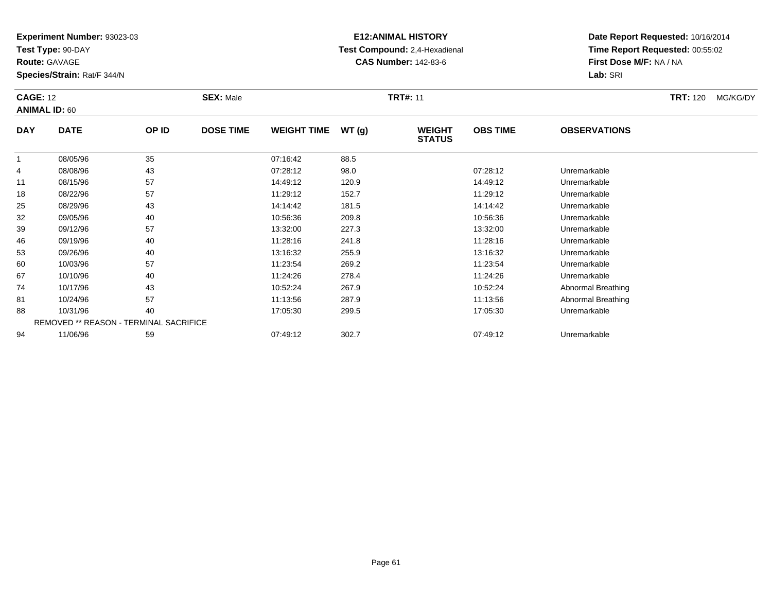**Test Type:** 90-DAY

**Route:** GAVAGE

81

88

94

**Species/Strain:** Rat/F 344/N

REMOVED \*\* REASON - TERMINAL SACRIFICE

## **E12:ANIMAL HISTORY Test Compound:** 2,4-Hexadienal **CAS Number:** 142-83-6

**Date Report Requested:** 10/16/2014**Time Report Requested:** 00:55:02**First Dose M/F:** NA / NA**Lab:** SRI

| <b>CAGE: 12</b><br><b>ANIMAL ID: 60</b> |             |       | <b>SEX: Male</b> |                    |       | <b>TRT#: 11</b>                |                 |                     | <b>TRT: 120</b> | MG/KG/DY |
|-----------------------------------------|-------------|-------|------------------|--------------------|-------|--------------------------------|-----------------|---------------------|-----------------|----------|
| <b>DAY</b>                              | <b>DATE</b> | OP ID | <b>DOSE TIME</b> | <b>WEIGHT TIME</b> | WT(g) | <b>WEIGHT</b><br><b>STATUS</b> | <b>OBS TIME</b> | <b>OBSERVATIONS</b> |                 |          |
|                                         | 08/05/96    | 35    |                  | 07:16:42           | 88.5  |                                |                 |                     |                 |          |
| 4                                       | 08/08/96    | 43    |                  | 07:28:12           | 98.0  |                                | 07:28:12        | Unremarkable        |                 |          |
| 11                                      | 08/15/96    | 57    |                  | 14:49:12           | 120.9 |                                | 14:49:12        | Unremarkable        |                 |          |
| 18                                      | 08/22/96    | 57    |                  | 11:29:12           | 152.7 |                                | 11:29:12        | Unremarkable        |                 |          |
| 25                                      | 08/29/96    | 43    |                  | 14:14:42           | 181.5 |                                | 14:14:42        | Unremarkable        |                 |          |
| 32                                      | 09/05/96    | 40    |                  | 10:56:36           | 209.8 |                                | 10:56:36        | Unremarkable        |                 |          |
| 39                                      | 09/12/96    | 57    |                  | 13:32:00           | 227.3 |                                | 13:32:00        | Unremarkable        |                 |          |
| 46                                      | 09/19/96    | 40    |                  | 11:28:16           | 241.8 |                                | 11:28:16        | Unremarkable        |                 |          |
| 53                                      | 09/26/96    | 40    |                  | 13:16:32           | 255.9 |                                | 13:16:32        | Unremarkable        |                 |          |
| 60                                      | 10/03/96    | 57    |                  | 11:23:54           | 269.2 |                                | 11:23:54        | Unremarkable        |                 |          |
| 67                                      | 10/10/96    | 40    |                  | 11:24:26           | 278.4 |                                | 11:24:26        | Unremarkable        |                 |          |
| 74                                      | 10/17/96    | 43    |                  | 10:52:24           | 267.9 |                                | 10:52:24        | Abnormal Breathing  |                 |          |

1 10/24/96 57 57 11:13:56 287.9 11:13:56 13:13:56 287.9 11:13:56 Abnormal Breathing

10/31/96 <sup>40</sup> 17:05:30 299.5 17:05:30 Unremarkable

11/06/96 <sup>59</sup> 07:49:12 302.7 07:49:12 Unremarkable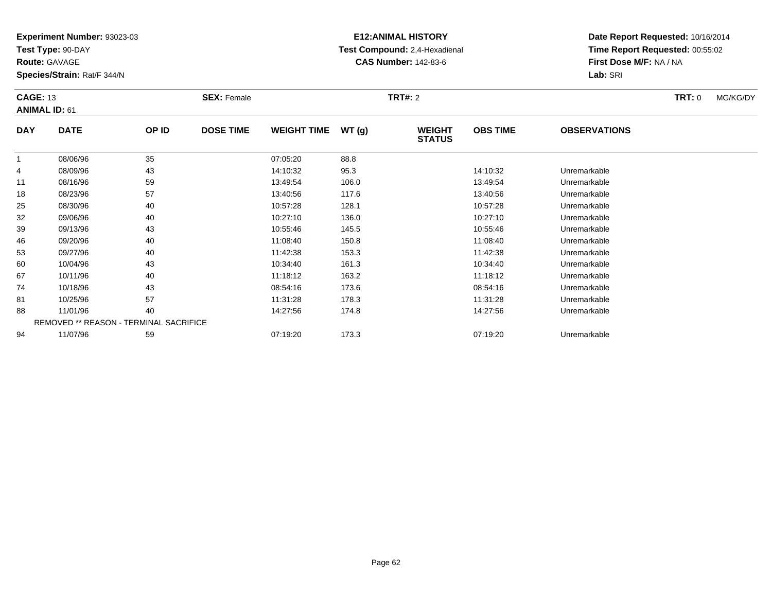**Test Type:** 90-DAY

**Route:** GAVAGE

**Species/Strain:** Rat/F 344/N

# **E12:ANIMAL HISTORY Test Compound:** 2,4-Hexadienal **CAS Number:** 142-83-6

| <b>CAGE: 13</b> | <b>ANIMAL ID: 61</b>                          |       | <b>SEX: Female</b> |                    |       | <b>TRT#: 2</b>                 |                 |                     | <b>TRT:</b> 0 | MG/KG/DY |
|-----------------|-----------------------------------------------|-------|--------------------|--------------------|-------|--------------------------------|-----------------|---------------------|---------------|----------|
| <b>DAY</b>      | <b>DATE</b>                                   | OP ID | <b>DOSE TIME</b>   | <b>WEIGHT TIME</b> | WT(g) | <b>WEIGHT</b><br><b>STATUS</b> | <b>OBS TIME</b> | <b>OBSERVATIONS</b> |               |          |
|                 | 08/06/96                                      | 35    |                    | 07:05:20           | 88.8  |                                |                 |                     |               |          |
| 4               | 08/09/96                                      | 43    |                    | 14:10:32           | 95.3  |                                | 14:10:32        | Unremarkable        |               |          |
| 11              | 08/16/96                                      | 59    |                    | 13:49:54           | 106.0 |                                | 13:49:54        | Unremarkable        |               |          |
| 18              | 08/23/96                                      | 57    |                    | 13:40:56           | 117.6 |                                | 13:40:56        | Unremarkable        |               |          |
| 25              | 08/30/96                                      | 40    |                    | 10:57:28           | 128.1 |                                | 10:57:28        | Unremarkable        |               |          |
| 32              | 09/06/96                                      | 40    |                    | 10:27:10           | 136.0 |                                | 10:27:10        | Unremarkable        |               |          |
| 39              | 09/13/96                                      | 43    |                    | 10:55:46           | 145.5 |                                | 10:55:46        | Unremarkable        |               |          |
| 46              | 09/20/96                                      | 40    |                    | 11:08:40           | 150.8 |                                | 11:08:40        | Unremarkable        |               |          |
| 53              | 09/27/96                                      | 40    |                    | 11:42:38           | 153.3 |                                | 11:42:38        | Unremarkable        |               |          |
| 60              | 10/04/96                                      | 43    |                    | 10:34:40           | 161.3 |                                | 10:34:40        | Unremarkable        |               |          |
| 67              | 10/11/96                                      | 40    |                    | 11:18:12           | 163.2 |                                | 11:18:12        | Unremarkable        |               |          |
| 74              | 10/18/96                                      | 43    |                    | 08:54:16           | 173.6 |                                | 08:54:16        | Unremarkable        |               |          |
| 81              | 10/25/96                                      | 57    |                    | 11:31:28           | 178.3 |                                | 11:31:28        | Unremarkable        |               |          |
| 88              | 11/01/96                                      | 40    |                    | 14:27:56           | 174.8 |                                | 14:27:56        | Unremarkable        |               |          |
|                 | <b>REMOVED ** REASON - TERMINAL SACRIFICE</b> |       |                    |                    |       |                                |                 |                     |               |          |
| 94              | 11/07/96                                      | 59    |                    | 07:19:20           | 173.3 |                                | 07:19:20        | Unremarkable        |               |          |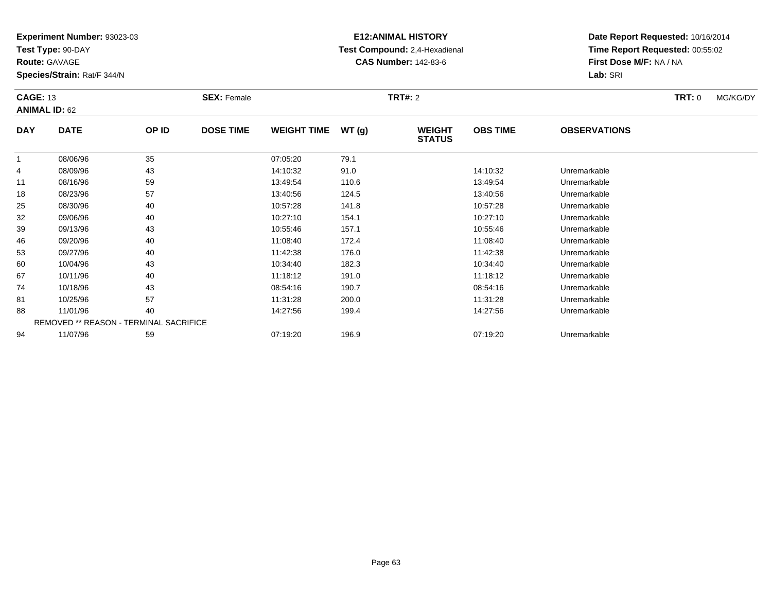**Test Type:** 90-DAY

**Route:** GAVAGE

**Species/Strain:** Rat/F 344/N

# **E12:ANIMAL HISTORY Test Compound:** 2,4-Hexadienal **CAS Number:** 142-83-6

| <b>CAGE: 13</b> | <b>ANIMAL ID: 62</b> |                                        | <b>SEX: Female</b> |                    |       | <b>TRT#: 2</b>                 |                 |                     | <b>TRT:</b> 0 | MG/KG/DY |
|-----------------|----------------------|----------------------------------------|--------------------|--------------------|-------|--------------------------------|-----------------|---------------------|---------------|----------|
| <b>DAY</b>      | <b>DATE</b>          | OP ID                                  | <b>DOSE TIME</b>   | <b>WEIGHT TIME</b> | WT(g) | <b>WEIGHT</b><br><b>STATUS</b> | <b>OBS TIME</b> | <b>OBSERVATIONS</b> |               |          |
|                 | 08/06/96             | 35                                     |                    | 07:05:20           | 79.1  |                                |                 |                     |               |          |
| 4               | 08/09/96             | 43                                     |                    | 14:10:32           | 91.0  |                                | 14:10:32        | Unremarkable        |               |          |
| 11              | 08/16/96             | 59                                     |                    | 13:49:54           | 110.6 |                                | 13:49:54        | Unremarkable        |               |          |
| 18              | 08/23/96             | 57                                     |                    | 13:40:56           | 124.5 |                                | 13:40:56        | Unremarkable        |               |          |
| 25              | 08/30/96             | 40                                     |                    | 10:57:28           | 141.8 |                                | 10:57:28        | Unremarkable        |               |          |
| 32              | 09/06/96             | 40                                     |                    | 10:27:10           | 154.1 |                                | 10:27:10        | Unremarkable        |               |          |
| 39              | 09/13/96             | 43                                     |                    | 10:55:46           | 157.1 |                                | 10:55:46        | Unremarkable        |               |          |
| 46              | 09/20/96             | 40                                     |                    | 11:08:40           | 172.4 |                                | 11:08:40        | Unremarkable        |               |          |
| 53              | 09/27/96             | 40                                     |                    | 11:42:38           | 176.0 |                                | 11:42:38        | Unremarkable        |               |          |
| 60              | 10/04/96             | 43                                     |                    | 10:34:40           | 182.3 |                                | 10:34:40        | Unremarkable        |               |          |
| 67              | 10/11/96             | 40                                     |                    | 11:18:12           | 191.0 |                                | 11:18:12        | Unremarkable        |               |          |
| 74              | 10/18/96             | 43                                     |                    | 08:54:16           | 190.7 |                                | 08:54:16        | Unremarkable        |               |          |
| 81              | 10/25/96             | 57                                     |                    | 11:31:28           | 200.0 |                                | 11:31:28        | Unremarkable        |               |          |
| 88              | 11/01/96             | 40                                     |                    | 14:27:56           | 199.4 |                                | 14:27:56        | Unremarkable        |               |          |
|                 |                      | REMOVED ** REASON - TERMINAL SACRIFICE |                    |                    |       |                                |                 |                     |               |          |
| 94              | 11/07/96             | 59                                     |                    | 07:19:20           | 196.9 |                                | 07:19:20        | Unremarkable        |               |          |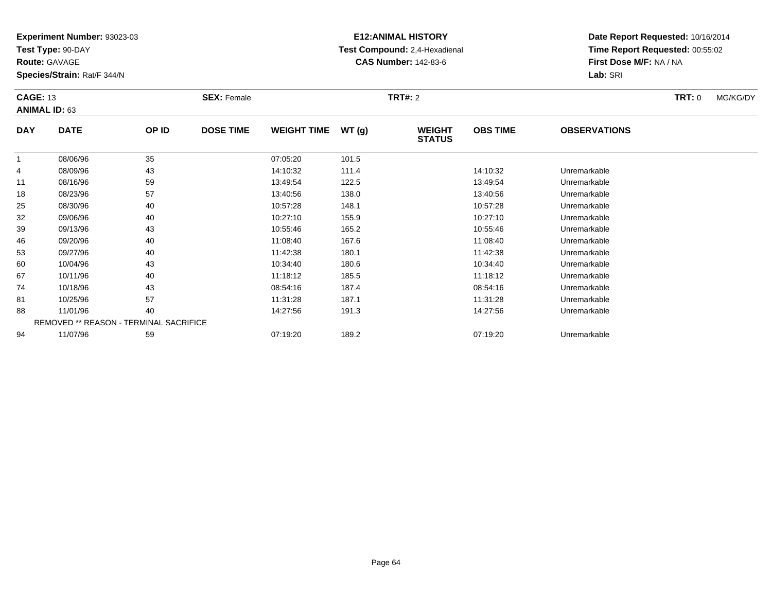**Test Type:** 90-DAY

**Route:** GAVAGE

**Species/Strain:** Rat/F 344/N

# **E12:ANIMAL HISTORY Test Compound:** 2,4-Hexadienal **CAS Number:** 142-83-6

| <b>CAGE: 13</b> | <b>ANIMAL ID: 63</b> |                                        | <b>SEX: Female</b> |                    |       | <b>TRT#: 2</b>                 |                 |                     | <b>TRT:</b> 0 | MG/KG/DY |
|-----------------|----------------------|----------------------------------------|--------------------|--------------------|-------|--------------------------------|-----------------|---------------------|---------------|----------|
| <b>DAY</b>      | <b>DATE</b>          | OP ID                                  | <b>DOSE TIME</b>   | <b>WEIGHT TIME</b> | WT(g) | <b>WEIGHT</b><br><b>STATUS</b> | <b>OBS TIME</b> | <b>OBSERVATIONS</b> |               |          |
| -1              | 08/06/96             | 35                                     |                    | 07:05:20           | 101.5 |                                |                 |                     |               |          |
| 4               | 08/09/96             | 43                                     |                    | 14:10:32           | 111.4 |                                | 14:10:32        | Unremarkable        |               |          |
| 11              | 08/16/96             | 59                                     |                    | 13:49:54           | 122.5 |                                | 13:49:54        | Unremarkable        |               |          |
| 18              | 08/23/96             | 57                                     |                    | 13:40:56           | 138.0 |                                | 13:40:56        | Unremarkable        |               |          |
| 25              | 08/30/96             | 40                                     |                    | 10:57:28           | 148.1 |                                | 10:57:28        | Unremarkable        |               |          |
| 32              | 09/06/96             | 40                                     |                    | 10:27:10           | 155.9 |                                | 10:27:10        | Unremarkable        |               |          |
| 39              | 09/13/96             | 43                                     |                    | 10:55:46           | 165.2 |                                | 10:55:46        | Unremarkable        |               |          |
| 46              | 09/20/96             | 40                                     |                    | 11:08:40           | 167.6 |                                | 11:08:40        | Unremarkable        |               |          |
| 53              | 09/27/96             | 40                                     |                    | 11:42:38           | 180.1 |                                | 11:42:38        | Unremarkable        |               |          |
| 60              | 10/04/96             | 43                                     |                    | 10:34:40           | 180.6 |                                | 10:34:40        | Unremarkable        |               |          |
| 67              | 10/11/96             | 40                                     |                    | 11:18:12           | 185.5 |                                | 11:18:12        | Unremarkable        |               |          |
| 74              | 10/18/96             | 43                                     |                    | 08:54:16           | 187.4 |                                | 08:54:16        | Unremarkable        |               |          |
| 81              | 10/25/96             | 57                                     |                    | 11:31:28           | 187.1 |                                | 11:31:28        | Unremarkable        |               |          |
| 88              | 11/01/96             | 40                                     |                    | 14:27:56           | 191.3 |                                | 14:27:56        | Unremarkable        |               |          |
|                 |                      | REMOVED ** REASON - TERMINAL SACRIFICE |                    |                    |       |                                |                 |                     |               |          |
| 94              | 11/07/96             | 59                                     |                    | 07:19:20           | 189.2 |                                | 07:19:20        | Unremarkable        |               |          |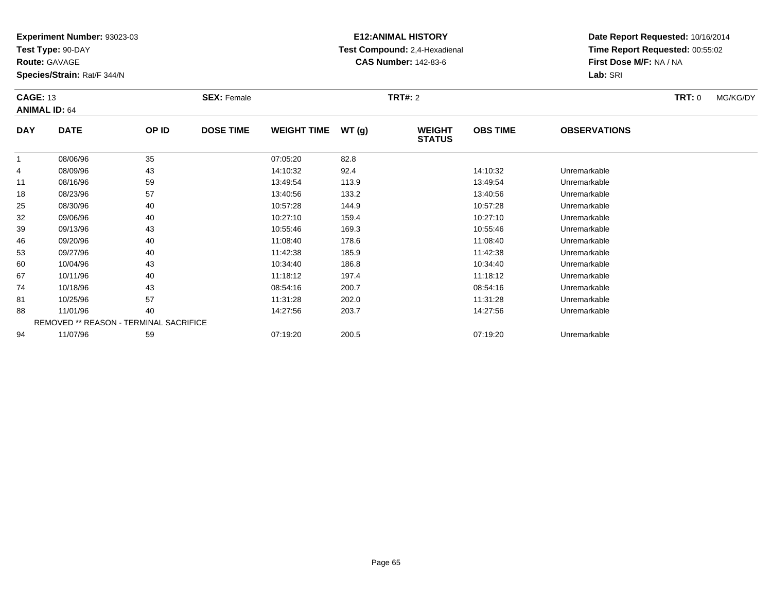**Test Type:** 90-DAY

**Route:** GAVAGE

**Species/Strain:** Rat/F 344/N

# **E12:ANIMAL HISTORY Test Compound:** 2,4-Hexadienal **CAS Number:** 142-83-6

| <b>CAGE: 13</b><br><b>ANIMAL ID: 64</b> |             |                                        | <b>SEX: Female</b> |                    |       | <b>TRT#: 2</b>                 |                 |                     | <b>TRT: 0</b> | MG/KG/DY |
|-----------------------------------------|-------------|----------------------------------------|--------------------|--------------------|-------|--------------------------------|-----------------|---------------------|---------------|----------|
| <b>DAY</b>                              | <b>DATE</b> | OP ID                                  | <b>DOSE TIME</b>   | <b>WEIGHT TIME</b> | WT(g) | <b>WEIGHT</b><br><b>STATUS</b> | <b>OBS TIME</b> | <b>OBSERVATIONS</b> |               |          |
|                                         | 08/06/96    | 35                                     |                    | 07:05:20           | 82.8  |                                |                 |                     |               |          |
| 4                                       | 08/09/96    | 43                                     |                    | 14:10:32           | 92.4  |                                | 14:10:32        | Unremarkable        |               |          |
| 11                                      | 08/16/96    | 59                                     |                    | 13:49:54           | 113.9 |                                | 13:49:54        | Unremarkable        |               |          |
| 18                                      | 08/23/96    | 57                                     |                    | 13:40:56           | 133.2 |                                | 13:40:56        | Unremarkable        |               |          |
| 25                                      | 08/30/96    | 40                                     |                    | 10:57:28           | 144.9 |                                | 10:57:28        | Unremarkable        |               |          |
| 32                                      | 09/06/96    | 40                                     |                    | 10:27:10           | 159.4 |                                | 10:27:10        | Unremarkable        |               |          |
| 39                                      | 09/13/96    | 43                                     |                    | 10:55:46           | 169.3 |                                | 10:55:46        | Unremarkable        |               |          |
| 46                                      | 09/20/96    | 40                                     |                    | 11:08:40           | 178.6 |                                | 11:08:40        | Unremarkable        |               |          |
| 53                                      | 09/27/96    | 40                                     |                    | 11:42:38           | 185.9 |                                | 11:42:38        | Unremarkable        |               |          |
| 60                                      | 10/04/96    | 43                                     |                    | 10:34:40           | 186.8 |                                | 10:34:40        | Unremarkable        |               |          |
| 67                                      | 10/11/96    | 40                                     |                    | 11:18:12           | 197.4 |                                | 11:18:12        | Unremarkable        |               |          |
| 74                                      | 10/18/96    | 43                                     |                    | 08:54:16           | 200.7 |                                | 08:54:16        | Unremarkable        |               |          |
| 81                                      | 10/25/96    | 57                                     |                    | 11:31:28           | 202.0 |                                | 11:31:28        | Unremarkable        |               |          |
| 88                                      | 11/01/96    | 40                                     |                    | 14:27:56           | 203.7 |                                | 14:27:56        | Unremarkable        |               |          |
|                                         |             | REMOVED ** REASON - TERMINAL SACRIFICE |                    |                    |       |                                |                 |                     |               |          |
| 94                                      | 11/07/96    | 59                                     |                    | 07:19:20           | 200.5 |                                | 07:19:20        | Unremarkable        |               |          |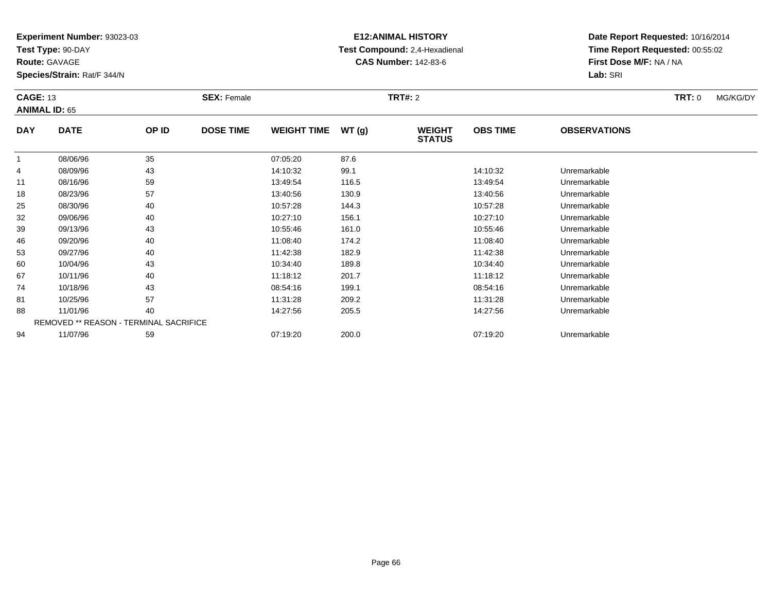**Test Type:** 90-DAY

**Route:** GAVAGE

**Species/Strain:** Rat/F 344/N

# **E12:ANIMAL HISTORY Test Compound:** 2,4-Hexadienal **CAS Number:** 142-83-6

| <b>CAGE: 13</b><br><b>ANIMAL ID: 65</b> |                                        |       | <b>SEX: Female</b> |                    |       | <b>TRT#: 2</b>                 |                 |                     | <b>TRT: 0</b> | MG/KG/DY |
|-----------------------------------------|----------------------------------------|-------|--------------------|--------------------|-------|--------------------------------|-----------------|---------------------|---------------|----------|
| <b>DAY</b>                              | <b>DATE</b>                            | OP ID | <b>DOSE TIME</b>   | <b>WEIGHT TIME</b> | WT(g) | <b>WEIGHT</b><br><b>STATUS</b> | <b>OBS TIME</b> | <b>OBSERVATIONS</b> |               |          |
| 1                                       | 08/06/96                               | 35    |                    | 07:05:20           | 87.6  |                                |                 |                     |               |          |
| 4                                       | 08/09/96                               | 43    |                    | 14:10:32           | 99.1  |                                | 14:10:32        | Unremarkable        |               |          |
| 11                                      | 08/16/96                               | 59    |                    | 13:49:54           | 116.5 |                                | 13:49:54        | Unremarkable        |               |          |
| 18                                      | 08/23/96                               | 57    |                    | 13:40:56           | 130.9 |                                | 13:40:56        | Unremarkable        |               |          |
| 25                                      | 08/30/96                               | 40    |                    | 10:57:28           | 144.3 |                                | 10:57:28        | Unremarkable        |               |          |
| 32                                      | 09/06/96                               | 40    |                    | 10:27:10           | 156.1 |                                | 10:27:10        | Unremarkable        |               |          |
| 39                                      | 09/13/96                               | 43    |                    | 10:55:46           | 161.0 |                                | 10:55:46        | Unremarkable        |               |          |
| 46                                      | 09/20/96                               | 40    |                    | 11:08:40           | 174.2 |                                | 11:08:40        | Unremarkable        |               |          |
| 53                                      | 09/27/96                               | 40    |                    | 11:42:38           | 182.9 |                                | 11:42:38        | Unremarkable        |               |          |
| 60                                      | 10/04/96                               | 43    |                    | 10:34:40           | 189.8 |                                | 10:34:40        | Unremarkable        |               |          |
| 67                                      | 10/11/96                               | 40    |                    | 11:18:12           | 201.7 |                                | 11:18:12        | Unremarkable        |               |          |
| 74                                      | 10/18/96                               | 43    |                    | 08:54:16           | 199.1 |                                | 08:54:16        | Unremarkable        |               |          |
| 81                                      | 10/25/96                               | 57    |                    | 11:31:28           | 209.2 |                                | 11:31:28        | Unremarkable        |               |          |
| 88                                      | 11/01/96                               | 40    |                    | 14:27:56           | 205.5 |                                | 14:27:56        | Unremarkable        |               |          |
|                                         | REMOVED ** REASON - TERMINAL SACRIFICE |       |                    |                    |       |                                |                 |                     |               |          |
| 94                                      | 11/07/96                               | 59    |                    | 07:19:20           | 200.0 |                                | 07:19:20        | Unremarkable        |               |          |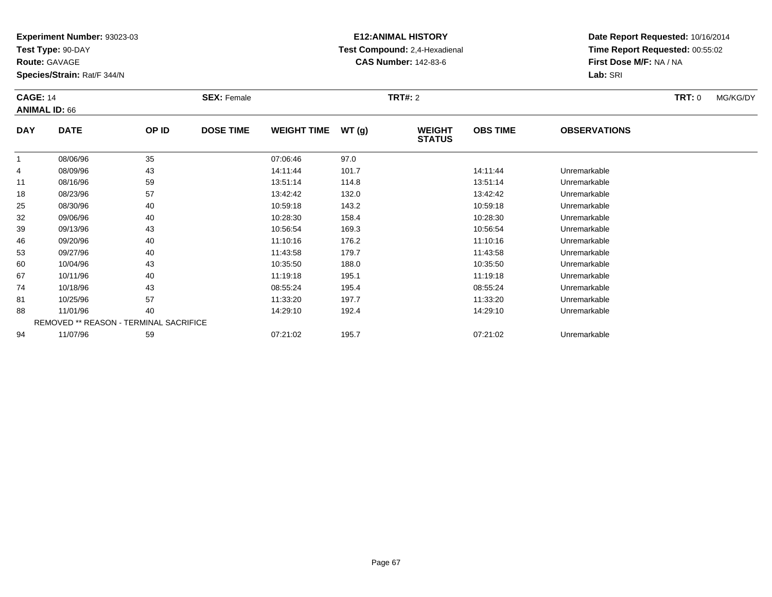**Test Type:** 90-DAY

**Route:** GAVAGE

**Species/Strain:** Rat/F 344/N

# **E12:ANIMAL HISTORY Test Compound:** 2,4-Hexadienal **CAS Number:** 142-83-6

| <b>CAGE: 14</b><br><b>ANIMAL ID: 66</b> |             | <b>SEX: Female</b>                     |                  | <b>TRT#: 2</b>     |       |                                |                 | <b>TRT: 0</b>       | MG/KG/DY |  |
|-----------------------------------------|-------------|----------------------------------------|------------------|--------------------|-------|--------------------------------|-----------------|---------------------|----------|--|
| <b>DAY</b>                              | <b>DATE</b> | OP ID                                  | <b>DOSE TIME</b> | <b>WEIGHT TIME</b> | WT(g) | <b>WEIGHT</b><br><b>STATUS</b> | <b>OBS TIME</b> | <b>OBSERVATIONS</b> |          |  |
|                                         | 08/06/96    | 35                                     |                  | 07:06:46           | 97.0  |                                |                 |                     |          |  |
| 4                                       | 08/09/96    | 43                                     |                  | 14:11:44           | 101.7 |                                | 14:11:44        | Unremarkable        |          |  |
| 11                                      | 08/16/96    | 59                                     |                  | 13:51:14           | 114.8 |                                | 13:51:14        | Unremarkable        |          |  |
| 18                                      | 08/23/96    | 57                                     |                  | 13:42:42           | 132.0 |                                | 13:42:42        | Unremarkable        |          |  |
| 25                                      | 08/30/96    | 40                                     |                  | 10:59:18           | 143.2 |                                | 10:59:18        | Unremarkable        |          |  |
| 32                                      | 09/06/96    | 40                                     |                  | 10:28:30           | 158.4 |                                | 10:28:30        | Unremarkable        |          |  |
| 39                                      | 09/13/96    | 43                                     |                  | 10:56:54           | 169.3 |                                | 10:56:54        | Unremarkable        |          |  |
| 46                                      | 09/20/96    | 40                                     |                  | 11:10:16           | 176.2 |                                | 11:10:16        | Unremarkable        |          |  |
| 53                                      | 09/27/96    | 40                                     |                  | 11:43:58           | 179.7 |                                | 11:43:58        | Unremarkable        |          |  |
| 60                                      | 10/04/96    | 43                                     |                  | 10:35:50           | 188.0 |                                | 10:35:50        | Unremarkable        |          |  |
| 67                                      | 10/11/96    | 40                                     |                  | 11:19:18           | 195.1 |                                | 11:19:18        | Unremarkable        |          |  |
| 74                                      | 10/18/96    | 43                                     |                  | 08:55:24           | 195.4 |                                | 08:55:24        | Unremarkable        |          |  |
| 81                                      | 10/25/96    | 57                                     |                  | 11:33:20           | 197.7 |                                | 11:33:20        | Unremarkable        |          |  |
| 88                                      | 11/01/96    | 40                                     |                  | 14:29:10           | 192.4 |                                | 14:29:10        | Unremarkable        |          |  |
|                                         |             | REMOVED ** REASON - TERMINAL SACRIFICE |                  |                    |       |                                |                 |                     |          |  |
| 94                                      | 11/07/96    | 59                                     |                  | 07:21:02           | 195.7 |                                | 07:21:02        | Unremarkable        |          |  |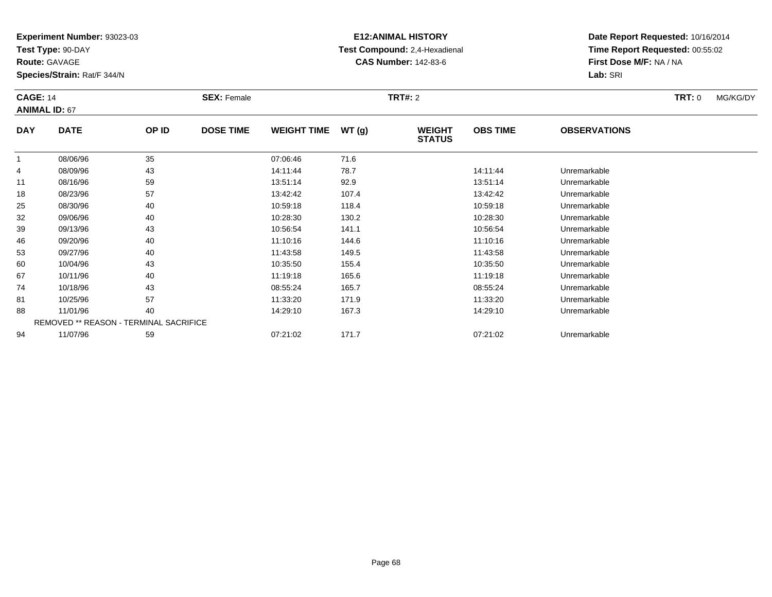**Test Type:** 90-DAY

**Route:** GAVAGE

94

**Species/Strain:** Rat/F 344/N

## **E12:ANIMAL HISTORY Test Compound:** 2,4-Hexadienal **CAS Number:** 142-83-6

**Date Report Requested:** 10/16/2014**Time Report Requested:** 00:55:02**First Dose M/F:** NA / NA**Lab:** SRI

| <b>CAGE: 14</b><br><b>ANIMAL ID: 67</b> |             |                                               | <b>SEX: Female</b> |                    | <b>TRT#:</b> 2 |                                |                 | <b>TRT:</b> 0       |  | MG/KG/DY |
|-----------------------------------------|-------------|-----------------------------------------------|--------------------|--------------------|----------------|--------------------------------|-----------------|---------------------|--|----------|
| <b>DAY</b>                              | <b>DATE</b> | OP ID                                         | <b>DOSE TIME</b>   | <b>WEIGHT TIME</b> | WT(g)          | <b>WEIGHT</b><br><b>STATUS</b> | <b>OBS TIME</b> | <b>OBSERVATIONS</b> |  |          |
|                                         | 08/06/96    | 35                                            |                    | 07:06:46           | 71.6           |                                |                 |                     |  |          |
| 4                                       | 08/09/96    | 43                                            |                    | 14:11:44           | 78.7           |                                | 14:11:44        | Unremarkable        |  |          |
| 11                                      | 08/16/96    | 59                                            |                    | 13:51:14           | 92.9           |                                | 13:51:14        | Unremarkable        |  |          |
| 18                                      | 08/23/96    | 57                                            |                    | 13:42:42           | 107.4          |                                | 13:42:42        | Unremarkable        |  |          |
| 25                                      | 08/30/96    | 40                                            |                    | 10:59:18           | 118.4          |                                | 10:59:18        | Unremarkable        |  |          |
| 32                                      | 09/06/96    | 40                                            |                    | 10:28:30           | 130.2          |                                | 10:28:30        | Unremarkable        |  |          |
| 39                                      | 09/13/96    | 43                                            |                    | 10:56:54           | 141.1          |                                | 10:56:54        | Unremarkable        |  |          |
| 46                                      | 09/20/96    | 40                                            |                    | 11:10:16           | 144.6          |                                | 11:10:16        | Unremarkable        |  |          |
| 53                                      | 09/27/96    | 40                                            |                    | 11:43:58           | 149.5          |                                | 11:43:58        | Unremarkable        |  |          |
| 60                                      | 10/04/96    | 43                                            |                    | 10:35:50           | 155.4          |                                | 10:35:50        | Unremarkable        |  |          |
| 67                                      | 10/11/96    | 40                                            |                    | 11:19:18           | 165.6          |                                | 11:19:18        | Unremarkable        |  |          |
| 74                                      | 10/18/96    | 43                                            |                    | 08:55:24           | 165.7          |                                | 08:55:24        | Unremarkable        |  |          |
| 81                                      | 10/25/96    | 57                                            |                    | 11:33:20           | 171.9          |                                | 11:33:20        | Unremarkable        |  |          |
| 88                                      | 11/01/96    | 40                                            |                    | 14:29:10           | 167.3          |                                | 14:29:10        | Unremarkable        |  |          |
|                                         |             | <b>REMOVED ** REASON - TERMINAL SACRIFICE</b> |                    |                    |                |                                |                 |                     |  |          |

11/07/96 <sup>59</sup> 07:21:02 171.7 07:21:02 Unremarkable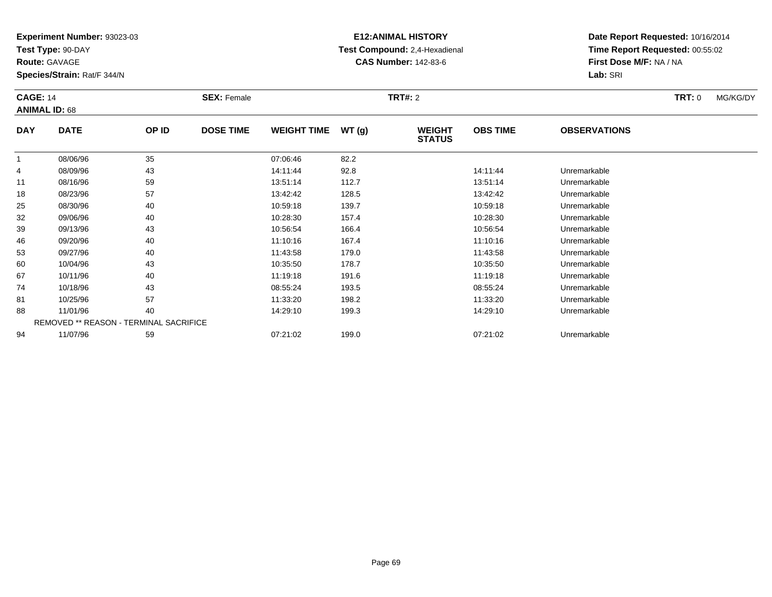**Test Type:** 90-DAY

**Route:** GAVAGE

**Species/Strain:** Rat/F 344/N

# **E12:ANIMAL HISTORY Test Compound:** 2,4-Hexadienal **CAS Number:** 142-83-6

| <b>CAGE: 14</b><br><b>ANIMAL ID: 68</b> |             | <b>SEX: Female</b>                            |                  |                    | <b>TRT#: 2</b> | <b>TRT: 0</b>                  | MG/KG/DY        |                     |  |  |
|-----------------------------------------|-------------|-----------------------------------------------|------------------|--------------------|----------------|--------------------------------|-----------------|---------------------|--|--|
| <b>DAY</b>                              | <b>DATE</b> | OP ID                                         | <b>DOSE TIME</b> | <b>WEIGHT TIME</b> | WT(g)          | <b>WEIGHT</b><br><b>STATUS</b> | <b>OBS TIME</b> | <b>OBSERVATIONS</b> |  |  |
|                                         | 08/06/96    | 35                                            |                  | 07:06:46           | 82.2           |                                |                 |                     |  |  |
| 4                                       | 08/09/96    | 43                                            |                  | 14:11:44           | 92.8           |                                | 14:11:44        | Unremarkable        |  |  |
| 11                                      | 08/16/96    | 59                                            |                  | 13:51:14           | 112.7          |                                | 13:51:14        | Unremarkable        |  |  |
| 18                                      | 08/23/96    | 57                                            |                  | 13:42:42           | 128.5          |                                | 13:42:42        | Unremarkable        |  |  |
| 25                                      | 08/30/96    | 40                                            |                  | 10:59:18           | 139.7          |                                | 10:59:18        | Unremarkable        |  |  |
| 32                                      | 09/06/96    | 40                                            |                  | 10:28:30           | 157.4          |                                | 10:28:30        | Unremarkable        |  |  |
| 39                                      | 09/13/96    | 43                                            |                  | 10:56:54           | 166.4          |                                | 10:56:54        | Unremarkable        |  |  |
| 46                                      | 09/20/96    | 40                                            |                  | 11:10:16           | 167.4          |                                | 11:10:16        | Unremarkable        |  |  |
| 53                                      | 09/27/96    | 40                                            |                  | 11:43:58           | 179.0          |                                | 11:43:58        | Unremarkable        |  |  |
| 60                                      | 10/04/96    | 43                                            |                  | 10:35:50           | 178.7          |                                | 10:35:50        | Unremarkable        |  |  |
| 67                                      | 10/11/96    | 40                                            |                  | 11:19:18           | 191.6          |                                | 11:19:18        | Unremarkable        |  |  |
| 74                                      | 10/18/96    | 43                                            |                  | 08:55:24           | 193.5          |                                | 08:55:24        | Unremarkable        |  |  |
| 81                                      | 10/25/96    | 57                                            |                  | 11:33:20           | 198.2          |                                | 11:33:20        | Unremarkable        |  |  |
| 88                                      | 11/01/96    | 40                                            |                  | 14:29:10           | 199.3          |                                | 14:29:10        | Unremarkable        |  |  |
|                                         |             | <b>REMOVED ** REASON - TERMINAL SACRIFICE</b> |                  |                    |                |                                |                 |                     |  |  |
| 94                                      | 11/07/96    | 59                                            |                  | 07:21:02           | 199.0          |                                | 07:21:02        | Unremarkable        |  |  |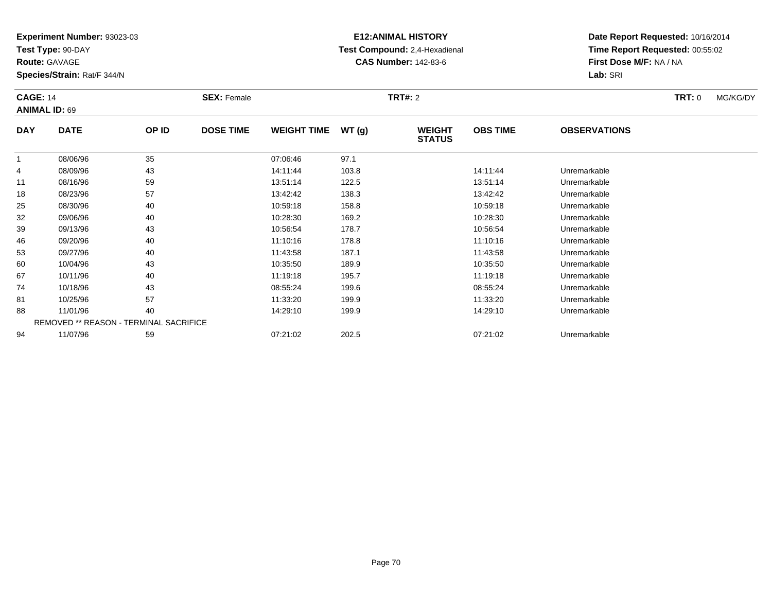**Test Type:** 90-DAY

**Route:** GAVAGE

**Species/Strain:** Rat/F 344/N

# **E12:ANIMAL HISTORY Test Compound:** 2,4-Hexadienal **CAS Number:** 142-83-6

| <b>CAGE: 14</b> |                      | <b>SEX: Female</b>                     |                  | <b>TRT:</b> 0      | MG/KG/DY |                                |                 |                     |  |  |
|-----------------|----------------------|----------------------------------------|------------------|--------------------|----------|--------------------------------|-----------------|---------------------|--|--|
|                 | <b>ANIMAL ID: 69</b> |                                        |                  |                    |          |                                |                 |                     |  |  |
| <b>DAY</b>      | <b>DATE</b>          | OP ID                                  | <b>DOSE TIME</b> | <b>WEIGHT TIME</b> | WT(g)    | <b>WEIGHT</b><br><b>STATUS</b> | <b>OBS TIME</b> | <b>OBSERVATIONS</b> |  |  |
|                 | 08/06/96             | 35                                     |                  | 07:06:46           | 97.1     |                                |                 |                     |  |  |
| 4               | 08/09/96             | 43                                     |                  | 14:11:44           | 103.8    |                                | 14:11:44        | Unremarkable        |  |  |
| 11              | 08/16/96             | 59                                     |                  | 13:51:14           | 122.5    |                                | 13:51:14        | Unremarkable        |  |  |
| 18              | 08/23/96             | 57                                     |                  | 13:42:42           | 138.3    |                                | 13:42:42        | Unremarkable        |  |  |
| 25              | 08/30/96             | 40                                     |                  | 10:59:18           | 158.8    |                                | 10:59:18        | Unremarkable        |  |  |
| 32              | 09/06/96             | 40                                     |                  | 10:28:30           | 169.2    |                                | 10:28:30        | Unremarkable        |  |  |
| 39              | 09/13/96             | 43                                     |                  | 10:56:54           | 178.7    |                                | 10:56:54        | Unremarkable        |  |  |
| 46              | 09/20/96             | 40                                     |                  | 11:10:16           | 178.8    |                                | 11:10:16        | Unremarkable        |  |  |
| 53              | 09/27/96             | 40                                     |                  | 11:43:58           | 187.1    |                                | 11:43:58        | Unremarkable        |  |  |
| 60              | 10/04/96             | 43                                     |                  | 10:35:50           | 189.9    |                                | 10:35:50        | Unremarkable        |  |  |
| 67              | 10/11/96             | 40                                     |                  | 11:19:18           | 195.7    |                                | 11:19:18        | Unremarkable        |  |  |
| 74              | 10/18/96             | 43                                     |                  | 08:55:24           | 199.6    |                                | 08:55:24        | Unremarkable        |  |  |
| 81              | 10/25/96             | 57                                     |                  | 11:33:20           | 199.9    |                                | 11:33:20        | Unremarkable        |  |  |
| 88              | 11/01/96             | 40                                     |                  | 14:29:10           | 199.9    |                                | 14:29:10        | Unremarkable        |  |  |
|                 |                      | REMOVED ** REASON - TERMINAL SACRIFICE |                  |                    |          |                                |                 |                     |  |  |
| 94              | 11/07/96             | 59                                     |                  | 07:21:02           | 202.5    |                                | 07:21:02        | Unremarkable        |  |  |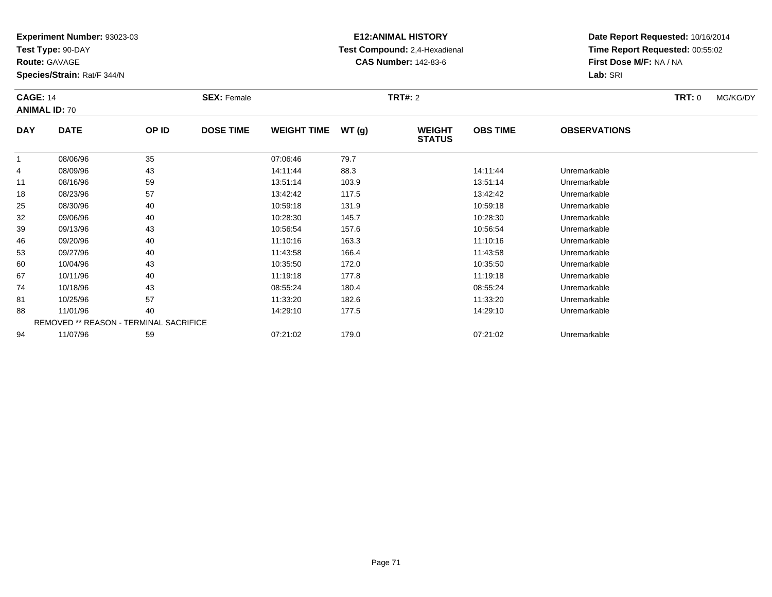**Test Type:** 90-DAY

**Route:** GAVAGE

**Species/Strain:** Rat/F 344/N

# **E12:ANIMAL HISTORY Test Compound:** 2,4-Hexadienal **CAS Number:** 142-83-6

| <b>CAGE: 14</b><br><b>ANIMAL ID: 70</b> |                                        |       | <b>SEX: Female</b> |                    |       | <b>TRT#:</b> 2                 | <b>TRT:</b> 0   | MG/KG/DY            |  |  |
|-----------------------------------------|----------------------------------------|-------|--------------------|--------------------|-------|--------------------------------|-----------------|---------------------|--|--|
| <b>DAY</b>                              | <b>DATE</b>                            | OP ID | <b>DOSE TIME</b>   | <b>WEIGHT TIME</b> | WT(g) | <b>WEIGHT</b><br><b>STATUS</b> | <b>OBS TIME</b> | <b>OBSERVATIONS</b> |  |  |
| -1                                      | 08/06/96                               | 35    |                    | 07:06:46           | 79.7  |                                |                 |                     |  |  |
| 4                                       | 08/09/96                               | 43    |                    | 14:11:44           | 88.3  |                                | 14:11:44        | Unremarkable        |  |  |
| 11                                      | 08/16/96                               | 59    |                    | 13:51:14           | 103.9 |                                | 13:51:14        | Unremarkable        |  |  |
| 18                                      | 08/23/96                               | 57    |                    | 13:42:42           | 117.5 |                                | 13:42:42        | Unremarkable        |  |  |
| 25                                      | 08/30/96                               | 40    |                    | 10:59:18           | 131.9 |                                | 10:59:18        | Unremarkable        |  |  |
| 32                                      | 09/06/96                               | 40    |                    | 10:28:30           | 145.7 |                                | 10:28:30        | Unremarkable        |  |  |
| 39                                      | 09/13/96                               | 43    |                    | 10:56:54           | 157.6 |                                | 10:56:54        | Unremarkable        |  |  |
| 46                                      | 09/20/96                               | 40    |                    | 11:10:16           | 163.3 |                                | 11:10:16        | Unremarkable        |  |  |
| 53                                      | 09/27/96                               | 40    |                    | 11:43:58           | 166.4 |                                | 11:43:58        | Unremarkable        |  |  |
| 60                                      | 10/04/96                               | 43    |                    | 10:35:50           | 172.0 |                                | 10:35:50        | Unremarkable        |  |  |
| 67                                      | 10/11/96                               | 40    |                    | 11:19:18           | 177.8 |                                | 11:19:18        | Unremarkable        |  |  |
| 74                                      | 10/18/96                               | 43    |                    | 08:55:24           | 180.4 |                                | 08:55:24        | Unremarkable        |  |  |
| 81                                      | 10/25/96                               | 57    |                    | 11:33:20           | 182.6 |                                | 11:33:20        | Unremarkable        |  |  |
| 88                                      | 11/01/96                               | 40    |                    | 14:29:10           | 177.5 |                                | 14:29:10        | Unremarkable        |  |  |
|                                         | REMOVED ** REASON - TERMINAL SACRIFICE |       |                    |                    |       |                                |                 |                     |  |  |
| 94                                      | 11/07/96                               | 59    |                    | 07:21:02           | 179.0 |                                | 07:21:02        | Unremarkable        |  |  |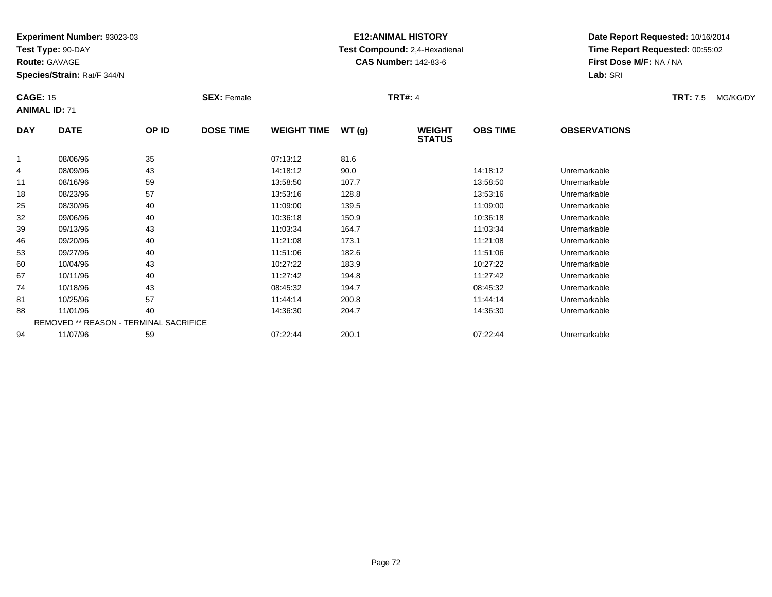**Test Type:** 90-DAY

**Route:** GAVAGE

**Species/Strain:** Rat/F 344/N

## **E12:ANIMAL HISTORY Test Compound:** 2,4-Hexadienal **CAS Number:** 142-83-6

| <b>CAGE: 15</b><br><b>ANIMAL ID: 71</b> |                                        | <b>SEX: Female</b> |                  |                    | <b>TRT#: 4</b> | <b>TRT:</b> 7.5                | MG/KG/DY        |                     |  |  |
|-----------------------------------------|----------------------------------------|--------------------|------------------|--------------------|----------------|--------------------------------|-----------------|---------------------|--|--|
| <b>DAY</b>                              | <b>DATE</b>                            | OP ID              | <b>DOSE TIME</b> | <b>WEIGHT TIME</b> | WT(g)          | <b>WEIGHT</b><br><b>STATUS</b> | <b>OBS TIME</b> | <b>OBSERVATIONS</b> |  |  |
| 1                                       | 08/06/96                               | 35                 |                  | 07:13:12           | 81.6           |                                |                 |                     |  |  |
| 4                                       | 08/09/96                               | 43                 |                  | 14:18:12           | 90.0           |                                | 14:18:12        | Unremarkable        |  |  |
| 11                                      | 08/16/96                               | 59                 |                  | 13:58:50           | 107.7          |                                | 13:58:50        | Unremarkable        |  |  |
| 18                                      | 08/23/96                               | 57                 |                  | 13:53:16           | 128.8          |                                | 13:53:16        | Unremarkable        |  |  |
| 25                                      | 08/30/96                               | 40                 |                  | 11:09:00           | 139.5          |                                | 11:09:00        | Unremarkable        |  |  |
| 32                                      | 09/06/96                               | 40                 |                  | 10:36:18           | 150.9          |                                | 10:36:18        | Unremarkable        |  |  |
| 39                                      | 09/13/96                               | 43                 |                  | 11:03:34           | 164.7          |                                | 11:03:34        | Unremarkable        |  |  |
| 46                                      | 09/20/96                               | 40                 |                  | 11:21:08           | 173.1          |                                | 11:21:08        | Unremarkable        |  |  |
| 53                                      | 09/27/96                               | 40                 |                  | 11:51:06           | 182.6          |                                | 11:51:06        | Unremarkable        |  |  |
| 60                                      | 10/04/96                               | 43                 |                  | 10:27:22           | 183.9          |                                | 10:27:22        | Unremarkable        |  |  |
| 67                                      | 10/11/96                               | 40                 |                  | 11:27:42           | 194.8          |                                | 11:27:42        | Unremarkable        |  |  |
| 74                                      | 10/18/96                               | 43                 |                  | 08:45:32           | 194.7          |                                | 08:45:32        | Unremarkable        |  |  |
| 81                                      | 10/25/96                               | 57                 |                  | 11:44:14           | 200.8          |                                | 11:44:14        | Unremarkable        |  |  |
| 88                                      | 11/01/96                               | 40                 |                  | 14:36:30           | 204.7          |                                | 14:36:30        | Unremarkable        |  |  |
|                                         | REMOVED ** REASON - TERMINAL SACRIFICE |                    |                  |                    |                |                                |                 |                     |  |  |
| 94                                      | 11/07/96                               | 59                 |                  | 07:22:44           | 200.1          |                                | 07:22:44        | Unremarkable        |  |  |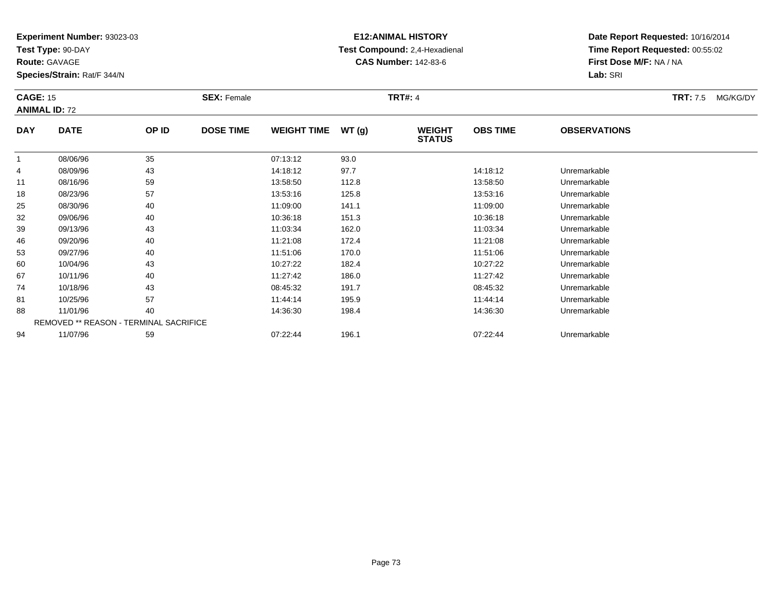**Test Type:** 90-DAY

**Route:** GAVAGE

**Species/Strain:** Rat/F 344/N

# **E12:ANIMAL HISTORY Test Compound:** 2,4-Hexadienal **CAS Number:** 142-83-6

**Date Report Requested:** 10/16/2014**Time Report Requested:** 00:55:02**First Dose M/F:** NA / NA**Lab:** SRI

| <b>CAGE: 15</b> | <b>ANIMAL ID: 72</b>                          |       | <b>SEX: Female</b> |                    |       | <b>TRT#: 4</b>                 |                 |                     | <b>TRT:</b> 7.5 | MG/KG/DY |
|-----------------|-----------------------------------------------|-------|--------------------|--------------------|-------|--------------------------------|-----------------|---------------------|-----------------|----------|
| <b>DAY</b>      | <b>DATE</b>                                   | OP ID | <b>DOSE TIME</b>   | <b>WEIGHT TIME</b> | WT(g) | <b>WEIGHT</b><br><b>STATUS</b> | <b>OBS TIME</b> | <b>OBSERVATIONS</b> |                 |          |
|                 | 08/06/96                                      | 35    |                    | 07:13:12           | 93.0  |                                |                 |                     |                 |          |
| 4               | 08/09/96                                      | 43    |                    | 14:18:12           | 97.7  |                                | 14:18:12        | Unremarkable        |                 |          |
| 11              | 08/16/96                                      | 59    |                    | 13:58:50           | 112.8 |                                | 13:58:50        | Unremarkable        |                 |          |
| 18              | 08/23/96                                      | 57    |                    | 13:53:16           | 125.8 |                                | 13:53:16        | Unremarkable        |                 |          |
| 25              | 08/30/96                                      | 40    |                    | 11:09:00           | 141.1 |                                | 11:09:00        | Unremarkable        |                 |          |
| 32              | 09/06/96                                      | 40    |                    | 10:36:18           | 151.3 |                                | 10:36:18        | Unremarkable        |                 |          |
| 39              | 09/13/96                                      | 43    |                    | 11:03:34           | 162.0 |                                | 11:03:34        | Unremarkable        |                 |          |
| 46              | 09/20/96                                      | 40    |                    | 11:21:08           | 172.4 |                                | 11:21:08        | Unremarkable        |                 |          |
| 53              | 09/27/96                                      | 40    |                    | 11:51:06           | 170.0 |                                | 11:51:06        | Unremarkable        |                 |          |
| 60              | 10/04/96                                      | 43    |                    | 10:27:22           | 182.4 |                                | 10:27:22        | Unremarkable        |                 |          |
| 67              | 10/11/96                                      | 40    |                    | 11:27:42           | 186.0 |                                | 11:27:42        | Unremarkable        |                 |          |
| 74              | 10/18/96                                      | 43    |                    | 08:45:32           | 191.7 |                                | 08:45:32        | Unremarkable        |                 |          |
| 81              | 10/25/96                                      | 57    |                    | 11:44:14           | 195.9 |                                | 11:44:14        | Unremarkable        |                 |          |
| 88              | 11/01/96                                      | 40    |                    | 14:36:30           | 198.4 |                                | 14:36:30        | Unremarkable        |                 |          |
|                 | <b>REMOVED ** REASON - TERMINAL SACRIFICE</b> |       |                    |                    |       |                                |                 |                     |                 |          |
| 94              | 11/07/96                                      | 59    |                    | 07:22:44           | 196.1 |                                | 07:22:44        | Unremarkable        |                 |          |

11/07/96 <sup>59</sup> 07:22:44 196.1 07:22:44 Unremarkable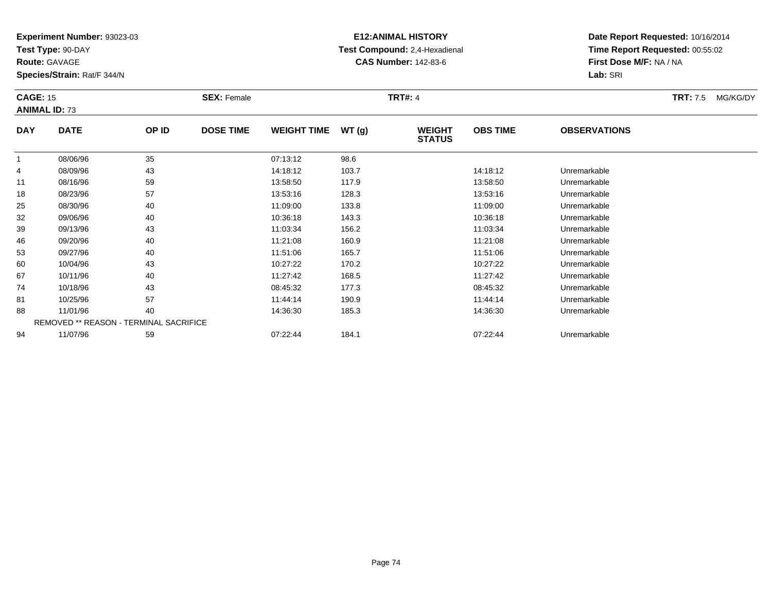**Test Type:** 90-DAY

**Route:** GAVAGE

**Species/Strain:** Rat/F 344/N

# **E12:ANIMAL HISTORY Test Compound:** 2,4-Hexadienal **CAS Number:** 142-83-6

| <b>CAGE: 15</b> | <b>ANIMAL ID: 73</b> |                                               | <b>SEX: Female</b> |                    |       | <b>TRT#: 4</b>                 |                 |                     | <b>TRT:</b> 7.5 | MG/KG/DY |
|-----------------|----------------------|-----------------------------------------------|--------------------|--------------------|-------|--------------------------------|-----------------|---------------------|-----------------|----------|
| <b>DAY</b>      | <b>DATE</b>          | OP ID                                         | <b>DOSE TIME</b>   | <b>WEIGHT TIME</b> | WT(g) | <b>WEIGHT</b><br><b>STATUS</b> | <b>OBS TIME</b> | <b>OBSERVATIONS</b> |                 |          |
|                 | 08/06/96             | 35                                            |                    | 07:13:12           | 98.6  |                                |                 |                     |                 |          |
| 4               | 08/09/96             | 43                                            |                    | 14:18:12           | 103.7 |                                | 14:18:12        | Unremarkable        |                 |          |
| 11              | 08/16/96             | 59                                            |                    | 13:58:50           | 117.9 |                                | 13:58:50        | Unremarkable        |                 |          |
| 18              | 08/23/96             | 57                                            |                    | 13:53:16           | 128.3 |                                | 13:53:16        | Unremarkable        |                 |          |
| 25              | 08/30/96             | 40                                            |                    | 11:09:00           | 133.8 |                                | 11:09:00        | Unremarkable        |                 |          |
| 32              | 09/06/96             | 40                                            |                    | 10:36:18           | 143.3 |                                | 10:36:18        | Unremarkable        |                 |          |
| 39              | 09/13/96             | 43                                            |                    | 11:03:34           | 156.2 |                                | 11:03:34        | Unremarkable        |                 |          |
| 46              | 09/20/96             | 40                                            |                    | 11:21:08           | 160.9 |                                | 11:21:08        | Unremarkable        |                 |          |
| 53              | 09/27/96             | 40                                            |                    | 11:51:06           | 165.7 |                                | 11:51:06        | Unremarkable        |                 |          |
| 60              | 10/04/96             | 43                                            |                    | 10:27:22           | 170.2 |                                | 10:27:22        | Unremarkable        |                 |          |
| 67              | 10/11/96             | 40                                            |                    | 11:27:42           | 168.5 |                                | 11:27:42        | Unremarkable        |                 |          |
| 74              | 10/18/96             | 43                                            |                    | 08:45:32           | 177.3 |                                | 08:45:32        | Unremarkable        |                 |          |
| 81              | 10/25/96             | 57                                            |                    | 11:44:14           | 190.9 |                                | 11:44:14        | Unremarkable        |                 |          |
| 88              | 11/01/96             | 40                                            |                    | 14:36:30           | 185.3 |                                | 14:36:30        | Unremarkable        |                 |          |
|                 |                      | <b>REMOVED ** REASON - TERMINAL SACRIFICE</b> |                    |                    |       |                                |                 |                     |                 |          |
| 94              | 11/07/96             | 59                                            |                    | 07:22:44           | 184.1 |                                | 07:22:44        | Unremarkable        |                 |          |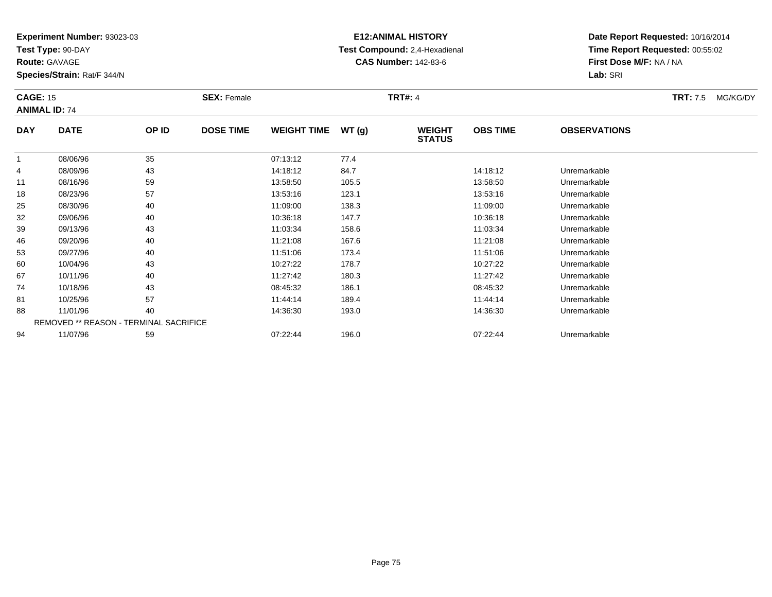**Test Type:** 90-DAY

**Route:** GAVAGE

**Species/Strain:** Rat/F 344/N

# **E12:ANIMAL HISTORY Test Compound:** 2,4-Hexadienal **CAS Number:** 142-83-6

| <b>CAGE: 15</b> | <b>ANIMAL ID: 74</b>                          |       | <b>SEX: Female</b> |                    |       | <b>TRT#: 4</b>                 |                 |                     | <b>TRT:</b> 7.5 | MG/KG/DY |
|-----------------|-----------------------------------------------|-------|--------------------|--------------------|-------|--------------------------------|-----------------|---------------------|-----------------|----------|
| <b>DAY</b>      | <b>DATE</b>                                   | OP ID | <b>DOSE TIME</b>   | <b>WEIGHT TIME</b> | WT(g) | <b>WEIGHT</b><br><b>STATUS</b> | <b>OBS TIME</b> | <b>OBSERVATIONS</b> |                 |          |
|                 | 08/06/96                                      | 35    |                    | 07:13:12           | 77.4  |                                |                 |                     |                 |          |
| 4               | 08/09/96                                      | 43    |                    | 14:18:12           | 84.7  |                                | 14:18:12        | Unremarkable        |                 |          |
| 11              | 08/16/96                                      | 59    |                    | 13:58:50           | 105.5 |                                | 13:58:50        | Unremarkable        |                 |          |
| 18              | 08/23/96                                      | 57    |                    | 13:53:16           | 123.1 |                                | 13:53:16        | Unremarkable        |                 |          |
| 25              | 08/30/96                                      | 40    |                    | 11:09:00           | 138.3 |                                | 11:09:00        | Unremarkable        |                 |          |
| 32              | 09/06/96                                      | 40    |                    | 10:36:18           | 147.7 |                                | 10:36:18        | Unremarkable        |                 |          |
| 39              | 09/13/96                                      | 43    |                    | 11:03:34           | 158.6 |                                | 11:03:34        | Unremarkable        |                 |          |
| 46              | 09/20/96                                      | 40    |                    | 11:21:08           | 167.6 |                                | 11:21:08        | Unremarkable        |                 |          |
| 53              | 09/27/96                                      | 40    |                    | 11:51:06           | 173.4 |                                | 11:51:06        | Unremarkable        |                 |          |
| 60              | 10/04/96                                      | 43    |                    | 10:27:22           | 178.7 |                                | 10:27:22        | Unremarkable        |                 |          |
| 67              | 10/11/96                                      | 40    |                    | 11:27:42           | 180.3 |                                | 11:27:42        | Unremarkable        |                 |          |
| 74              | 10/18/96                                      | 43    |                    | 08:45:32           | 186.1 |                                | 08:45:32        | Unremarkable        |                 |          |
| 81              | 10/25/96                                      | 57    |                    | 11:44:14           | 189.4 |                                | 11:44:14        | Unremarkable        |                 |          |
| 88              | 11/01/96                                      | 40    |                    | 14:36:30           | 193.0 |                                | 14:36:30        | Unremarkable        |                 |          |
|                 | <b>REMOVED ** REASON - TERMINAL SACRIFICE</b> |       |                    |                    |       |                                |                 |                     |                 |          |
| 94              | 11/07/96                                      | 59    |                    | 07:22:44           | 196.0 |                                | 07:22:44        | Unremarkable        |                 |          |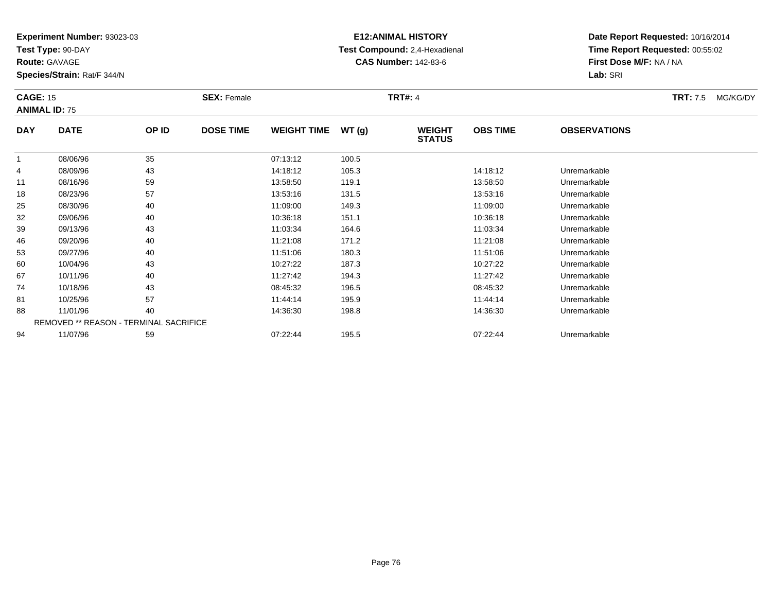**Test Type:** 90-DAY

**Route:** GAVAGE

**Species/Strain:** Rat/F 344/N

# **E12:ANIMAL HISTORY Test Compound:** 2,4-Hexadienal **CAS Number:** 142-83-6

| <b>CAGE: 15</b> | <b>ANIMAL ID: 75</b> |                                        | <b>SEX: Female</b> |                    |       | <b>TRT#: 4</b>                 |                 |                     | <b>TRT:</b> 7.5 | MG/KG/DY |
|-----------------|----------------------|----------------------------------------|--------------------|--------------------|-------|--------------------------------|-----------------|---------------------|-----------------|----------|
| <b>DAY</b>      | <b>DATE</b>          | OP ID                                  | <b>DOSE TIME</b>   | <b>WEIGHT TIME</b> | WT(g) | <b>WEIGHT</b><br><b>STATUS</b> | <b>OBS TIME</b> | <b>OBSERVATIONS</b> |                 |          |
| 1               | 08/06/96             | 35                                     |                    | 07:13:12           | 100.5 |                                |                 |                     |                 |          |
| 4               | 08/09/96             | 43                                     |                    | 14:18:12           | 105.3 |                                | 14:18:12        | Unremarkable        |                 |          |
| 11              | 08/16/96             | 59                                     |                    | 13:58:50           | 119.1 |                                | 13:58:50        | Unremarkable        |                 |          |
| 18              | 08/23/96             | 57                                     |                    | 13:53:16           | 131.5 |                                | 13:53:16        | Unremarkable        |                 |          |
| 25              | 08/30/96             | 40                                     |                    | 11:09:00           | 149.3 |                                | 11:09:00        | Unremarkable        |                 |          |
| 32              | 09/06/96             | 40                                     |                    | 10:36:18           | 151.1 |                                | 10:36:18        | Unremarkable        |                 |          |
| 39              | 09/13/96             | 43                                     |                    | 11:03:34           | 164.6 |                                | 11:03:34        | Unremarkable        |                 |          |
| 46              | 09/20/96             | 40                                     |                    | 11:21:08           | 171.2 |                                | 11:21:08        | Unremarkable        |                 |          |
| 53              | 09/27/96             | 40                                     |                    | 11:51:06           | 180.3 |                                | 11:51:06        | Unremarkable        |                 |          |
| 60              | 10/04/96             | 43                                     |                    | 10:27:22           | 187.3 |                                | 10:27:22        | Unremarkable        |                 |          |
| 67              | 10/11/96             | 40                                     |                    | 11:27:42           | 194.3 |                                | 11:27:42        | Unremarkable        |                 |          |
| 74              | 10/18/96             | 43                                     |                    | 08:45:32           | 196.5 |                                | 08:45:32        | Unremarkable        |                 |          |
| 81              | 10/25/96             | 57                                     |                    | 11:44:14           | 195.9 |                                | 11:44:14        | Unremarkable        |                 |          |
| 88              | 11/01/96             | 40                                     |                    | 14:36:30           | 198.8 |                                | 14:36:30        | Unremarkable        |                 |          |
|                 |                      | REMOVED ** REASON - TERMINAL SACRIFICE |                    |                    |       |                                |                 |                     |                 |          |
| 94              | 11/07/96             | 59                                     |                    | 07:22:44           | 195.5 |                                | 07:22:44        | Unremarkable        |                 |          |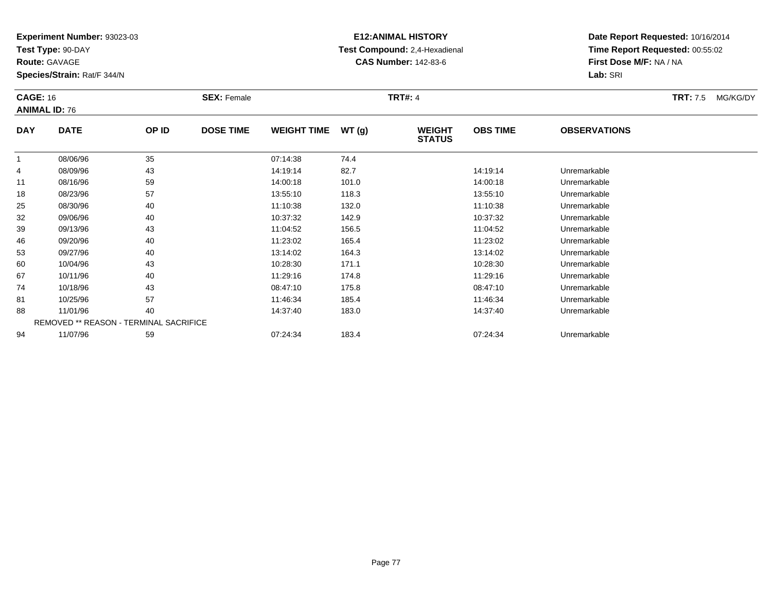**Test Type:** 90-DAY

**Route:** GAVAGE

**Species/Strain:** Rat/F 344/N

# **E12:ANIMAL HISTORY Test Compound:** 2,4-Hexadienal **CAS Number:** 142-83-6

| <b>CAGE: 16</b> | <b>ANIMAL ID: 76</b>                   |       | <b>SEX: Female</b> |                    |       | <b>TRT#: 4</b>                 |                 |                     | <b>TRT:</b> 7.5 | MG/KG/DY |
|-----------------|----------------------------------------|-------|--------------------|--------------------|-------|--------------------------------|-----------------|---------------------|-----------------|----------|
| <b>DAY</b>      | <b>DATE</b>                            | OP ID | <b>DOSE TIME</b>   | <b>WEIGHT TIME</b> | WT(g) | <b>WEIGHT</b><br><b>STATUS</b> | <b>OBS TIME</b> | <b>OBSERVATIONS</b> |                 |          |
|                 | 08/06/96                               | 35    |                    | 07:14:38           | 74.4  |                                |                 |                     |                 |          |
| 4               | 08/09/96                               | 43    |                    | 14:19:14           | 82.7  |                                | 14:19:14        | Unremarkable        |                 |          |
| 11              | 08/16/96                               | 59    |                    | 14:00:18           | 101.0 |                                | 14:00:18        | Unremarkable        |                 |          |
| 18              | 08/23/96                               | 57    |                    | 13:55:10           | 118.3 |                                | 13:55:10        | Unremarkable        |                 |          |
| 25              | 08/30/96                               | 40    |                    | 11:10:38           | 132.0 |                                | 11:10:38        | Unremarkable        |                 |          |
| 32              | 09/06/96                               | 40    |                    | 10:37:32           | 142.9 |                                | 10:37:32        | Unremarkable        |                 |          |
| 39              | 09/13/96                               | 43    |                    | 11:04:52           | 156.5 |                                | 11:04:52        | Unremarkable        |                 |          |
| 46              | 09/20/96                               | 40    |                    | 11:23:02           | 165.4 |                                | 11:23:02        | Unremarkable        |                 |          |
| 53              | 09/27/96                               | 40    |                    | 13:14:02           | 164.3 |                                | 13:14:02        | Unremarkable        |                 |          |
| 60              | 10/04/96                               | 43    |                    | 10:28:30           | 171.1 |                                | 10:28:30        | Unremarkable        |                 |          |
| 67              | 10/11/96                               | 40    |                    | 11:29:16           | 174.8 |                                | 11:29:16        | Unremarkable        |                 |          |
| 74              | 10/18/96                               | 43    |                    | 08:47:10           | 175.8 |                                | 08:47:10        | Unremarkable        |                 |          |
| 81              | 10/25/96                               | 57    |                    | 11:46:34           | 185.4 |                                | 11:46:34        | Unremarkable        |                 |          |
| 88              | 11/01/96                               | 40    |                    | 14:37:40           | 183.0 |                                | 14:37:40        | Unremarkable        |                 |          |
|                 | REMOVED ** REASON - TERMINAL SACRIFICE |       |                    |                    |       |                                |                 |                     |                 |          |
| 94              | 11/07/96                               | 59    |                    | 07:24:34           | 183.4 |                                | 07:24:34        | Unremarkable        |                 |          |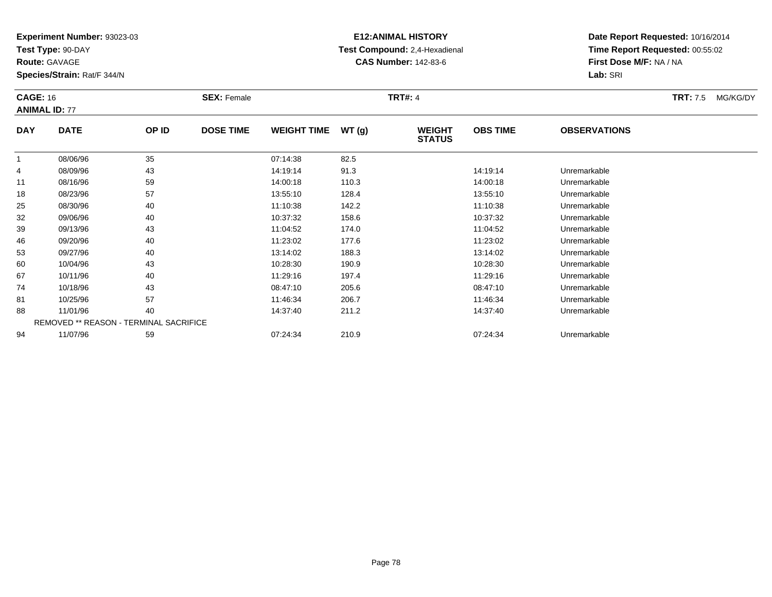**Test Type:** 90-DAY

**Route:** GAVAGE

**Species/Strain:** Rat/F 344/N

# **E12:ANIMAL HISTORY Test Compound:** 2,4-Hexadienal **CAS Number:** 142-83-6

| <b>CAGE: 16</b> | <b>ANIMAL ID: 77</b>                          |       | <b>SEX: Female</b> |                    |       | <b>TRT#: 4</b>                 |                 |                     | <b>TRT:</b> 7.5 | MG/KG/DY |
|-----------------|-----------------------------------------------|-------|--------------------|--------------------|-------|--------------------------------|-----------------|---------------------|-----------------|----------|
| <b>DAY</b>      | <b>DATE</b>                                   | OP ID | <b>DOSE TIME</b>   | <b>WEIGHT TIME</b> | WT(g) | <b>WEIGHT</b><br><b>STATUS</b> | <b>OBS TIME</b> | <b>OBSERVATIONS</b> |                 |          |
| $\mathbf{1}$    | 08/06/96                                      | 35    |                    | 07:14:38           | 82.5  |                                |                 |                     |                 |          |
| 4               | 08/09/96                                      | 43    |                    | 14:19:14           | 91.3  |                                | 14:19:14        | Unremarkable        |                 |          |
| 11              | 08/16/96                                      | 59    |                    | 14:00:18           | 110.3 |                                | 14:00:18        | Unremarkable        |                 |          |
| 18              | 08/23/96                                      | 57    |                    | 13:55:10           | 128.4 |                                | 13:55:10        | Unremarkable        |                 |          |
| 25              | 08/30/96                                      | 40    |                    | 11:10:38           | 142.2 |                                | 11:10:38        | Unremarkable        |                 |          |
| 32              | 09/06/96                                      | 40    |                    | 10:37:32           | 158.6 |                                | 10:37:32        | Unremarkable        |                 |          |
| 39              | 09/13/96                                      | 43    |                    | 11:04:52           | 174.0 |                                | 11:04:52        | Unremarkable        |                 |          |
| 46              | 09/20/96                                      | 40    |                    | 11:23:02           | 177.6 |                                | 11:23:02        | Unremarkable        |                 |          |
| 53              | 09/27/96                                      | 40    |                    | 13:14:02           | 188.3 |                                | 13:14:02        | Unremarkable        |                 |          |
| 60              | 10/04/96                                      | 43    |                    | 10:28:30           | 190.9 |                                | 10:28:30        | Unremarkable        |                 |          |
| 67              | 10/11/96                                      | 40    |                    | 11:29:16           | 197.4 |                                | 11:29:16        | Unremarkable        |                 |          |
| 74              | 10/18/96                                      | 43    |                    | 08:47:10           | 205.6 |                                | 08:47:10        | Unremarkable        |                 |          |
| 81              | 10/25/96                                      | 57    |                    | 11:46:34           | 206.7 |                                | 11:46:34        | Unremarkable        |                 |          |
| 88              | 11/01/96                                      | 40    |                    | 14:37:40           | 211.2 |                                | 14:37:40        | Unremarkable        |                 |          |
|                 | <b>REMOVED ** REASON - TERMINAL SACRIFICE</b> |       |                    |                    |       |                                |                 |                     |                 |          |
| 94              | 11/07/96                                      | 59    |                    | 07:24:34           | 210.9 |                                | 07:24:34        | Unremarkable        |                 |          |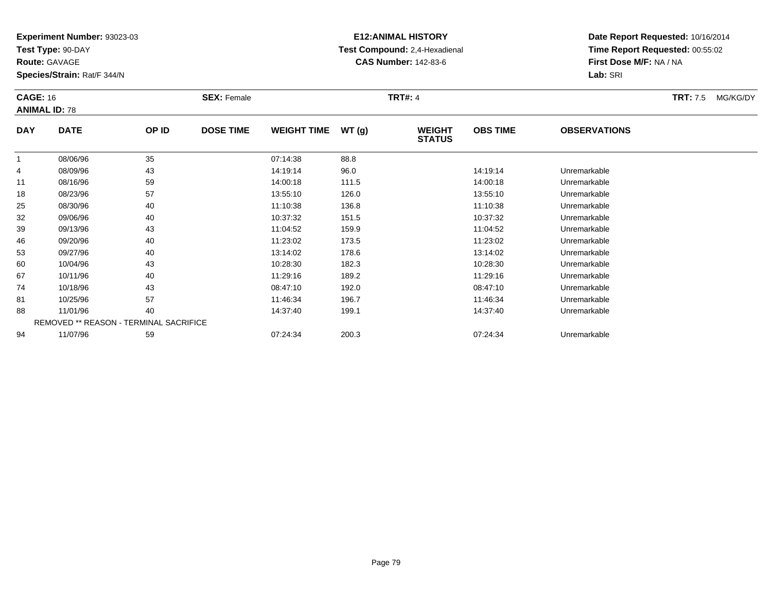**Test Type:** 90-DAY

**Route:** GAVAGE

**Species/Strain:** Rat/F 344/N

# **E12:ANIMAL HISTORY Test Compound:** 2,4-Hexadienal **CAS Number:** 142-83-6

| <b>CAGE: 16</b> | <b>ANIMAL ID: 78</b> |                                        | <b>SEX: Female</b> |                    |       | <b>TRT#: 4</b>                 |                 |                     | <b>TRT:</b> 7.5 | MG/KG/DY |
|-----------------|----------------------|----------------------------------------|--------------------|--------------------|-------|--------------------------------|-----------------|---------------------|-----------------|----------|
| <b>DAY</b>      | <b>DATE</b>          | OP ID                                  | <b>DOSE TIME</b>   | <b>WEIGHT TIME</b> | WT(g) | <b>WEIGHT</b><br><b>STATUS</b> | <b>OBS TIME</b> | <b>OBSERVATIONS</b> |                 |          |
|                 | 08/06/96             | 35                                     |                    | 07:14:38           | 88.8  |                                |                 |                     |                 |          |
| 4               | 08/09/96             | 43                                     |                    | 14:19:14           | 96.0  |                                | 14:19:14        | Unremarkable        |                 |          |
| 11              | 08/16/96             | 59                                     |                    | 14:00:18           | 111.5 |                                | 14:00:18        | Unremarkable        |                 |          |
| 18              | 08/23/96             | 57                                     |                    | 13:55:10           | 126.0 |                                | 13:55:10        | Unremarkable        |                 |          |
| 25              | 08/30/96             | 40                                     |                    | 11:10:38           | 136.8 |                                | 11:10:38        | Unremarkable        |                 |          |
| 32              | 09/06/96             | 40                                     |                    | 10:37:32           | 151.5 |                                | 10:37:32        | Unremarkable        |                 |          |
| 39              | 09/13/96             | 43                                     |                    | 11:04:52           | 159.9 |                                | 11:04:52        | Unremarkable        |                 |          |
| 46              | 09/20/96             | 40                                     |                    | 11:23:02           | 173.5 |                                | 11:23:02        | Unremarkable        |                 |          |
| 53              | 09/27/96             | 40                                     |                    | 13:14:02           | 178.6 |                                | 13:14:02        | Unremarkable        |                 |          |
| 60              | 10/04/96             | 43                                     |                    | 10:28:30           | 182.3 |                                | 10:28:30        | Unremarkable        |                 |          |
| 67              | 10/11/96             | 40                                     |                    | 11:29:16           | 189.2 |                                | 11:29:16        | Unremarkable        |                 |          |
| 74              | 10/18/96             | 43                                     |                    | 08:47:10           | 192.0 |                                | 08:47:10        | Unremarkable        |                 |          |
| 81              | 10/25/96             | 57                                     |                    | 11:46:34           | 196.7 |                                | 11:46:34        | Unremarkable        |                 |          |
| 88              | 11/01/96             | 40                                     |                    | 14:37:40           | 199.1 |                                | 14:37:40        | Unremarkable        |                 |          |
|                 |                      | REMOVED ** REASON - TERMINAL SACRIFICE |                    |                    |       |                                |                 |                     |                 |          |
| 94              | 11/07/96             | 59                                     |                    | 07:24:34           | 200.3 |                                | 07:24:34        | Unremarkable        |                 |          |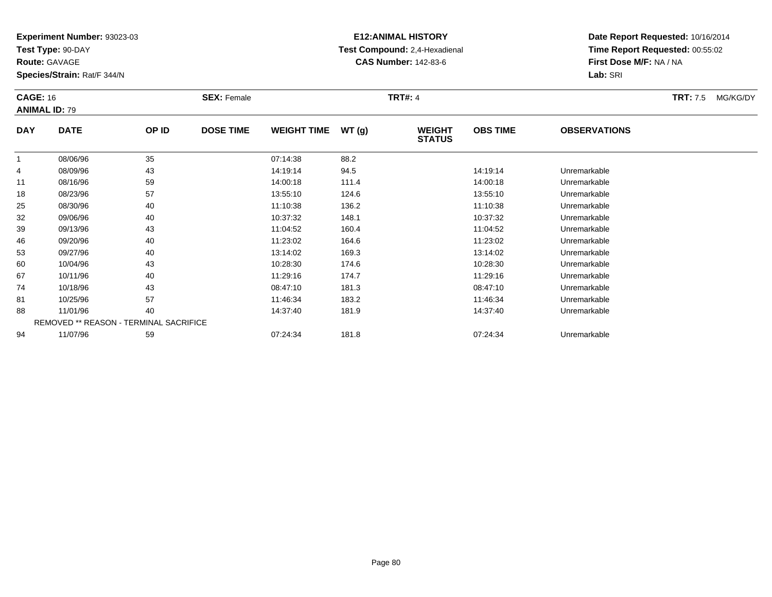**Test Type:** 90-DAY

**Route:** GAVAGE

**Species/Strain:** Rat/F 344/N

# **E12:ANIMAL HISTORY Test Compound:** 2,4-Hexadienal **CAS Number:** 142-83-6

| <b>CAGE: 16</b><br><b>ANIMAL ID: 79</b> |             |                                        | <b>SEX: Female</b> |                    |       | <b>TRT#: 4</b>                 |                 |                     | <b>TRT:</b> 7.5 | MG/KG/DY |
|-----------------------------------------|-------------|----------------------------------------|--------------------|--------------------|-------|--------------------------------|-----------------|---------------------|-----------------|----------|
| <b>DAY</b>                              | <b>DATE</b> | OP ID                                  | <b>DOSE TIME</b>   | <b>WEIGHT TIME</b> | WT(g) | <b>WEIGHT</b><br><b>STATUS</b> | <b>OBS TIME</b> | <b>OBSERVATIONS</b> |                 |          |
| -1                                      | 08/06/96    | 35                                     |                    | 07:14:38           | 88.2  |                                |                 |                     |                 |          |
| 4                                       | 08/09/96    | 43                                     |                    | 14:19:14           | 94.5  |                                | 14:19:14        | Unremarkable        |                 |          |
| 11                                      | 08/16/96    | 59                                     |                    | 14:00:18           | 111.4 |                                | 14:00:18        | Unremarkable        |                 |          |
| 18                                      | 08/23/96    | 57                                     |                    | 13:55:10           | 124.6 |                                | 13:55:10        | Unremarkable        |                 |          |
| 25                                      | 08/30/96    | 40                                     |                    | 11:10:38           | 136.2 |                                | 11:10:38        | Unremarkable        |                 |          |
| 32                                      | 09/06/96    | 40                                     |                    | 10:37:32           | 148.1 |                                | 10:37:32        | Unremarkable        |                 |          |
| 39                                      | 09/13/96    | 43                                     |                    | 11:04:52           | 160.4 |                                | 11:04:52        | Unremarkable        |                 |          |
| 46                                      | 09/20/96    | 40                                     |                    | 11:23:02           | 164.6 |                                | 11:23:02        | Unremarkable        |                 |          |
| 53                                      | 09/27/96    | 40                                     |                    | 13:14:02           | 169.3 |                                | 13:14:02        | Unremarkable        |                 |          |
| 60                                      | 10/04/96    | 43                                     |                    | 10:28:30           | 174.6 |                                | 10:28:30        | Unremarkable        |                 |          |
| 67                                      | 10/11/96    | 40                                     |                    | 11:29:16           | 174.7 |                                | 11:29:16        | Unremarkable        |                 |          |
| 74                                      | 10/18/96    | 43                                     |                    | 08:47:10           | 181.3 |                                | 08:47:10        | Unremarkable        |                 |          |
| 81                                      | 10/25/96    | 57                                     |                    | 11:46:34           | 183.2 |                                | 11:46:34        | Unremarkable        |                 |          |
| 88                                      | 11/01/96    | 40                                     |                    | 14:37:40           | 181.9 |                                | 14:37:40        | Unremarkable        |                 |          |
|                                         |             | REMOVED ** REASON - TERMINAL SACRIFICE |                    |                    |       |                                |                 |                     |                 |          |
| 94                                      | 11/07/96    | 59                                     |                    | 07:24:34           | 181.8 |                                | 07:24:34        | Unremarkable        |                 |          |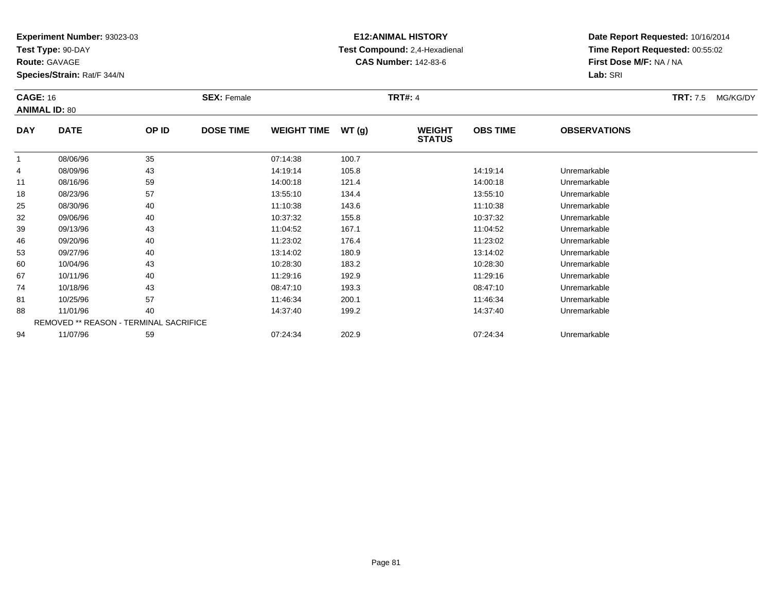**Test Type:** 90-DAY

**Route:** GAVAGE

**Species/Strain:** Rat/F 344/N

# **E12:ANIMAL HISTORY Test Compound:** 2,4-Hexadienal **CAS Number:** 142-83-6

| <b>CAGE: 16</b><br><b>ANIMAL ID: 80</b> |             |                                        | <b>SEX: Female</b> |                    |       | <b>TRT#: 4</b>                 |                 |                     | <b>TRT:</b> 7.5 | MG/KG/DY |
|-----------------------------------------|-------------|----------------------------------------|--------------------|--------------------|-------|--------------------------------|-----------------|---------------------|-----------------|----------|
| <b>DAY</b>                              | <b>DATE</b> | OP ID                                  | <b>DOSE TIME</b>   | <b>WEIGHT TIME</b> | WT(g) | <b>WEIGHT</b><br><b>STATUS</b> | <b>OBS TIME</b> | <b>OBSERVATIONS</b> |                 |          |
| 1                                       | 08/06/96    | 35                                     |                    | 07:14:38           | 100.7 |                                |                 |                     |                 |          |
| 4                                       | 08/09/96    | 43                                     |                    | 14:19:14           | 105.8 |                                | 14:19:14        | Unremarkable        |                 |          |
| 11                                      | 08/16/96    | 59                                     |                    | 14:00:18           | 121.4 |                                | 14:00:18        | Unremarkable        |                 |          |
| 18                                      | 08/23/96    | 57                                     |                    | 13:55:10           | 134.4 |                                | 13:55:10        | Unremarkable        |                 |          |
| 25                                      | 08/30/96    | 40                                     |                    | 11:10:38           | 143.6 |                                | 11:10:38        | Unremarkable        |                 |          |
| 32                                      | 09/06/96    | 40                                     |                    | 10:37:32           | 155.8 |                                | 10:37:32        | Unremarkable        |                 |          |
| 39                                      | 09/13/96    | 43                                     |                    | 11:04:52           | 167.1 |                                | 11:04:52        | Unremarkable        |                 |          |
| 46                                      | 09/20/96    | 40                                     |                    | 11:23:02           | 176.4 |                                | 11:23:02        | Unremarkable        |                 |          |
| 53                                      | 09/27/96    | 40                                     |                    | 13:14:02           | 180.9 |                                | 13:14:02        | Unremarkable        |                 |          |
| 60                                      | 10/04/96    | 43                                     |                    | 10:28:30           | 183.2 |                                | 10:28:30        | Unremarkable        |                 |          |
| 67                                      | 10/11/96    | 40                                     |                    | 11:29:16           | 192.9 |                                | 11:29:16        | Unremarkable        |                 |          |
| 74                                      | 10/18/96    | 43                                     |                    | 08:47:10           | 193.3 |                                | 08:47:10        | Unremarkable        |                 |          |
| 81                                      | 10/25/96    | 57                                     |                    | 11:46:34           | 200.1 |                                | 11:46:34        | Unremarkable        |                 |          |
| 88                                      | 11/01/96    | 40                                     |                    | 14:37:40           | 199.2 |                                | 14:37:40        | Unremarkable        |                 |          |
|                                         |             | REMOVED ** REASON - TERMINAL SACRIFICE |                    |                    |       |                                |                 |                     |                 |          |
| 94                                      | 11/07/96    | 59                                     |                    | 07:24:34           | 202.9 |                                | 07:24:34        | Unremarkable        |                 |          |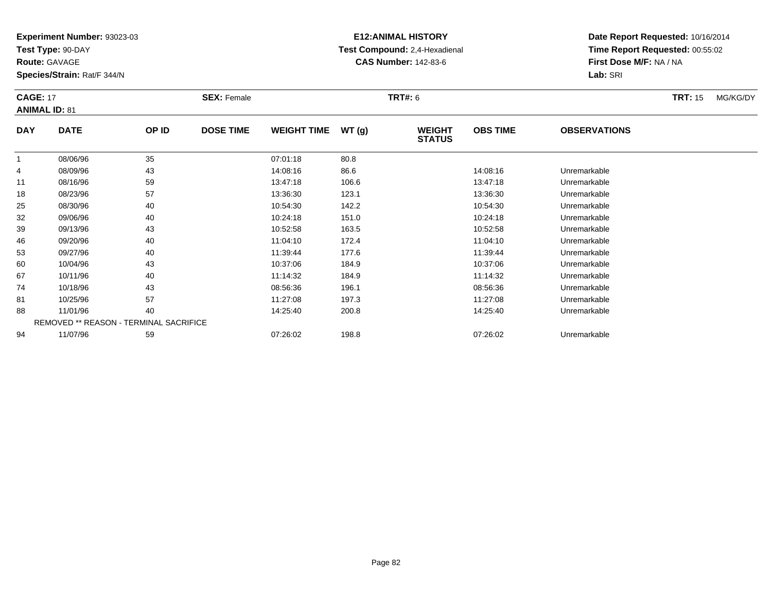**Test Type:** 90-DAY

**Route:** GAVAGE

**Species/Strain:** Rat/F 344/N

# **E12:ANIMAL HISTORY Test Compound:** 2,4-Hexadienal **CAS Number:** 142-83-6

| <b>CAGE: 17</b><br><b>ANIMAL ID: 81</b> |             |                                        | <b>SEX: Female</b> |                    |       | <b>TRT#:</b> 6                 |                 |                     | <b>TRT: 15</b> | MG/KG/DY |
|-----------------------------------------|-------------|----------------------------------------|--------------------|--------------------|-------|--------------------------------|-----------------|---------------------|----------------|----------|
| <b>DAY</b>                              | <b>DATE</b> | OP ID                                  | <b>DOSE TIME</b>   | <b>WEIGHT TIME</b> | WT(g) | <b>WEIGHT</b><br><b>STATUS</b> | <b>OBS TIME</b> | <b>OBSERVATIONS</b> |                |          |
| -1                                      | 08/06/96    | 35                                     |                    | 07:01:18           | 80.8  |                                |                 |                     |                |          |
| 4                                       | 08/09/96    | 43                                     |                    | 14:08:16           | 86.6  |                                | 14:08:16        | Unremarkable        |                |          |
| 11                                      | 08/16/96    | 59                                     |                    | 13:47:18           | 106.6 |                                | 13:47:18        | Unremarkable        |                |          |
| 18                                      | 08/23/96    | 57                                     |                    | 13:36:30           | 123.1 |                                | 13:36:30        | Unremarkable        |                |          |
| 25                                      | 08/30/96    | 40                                     |                    | 10:54:30           | 142.2 |                                | 10:54:30        | Unremarkable        |                |          |
| 32                                      | 09/06/96    | 40                                     |                    | 10:24:18           | 151.0 |                                | 10:24:18        | Unremarkable        |                |          |
| 39                                      | 09/13/96    | 43                                     |                    | 10:52:58           | 163.5 |                                | 10:52:58        | Unremarkable        |                |          |
| 46                                      | 09/20/96    | 40                                     |                    | 11:04:10           | 172.4 |                                | 11:04:10        | Unremarkable        |                |          |
| 53                                      | 09/27/96    | 40                                     |                    | 11:39:44           | 177.6 |                                | 11:39:44        | Unremarkable        |                |          |
| 60                                      | 10/04/96    | 43                                     |                    | 10:37:06           | 184.9 |                                | 10:37:06        | Unremarkable        |                |          |
| 67                                      | 10/11/96    | 40                                     |                    | 11:14:32           | 184.9 |                                | 11:14:32        | Unremarkable        |                |          |
| 74                                      | 10/18/96    | 43                                     |                    | 08:56:36           | 196.1 |                                | 08:56:36        | Unremarkable        |                |          |
| 81                                      | 10/25/96    | 57                                     |                    | 11:27:08           | 197.3 |                                | 11:27:08        | Unremarkable        |                |          |
| 88                                      | 11/01/96    | 40                                     |                    | 14:25:40           | 200.8 |                                | 14:25:40        | Unremarkable        |                |          |
|                                         |             | REMOVED ** REASON - TERMINAL SACRIFICE |                    |                    |       |                                |                 |                     |                |          |
| 94                                      | 11/07/96    | 59                                     |                    | 07:26:02           | 198.8 |                                | 07:26:02        | Unremarkable        |                |          |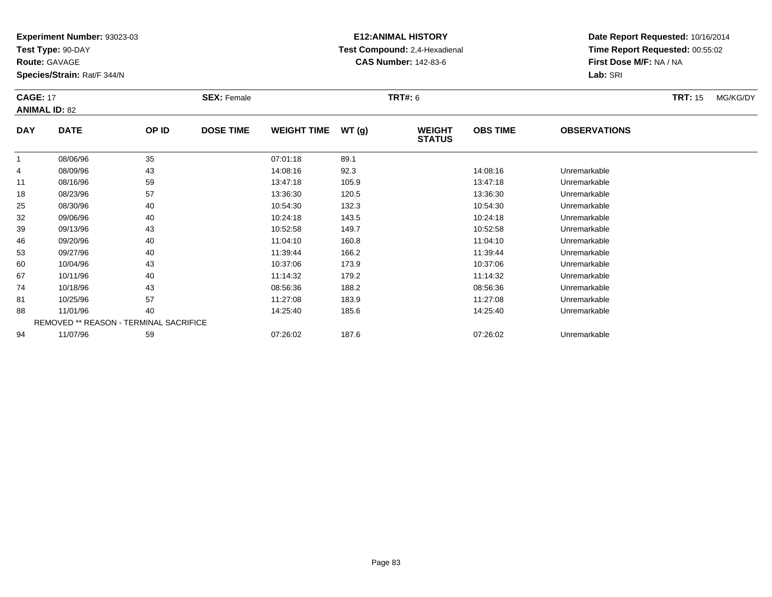**Test Type:** 90-DAY

**Route:** GAVAGE

**Species/Strain:** Rat/F 344/N

# **E12:ANIMAL HISTORY Test Compound:** 2,4-Hexadienal **CAS Number:** 142-83-6

| <b>CAGE: 17</b> | <b>ANIMAL ID: 82</b>                   |       | <b>SEX: Female</b> |                    |       | <b>TRT#: 6</b>                 |                 |                     | <b>TRT: 15</b> | MG/KG/DY |
|-----------------|----------------------------------------|-------|--------------------|--------------------|-------|--------------------------------|-----------------|---------------------|----------------|----------|
| <b>DAY</b>      | <b>DATE</b>                            | OP ID | <b>DOSE TIME</b>   | <b>WEIGHT TIME</b> | WT(g) | <b>WEIGHT</b><br><b>STATUS</b> | <b>OBS TIME</b> | <b>OBSERVATIONS</b> |                |          |
| $\mathbf{1}$    | 08/06/96                               | 35    |                    | 07:01:18           | 89.1  |                                |                 |                     |                |          |
| 4               | 08/09/96                               | 43    |                    | 14:08:16           | 92.3  |                                | 14:08:16        | Unremarkable        |                |          |
| 11              | 08/16/96                               | 59    |                    | 13:47:18           | 105.9 |                                | 13:47:18        | Unremarkable        |                |          |
| 18              | 08/23/96                               | 57    |                    | 13:36:30           | 120.5 |                                | 13:36:30        | Unremarkable        |                |          |
| 25              | 08/30/96                               | 40    |                    | 10:54:30           | 132.3 |                                | 10:54:30        | Unremarkable        |                |          |
| 32              | 09/06/96                               | 40    |                    | 10:24:18           | 143.5 |                                | 10:24:18        | Unremarkable        |                |          |
| 39              | 09/13/96                               | 43    |                    | 10:52:58           | 149.7 |                                | 10:52:58        | Unremarkable        |                |          |
| 46              | 09/20/96                               | 40    |                    | 11:04:10           | 160.8 |                                | 11:04:10        | Unremarkable        |                |          |
| 53              | 09/27/96                               | 40    |                    | 11:39:44           | 166.2 |                                | 11:39:44        | Unremarkable        |                |          |
| 60              | 10/04/96                               | 43    |                    | 10:37:06           | 173.9 |                                | 10:37:06        | Unremarkable        |                |          |
| 67              | 10/11/96                               | 40    |                    | 11:14:32           | 179.2 |                                | 11:14:32        | Unremarkable        |                |          |
| 74              | 10/18/96                               | 43    |                    | 08:56:36           | 188.2 |                                | 08:56:36        | Unremarkable        |                |          |
| 81              | 10/25/96                               | 57    |                    | 11:27:08           | 183.9 |                                | 11:27:08        | Unremarkable        |                |          |
| 88              | 11/01/96                               | 40    |                    | 14:25:40           | 185.6 |                                | 14:25:40        | Unremarkable        |                |          |
|                 | REMOVED ** REASON - TERMINAL SACRIFICE |       |                    |                    |       |                                |                 |                     |                |          |
| 94              | 11/07/96                               | 59    |                    | 07:26:02           | 187.6 |                                | 07:26:02        | Unremarkable        |                |          |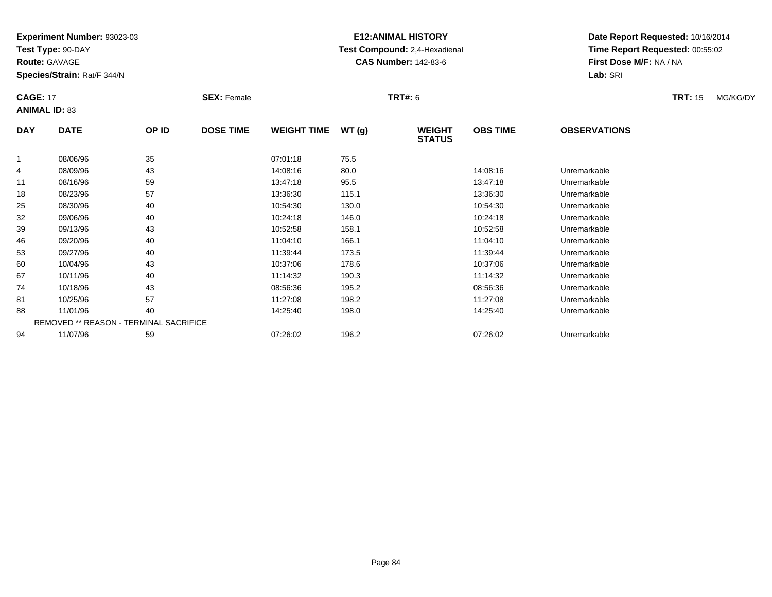**Test Type:** 90-DAY

**Route:** GAVAGE

**Species/Strain:** Rat/F 344/N

# **E12:ANIMAL HISTORY Test Compound:** 2,4-Hexadienal **CAS Number:** 142-83-6

| <b>CAGE: 17</b><br><b>ANIMAL ID: 83</b> |             |                                        | <b>SEX: Female</b> |                    |       | <b>TRT#: 6</b>                 |                 |                     | <b>TRT: 15</b> | MG/KG/DY |
|-----------------------------------------|-------------|----------------------------------------|--------------------|--------------------|-------|--------------------------------|-----------------|---------------------|----------------|----------|
| <b>DAY</b>                              | <b>DATE</b> | OP ID                                  | <b>DOSE TIME</b>   | <b>WEIGHT TIME</b> | WT(g) | <b>WEIGHT</b><br><b>STATUS</b> | <b>OBS TIME</b> | <b>OBSERVATIONS</b> |                |          |
|                                         | 08/06/96    | 35                                     |                    | 07:01:18           | 75.5  |                                |                 |                     |                |          |
| 4                                       | 08/09/96    | 43                                     |                    | 14:08:16           | 80.0  |                                | 14:08:16        | Unremarkable        |                |          |
| 11                                      | 08/16/96    | 59                                     |                    | 13:47:18           | 95.5  |                                | 13:47:18        | Unremarkable        |                |          |
| 18                                      | 08/23/96    | 57                                     |                    | 13:36:30           | 115.1 |                                | 13:36:30        | Unremarkable        |                |          |
| 25                                      | 08/30/96    | 40                                     |                    | 10:54:30           | 130.0 |                                | 10:54:30        | Unremarkable        |                |          |
| 32                                      | 09/06/96    | 40                                     |                    | 10:24:18           | 146.0 |                                | 10:24:18        | Unremarkable        |                |          |
| 39                                      | 09/13/96    | 43                                     |                    | 10:52:58           | 158.1 |                                | 10:52:58        | Unremarkable        |                |          |
| 46                                      | 09/20/96    | 40                                     |                    | 11:04:10           | 166.1 |                                | 11:04:10        | Unremarkable        |                |          |
| 53                                      | 09/27/96    | 40                                     |                    | 11:39:44           | 173.5 |                                | 11:39:44        | Unremarkable        |                |          |
| 60                                      | 10/04/96    | 43                                     |                    | 10:37:06           | 178.6 |                                | 10:37:06        | Unremarkable        |                |          |
| 67                                      | 10/11/96    | 40                                     |                    | 11:14:32           | 190.3 |                                | 11:14:32        | Unremarkable        |                |          |
| 74                                      | 10/18/96    | 43                                     |                    | 08:56:36           | 195.2 |                                | 08:56:36        | Unremarkable        |                |          |
| 81                                      | 10/25/96    | 57                                     |                    | 11:27:08           | 198.2 |                                | 11:27:08        | Unremarkable        |                |          |
| 88                                      | 11/01/96    | 40                                     |                    | 14:25:40           | 198.0 |                                | 14:25:40        | Unremarkable        |                |          |
|                                         |             | REMOVED ** REASON - TERMINAL SACRIFICE |                    |                    |       |                                |                 |                     |                |          |
| 94                                      | 11/07/96    | 59                                     |                    | 07:26:02           | 196.2 |                                | 07:26:02        | Unremarkable        |                |          |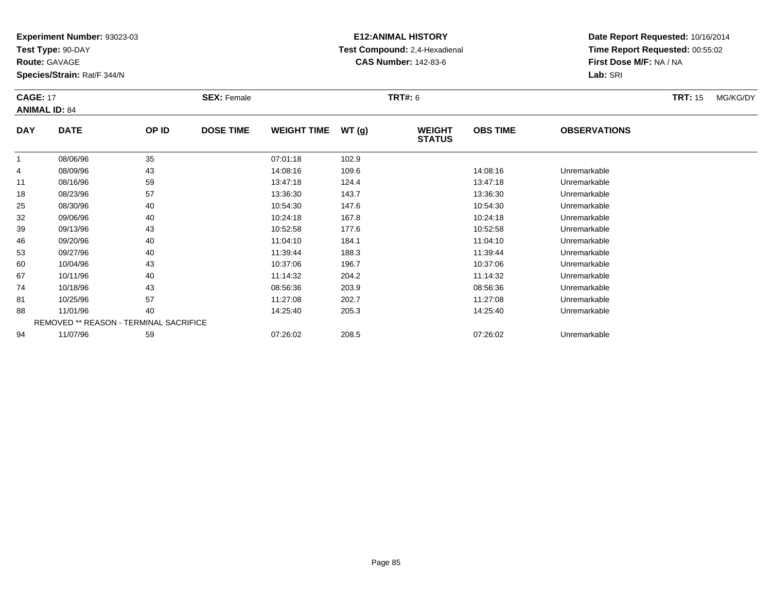**Test Type:** 90-DAY

**Route:** GAVAGE

**Species/Strain:** Rat/F 344/N

# **E12:ANIMAL HISTORY Test Compound:** 2,4-Hexadienal **CAS Number:** 142-83-6

| <b>CAGE: 17</b> | <b>ANIMAL ID: 84</b>                   |       | <b>SEX: Female</b> |                    |       | <b>TRT#: 6</b>                 |                 |                     | <b>TRT: 15</b> | MG/KG/DY |
|-----------------|----------------------------------------|-------|--------------------|--------------------|-------|--------------------------------|-----------------|---------------------|----------------|----------|
| <b>DAY</b>      | <b>DATE</b>                            | OP ID | <b>DOSE TIME</b>   | <b>WEIGHT TIME</b> | WT(g) | <b>WEIGHT</b><br><b>STATUS</b> | <b>OBS TIME</b> | <b>OBSERVATIONS</b> |                |          |
| -1              | 08/06/96                               | 35    |                    | 07:01:18           | 102.9 |                                |                 |                     |                |          |
| 4               | 08/09/96                               | 43    |                    | 14:08:16           | 109.6 |                                | 14:08:16        | Unremarkable        |                |          |
| 11              | 08/16/96                               | 59    |                    | 13:47:18           | 124.4 |                                | 13:47:18        | Unremarkable        |                |          |
| 18              | 08/23/96                               | 57    |                    | 13:36:30           | 143.7 |                                | 13:36:30        | Unremarkable        |                |          |
| 25              | 08/30/96                               | 40    |                    | 10:54:30           | 147.6 |                                | 10:54:30        | Unremarkable        |                |          |
| 32              | 09/06/96                               | 40    |                    | 10:24:18           | 167.8 |                                | 10:24:18        | Unremarkable        |                |          |
| 39              | 09/13/96                               | 43    |                    | 10:52:58           | 177.6 |                                | 10:52:58        | Unremarkable        |                |          |
| 46              | 09/20/96                               | 40    |                    | 11:04:10           | 184.1 |                                | 11:04:10        | Unremarkable        |                |          |
| 53              | 09/27/96                               | 40    |                    | 11:39:44           | 188.3 |                                | 11:39:44        | Unremarkable        |                |          |
| 60              | 10/04/96                               | 43    |                    | 10:37:06           | 196.7 |                                | 10:37:06        | Unremarkable        |                |          |
| 67              | 10/11/96                               | 40    |                    | 11:14:32           | 204.2 |                                | 11:14:32        | Unremarkable        |                |          |
| 74              | 10/18/96                               | 43    |                    | 08:56:36           | 203.9 |                                | 08:56:36        | Unremarkable        |                |          |
| 81              | 10/25/96                               | 57    |                    | 11:27:08           | 202.7 |                                | 11:27:08        | Unremarkable        |                |          |
| 88              | 11/01/96                               | 40    |                    | 14:25:40           | 205.3 |                                | 14:25:40        | Unremarkable        |                |          |
|                 | REMOVED ** REASON - TERMINAL SACRIFICE |       |                    |                    |       |                                |                 |                     |                |          |
| 94              | 11/07/96                               | 59    |                    | 07:26:02           | 208.5 |                                | 07:26:02        | Unremarkable        |                |          |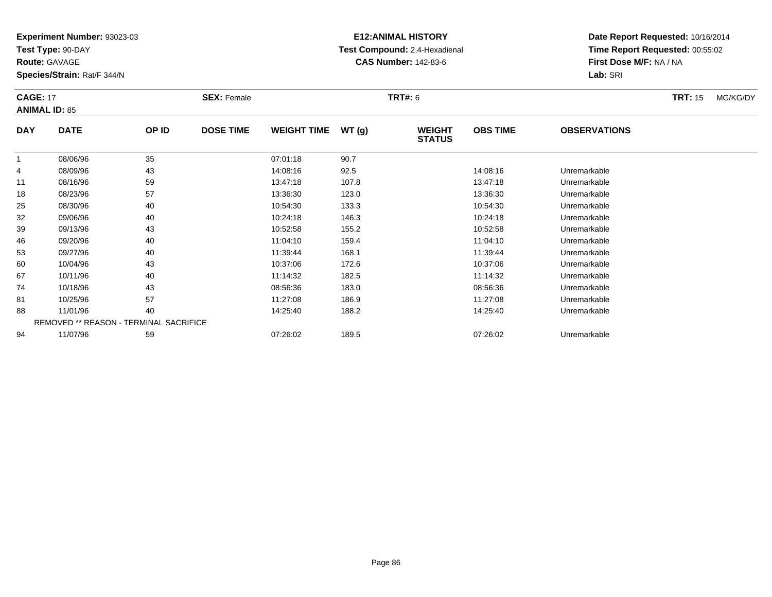**Test Type:** 90-DAY

**Route:** GAVAGE

**Species/Strain:** Rat/F 344/N

# **E12:ANIMAL HISTORY Test Compound:** 2,4-Hexadienal **CAS Number:** 142-83-6

| <b>CAGE: 17</b> | <b>ANIMAL ID: 85</b> |                                        | <b>SEX: Female</b> |                    |        | <b>TRT#: 6</b>                 |                 |                     | <b>TRT:</b> 15 | MG/KG/DY |
|-----------------|----------------------|----------------------------------------|--------------------|--------------------|--------|--------------------------------|-----------------|---------------------|----------------|----------|
| <b>DAY</b>      | <b>DATE</b>          | OP ID                                  | <b>DOSE TIME</b>   | <b>WEIGHT TIME</b> | WT (g) | <b>WEIGHT</b><br><b>STATUS</b> | <b>OBS TIME</b> | <b>OBSERVATIONS</b> |                |          |
| 1               | 08/06/96             | 35                                     |                    | 07:01:18           | 90.7   |                                |                 |                     |                |          |
| 4               | 08/09/96             | 43                                     |                    | 14:08:16           | 92.5   |                                | 14:08:16        | Unremarkable        |                |          |
| 11              | 08/16/96             | 59                                     |                    | 13:47:18           | 107.8  |                                | 13:47:18        | Unremarkable        |                |          |
| 18              | 08/23/96             | 57                                     |                    | 13:36:30           | 123.0  |                                | 13:36:30        | Unremarkable        |                |          |
| 25              | 08/30/96             | 40                                     |                    | 10:54:30           | 133.3  |                                | 10:54:30        | Unremarkable        |                |          |
| 32              | 09/06/96             | 40                                     |                    | 10:24:18           | 146.3  |                                | 10:24:18        | Unremarkable        |                |          |
| 39              | 09/13/96             | 43                                     |                    | 10:52:58           | 155.2  |                                | 10:52:58        | Unremarkable        |                |          |
| 46              | 09/20/96             | 40                                     |                    | 11:04:10           | 159.4  |                                | 11:04:10        | Unremarkable        |                |          |
| 53              | 09/27/96             | 40                                     |                    | 11:39:44           | 168.1  |                                | 11:39:44        | Unremarkable        |                |          |
| 60              | 10/04/96             | 43                                     |                    | 10:37:06           | 172.6  |                                | 10:37:06        | Unremarkable        |                |          |
| 67              | 10/11/96             | 40                                     |                    | 11:14:32           | 182.5  |                                | 11:14:32        | Unremarkable        |                |          |
| 74              | 10/18/96             | 43                                     |                    | 08:56:36           | 183.0  |                                | 08:56:36        | Unremarkable        |                |          |
| 81              | 10/25/96             | 57                                     |                    | 11:27:08           | 186.9  |                                | 11:27:08        | Unremarkable        |                |          |
| 88              | 11/01/96             | 40                                     |                    | 14:25:40           | 188.2  |                                | 14:25:40        | Unremarkable        |                |          |
|                 |                      | REMOVED ** REASON - TERMINAL SACRIFICE |                    |                    |        |                                |                 |                     |                |          |
| 94              | 11/07/96             | 59                                     |                    | 07:26:02           | 189.5  |                                | 07:26:02        | Unremarkable        |                |          |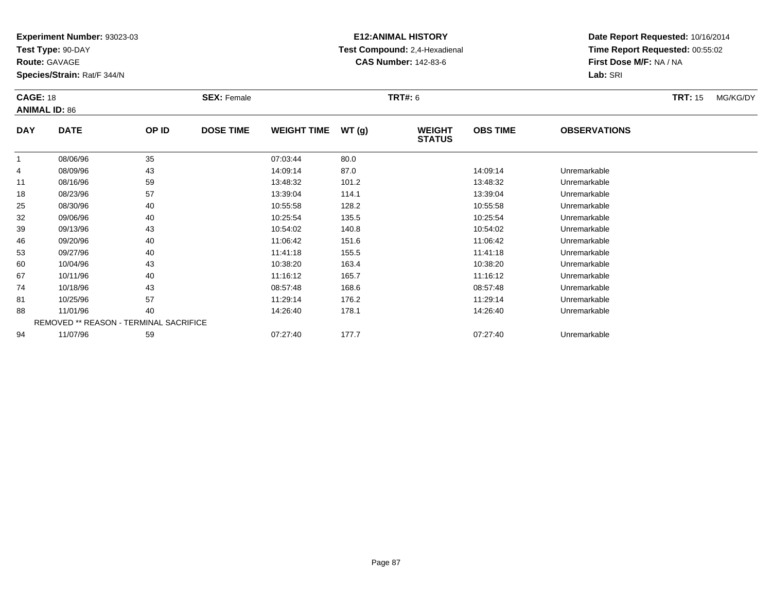**Test Type:** 90-DAY

**Route:** GAVAGE

**Species/Strain:** Rat/F 344/N

# **E12:ANIMAL HISTORY Test Compound:** 2,4-Hexadienal **CAS Number:** 142-83-6

| <b>CAGE: 18</b> | <b>ANIMAL ID: 86</b> |                                        | <b>SEX: Female</b> |                    |       | <b>TRT#: 6</b>                 |                 |                     | <b>TRT: 15</b> | MG/KG/DY |
|-----------------|----------------------|----------------------------------------|--------------------|--------------------|-------|--------------------------------|-----------------|---------------------|----------------|----------|
| <b>DAY</b>      | <b>DATE</b>          | OP ID                                  | <b>DOSE TIME</b>   | <b>WEIGHT TIME</b> | WT(g) | <b>WEIGHT</b><br><b>STATUS</b> | <b>OBS TIME</b> | <b>OBSERVATIONS</b> |                |          |
| -1              | 08/06/96             | 35                                     |                    | 07:03:44           | 80.0  |                                |                 |                     |                |          |
| 4               | 08/09/96             | 43                                     |                    | 14:09:14           | 87.0  |                                | 14:09:14        | Unremarkable        |                |          |
| 11              | 08/16/96             | 59                                     |                    | 13:48:32           | 101.2 |                                | 13:48:32        | Unremarkable        |                |          |
| 18              | 08/23/96             | 57                                     |                    | 13:39:04           | 114.1 |                                | 13:39:04        | Unremarkable        |                |          |
| 25              | 08/30/96             | 40                                     |                    | 10:55:58           | 128.2 |                                | 10:55:58        | Unremarkable        |                |          |
| 32              | 09/06/96             | 40                                     |                    | 10:25:54           | 135.5 |                                | 10:25:54        | Unremarkable        |                |          |
| 39              | 09/13/96             | 43                                     |                    | 10:54:02           | 140.8 |                                | 10:54:02        | Unremarkable        |                |          |
| 46              | 09/20/96             | 40                                     |                    | 11:06:42           | 151.6 |                                | 11:06:42        | Unremarkable        |                |          |
| 53              | 09/27/96             | 40                                     |                    | 11:41:18           | 155.5 |                                | 11:41:18        | Unremarkable        |                |          |
| 60              | 10/04/96             | 43                                     |                    | 10:38:20           | 163.4 |                                | 10:38:20        | Unremarkable        |                |          |
| 67              | 10/11/96             | 40                                     |                    | 11:16:12           | 165.7 |                                | 11:16:12        | Unremarkable        |                |          |
| 74              | 10/18/96             | 43                                     |                    | 08:57:48           | 168.6 |                                | 08:57:48        | Unremarkable        |                |          |
| 81              | 10/25/96             | 57                                     |                    | 11:29:14           | 176.2 |                                | 11:29:14        | Unremarkable        |                |          |
| 88              | 11/01/96             | 40                                     |                    | 14:26:40           | 178.1 |                                | 14:26:40        | Unremarkable        |                |          |
|                 |                      | REMOVED ** REASON - TERMINAL SACRIFICE |                    |                    |       |                                |                 |                     |                |          |
| 94              | 11/07/96             | 59                                     |                    | 07:27:40           | 177.7 |                                | 07:27:40        | Unremarkable        |                |          |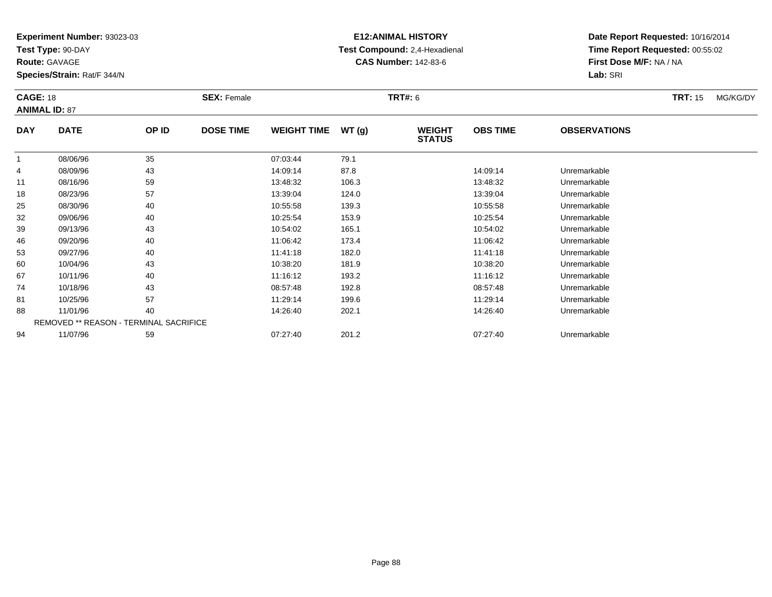**Test Type:** 90-DAY

**Route:** GAVAGE

**Species/Strain:** Rat/F 344/N

# **E12:ANIMAL HISTORY Test Compound:** 2,4-Hexadienal **CAS Number:** 142-83-6

|            | <b>CAGE: 18</b><br><b>ANIMAL ID: 87</b> |       | <b>SEX: Female</b> |                    |       | <b>TRT#: 6</b>                 |                 | <b>TRT: 15</b>      | MG/KG/DY |  |
|------------|-----------------------------------------|-------|--------------------|--------------------|-------|--------------------------------|-----------------|---------------------|----------|--|
| <b>DAY</b> | <b>DATE</b>                             | OP ID | <b>DOSE TIME</b>   | <b>WEIGHT TIME</b> | WT(g) | <b>WEIGHT</b><br><b>STATUS</b> | <b>OBS TIME</b> | <b>OBSERVATIONS</b> |          |  |
| 1          | 08/06/96                                | 35    |                    | 07:03:44           | 79.1  |                                |                 |                     |          |  |
| 4          | 08/09/96                                | 43    |                    | 14:09:14           | 87.8  |                                | 14:09:14        | Unremarkable        |          |  |
| 11         | 08/16/96                                | 59    |                    | 13:48:32           | 106.3 |                                | 13:48:32        | Unremarkable        |          |  |
| 18         | 08/23/96                                | 57    |                    | 13:39:04           | 124.0 |                                | 13:39:04        | Unremarkable        |          |  |
| 25         | 08/30/96                                | 40    |                    | 10:55:58           | 139.3 |                                | 10:55:58        | Unremarkable        |          |  |
| 32         | 09/06/96                                | 40    |                    | 10:25:54           | 153.9 |                                | 10:25:54        | Unremarkable        |          |  |
| 39         | 09/13/96                                | 43    |                    | 10:54:02           | 165.1 |                                | 10:54:02        | Unremarkable        |          |  |
| 46         | 09/20/96                                | 40    |                    | 11:06:42           | 173.4 |                                | 11:06:42        | Unremarkable        |          |  |
| 53         | 09/27/96                                | 40    |                    | 11:41:18           | 182.0 |                                | 11:41:18        | Unremarkable        |          |  |
| 60         | 10/04/96                                | 43    |                    | 10:38:20           | 181.9 |                                | 10:38:20        | Unremarkable        |          |  |
| 67         | 10/11/96                                | 40    |                    | 11:16:12           | 193.2 |                                | 11:16:12        | Unremarkable        |          |  |
| 74         | 10/18/96                                | 43    |                    | 08:57:48           | 192.8 |                                | 08:57:48        | Unremarkable        |          |  |
| 81         | 10/25/96                                | 57    |                    | 11:29:14           | 199.6 |                                | 11:29:14        | Unremarkable        |          |  |
| 88         | 11/01/96                                | 40    |                    | 14:26:40           | 202.1 |                                | 14:26:40        | Unremarkable        |          |  |
|            | REMOVED ** REASON - TERMINAL SACRIFICE  |       |                    |                    |       |                                |                 |                     |          |  |
| 94         | 11/07/96                                | 59    |                    | 07:27:40           | 201.2 |                                | 07:27:40        | Unremarkable        |          |  |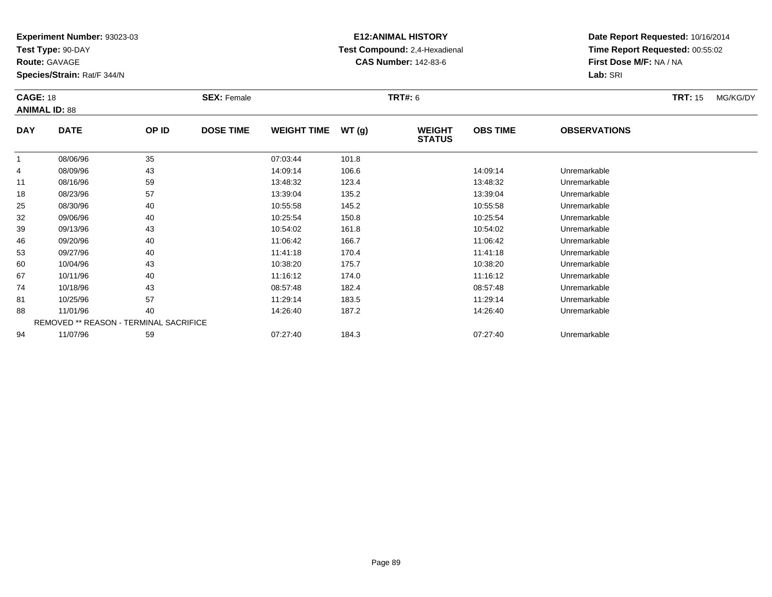**Test Type:** 90-DAY

**Route:** GAVAGE

**Species/Strain:** Rat/F 344/N

# **E12:ANIMAL HISTORY Test Compound:** 2,4-Hexadienal **CAS Number:** 142-83-6

| <b>CAGE: 18</b><br><b>ANIMAL ID: 88</b> |             |                                        | <b>SEX: Female</b> |                    |       | <b>TRT#: 6</b>                 |                 |                     | <b>TRT: 15</b> | MG/KG/DY |
|-----------------------------------------|-------------|----------------------------------------|--------------------|--------------------|-------|--------------------------------|-----------------|---------------------|----------------|----------|
| <b>DAY</b>                              | <b>DATE</b> | OP ID                                  | <b>DOSE TIME</b>   | <b>WEIGHT TIME</b> | WT(g) | <b>WEIGHT</b><br><b>STATUS</b> | <b>OBS TIME</b> | <b>OBSERVATIONS</b> |                |          |
| 1                                       | 08/06/96    | 35                                     |                    | 07:03:44           | 101.8 |                                |                 |                     |                |          |
| 4                                       | 08/09/96    | 43                                     |                    | 14:09:14           | 106.6 |                                | 14:09:14        | Unremarkable        |                |          |
| 11                                      | 08/16/96    | 59                                     |                    | 13:48:32           | 123.4 |                                | 13:48:32        | Unremarkable        |                |          |
| 18                                      | 08/23/96    | 57                                     |                    | 13:39:04           | 135.2 |                                | 13:39:04        | Unremarkable        |                |          |
| 25                                      | 08/30/96    | 40                                     |                    | 10:55:58           | 145.2 |                                | 10:55:58        | Unremarkable        |                |          |
| 32                                      | 09/06/96    | 40                                     |                    | 10:25:54           | 150.8 |                                | 10:25:54        | Unremarkable        |                |          |
| 39                                      | 09/13/96    | 43                                     |                    | 10:54:02           | 161.8 |                                | 10:54:02        | Unremarkable        |                |          |
| 46                                      | 09/20/96    | 40                                     |                    | 11:06:42           | 166.7 |                                | 11:06:42        | Unremarkable        |                |          |
| 53                                      | 09/27/96    | 40                                     |                    | 11:41:18           | 170.4 |                                | 11:41:18        | Unremarkable        |                |          |
| 60                                      | 10/04/96    | 43                                     |                    | 10:38:20           | 175.7 |                                | 10:38:20        | Unremarkable        |                |          |
| 67                                      | 10/11/96    | 40                                     |                    | 11:16:12           | 174.0 |                                | 11:16:12        | Unremarkable        |                |          |
| 74                                      | 10/18/96    | 43                                     |                    | 08:57:48           | 182.4 |                                | 08:57:48        | Unremarkable        |                |          |
| 81                                      | 10/25/96    | 57                                     |                    | 11:29:14           | 183.5 |                                | 11:29:14        | Unremarkable        |                |          |
| 88                                      | 11/01/96    | 40                                     |                    | 14:26:40           | 187.2 |                                | 14:26:40        | Unremarkable        |                |          |
|                                         |             | REMOVED ** REASON - TERMINAL SACRIFICE |                    |                    |       |                                |                 |                     |                |          |
| 94                                      | 11/07/96    | 59                                     |                    | 07:27:40           | 184.3 |                                | 07:27:40        | Unremarkable        |                |          |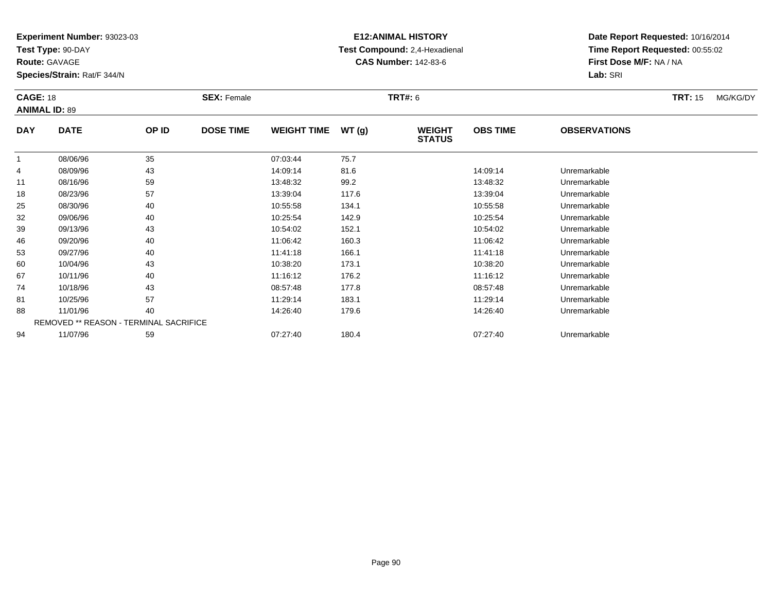**Test Type:** 90-DAY

**Route:** GAVAGE

**Species/Strain:** Rat/F 344/N

# **E12:ANIMAL HISTORY Test Compound:** 2,4-Hexadienal **CAS Number:** 142-83-6

|            | <b>CAGE: 18</b><br><b>ANIMAL ID: 89</b><br><b>DATE</b><br>OP ID |                                        | <b>SEX: Female</b> |                    |       | <b>TRT#: 6</b>                 |                 | <b>TRT: 15</b>      | MG/KG/DY |  |
|------------|-----------------------------------------------------------------|----------------------------------------|--------------------|--------------------|-------|--------------------------------|-----------------|---------------------|----------|--|
| <b>DAY</b> |                                                                 |                                        | <b>DOSE TIME</b>   | <b>WEIGHT TIME</b> | WT(g) | <b>WEIGHT</b><br><b>STATUS</b> | <b>OBS TIME</b> | <b>OBSERVATIONS</b> |          |  |
|            | 08/06/96                                                        | 35                                     |                    | 07:03:44           | 75.7  |                                |                 |                     |          |  |
| 4          | 08/09/96                                                        | 43                                     |                    | 14:09:14           | 81.6  |                                | 14:09:14        | Unremarkable        |          |  |
| 11         | 08/16/96                                                        | 59                                     |                    | 13:48:32           | 99.2  |                                | 13:48:32        | Unremarkable        |          |  |
| 18         | 08/23/96                                                        | 57                                     |                    | 13:39:04           | 117.6 |                                | 13:39:04        | Unremarkable        |          |  |
| 25         | 08/30/96                                                        | 40                                     |                    | 10:55:58           | 134.1 |                                | 10:55:58        | Unremarkable        |          |  |
| 32         | 09/06/96                                                        | 40                                     |                    | 10:25:54           | 142.9 |                                | 10:25:54        | Unremarkable        |          |  |
| 39         | 09/13/96                                                        | 43                                     |                    | 10:54:02           | 152.1 |                                | 10:54:02        | Unremarkable        |          |  |
| 46         | 09/20/96                                                        | 40                                     |                    | 11:06:42           | 160.3 |                                | 11:06:42        | Unremarkable        |          |  |
| 53         | 09/27/96                                                        | 40                                     |                    | 11:41:18           | 166.1 |                                | 11:41:18        | Unremarkable        |          |  |
| 60         | 10/04/96                                                        | 43                                     |                    | 10:38:20           | 173.1 |                                | 10:38:20        | Unremarkable        |          |  |
| 67         | 10/11/96                                                        | 40                                     |                    | 11:16:12           | 176.2 |                                | 11:16:12        | Unremarkable        |          |  |
| 74         | 10/18/96                                                        | 43                                     |                    | 08:57:48           | 177.8 |                                | 08:57:48        | Unremarkable        |          |  |
| 81         | 10/25/96                                                        | 57                                     |                    | 11:29:14           | 183.1 |                                | 11:29:14        | Unremarkable        |          |  |
| 88         | 11/01/96                                                        | 40                                     |                    | 14:26:40           | 179.6 |                                | 14:26:40        | Unremarkable        |          |  |
|            |                                                                 | REMOVED ** REASON - TERMINAL SACRIFICE |                    |                    |       |                                |                 |                     |          |  |
| 94         | 11/07/96                                                        | 59                                     |                    | 07:27:40           | 180.4 |                                | 07:27:40        | Unremarkable        |          |  |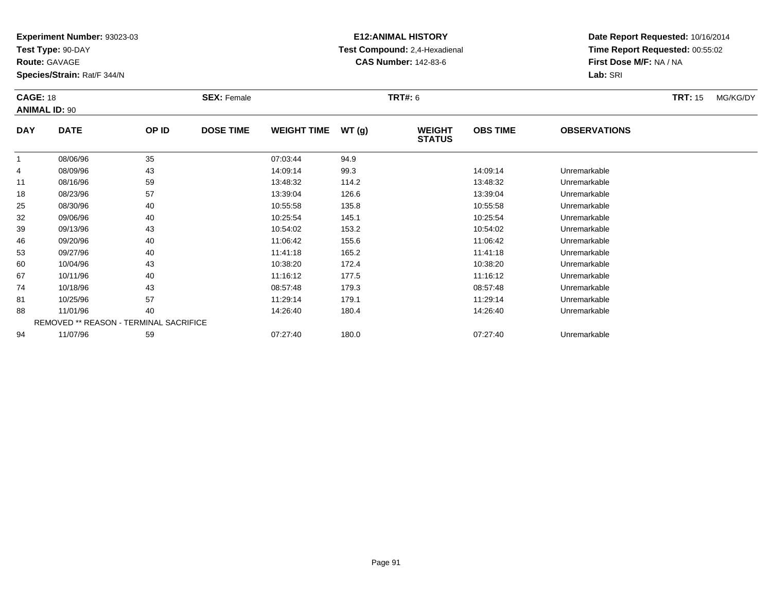**Test Type:** 90-DAY

**Route:** GAVAGE

**Species/Strain:** Rat/F 344/N

# **E12:ANIMAL HISTORY Test Compound:** 2,4-Hexadienal **CAS Number:** 142-83-6

|            | <b>CAGE: 18</b><br><b>ANIMAL ID: 90</b> |                                        | <b>SEX: Female</b> |                    | <b>TRT#: 6</b> |                                |                 | <b>TRT: 15</b>      | MG/KG/DY |  |
|------------|-----------------------------------------|----------------------------------------|--------------------|--------------------|----------------|--------------------------------|-----------------|---------------------|----------|--|
| <b>DAY</b> | <b>DATE</b>                             | OP ID                                  | <b>DOSE TIME</b>   | <b>WEIGHT TIME</b> | WT(g)          | <b>WEIGHT</b><br><b>STATUS</b> | <b>OBS TIME</b> | <b>OBSERVATIONS</b> |          |  |
|            | 08/06/96                                | 35                                     |                    | 07:03:44           | 94.9           |                                |                 |                     |          |  |
| 4          | 08/09/96                                | 43                                     |                    | 14:09:14           | 99.3           |                                | 14:09:14        | Unremarkable        |          |  |
| 11         | 08/16/96                                | 59                                     |                    | 13:48:32           | 114.2          |                                | 13:48:32        | Unremarkable        |          |  |
| 18         | 08/23/96                                | 57                                     |                    | 13:39:04           | 126.6          |                                | 13:39:04        | Unremarkable        |          |  |
| 25         | 08/30/96                                | 40                                     |                    | 10:55:58           | 135.8          |                                | 10:55:58        | Unremarkable        |          |  |
| 32         | 09/06/96                                | 40                                     |                    | 10:25:54           | 145.1          |                                | 10:25:54        | Unremarkable        |          |  |
| 39         | 09/13/96                                | 43                                     |                    | 10:54:02           | 153.2          |                                | 10:54:02        | Unremarkable        |          |  |
| 46         | 09/20/96                                | 40                                     |                    | 11:06:42           | 155.6          |                                | 11:06:42        | Unremarkable        |          |  |
| 53         | 09/27/96                                | 40                                     |                    | 11:41:18           | 165.2          |                                | 11:41:18        | Unremarkable        |          |  |
| 60         | 10/04/96                                | 43                                     |                    | 10:38:20           | 172.4          |                                | 10:38:20        | Unremarkable        |          |  |
| 67         | 10/11/96                                | 40                                     |                    | 11:16:12           | 177.5          |                                | 11:16:12        | Unremarkable        |          |  |
| 74         | 10/18/96                                | 43                                     |                    | 08:57:48           | 179.3          |                                | 08:57:48        | Unremarkable        |          |  |
| 81         | 10/25/96                                | 57                                     |                    | 11:29:14           | 179.1          |                                | 11:29:14        | Unremarkable        |          |  |
| 88         | 11/01/96                                | 40                                     |                    | 14:26:40           | 180.4          |                                | 14:26:40        | Unremarkable        |          |  |
|            |                                         | REMOVED ** REASON - TERMINAL SACRIFICE |                    |                    |                |                                |                 |                     |          |  |
| 94         | 11/07/96                                | 59                                     |                    | 07:27:40           | 180.0          |                                | 07:27:40        | Unremarkable        |          |  |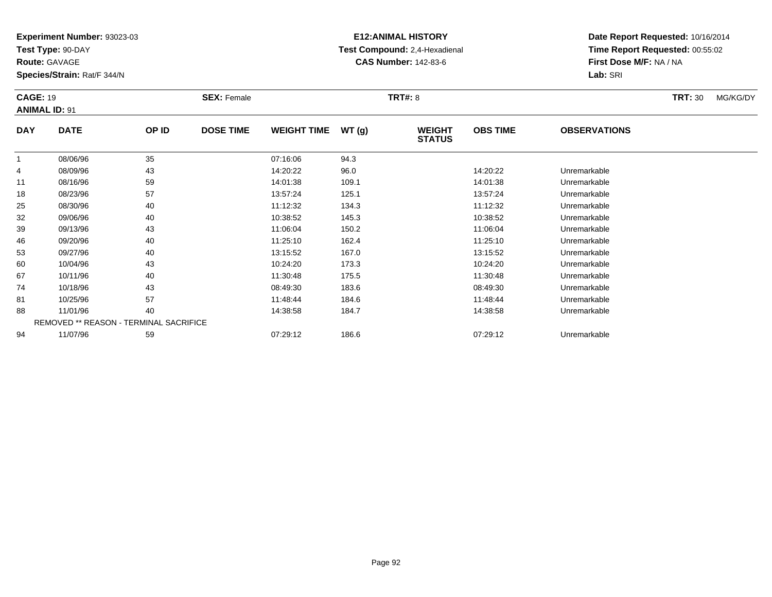**Test Type:** 90-DAY

**Route:** GAVAGE

**Species/Strain:** Rat/F 344/N

# **E12:ANIMAL HISTORY Test Compound:** 2,4-Hexadienal **CAS Number:** 142-83-6

| <b>CAGE: 19</b> | <b>ANIMAL ID: 91</b>                   |       | <b>SEX: Female</b> |                    |       | <b>TRT#: 8</b>                 |                 |                     | <b>TRT: 30</b> | MG/KG/DY |
|-----------------|----------------------------------------|-------|--------------------|--------------------|-------|--------------------------------|-----------------|---------------------|----------------|----------|
| <b>DAY</b>      | <b>DATE</b>                            | OP ID | <b>DOSE TIME</b>   | <b>WEIGHT TIME</b> | WT(g) | <b>WEIGHT</b><br><b>STATUS</b> | <b>OBS TIME</b> | <b>OBSERVATIONS</b> |                |          |
|                 | 08/06/96                               | 35    |                    | 07:16:06           | 94.3  |                                |                 |                     |                |          |
| 4               | 08/09/96                               | 43    |                    | 14:20:22           | 96.0  |                                | 14:20:22        | Unremarkable        |                |          |
| 11              | 08/16/96                               | 59    |                    | 14:01:38           | 109.1 |                                | 14:01:38        | Unremarkable        |                |          |
| 18              | 08/23/96                               | 57    |                    | 13:57:24           | 125.1 |                                | 13:57:24        | Unremarkable        |                |          |
| 25              | 08/30/96                               | 40    |                    | 11:12:32           | 134.3 |                                | 11:12:32        | Unremarkable        |                |          |
| 32              | 09/06/96                               | 40    |                    | 10:38:52           | 145.3 |                                | 10:38:52        | Unremarkable        |                |          |
| 39              | 09/13/96                               | 43    |                    | 11:06:04           | 150.2 |                                | 11:06:04        | Unremarkable        |                |          |
| 46              | 09/20/96                               | 40    |                    | 11:25:10           | 162.4 |                                | 11:25:10        | Unremarkable        |                |          |
| 53              | 09/27/96                               | 40    |                    | 13:15:52           | 167.0 |                                | 13:15:52        | Unremarkable        |                |          |
| 60              | 10/04/96                               | 43    |                    | 10:24:20           | 173.3 |                                | 10:24:20        | Unremarkable        |                |          |
| 67              | 10/11/96                               | 40    |                    | 11:30:48           | 175.5 |                                | 11:30:48        | Unremarkable        |                |          |
| 74              | 10/18/96                               | 43    |                    | 08:49:30           | 183.6 |                                | 08:49:30        | Unremarkable        |                |          |
| 81              | 10/25/96                               | 57    |                    | 11:48:44           | 184.6 |                                | 11:48:44        | Unremarkable        |                |          |
| 88              | 11/01/96                               | 40    |                    | 14:38:58           | 184.7 |                                | 14:38:58        | Unremarkable        |                |          |
|                 | REMOVED ** REASON - TERMINAL SACRIFICE |       |                    |                    |       |                                |                 |                     |                |          |
| 94              | 11/07/96                               | 59    |                    | 07:29:12           | 186.6 |                                | 07:29:12        | Unremarkable        |                |          |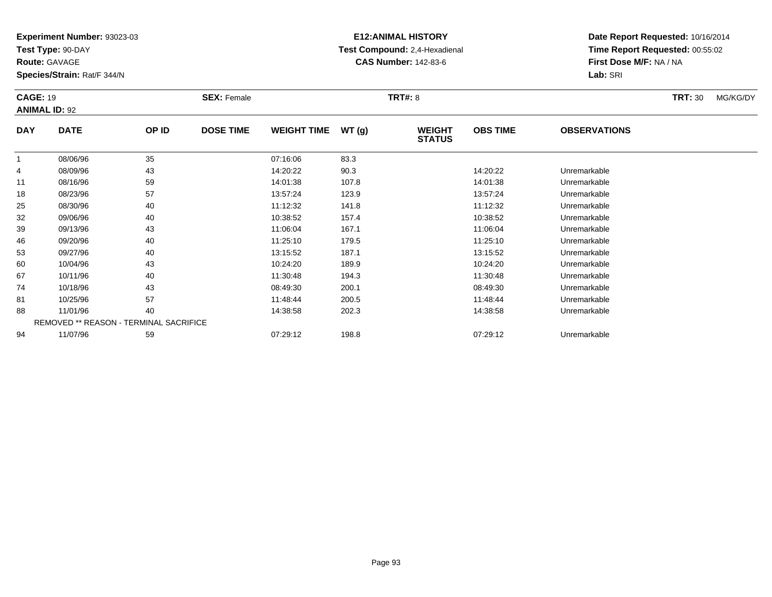**Test Type:** 90-DAY

**Route:** GAVAGE

**Species/Strain:** Rat/F 344/N

# **E12:ANIMAL HISTORY Test Compound:** 2,4-Hexadienal **CAS Number:** 142-83-6

| <b>CAGE: 19</b> | <b>ANIMAL ID: 92</b> |                                        | <b>SEX: Female</b> |                    |       | <b>TRT#: 8</b>                 |                 |                     | <b>TRT: 30</b> | MG/KG/DY |
|-----------------|----------------------|----------------------------------------|--------------------|--------------------|-------|--------------------------------|-----------------|---------------------|----------------|----------|
| <b>DAY</b>      | <b>DATE</b>          | OP ID                                  | <b>DOSE TIME</b>   | <b>WEIGHT TIME</b> | WT(g) | <b>WEIGHT</b><br><b>STATUS</b> | <b>OBS TIME</b> | <b>OBSERVATIONS</b> |                |          |
| -1              | 08/06/96             | 35                                     |                    | 07:16:06           | 83.3  |                                |                 |                     |                |          |
| 4               | 08/09/96             | 43                                     |                    | 14:20:22           | 90.3  |                                | 14:20:22        | Unremarkable        |                |          |
| 11              | 08/16/96             | 59                                     |                    | 14:01:38           | 107.8 |                                | 14:01:38        | Unremarkable        |                |          |
| 18              | 08/23/96             | 57                                     |                    | 13:57:24           | 123.9 |                                | 13:57:24        | Unremarkable        |                |          |
| 25              | 08/30/96             | 40                                     |                    | 11:12:32           | 141.8 |                                | 11:12:32        | Unremarkable        |                |          |
| 32              | 09/06/96             | 40                                     |                    | 10:38:52           | 157.4 |                                | 10:38:52        | Unremarkable        |                |          |
| 39              | 09/13/96             | 43                                     |                    | 11:06:04           | 167.1 |                                | 11:06:04        | Unremarkable        |                |          |
| 46              | 09/20/96             | 40                                     |                    | 11:25:10           | 179.5 |                                | 11:25:10        | Unremarkable        |                |          |
| 53              | 09/27/96             | 40                                     |                    | 13:15:52           | 187.1 |                                | 13:15:52        | Unremarkable        |                |          |
| 60              | 10/04/96             | 43                                     |                    | 10:24:20           | 189.9 |                                | 10:24:20        | Unremarkable        |                |          |
| 67              | 10/11/96             | 40                                     |                    | 11:30:48           | 194.3 |                                | 11:30:48        | Unremarkable        |                |          |
| 74              | 10/18/96             | 43                                     |                    | 08:49:30           | 200.1 |                                | 08:49:30        | Unremarkable        |                |          |
| 81              | 10/25/96             | 57                                     |                    | 11:48:44           | 200.5 |                                | 11:48:44        | Unremarkable        |                |          |
| 88              | 11/01/96             | 40                                     |                    | 14:38:58           | 202.3 |                                | 14:38:58        | Unremarkable        |                |          |
|                 |                      | REMOVED ** REASON - TERMINAL SACRIFICE |                    |                    |       |                                |                 |                     |                |          |
| 94              | 11/07/96             | 59                                     |                    | 07:29:12           | 198.8 |                                | 07:29:12        | Unremarkable        |                |          |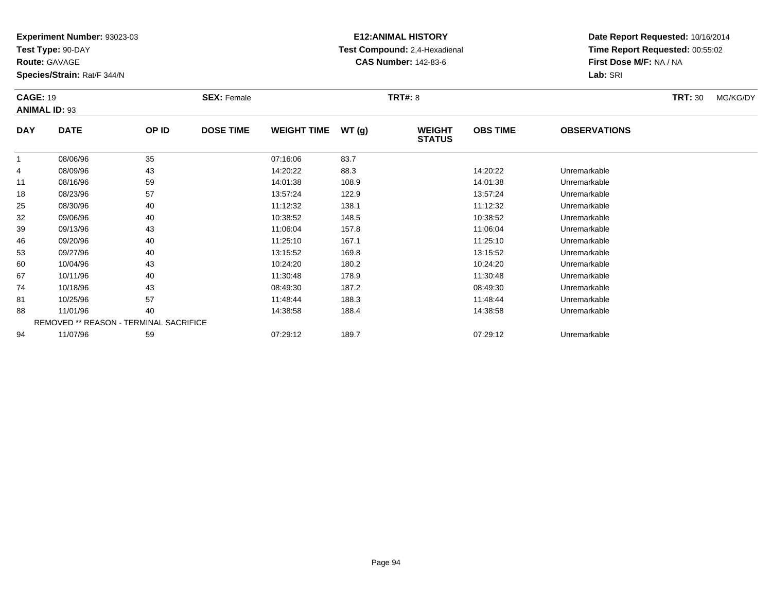**Test Type:** 90-DAY

**Route:** GAVAGE

**Species/Strain:** Rat/F 344/N

# **E12:ANIMAL HISTORY Test Compound:** 2,4-Hexadienal **CAS Number:** 142-83-6

| <b>CAGE: 19</b> | <b>ANIMAL ID: 93</b> |                                        | <b>SEX: Female</b> |                    |       | <b>TRT#: 8</b>                 |                 |                     | <b>TRT: 30</b> | MG/KG/DY |
|-----------------|----------------------|----------------------------------------|--------------------|--------------------|-------|--------------------------------|-----------------|---------------------|----------------|----------|
| <b>DAY</b>      | <b>DATE</b>          | OP ID                                  | <b>DOSE TIME</b>   | <b>WEIGHT TIME</b> | WT(g) | <b>WEIGHT</b><br><b>STATUS</b> | <b>OBS TIME</b> | <b>OBSERVATIONS</b> |                |          |
|                 | 08/06/96             | 35                                     |                    | 07:16:06           | 83.7  |                                |                 |                     |                |          |
| 4               | 08/09/96             | 43                                     |                    | 14:20:22           | 88.3  |                                | 14:20:22        | Unremarkable        |                |          |
| 11              | 08/16/96             | 59                                     |                    | 14:01:38           | 108.9 |                                | 14:01:38        | Unremarkable        |                |          |
| 18              | 08/23/96             | 57                                     |                    | 13:57:24           | 122.9 |                                | 13:57:24        | Unremarkable        |                |          |
| 25              | 08/30/96             | 40                                     |                    | 11:12:32           | 138.1 |                                | 11:12:32        | Unremarkable        |                |          |
| 32              | 09/06/96             | 40                                     |                    | 10:38:52           | 148.5 |                                | 10:38:52        | Unremarkable        |                |          |
| 39              | 09/13/96             | 43                                     |                    | 11:06:04           | 157.8 |                                | 11:06:04        | Unremarkable        |                |          |
| 46              | 09/20/96             | 40                                     |                    | 11:25:10           | 167.1 |                                | 11:25:10        | Unremarkable        |                |          |
| 53              | 09/27/96             | 40                                     |                    | 13:15:52           | 169.8 |                                | 13:15:52        | Unremarkable        |                |          |
| 60              | 10/04/96             | 43                                     |                    | 10:24:20           | 180.2 |                                | 10:24:20        | Unremarkable        |                |          |
| 67              | 10/11/96             | 40                                     |                    | 11:30:48           | 178.9 |                                | 11:30:48        | Unremarkable        |                |          |
| 74              | 10/18/96             | 43                                     |                    | 08:49:30           | 187.2 |                                | 08:49:30        | Unremarkable        |                |          |
| 81              | 10/25/96             | 57                                     |                    | 11:48:44           | 188.3 |                                | 11:48:44        | Unremarkable        |                |          |
| 88              | 11/01/96             | 40                                     |                    | 14:38:58           | 188.4 |                                | 14:38:58        | Unremarkable        |                |          |
|                 |                      | REMOVED ** REASON - TERMINAL SACRIFICE |                    |                    |       |                                |                 |                     |                |          |
| 94              | 11/07/96             | 59                                     |                    | 07:29:12           | 189.7 |                                | 07:29:12        | Unremarkable        |                |          |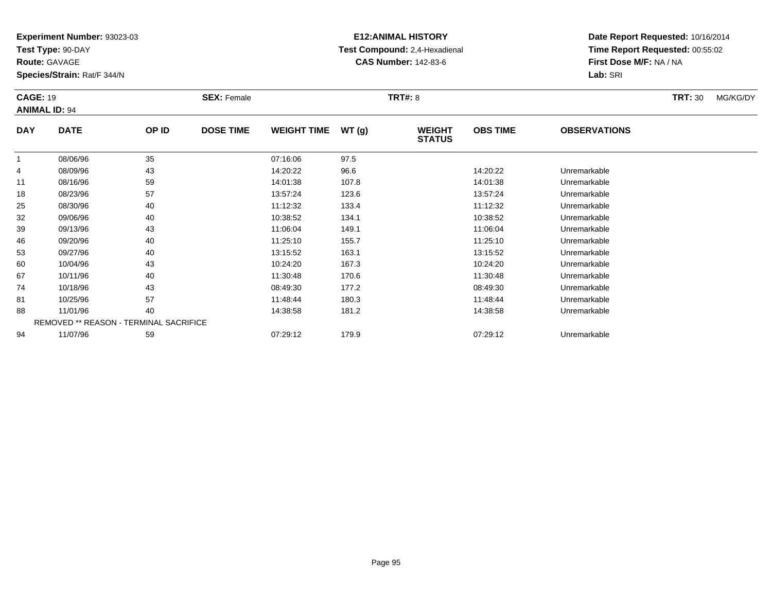**Test Type:** 90-DAY

**Route:** GAVAGE

**Species/Strain:** Rat/F 344/N

# **E12:ANIMAL HISTORY Test Compound:** 2,4-Hexadienal **CAS Number:** 142-83-6

| <b>CAGE: 19</b> | <b>ANIMAL ID: 94</b> |                                        | <b>SEX: Female</b> |                    |       | <b>TRT#: 8</b>                 |                 |                     | <b>TRT: 30</b> | MG/KG/DY |
|-----------------|----------------------|----------------------------------------|--------------------|--------------------|-------|--------------------------------|-----------------|---------------------|----------------|----------|
| <b>DAY</b>      | <b>DATE</b>          | OP ID                                  | <b>DOSE TIME</b>   | <b>WEIGHT TIME</b> | WT(g) | <b>WEIGHT</b><br><b>STATUS</b> | <b>OBS TIME</b> | <b>OBSERVATIONS</b> |                |          |
|                 | 08/06/96             | 35                                     |                    | 07:16:06           | 97.5  |                                |                 |                     |                |          |
| 4               | 08/09/96             | 43                                     |                    | 14:20:22           | 96.6  |                                | 14:20:22        | Unremarkable        |                |          |
| 11              | 08/16/96             | 59                                     |                    | 14:01:38           | 107.8 |                                | 14:01:38        | Unremarkable        |                |          |
| 18              | 08/23/96             | 57                                     |                    | 13:57:24           | 123.6 |                                | 13:57:24        | Unremarkable        |                |          |
| 25              | 08/30/96             | 40                                     |                    | 11:12:32           | 133.4 |                                | 11:12:32        | Unremarkable        |                |          |
| 32              | 09/06/96             | 40                                     |                    | 10:38:52           | 134.1 |                                | 10:38:52        | Unremarkable        |                |          |
| 39              | 09/13/96             | 43                                     |                    | 11:06:04           | 149.1 |                                | 11:06:04        | Unremarkable        |                |          |
| 46              | 09/20/96             | 40                                     |                    | 11:25:10           | 155.7 |                                | 11:25:10        | Unremarkable        |                |          |
| 53              | 09/27/96             | 40                                     |                    | 13:15:52           | 163.1 |                                | 13:15:52        | Unremarkable        |                |          |
| 60              | 10/04/96             | 43                                     |                    | 10:24:20           | 167.3 |                                | 10:24:20        | Unremarkable        |                |          |
| 67              | 10/11/96             | 40                                     |                    | 11:30:48           | 170.6 |                                | 11:30:48        | Unremarkable        |                |          |
| 74              | 10/18/96             | 43                                     |                    | 08:49:30           | 177.2 |                                | 08:49:30        | Unremarkable        |                |          |
| 81              | 10/25/96             | 57                                     |                    | 11:48:44           | 180.3 |                                | 11:48:44        | Unremarkable        |                |          |
| 88              | 11/01/96             | 40                                     |                    | 14:38:58           | 181.2 |                                | 14:38:58        | Unremarkable        |                |          |
|                 |                      | REMOVED ** REASON - TERMINAL SACRIFICE |                    |                    |       |                                |                 |                     |                |          |
| 94              | 11/07/96             | 59                                     |                    | 07:29:12           | 179.9 |                                | 07:29:12        | Unremarkable        |                |          |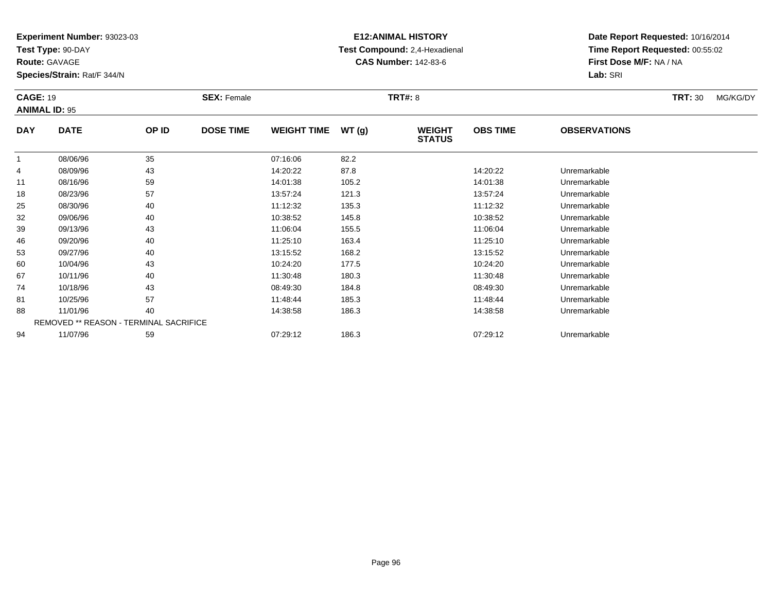**Test Type:** 90-DAY

**Route:** GAVAGE

**Species/Strain:** Rat/F 344/N

# **E12:ANIMAL HISTORY Test Compound:** 2,4-Hexadienal **CAS Number:** 142-83-6

| <b>CAGE: 19</b> | <b>ANIMAL ID: 95</b> |                                        | <b>SEX: Female</b> |                    |       | <b>TRT#: 8</b>                 |                 |                     | <b>TRT: 30</b> | MG/KG/DY |
|-----------------|----------------------|----------------------------------------|--------------------|--------------------|-------|--------------------------------|-----------------|---------------------|----------------|----------|
| <b>DAY</b>      | <b>DATE</b>          | OP ID                                  | <b>DOSE TIME</b>   | <b>WEIGHT TIME</b> | WT(g) | <b>WEIGHT</b><br><b>STATUS</b> | <b>OBS TIME</b> | <b>OBSERVATIONS</b> |                |          |
|                 | 08/06/96             | 35                                     |                    | 07:16:06           | 82.2  |                                |                 |                     |                |          |
| 4               | 08/09/96             | 43                                     |                    | 14:20:22           | 87.8  |                                | 14:20:22        | Unremarkable        |                |          |
| 11              | 08/16/96             | 59                                     |                    | 14:01:38           | 105.2 |                                | 14:01:38        | Unremarkable        |                |          |
| 18              | 08/23/96             | 57                                     |                    | 13:57:24           | 121.3 |                                | 13:57:24        | Unremarkable        |                |          |
| 25              | 08/30/96             | 40                                     |                    | 11:12:32           | 135.3 |                                | 11:12:32        | Unremarkable        |                |          |
| 32              | 09/06/96             | 40                                     |                    | 10:38:52           | 145.8 |                                | 10:38:52        | Unremarkable        |                |          |
| 39              | 09/13/96             | 43                                     |                    | 11:06:04           | 155.5 |                                | 11:06:04        | Unremarkable        |                |          |
| 46              | 09/20/96             | 40                                     |                    | 11:25:10           | 163.4 |                                | 11:25:10        | Unremarkable        |                |          |
| 53              | 09/27/96             | 40                                     |                    | 13:15:52           | 168.2 |                                | 13:15:52        | Unremarkable        |                |          |
| 60              | 10/04/96             | 43                                     |                    | 10:24:20           | 177.5 |                                | 10:24:20        | Unremarkable        |                |          |
| 67              | 10/11/96             | 40                                     |                    | 11:30:48           | 180.3 |                                | 11:30:48        | Unremarkable        |                |          |
| 74              | 10/18/96             | 43                                     |                    | 08:49:30           | 184.8 |                                | 08:49:30        | Unremarkable        |                |          |
| 81              | 10/25/96             | 57                                     |                    | 11:48:44           | 185.3 |                                | 11:48:44        | Unremarkable        |                |          |
| 88              | 11/01/96             | 40                                     |                    | 14:38:58           | 186.3 |                                | 14:38:58        | Unremarkable        |                |          |
|                 |                      | REMOVED ** REASON - TERMINAL SACRIFICE |                    |                    |       |                                |                 |                     |                |          |
| 94              | 11/07/96             | 59                                     |                    | 07:29:12           | 186.3 |                                | 07:29:12        | Unremarkable        |                |          |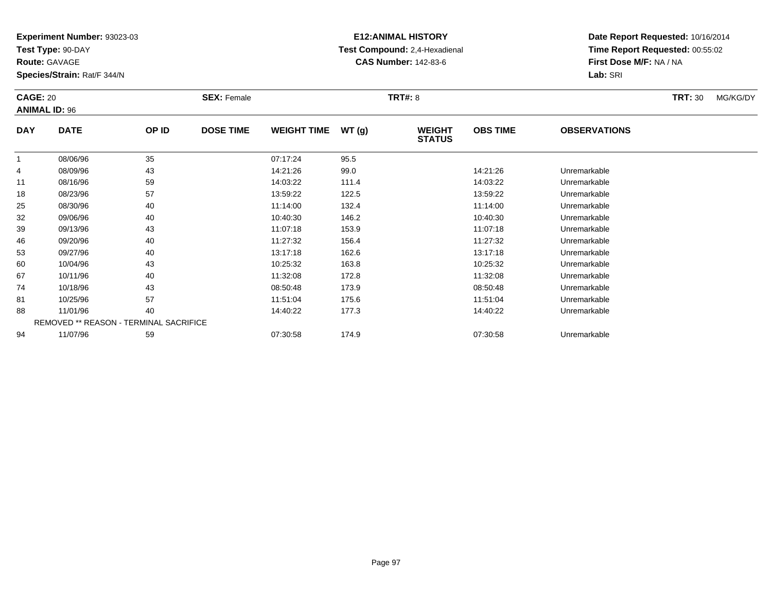**Test Type:** 90-DAY

**Route:** GAVAGE

**Species/Strain:** Rat/F 344/N

# **E12:ANIMAL HISTORY Test Compound:** 2,4-Hexadienal **CAS Number:** 142-83-6

| <b>CAGE: 20</b><br><b>ANIMAL ID: 96</b> |                                        |       | <b>SEX: Female</b> |                    |       | <b>TRT#: 8</b>                 |                 |                     | <b>TRT: 30</b> | MG/KG/DY |
|-----------------------------------------|----------------------------------------|-------|--------------------|--------------------|-------|--------------------------------|-----------------|---------------------|----------------|----------|
| <b>DAY</b>                              | <b>DATE</b>                            | OP ID | <b>DOSE TIME</b>   | <b>WEIGHT TIME</b> | WT(g) | <b>WEIGHT</b><br><b>STATUS</b> | <b>OBS TIME</b> | <b>OBSERVATIONS</b> |                |          |
| -1                                      | 08/06/96                               | 35    |                    | 07:17:24           | 95.5  |                                |                 |                     |                |          |
| 4                                       | 08/09/96                               | 43    |                    | 14:21:26           | 99.0  |                                | 14:21:26        | Unremarkable        |                |          |
| 11                                      | 08/16/96                               | 59    |                    | 14:03:22           | 111.4 |                                | 14:03:22        | Unremarkable        |                |          |
| 18                                      | 08/23/96                               | 57    |                    | 13:59:22           | 122.5 |                                | 13:59:22        | Unremarkable        |                |          |
| 25                                      | 08/30/96                               | 40    |                    | 11:14:00           | 132.4 |                                | 11:14:00        | Unremarkable        |                |          |
| 32                                      | 09/06/96                               | 40    |                    | 10:40:30           | 146.2 |                                | 10:40:30        | Unremarkable        |                |          |
| 39                                      | 09/13/96                               | 43    |                    | 11:07:18           | 153.9 |                                | 11:07:18        | Unremarkable        |                |          |
| 46                                      | 09/20/96                               | 40    |                    | 11:27:32           | 156.4 |                                | 11:27:32        | Unremarkable        |                |          |
| 53                                      | 09/27/96                               | 40    |                    | 13:17:18           | 162.6 |                                | 13:17:18        | Unremarkable        |                |          |
| 60                                      | 10/04/96                               | 43    |                    | 10:25:32           | 163.8 |                                | 10:25:32        | Unremarkable        |                |          |
| 67                                      | 10/11/96                               | 40    |                    | 11:32:08           | 172.8 |                                | 11:32:08        | Unremarkable        |                |          |
| 74                                      | 10/18/96                               | 43    |                    | 08:50:48           | 173.9 |                                | 08:50:48        | Unremarkable        |                |          |
| 81                                      | 10/25/96                               | 57    |                    | 11:51:04           | 175.6 |                                | 11:51:04        | Unremarkable        |                |          |
| 88                                      | 11/01/96                               | 40    |                    | 14:40:22           | 177.3 |                                | 14:40:22        | Unremarkable        |                |          |
|                                         | REMOVED ** REASON - TERMINAL SACRIFICE |       |                    |                    |       |                                |                 |                     |                |          |
| 94                                      | 11/07/96                               | 59    |                    | 07:30:58           | 174.9 |                                | 07:30:58        | Unremarkable        |                |          |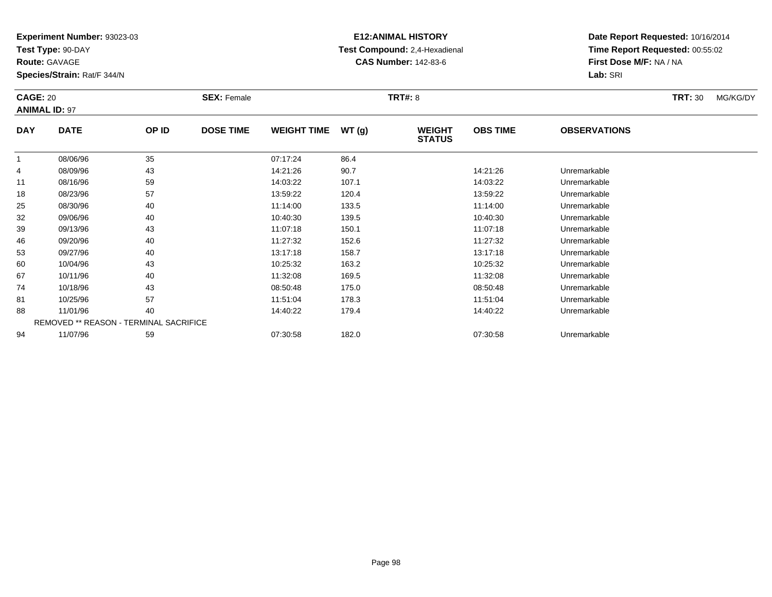**Test Type:** 90-DAY

**Route:** GAVAGE

**Species/Strain:** Rat/F 344/N

# **E12:ANIMAL HISTORY Test Compound:** 2,4-Hexadienal **CAS Number:** 142-83-6

|              | <b>CAGE: 20</b><br><b>ANIMAL ID: 97</b> |       | <b>SEX: Female</b> |                    |       | <b>TRT#: 8</b>                 |                 | <b>TRT: 30</b>      | MG/KG/DY |  |
|--------------|-----------------------------------------|-------|--------------------|--------------------|-------|--------------------------------|-----------------|---------------------|----------|--|
| <b>DAY</b>   | <b>DATE</b>                             | OP ID | <b>DOSE TIME</b>   | <b>WEIGHT TIME</b> | WT(g) | <b>WEIGHT</b><br><b>STATUS</b> | <b>OBS TIME</b> | <b>OBSERVATIONS</b> |          |  |
| $\mathbf{1}$ | 08/06/96                                | 35    |                    | 07:17:24           | 86.4  |                                |                 |                     |          |  |
| 4            | 08/09/96                                | 43    |                    | 14:21:26           | 90.7  |                                | 14:21:26        | Unremarkable        |          |  |
| 11           | 08/16/96                                | 59    |                    | 14:03:22           | 107.1 |                                | 14:03:22        | Unremarkable        |          |  |
| 18           | 08/23/96                                | 57    |                    | 13:59:22           | 120.4 |                                | 13:59:22        | Unremarkable        |          |  |
| 25           | 08/30/96                                | 40    |                    | 11:14:00           | 133.5 |                                | 11:14:00        | Unremarkable        |          |  |
| 32           | 09/06/96                                | 40    |                    | 10:40:30           | 139.5 |                                | 10:40:30        | Unremarkable        |          |  |
| 39           | 09/13/96                                | 43    |                    | 11:07:18           | 150.1 |                                | 11:07:18        | Unremarkable        |          |  |
| 46           | 09/20/96                                | 40    |                    | 11:27:32           | 152.6 |                                | 11:27:32        | Unremarkable        |          |  |
| 53           | 09/27/96                                | 40    |                    | 13:17:18           | 158.7 |                                | 13:17:18        | Unremarkable        |          |  |
| 60           | 10/04/96                                | 43    |                    | 10:25:32           | 163.2 |                                | 10:25:32        | Unremarkable        |          |  |
| 67           | 10/11/96                                | 40    |                    | 11:32:08           | 169.5 |                                | 11:32:08        | Unremarkable        |          |  |
| 74           | 10/18/96                                | 43    |                    | 08:50:48           | 175.0 |                                | 08:50:48        | Unremarkable        |          |  |
| 81           | 10/25/96                                | 57    |                    | 11:51:04           | 178.3 |                                | 11:51:04        | Unremarkable        |          |  |
| 88           | 11/01/96                                | 40    |                    | 14:40:22           | 179.4 |                                | 14:40:22        | Unremarkable        |          |  |
|              | REMOVED ** REASON - TERMINAL SACRIFICE  |       |                    |                    |       |                                |                 |                     |          |  |
| 94           | 11/07/96                                | 59    |                    | 07:30:58           | 182.0 |                                | 07:30:58        | Unremarkable        |          |  |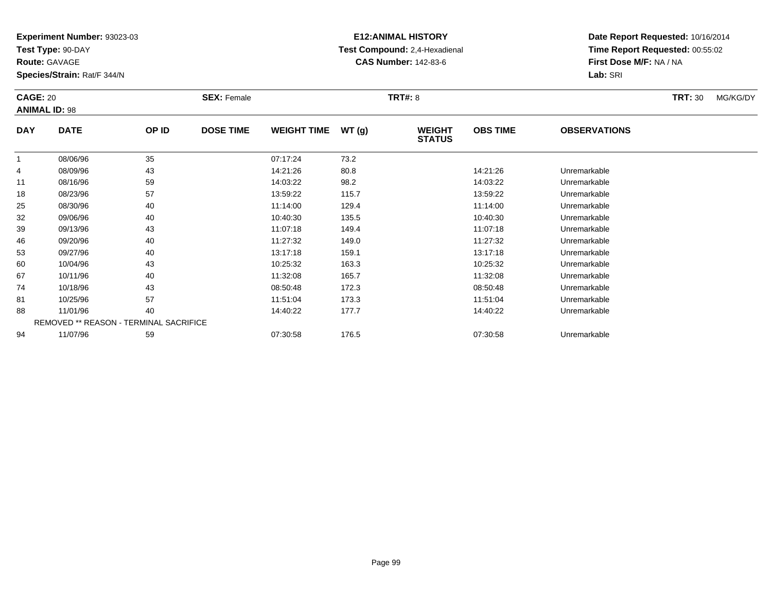**Test Type:** 90-DAY

**Route:** GAVAGE

**Species/Strain:** Rat/F 344/N

# **E12:ANIMAL HISTORY Test Compound:** 2,4-Hexadienal **CAS Number:** 142-83-6

|            | <b>CAGE: 20</b><br><b>ANIMAL ID: 98</b>       |       | <b>SEX: Female</b> |                    |       | <b>TRT#: 8</b>                 |                 | <b>TRT: 30</b>      | MG/KG/DY |  |
|------------|-----------------------------------------------|-------|--------------------|--------------------|-------|--------------------------------|-----------------|---------------------|----------|--|
| <b>DAY</b> | <b>DATE</b>                                   | OP ID | <b>DOSE TIME</b>   | <b>WEIGHT TIME</b> | WT(g) | <b>WEIGHT</b><br><b>STATUS</b> | <b>OBS TIME</b> | <b>OBSERVATIONS</b> |          |  |
|            | 08/06/96                                      | 35    |                    | 07:17:24           | 73.2  |                                |                 |                     |          |  |
| 4          | 08/09/96                                      | 43    |                    | 14:21:26           | 80.8  |                                | 14:21:26        | Unremarkable        |          |  |
| 11         | 08/16/96                                      | 59    |                    | 14:03:22           | 98.2  |                                | 14:03:22        | Unremarkable        |          |  |
| 18         | 08/23/96                                      | 57    |                    | 13:59:22           | 115.7 |                                | 13:59:22        | Unremarkable        |          |  |
| 25         | 08/30/96                                      | 40    |                    | 11:14:00           | 129.4 |                                | 11:14:00        | Unremarkable        |          |  |
| 32         | 09/06/96                                      | 40    |                    | 10:40:30           | 135.5 |                                | 10:40:30        | Unremarkable        |          |  |
| 39         | 09/13/96                                      | 43    |                    | 11:07:18           | 149.4 |                                | 11:07:18        | Unremarkable        |          |  |
| 46         | 09/20/96                                      | 40    |                    | 11:27:32           | 149.0 |                                | 11:27:32        | Unremarkable        |          |  |
| 53         | 09/27/96                                      | 40    |                    | 13:17:18           | 159.1 |                                | 13:17:18        | Unremarkable        |          |  |
| 60         | 10/04/96                                      | 43    |                    | 10:25:32           | 163.3 |                                | 10:25:32        | Unremarkable        |          |  |
| 67         | 10/11/96                                      | 40    |                    | 11:32:08           | 165.7 |                                | 11:32:08        | Unremarkable        |          |  |
| 74         | 10/18/96                                      | 43    |                    | 08:50:48           | 172.3 |                                | 08:50:48        | Unremarkable        |          |  |
| 81         | 10/25/96                                      | 57    |                    | 11:51:04           | 173.3 |                                | 11:51:04        | Unremarkable        |          |  |
| 88         | 11/01/96                                      | 40    |                    | 14:40:22           | 177.7 |                                | 14:40:22        | Unremarkable        |          |  |
|            | <b>REMOVED ** REASON - TERMINAL SACRIFICE</b> |       |                    |                    |       |                                |                 |                     |          |  |
| 94         | 11/07/96                                      | 59    |                    | 07:30:58           | 176.5 |                                | 07:30:58        | Unremarkable        |          |  |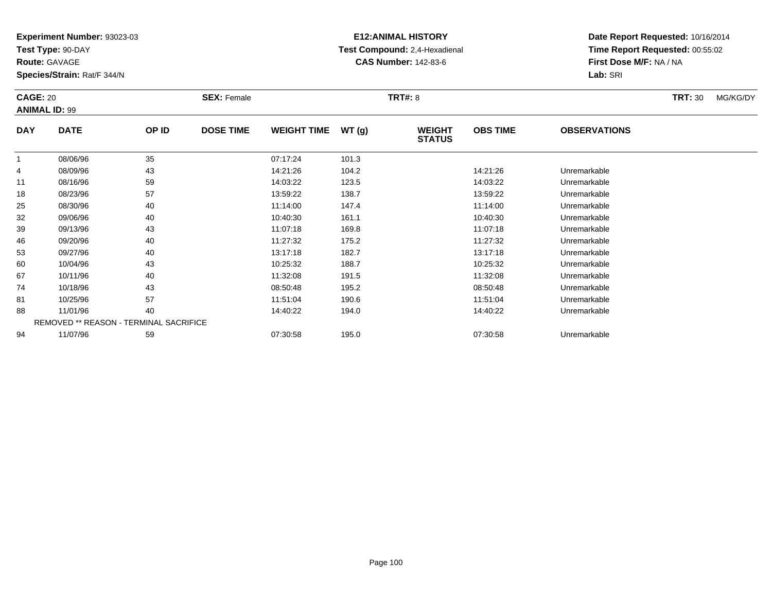**Test Type:** 90-DAY

**Route:** GAVAGE

**Species/Strain:** Rat/F 344/N

# **E12:ANIMAL HISTORY Test Compound:** 2,4-Hexadienal **CAS Number:** 142-83-6

| <b>CAGE: 20</b><br><b>ANIMAL ID: 99</b> |             | <b>SEX: Female</b>                     |                  |                    | <b>TRT#: 8</b> |                                | <b>TRT: 30</b>  | MG/KG/DY            |  |  |
|-----------------------------------------|-------------|----------------------------------------|------------------|--------------------|----------------|--------------------------------|-----------------|---------------------|--|--|
| <b>DAY</b>                              | <b>DATE</b> | OP ID                                  | <b>DOSE TIME</b> | <b>WEIGHT TIME</b> | WT(g)          | <b>WEIGHT</b><br><b>STATUS</b> | <b>OBS TIME</b> | <b>OBSERVATIONS</b> |  |  |
| 1                                       | 08/06/96    | 35                                     |                  | 07:17:24           | 101.3          |                                |                 |                     |  |  |
| 4                                       | 08/09/96    | 43                                     |                  | 14:21:26           | 104.2          |                                | 14:21:26        | Unremarkable        |  |  |
| 11                                      | 08/16/96    | 59                                     |                  | 14:03:22           | 123.5          |                                | 14:03:22        | Unremarkable        |  |  |
| 18                                      | 08/23/96    | 57                                     |                  | 13:59:22           | 138.7          |                                | 13:59:22        | Unremarkable        |  |  |
| 25                                      | 08/30/96    | 40                                     |                  | 11:14:00           | 147.4          |                                | 11:14:00        | Unremarkable        |  |  |
| 32                                      | 09/06/96    | 40                                     |                  | 10:40:30           | 161.1          |                                | 10:40:30        | Unremarkable        |  |  |
| 39                                      | 09/13/96    | 43                                     |                  | 11:07:18           | 169.8          |                                | 11:07:18        | Unremarkable        |  |  |
| 46                                      | 09/20/96    | 40                                     |                  | 11:27:32           | 175.2          |                                | 11:27:32        | Unremarkable        |  |  |
| 53                                      | 09/27/96    | 40                                     |                  | 13:17:18           | 182.7          |                                | 13:17:18        | Unremarkable        |  |  |
| 60                                      | 10/04/96    | 43                                     |                  | 10:25:32           | 188.7          |                                | 10:25:32        | Unremarkable        |  |  |
| 67                                      | 10/11/96    | 40                                     |                  | 11:32:08           | 191.5          |                                | 11:32:08        | Unremarkable        |  |  |
| 74                                      | 10/18/96    | 43                                     |                  | 08:50:48           | 195.2          |                                | 08:50:48        | Unremarkable        |  |  |
| 81                                      | 10/25/96    | 57                                     |                  | 11:51:04           | 190.6          |                                | 11:51:04        | Unremarkable        |  |  |
| 88                                      | 11/01/96    | 40                                     |                  | 14:40:22           | 194.0          |                                | 14:40:22        | Unremarkable        |  |  |
|                                         |             | REMOVED ** REASON - TERMINAL SACRIFICE |                  |                    |                |                                |                 |                     |  |  |
| 94                                      | 11/07/96    | 59                                     |                  | 07:30:58           | 195.0          |                                | 07:30:58        | Unremarkable        |  |  |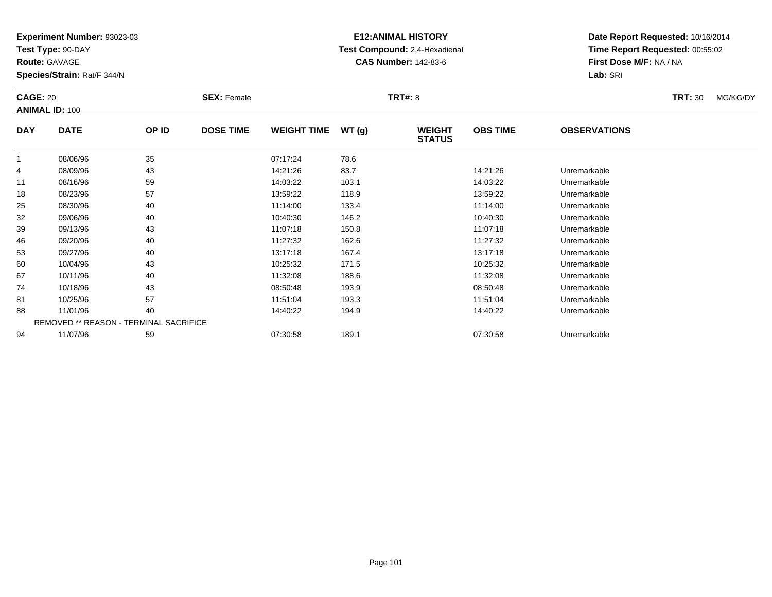**Test Type:** 90-DAY

**Route:** GAVAGE

**Species/Strain:** Rat/F 344/N

# **E12:ANIMAL HISTORY Test Compound:** 2,4-Hexadienal **CAS Number:** 142-83-6

| <b>CAGE: 20</b><br><b>ANIMAL ID: 100</b> |                                        | <b>SEX: Female</b> |                  | <b>TRT#: 8</b>     |       |                                | <b>TRT: 30</b>  | MG/KG/DY            |  |  |
|------------------------------------------|----------------------------------------|--------------------|------------------|--------------------|-------|--------------------------------|-----------------|---------------------|--|--|
| <b>DAY</b>                               | <b>DATE</b>                            | OP ID              | <b>DOSE TIME</b> | <b>WEIGHT TIME</b> | WT(g) | <b>WEIGHT</b><br><b>STATUS</b> | <b>OBS TIME</b> | <b>OBSERVATIONS</b> |  |  |
| -1                                       | 08/06/96                               | 35                 |                  | 07:17:24           | 78.6  |                                |                 |                     |  |  |
| 4                                        | 08/09/96                               | 43                 |                  | 14:21:26           | 83.7  |                                | 14:21:26        | Unremarkable        |  |  |
| 11                                       | 08/16/96                               | 59                 |                  | 14:03:22           | 103.1 |                                | 14:03:22        | Unremarkable        |  |  |
| 18                                       | 08/23/96                               | 57                 |                  | 13:59:22           | 118.9 |                                | 13:59:22        | Unremarkable        |  |  |
| 25                                       | 08/30/96                               | 40                 |                  | 11:14:00           | 133.4 |                                | 11:14:00        | Unremarkable        |  |  |
| 32                                       | 09/06/96                               | 40                 |                  | 10:40:30           | 146.2 |                                | 10:40:30        | Unremarkable        |  |  |
| 39                                       | 09/13/96                               | 43                 |                  | 11:07:18           | 150.8 |                                | 11:07:18        | Unremarkable        |  |  |
| 46                                       | 09/20/96                               | 40                 |                  | 11:27:32           | 162.6 |                                | 11:27:32        | Unremarkable        |  |  |
| 53                                       | 09/27/96                               | 40                 |                  | 13:17:18           | 167.4 |                                | 13:17:18        | Unremarkable        |  |  |
| 60                                       | 10/04/96                               | 43                 |                  | 10:25:32           | 171.5 |                                | 10:25:32        | Unremarkable        |  |  |
| 67                                       | 10/11/96                               | 40                 |                  | 11:32:08           | 188.6 |                                | 11:32:08        | Unremarkable        |  |  |
| 74                                       | 10/18/96                               | 43                 |                  | 08:50:48           | 193.9 |                                | 08:50:48        | Unremarkable        |  |  |
| 81                                       | 10/25/96                               | 57                 |                  | 11:51:04           | 193.3 |                                | 11:51:04        | Unremarkable        |  |  |
| 88                                       | 11/01/96                               | 40                 |                  | 14:40:22           | 194.9 |                                | 14:40:22        | Unremarkable        |  |  |
|                                          | REMOVED ** REASON - TERMINAL SACRIFICE |                    |                  |                    |       |                                |                 |                     |  |  |
| 94                                       | 11/07/96                               | 59                 |                  | 07:30:58           | 189.1 |                                | 07:30:58        | Unremarkable        |  |  |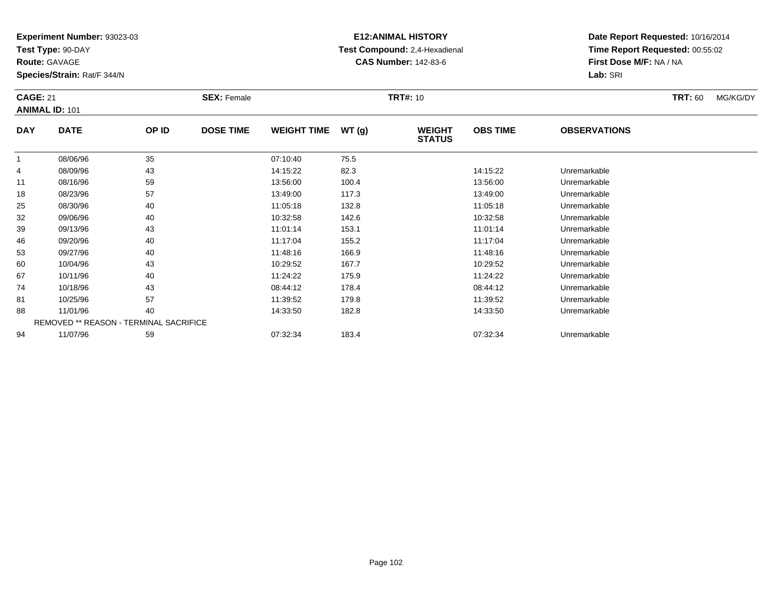**Test Type:** 90-DAY

**Route:** GAVAGE

**Species/Strain:** Rat/F 344/N

# **E12:ANIMAL HISTORY Test Compound:** 2,4-Hexadienal **CAS Number:** 142-83-6

|            | <b>CAGE: 21</b><br><b>ANIMAL ID: 101</b> |       | <b>SEX: Female</b> |                    | <b>TRT#: 10</b> |                                | <b>TRT: 60</b>  | MG/KG/DY            |  |  |
|------------|------------------------------------------|-------|--------------------|--------------------|-----------------|--------------------------------|-----------------|---------------------|--|--|
| <b>DAY</b> | <b>DATE</b>                              | OP ID | <b>DOSE TIME</b>   | <b>WEIGHT TIME</b> | WT(g)           | <b>WEIGHT</b><br><b>STATUS</b> | <b>OBS TIME</b> | <b>OBSERVATIONS</b> |  |  |
| 1          | 08/06/96                                 | 35    |                    | 07:10:40           | 75.5            |                                |                 |                     |  |  |
| 4          | 08/09/96                                 | 43    |                    | 14:15:22           | 82.3            |                                | 14:15:22        | Unremarkable        |  |  |
| 11         | 08/16/96                                 | 59    |                    | 13:56:00           | 100.4           |                                | 13:56:00        | Unremarkable        |  |  |
| 18         | 08/23/96                                 | 57    |                    | 13:49:00           | 117.3           |                                | 13:49:00        | Unremarkable        |  |  |
| 25         | 08/30/96                                 | 40    |                    | 11:05:18           | 132.8           |                                | 11:05:18        | Unremarkable        |  |  |
| 32         | 09/06/96                                 | 40    |                    | 10:32:58           | 142.6           |                                | 10:32:58        | Unremarkable        |  |  |
| 39         | 09/13/96                                 | 43    |                    | 11:01:14           | 153.1           |                                | 11:01:14        | Unremarkable        |  |  |
| 46         | 09/20/96                                 | 40    |                    | 11:17:04           | 155.2           |                                | 11:17:04        | Unremarkable        |  |  |
| 53         | 09/27/96                                 | 40    |                    | 11:48:16           | 166.9           |                                | 11:48:16        | Unremarkable        |  |  |
| 60         | 10/04/96                                 | 43    |                    | 10:29:52           | 167.7           |                                | 10:29:52        | Unremarkable        |  |  |
| 67         | 10/11/96                                 | 40    |                    | 11:24:22           | 175.9           |                                | 11:24:22        | Unremarkable        |  |  |
| 74         | 10/18/96                                 | 43    |                    | 08:44:12           | 178.4           |                                | 08:44:12        | Unremarkable        |  |  |
| 81         | 10/25/96                                 | 57    |                    | 11:39:52           | 179.8           |                                | 11:39:52        | Unremarkable        |  |  |
| 88         | 11/01/96                                 | 40    |                    | 14:33:50           | 182.8           |                                | 14:33:50        | Unremarkable        |  |  |
|            | REMOVED ** REASON - TERMINAL SACRIFICE   |       |                    |                    |                 |                                |                 |                     |  |  |
| 94         | 11/07/96                                 | 59    |                    | 07:32:34           | 183.4           |                                | 07:32:34        | Unremarkable        |  |  |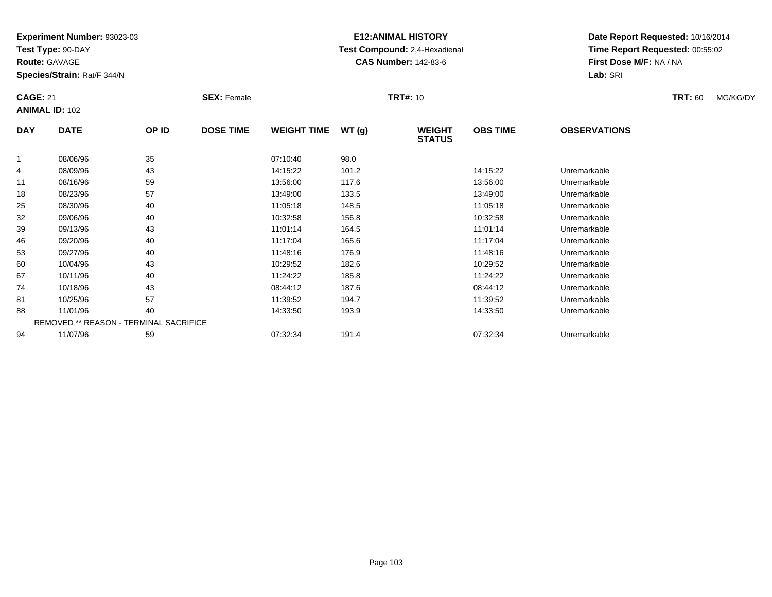**Test Type:** 90-DAY

**Route:** GAVAGE

**Species/Strain:** Rat/F 344/N

# **E12:ANIMAL HISTORY Test Compound:** 2,4-Hexadienal **CAS Number:** 142-83-6

|            | <b>CAGE: 21</b><br><b>ANIMAL ID: 102</b> |                                        | <b>SEX: Female</b> |                    | <b>TRT#: 10</b> |                                |                 | <b>TRT:</b> 60      | MG/KG/DY |  |
|------------|------------------------------------------|----------------------------------------|--------------------|--------------------|-----------------|--------------------------------|-----------------|---------------------|----------|--|
| <b>DAY</b> | <b>DATE</b>                              | OP ID                                  | <b>DOSE TIME</b>   | <b>WEIGHT TIME</b> | WT(g)           | <b>WEIGHT</b><br><b>STATUS</b> | <b>OBS TIME</b> | <b>OBSERVATIONS</b> |          |  |
| 1          | 08/06/96                                 | 35                                     |                    | 07:10:40           | 98.0            |                                |                 |                     |          |  |
| 4          | 08/09/96                                 | 43                                     |                    | 14:15:22           | 101.2           |                                | 14:15:22        | Unremarkable        |          |  |
| 11         | 08/16/96                                 | 59                                     |                    | 13:56:00           | 117.6           |                                | 13:56:00        | Unremarkable        |          |  |
| 18         | 08/23/96                                 | 57                                     |                    | 13:49:00           | 133.5           |                                | 13:49:00        | Unremarkable        |          |  |
| 25         | 08/30/96                                 | 40                                     |                    | 11:05:18           | 148.5           |                                | 11:05:18        | Unremarkable        |          |  |
| 32         | 09/06/96                                 | 40                                     |                    | 10:32:58           | 156.8           |                                | 10:32:58        | Unremarkable        |          |  |
| 39         | 09/13/96                                 | 43                                     |                    | 11:01:14           | 164.5           |                                | 11:01:14        | Unremarkable        |          |  |
| 46         | 09/20/96                                 | 40                                     |                    | 11:17:04           | 165.6           |                                | 11:17:04        | Unremarkable        |          |  |
| 53         | 09/27/96                                 | 40                                     |                    | 11:48:16           | 176.9           |                                | 11:48:16        | Unremarkable        |          |  |
| 60         | 10/04/96                                 | 43                                     |                    | 10:29:52           | 182.6           |                                | 10:29:52        | Unremarkable        |          |  |
| 67         | 10/11/96                                 | 40                                     |                    | 11:24:22           | 185.8           |                                | 11:24:22        | Unremarkable        |          |  |
| 74         | 10/18/96                                 | 43                                     |                    | 08:44:12           | 187.6           |                                | 08:44:12        | Unremarkable        |          |  |
| 81         | 10/25/96                                 | 57                                     |                    | 11:39:52           | 194.7           |                                | 11:39:52        | Unremarkable        |          |  |
| 88         | 11/01/96                                 | 40                                     |                    | 14:33:50           | 193.9           |                                | 14:33:50        | Unremarkable        |          |  |
|            |                                          | REMOVED ** REASON - TERMINAL SACRIFICE |                    |                    |                 |                                |                 |                     |          |  |
| 94         | 11/07/96                                 | 59                                     |                    | 07:32:34           | 191.4           |                                | 07:32:34        | Unremarkable        |          |  |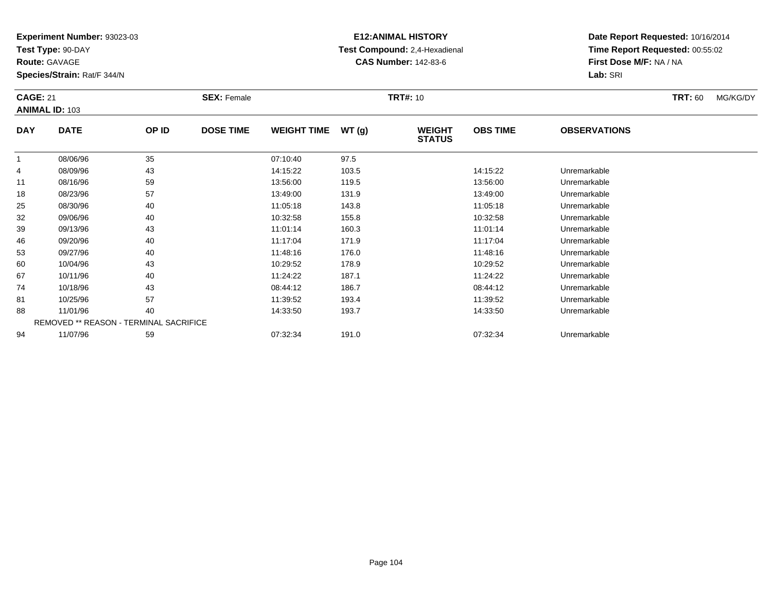**Test Type:** 90-DAY

**Route:** GAVAGE

**Species/Strain:** Rat/F 344/N

# **E12:ANIMAL HISTORY Test Compound:** 2,4-Hexadienal **CAS Number:** 142-83-6

|            | <b>CAGE: 21</b><br><b>ANIMAL ID: 103</b> |       | <b>SEX: Female</b> | <b>TRT#: 10</b>    |       |                                |                 |                     | <b>TRT: 60</b> | MG/KG/DY |
|------------|------------------------------------------|-------|--------------------|--------------------|-------|--------------------------------|-----------------|---------------------|----------------|----------|
| <b>DAY</b> | <b>DATE</b>                              | OP ID | <b>DOSE TIME</b>   | <b>WEIGHT TIME</b> | WT(g) | <b>WEIGHT</b><br><b>STATUS</b> | <b>OBS TIME</b> | <b>OBSERVATIONS</b> |                |          |
| 1          | 08/06/96                                 | 35    |                    | 07:10:40           | 97.5  |                                |                 |                     |                |          |
| 4          | 08/09/96                                 | 43    |                    | 14:15:22           | 103.5 |                                | 14:15:22        | Unremarkable        |                |          |
| 11         | 08/16/96                                 | 59    |                    | 13:56:00           | 119.5 |                                | 13:56:00        | Unremarkable        |                |          |
| 18         | 08/23/96                                 | 57    |                    | 13:49:00           | 131.9 |                                | 13:49:00        | Unremarkable        |                |          |
| 25         | 08/30/96                                 | 40    |                    | 11:05:18           | 143.8 |                                | 11:05:18        | Unremarkable        |                |          |
| 32         | 09/06/96                                 | 40    |                    | 10:32:58           | 155.8 |                                | 10:32:58        | Unremarkable        |                |          |
| 39         | 09/13/96                                 | 43    |                    | 11:01:14           | 160.3 |                                | 11:01:14        | Unremarkable        |                |          |
| 46         | 09/20/96                                 | 40    |                    | 11:17:04           | 171.9 |                                | 11:17:04        | Unremarkable        |                |          |
| 53         | 09/27/96                                 | 40    |                    | 11:48:16           | 176.0 |                                | 11:48:16        | Unremarkable        |                |          |
| 60         | 10/04/96                                 | 43    |                    | 10:29:52           | 178.9 |                                | 10:29:52        | Unremarkable        |                |          |
| 67         | 10/11/96                                 | 40    |                    | 11:24:22           | 187.1 |                                | 11:24:22        | Unremarkable        |                |          |
| 74         | 10/18/96                                 | 43    |                    | 08:44:12           | 186.7 |                                | 08:44:12        | Unremarkable        |                |          |
| 81         | 10/25/96                                 | 57    |                    | 11:39:52           | 193.4 |                                | 11:39:52        | Unremarkable        |                |          |
| 88         | 11/01/96                                 | 40    |                    | 14:33:50           | 193.7 |                                | 14:33:50        | Unremarkable        |                |          |
|            | REMOVED ** REASON - TERMINAL SACRIFICE   |       |                    |                    |       |                                |                 |                     |                |          |
| 94         | 11/07/96                                 | 59    |                    | 07:32:34           | 191.0 |                                | 07:32:34        | Unremarkable        |                |          |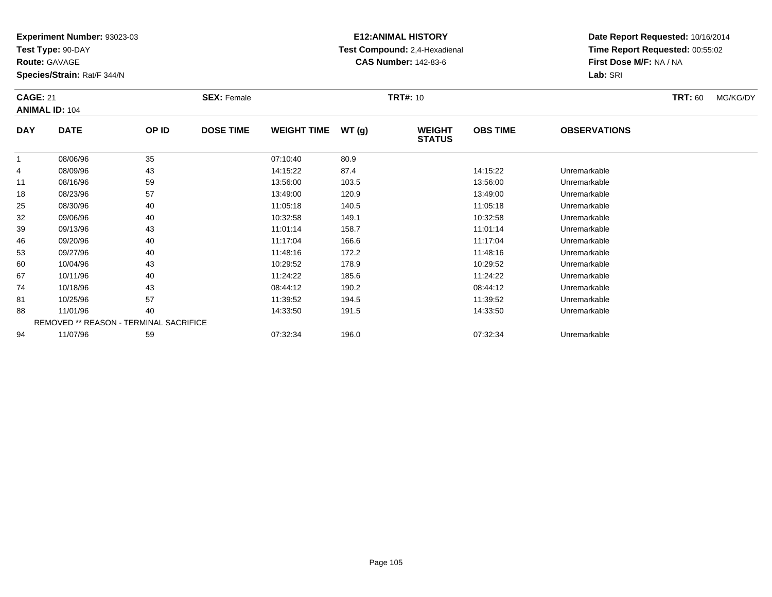**Test Type:** 90-DAY

**Route:** GAVAGE

**Species/Strain:** Rat/F 344/N

# **E12:ANIMAL HISTORY Test Compound:** 2,4-Hexadienal **CAS Number:** 142-83-6

|            | <b>CAGE: 21</b><br><b>ANIMAL ID: 104</b> |                                        | <b>SEX: Female</b> |                    | <b>TRT#: 10</b> |                                |                 | <b>TRT: 60</b>      | MG/KG/DY |  |
|------------|------------------------------------------|----------------------------------------|--------------------|--------------------|-----------------|--------------------------------|-----------------|---------------------|----------|--|
| <b>DAY</b> | <b>DATE</b>                              | OP ID                                  | <b>DOSE TIME</b>   | <b>WEIGHT TIME</b> | WT(g)           | <b>WEIGHT</b><br><b>STATUS</b> | <b>OBS TIME</b> | <b>OBSERVATIONS</b> |          |  |
|            | 08/06/96                                 | 35                                     |                    | 07:10:40           | 80.9            |                                |                 |                     |          |  |
| 4          | 08/09/96                                 | 43                                     |                    | 14:15:22           | 87.4            |                                | 14:15:22        | Unremarkable        |          |  |
| 11         | 08/16/96                                 | 59                                     |                    | 13:56:00           | 103.5           |                                | 13:56:00        | Unremarkable        |          |  |
| 18         | 08/23/96                                 | 57                                     |                    | 13:49:00           | 120.9           |                                | 13:49:00        | Unremarkable        |          |  |
| 25         | 08/30/96                                 | 40                                     |                    | 11:05:18           | 140.5           |                                | 11:05:18        | Unremarkable        |          |  |
| 32         | 09/06/96                                 | 40                                     |                    | 10:32:58           | 149.1           |                                | 10:32:58        | Unremarkable        |          |  |
| 39         | 09/13/96                                 | 43                                     |                    | 11:01:14           | 158.7           |                                | 11:01:14        | Unremarkable        |          |  |
| 46         | 09/20/96                                 | 40                                     |                    | 11:17:04           | 166.6           |                                | 11:17:04        | Unremarkable        |          |  |
| 53         | 09/27/96                                 | 40                                     |                    | 11:48:16           | 172.2           |                                | 11:48:16        | Unremarkable        |          |  |
| 60         | 10/04/96                                 | 43                                     |                    | 10:29:52           | 178.9           |                                | 10:29:52        | Unremarkable        |          |  |
| 67         | 10/11/96                                 | 40                                     |                    | 11:24:22           | 185.6           |                                | 11:24:22        | Unremarkable        |          |  |
| 74         | 10/18/96                                 | 43                                     |                    | 08:44:12           | 190.2           |                                | 08:44:12        | Unremarkable        |          |  |
| 81         | 10/25/96                                 | 57                                     |                    | 11:39:52           | 194.5           |                                | 11:39:52        | Unremarkable        |          |  |
| 88         | 11/01/96                                 | 40                                     |                    | 14:33:50           | 191.5           |                                | 14:33:50        | Unremarkable        |          |  |
|            |                                          | REMOVED ** REASON - TERMINAL SACRIFICE |                    |                    |                 |                                |                 |                     |          |  |
| 94         | 11/07/96                                 | 59                                     |                    | 07:32:34           | 196.0           |                                | 07:32:34        | Unremarkable        |          |  |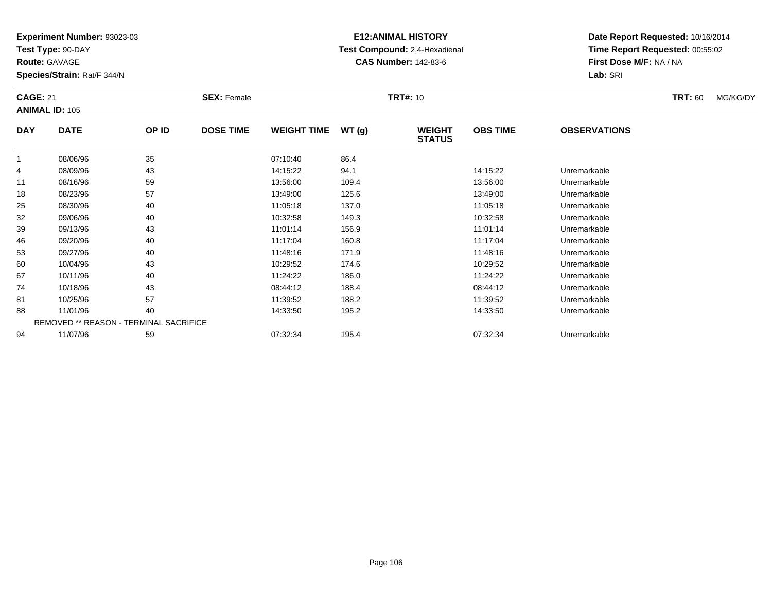**Test Type:** 90-DAY

**Route:** GAVAGE

**Species/Strain:** Rat/F 344/N

# **E12:ANIMAL HISTORY Test Compound:** 2,4-Hexadienal **CAS Number:** 142-83-6

|            | <b>CAGE: 21</b><br><b>ANIMAL ID: 105</b> |                                        | <b>SEX: Female</b> |                    | <b>TRT#: 10</b> |                                |                 | <b>TRT:</b> 60      | MG/KG/DY |  |
|------------|------------------------------------------|----------------------------------------|--------------------|--------------------|-----------------|--------------------------------|-----------------|---------------------|----------|--|
| <b>DAY</b> | <b>DATE</b>                              | OP ID                                  | <b>DOSE TIME</b>   | <b>WEIGHT TIME</b> | WT(g)           | <b>WEIGHT</b><br><b>STATUS</b> | <b>OBS TIME</b> | <b>OBSERVATIONS</b> |          |  |
| 1          | 08/06/96                                 | 35                                     |                    | 07:10:40           | 86.4            |                                |                 |                     |          |  |
| 4          | 08/09/96                                 | 43                                     |                    | 14:15:22           | 94.1            |                                | 14:15:22        | Unremarkable        |          |  |
| 11         | 08/16/96                                 | 59                                     |                    | 13:56:00           | 109.4           |                                | 13:56:00        | Unremarkable        |          |  |
| 18         | 08/23/96                                 | 57                                     |                    | 13:49:00           | 125.6           |                                | 13:49:00        | Unremarkable        |          |  |
| 25         | 08/30/96                                 | 40                                     |                    | 11:05:18           | 137.0           |                                | 11:05:18        | Unremarkable        |          |  |
| 32         | 09/06/96                                 | 40                                     |                    | 10:32:58           | 149.3           |                                | 10:32:58        | Unremarkable        |          |  |
| 39         | 09/13/96                                 | 43                                     |                    | 11:01:14           | 156.9           |                                | 11:01:14        | Unremarkable        |          |  |
| 46         | 09/20/96                                 | 40                                     |                    | 11:17:04           | 160.8           |                                | 11:17:04        | Unremarkable        |          |  |
| 53         | 09/27/96                                 | 40                                     |                    | 11:48:16           | 171.9           |                                | 11:48:16        | Unremarkable        |          |  |
| 60         | 10/04/96                                 | 43                                     |                    | 10:29:52           | 174.6           |                                | 10:29:52        | Unremarkable        |          |  |
| 67         | 10/11/96                                 | 40                                     |                    | 11:24:22           | 186.0           |                                | 11:24:22        | Unremarkable        |          |  |
| 74         | 10/18/96                                 | 43                                     |                    | 08:44:12           | 188.4           |                                | 08:44:12        | Unremarkable        |          |  |
| 81         | 10/25/96                                 | 57                                     |                    | 11:39:52           | 188.2           |                                | 11:39:52        | Unremarkable        |          |  |
| 88         | 11/01/96                                 | 40                                     |                    | 14:33:50           | 195.2           |                                | 14:33:50        | Unremarkable        |          |  |
|            |                                          | REMOVED ** REASON - TERMINAL SACRIFICE |                    |                    |                 |                                |                 |                     |          |  |
| 94         | 11/07/96                                 | 59                                     |                    | 07:32:34           | 195.4           |                                | 07:32:34        | Unremarkable        |          |  |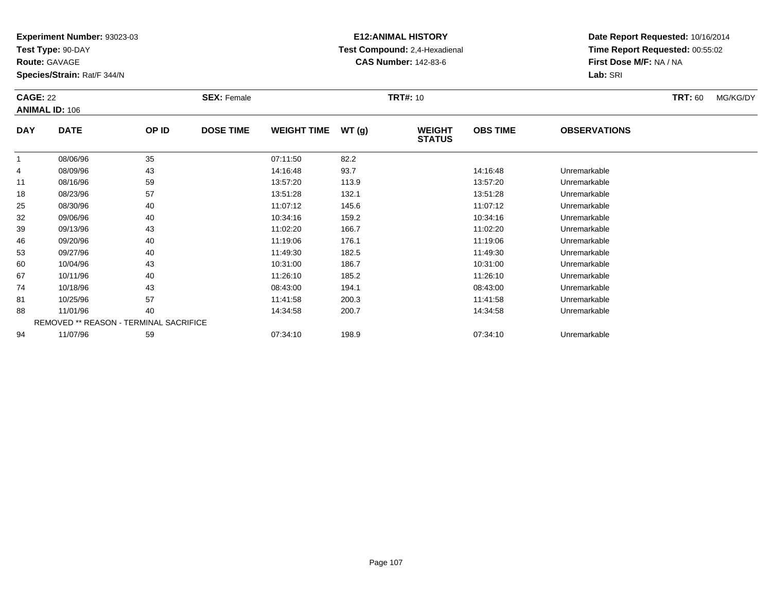**Test Type:** 90-DAY

**Route:** GAVAGE

**Species/Strain:** Rat/F 344/N

# **E12:ANIMAL HISTORY Test Compound:** 2,4-Hexadienal **CAS Number:** 142-83-6

| <b>CAGE: 22</b> | <b>ANIMAL ID: 106</b>                  |       | <b>SEX: Female</b> |                    |       | <b>TRT#: 10</b>                |                 |                     | <b>TRT: 60</b> | MG/KG/DY |
|-----------------|----------------------------------------|-------|--------------------|--------------------|-------|--------------------------------|-----------------|---------------------|----------------|----------|
| <b>DAY</b>      | <b>DATE</b>                            | OP ID | <b>DOSE TIME</b>   | <b>WEIGHT TIME</b> | WT(g) | <b>WEIGHT</b><br><b>STATUS</b> | <b>OBS TIME</b> | <b>OBSERVATIONS</b> |                |          |
| -1              | 08/06/96                               | 35    |                    | 07:11:50           | 82.2  |                                |                 |                     |                |          |
| 4               | 08/09/96                               | 43    |                    | 14:16:48           | 93.7  |                                | 14:16:48        | Unremarkable        |                |          |
| 11              | 08/16/96                               | 59    |                    | 13:57:20           | 113.9 |                                | 13:57:20        | Unremarkable        |                |          |
| 18              | 08/23/96                               | 57    |                    | 13:51:28           | 132.1 |                                | 13:51:28        | Unremarkable        |                |          |
| 25              | 08/30/96                               | 40    |                    | 11:07:12           | 145.6 |                                | 11:07:12        | Unremarkable        |                |          |
| 32              | 09/06/96                               | 40    |                    | 10:34:16           | 159.2 |                                | 10:34:16        | Unremarkable        |                |          |
| 39              | 09/13/96                               | 43    |                    | 11:02:20           | 166.7 |                                | 11:02:20        | Unremarkable        |                |          |
| 46              | 09/20/96                               | 40    |                    | 11:19:06           | 176.1 |                                | 11:19:06        | Unremarkable        |                |          |
| 53              | 09/27/96                               | 40    |                    | 11:49:30           | 182.5 |                                | 11:49:30        | Unremarkable        |                |          |
| 60              | 10/04/96                               | 43    |                    | 10:31:00           | 186.7 |                                | 10:31:00        | Unremarkable        |                |          |
| 67              | 10/11/96                               | 40    |                    | 11:26:10           | 185.2 |                                | 11:26:10        | Unremarkable        |                |          |
| 74              | 10/18/96                               | 43    |                    | 08:43:00           | 194.1 |                                | 08:43:00        | Unremarkable        |                |          |
| 81              | 10/25/96                               | 57    |                    | 11:41:58           | 200.3 |                                | 11:41:58        | Unremarkable        |                |          |
| 88              | 11/01/96                               | 40    |                    | 14:34:58           | 200.7 |                                | 14:34:58        | Unremarkable        |                |          |
|                 | REMOVED ** REASON - TERMINAL SACRIFICE |       |                    |                    |       |                                |                 |                     |                |          |
| 94              | 11/07/96                               | 59    |                    | 07:34:10           | 198.9 |                                | 07:34:10        | Unremarkable        |                |          |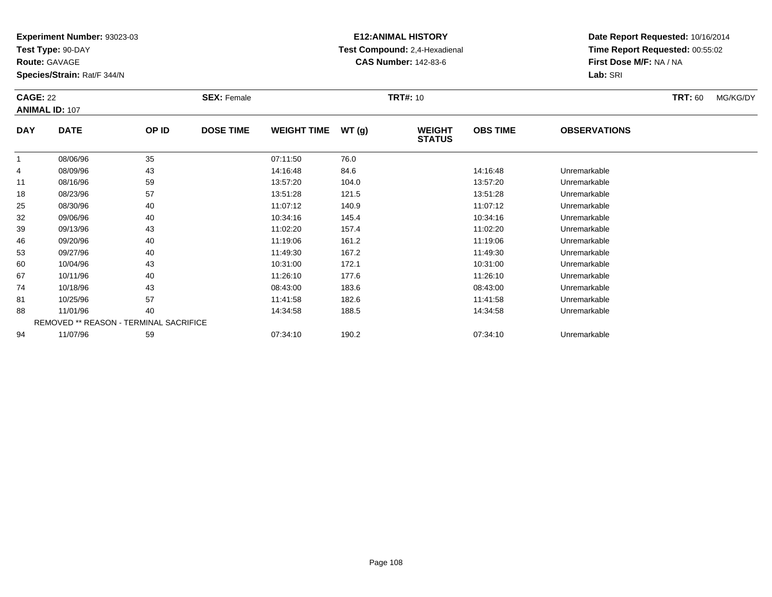**Test Type:** 90-DAY

**Route:** GAVAGE

**Species/Strain:** Rat/F 344/N

# **E12:ANIMAL HISTORY Test Compound:** 2,4-Hexadienal **CAS Number:** 142-83-6

|            | <b>CAGE: 22</b><br><b>ANIMAL ID: 107</b> |                                        | <b>SEX: Female</b> |                    |       | <b>TRT#: 10</b>                |                 | <b>TRT: 60</b>      | MG/KG/DY |  |
|------------|------------------------------------------|----------------------------------------|--------------------|--------------------|-------|--------------------------------|-----------------|---------------------|----------|--|
| <b>DAY</b> | <b>DATE</b>                              | OP ID                                  | <b>DOSE TIME</b>   | <b>WEIGHT TIME</b> | WT(g) | <b>WEIGHT</b><br><b>STATUS</b> | <b>OBS TIME</b> | <b>OBSERVATIONS</b> |          |  |
|            | 08/06/96                                 | 35                                     |                    | 07:11:50           | 76.0  |                                |                 |                     |          |  |
| 4          | 08/09/96                                 | 43                                     |                    | 14:16:48           | 84.6  |                                | 14:16:48        | Unremarkable        |          |  |
| 11         | 08/16/96                                 | 59                                     |                    | 13:57:20           | 104.0 |                                | 13:57:20        | Unremarkable        |          |  |
| 18         | 08/23/96                                 | 57                                     |                    | 13:51:28           | 121.5 |                                | 13:51:28        | Unremarkable        |          |  |
| 25         | 08/30/96                                 | 40                                     |                    | 11:07:12           | 140.9 |                                | 11:07:12        | Unremarkable        |          |  |
| 32         | 09/06/96                                 | 40                                     |                    | 10:34:16           | 145.4 |                                | 10:34:16        | Unremarkable        |          |  |
| 39         | 09/13/96                                 | 43                                     |                    | 11:02:20           | 157.4 |                                | 11:02:20        | Unremarkable        |          |  |
| 46         | 09/20/96                                 | 40                                     |                    | 11:19:06           | 161.2 |                                | 11:19:06        | Unremarkable        |          |  |
| 53         | 09/27/96                                 | 40                                     |                    | 11:49:30           | 167.2 |                                | 11:49:30        | Unremarkable        |          |  |
| 60         | 10/04/96                                 | 43                                     |                    | 10:31:00           | 172.1 |                                | 10:31:00        | Unremarkable        |          |  |
| 67         | 10/11/96                                 | 40                                     |                    | 11:26:10           | 177.6 |                                | 11:26:10        | Unremarkable        |          |  |
| 74         | 10/18/96                                 | 43                                     |                    | 08:43:00           | 183.6 |                                | 08:43:00        | Unremarkable        |          |  |
| 81         | 10/25/96                                 | 57                                     |                    | 11:41:58           | 182.6 |                                | 11:41:58        | Unremarkable        |          |  |
| 88         | 11/01/96                                 | 40                                     |                    | 14:34:58           | 188.5 |                                | 14:34:58        | Unremarkable        |          |  |
|            |                                          | REMOVED ** REASON - TERMINAL SACRIFICE |                    |                    |       |                                |                 |                     |          |  |
| 94         | 11/07/96                                 | 59                                     |                    | 07:34:10           | 190.2 |                                | 07:34:10        | Unremarkable        |          |  |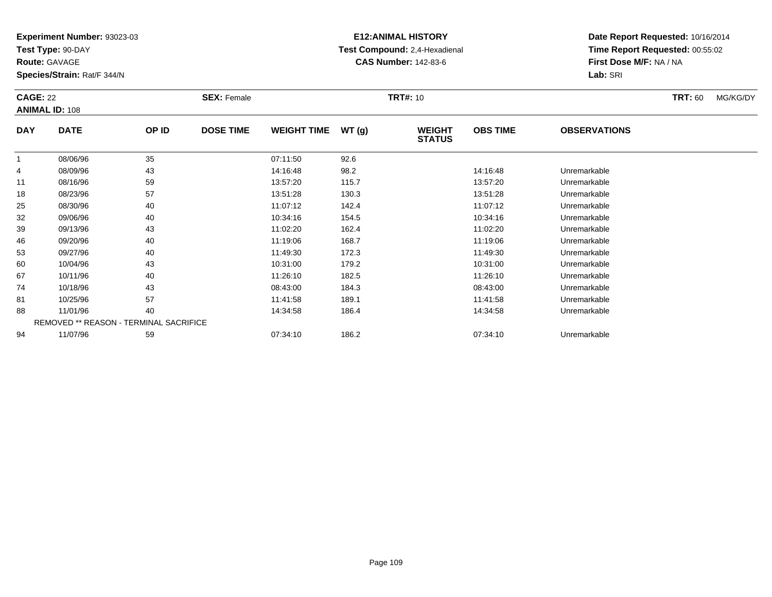**Test Type:** 90-DAY

**Route:** GAVAGE

**Species/Strain:** Rat/F 344/N

# **E12:ANIMAL HISTORY Test Compound:** 2,4-Hexadienal **CAS Number:** 142-83-6

| <b>CAGE: 22</b> | <b>ANIMAL ID: 108</b>                  |       | <b>SEX: Female</b> |                    |       | <b>TRT#: 10</b>                |                 |                     | <b>TRT: 60</b> | MG/KG/DY |
|-----------------|----------------------------------------|-------|--------------------|--------------------|-------|--------------------------------|-----------------|---------------------|----------------|----------|
| <b>DAY</b>      | <b>DATE</b>                            | OP ID | <b>DOSE TIME</b>   | <b>WEIGHT TIME</b> | WT(g) | <b>WEIGHT</b><br><b>STATUS</b> | <b>OBS TIME</b> | <b>OBSERVATIONS</b> |                |          |
| -1              | 08/06/96                               | 35    |                    | 07:11:50           | 92.6  |                                |                 |                     |                |          |
| 4               | 08/09/96                               | 43    |                    | 14:16:48           | 98.2  |                                | 14:16:48        | Unremarkable        |                |          |
| 11              | 08/16/96                               | 59    |                    | 13:57:20           | 115.7 |                                | 13:57:20        | Unremarkable        |                |          |
| 18              | 08/23/96                               | 57    |                    | 13:51:28           | 130.3 |                                | 13:51:28        | Unremarkable        |                |          |
| 25              | 08/30/96                               | 40    |                    | 11:07:12           | 142.4 |                                | 11:07:12        | Unremarkable        |                |          |
| 32              | 09/06/96                               | 40    |                    | 10:34:16           | 154.5 |                                | 10:34:16        | Unremarkable        |                |          |
| 39              | 09/13/96                               | 43    |                    | 11:02:20           | 162.4 |                                | 11:02:20        | Unremarkable        |                |          |
| 46              | 09/20/96                               | 40    |                    | 11:19:06           | 168.7 |                                | 11:19:06        | Unremarkable        |                |          |
| 53              | 09/27/96                               | 40    |                    | 11:49:30           | 172.3 |                                | 11:49:30        | Unremarkable        |                |          |
| 60              | 10/04/96                               | 43    |                    | 10:31:00           | 179.2 |                                | 10:31:00        | Unremarkable        |                |          |
| 67              | 10/11/96                               | 40    |                    | 11:26:10           | 182.5 |                                | 11:26:10        | Unremarkable        |                |          |
| 74              | 10/18/96                               | 43    |                    | 08:43:00           | 184.3 |                                | 08:43:00        | Unremarkable        |                |          |
| 81              | 10/25/96                               | 57    |                    | 11:41:58           | 189.1 |                                | 11:41:58        | Unremarkable        |                |          |
| 88              | 11/01/96                               | 40    |                    | 14:34:58           | 186.4 |                                | 14:34:58        | Unremarkable        |                |          |
|                 | REMOVED ** REASON - TERMINAL SACRIFICE |       |                    |                    |       |                                |                 |                     |                |          |
| 94              | 11/07/96                               | 59    |                    | 07:34:10           | 186.2 |                                | 07:34:10        | Unremarkable        |                |          |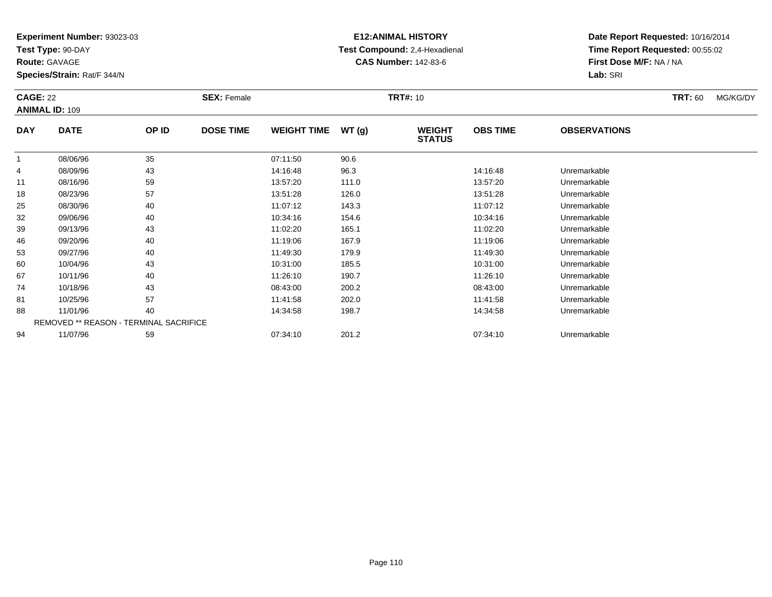**Test Type:** 90-DAY

**Route:** GAVAGE

**Species/Strain:** Rat/F 344/N

# **E12:ANIMAL HISTORY Test Compound:** 2,4-Hexadienal **CAS Number:** 142-83-6

| <b>CAGE: 22</b> | <b>ANIMAL ID: 109</b> |                                        | <b>SEX: Female</b> |                    |       | <b>TRT#: 10</b>                |                 |                     | <b>TRT: 60</b> | MG/KG/DY |
|-----------------|-----------------------|----------------------------------------|--------------------|--------------------|-------|--------------------------------|-----------------|---------------------|----------------|----------|
| <b>DAY</b>      | <b>DATE</b>           | OP ID                                  | <b>DOSE TIME</b>   | <b>WEIGHT TIME</b> | WT(g) | <b>WEIGHT</b><br><b>STATUS</b> | <b>OBS TIME</b> | <b>OBSERVATIONS</b> |                |          |
| 1               | 08/06/96              | 35                                     |                    | 07:11:50           | 90.6  |                                |                 |                     |                |          |
| 4               | 08/09/96              | 43                                     |                    | 14:16:48           | 96.3  |                                | 14:16:48        | Unremarkable        |                |          |
| 11              | 08/16/96              | 59                                     |                    | 13:57:20           | 111.0 |                                | 13:57:20        | Unremarkable        |                |          |
| 18              | 08/23/96              | 57                                     |                    | 13:51:28           | 126.0 |                                | 13:51:28        | Unremarkable        |                |          |
| 25              | 08/30/96              | 40                                     |                    | 11:07:12           | 143.3 |                                | 11:07:12        | Unremarkable        |                |          |
| 32              | 09/06/96              | 40                                     |                    | 10:34:16           | 154.6 |                                | 10:34:16        | Unremarkable        |                |          |
| 39              | 09/13/96              | 43                                     |                    | 11:02:20           | 165.1 |                                | 11:02:20        | Unremarkable        |                |          |
| 46              | 09/20/96              | 40                                     |                    | 11:19:06           | 167.9 |                                | 11:19:06        | Unremarkable        |                |          |
| 53              | 09/27/96              | 40                                     |                    | 11:49:30           | 179.9 |                                | 11:49:30        | Unremarkable        |                |          |
| 60              | 10/04/96              | 43                                     |                    | 10:31:00           | 185.5 |                                | 10:31:00        | Unremarkable        |                |          |
| 67              | 10/11/96              | 40                                     |                    | 11:26:10           | 190.7 |                                | 11:26:10        | Unremarkable        |                |          |
| 74              | 10/18/96              | 43                                     |                    | 08:43:00           | 200.2 |                                | 08:43:00        | Unremarkable        |                |          |
| 81              | 10/25/96              | 57                                     |                    | 11:41:58           | 202.0 |                                | 11:41:58        | Unremarkable        |                |          |
| 88              | 11/01/96              | 40                                     |                    | 14:34:58           | 198.7 |                                | 14:34:58        | Unremarkable        |                |          |
|                 |                       | REMOVED ** REASON - TERMINAL SACRIFICE |                    |                    |       |                                |                 |                     |                |          |
| 94              | 11/07/96              | 59                                     |                    | 07:34:10           | 201.2 |                                | 07:34:10        | Unremarkable        |                |          |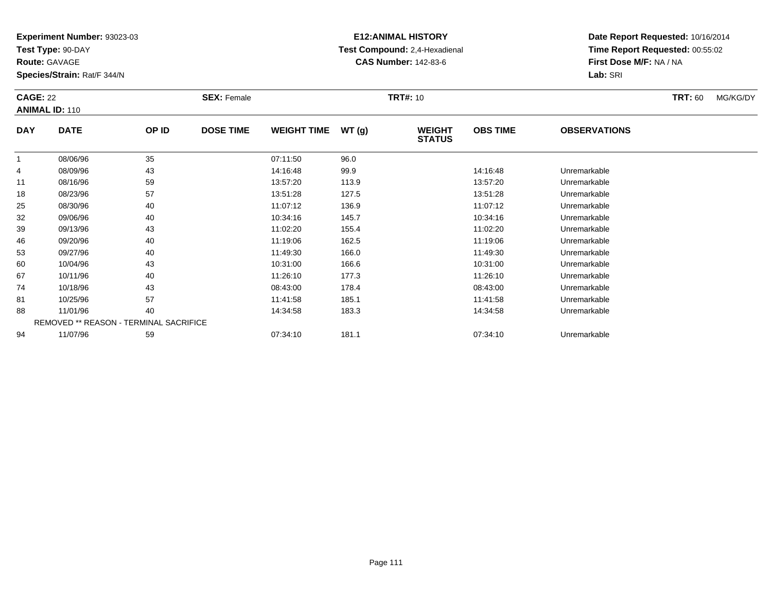**Test Type:** 90-DAY

**Route:** GAVAGE

**Species/Strain:** Rat/F 344/N

# **E12:ANIMAL HISTORY Test Compound:** 2,4-Hexadienal **CAS Number:** 142-83-6

| <b>CAGE: 22</b> | <b>ANIMAL ID: 110</b> |                                        | <b>SEX: Female</b> |                    |       | <b>TRT#: 10</b>                |                 |                     | <b>TRT: 60</b> | MG/KG/DY |
|-----------------|-----------------------|----------------------------------------|--------------------|--------------------|-------|--------------------------------|-----------------|---------------------|----------------|----------|
| <b>DAY</b>      | <b>DATE</b>           | OP ID                                  | <b>DOSE TIME</b>   | <b>WEIGHT TIME</b> | WT(g) | <b>WEIGHT</b><br><b>STATUS</b> | <b>OBS TIME</b> | <b>OBSERVATIONS</b> |                |          |
|                 | 08/06/96              | 35                                     |                    | 07:11:50           | 96.0  |                                |                 |                     |                |          |
| 4               | 08/09/96              | 43                                     |                    | 14:16:48           | 99.9  |                                | 14:16:48        | Unremarkable        |                |          |
| 11              | 08/16/96              | 59                                     |                    | 13:57:20           | 113.9 |                                | 13:57:20        | Unremarkable        |                |          |
| 18              | 08/23/96              | 57                                     |                    | 13:51:28           | 127.5 |                                | 13:51:28        | Unremarkable        |                |          |
| 25              | 08/30/96              | 40                                     |                    | 11:07:12           | 136.9 |                                | 11:07:12        | Unremarkable        |                |          |
| 32              | 09/06/96              | 40                                     |                    | 10:34:16           | 145.7 |                                | 10:34:16        | Unremarkable        |                |          |
| 39              | 09/13/96              | 43                                     |                    | 11:02:20           | 155.4 |                                | 11:02:20        | Unremarkable        |                |          |
| 46              | 09/20/96              | 40                                     |                    | 11:19:06           | 162.5 |                                | 11:19:06        | Unremarkable        |                |          |
| 53              | 09/27/96              | 40                                     |                    | 11:49:30           | 166.0 |                                | 11:49:30        | Unremarkable        |                |          |
| 60              | 10/04/96              | 43                                     |                    | 10:31:00           | 166.6 |                                | 10:31:00        | Unremarkable        |                |          |
| 67              | 10/11/96              | 40                                     |                    | 11:26:10           | 177.3 |                                | 11:26:10        | Unremarkable        |                |          |
| 74              | 10/18/96              | 43                                     |                    | 08:43:00           | 178.4 |                                | 08:43:00        | Unremarkable        |                |          |
| 81              | 10/25/96              | 57                                     |                    | 11:41:58           | 185.1 |                                | 11:41:58        | Unremarkable        |                |          |
| 88              | 11/01/96              | 40                                     |                    | 14:34:58           | 183.3 |                                | 14:34:58        | Unremarkable        |                |          |
|                 |                       | REMOVED ** REASON - TERMINAL SACRIFICE |                    |                    |       |                                |                 |                     |                |          |
| 94              | 11/07/96              | 59                                     |                    | 07:34:10           | 181.1 |                                | 07:34:10        | Unremarkable        |                |          |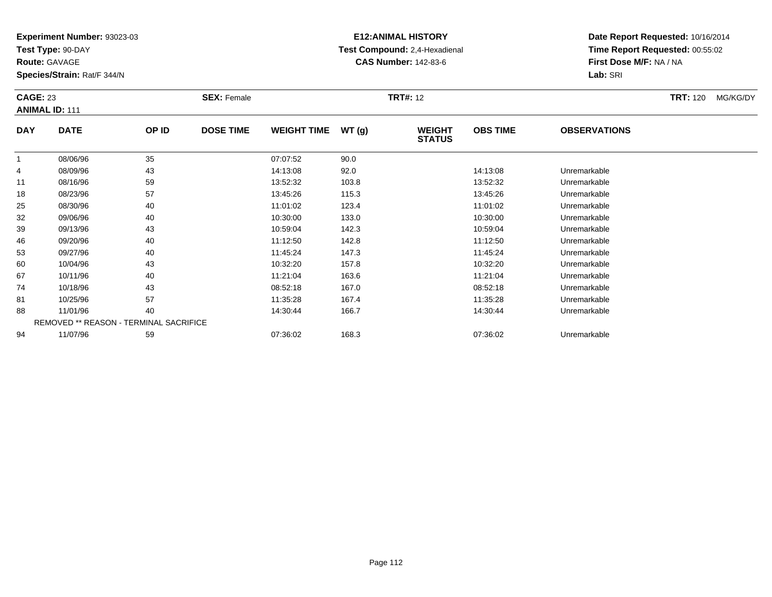**Test Type:** 90-DAY

**Route:** GAVAGE

**Species/Strain:** Rat/F 344/N

# **E12:ANIMAL HISTORY Test Compound:** 2,4-Hexadienal **CAS Number:** 142-83-6

**Date Report Requested:** 10/16/2014**Time Report Requested:** 00:55:02**First Dose M/F:** NA / NA**Lab:** SRI

| <b>CAGE: 23</b> | <b>ANIMAL ID: 111</b>                         |       | <b>SEX: Female</b> |                    |       | <b>TRT#: 12</b>                |                 |                     | <b>TRT: 120</b> | MG/KG/DY |
|-----------------|-----------------------------------------------|-------|--------------------|--------------------|-------|--------------------------------|-----------------|---------------------|-----------------|----------|
| <b>DAY</b>      | <b>DATE</b>                                   | OP ID | <b>DOSE TIME</b>   | <b>WEIGHT TIME</b> | WT(g) | <b>WEIGHT</b><br><b>STATUS</b> | <b>OBS TIME</b> | <b>OBSERVATIONS</b> |                 |          |
|                 | 08/06/96                                      | 35    |                    | 07:07:52           | 90.0  |                                |                 |                     |                 |          |
| 4               | 08/09/96                                      | 43    |                    | 14:13:08           | 92.0  |                                | 14:13:08        | Unremarkable        |                 |          |
| 11              | 08/16/96                                      | 59    |                    | 13:52:32           | 103.8 |                                | 13:52:32        | Unremarkable        |                 |          |
| 18              | 08/23/96                                      | 57    |                    | 13:45:26           | 115.3 |                                | 13:45:26        | Unremarkable        |                 |          |
| 25              | 08/30/96                                      | 40    |                    | 11:01:02           | 123.4 |                                | 11:01:02        | Unremarkable        |                 |          |
| 32              | 09/06/96                                      | 40    |                    | 10:30:00           | 133.0 |                                | 10:30:00        | Unremarkable        |                 |          |
| 39              | 09/13/96                                      | 43    |                    | 10:59:04           | 142.3 |                                | 10:59:04        | Unremarkable        |                 |          |
| 46              | 09/20/96                                      | 40    |                    | 11:12:50           | 142.8 |                                | 11:12:50        | Unremarkable        |                 |          |
| 53              | 09/27/96                                      | 40    |                    | 11:45:24           | 147.3 |                                | 11:45:24        | Unremarkable        |                 |          |
| 60              | 10/04/96                                      | 43    |                    | 10:32:20           | 157.8 |                                | 10:32:20        | Unremarkable        |                 |          |
| 67              | 10/11/96                                      | 40    |                    | 11:21:04           | 163.6 |                                | 11:21:04        | Unremarkable        |                 |          |
| 74              | 10/18/96                                      | 43    |                    | 08:52:18           | 167.0 |                                | 08:52:18        | Unremarkable        |                 |          |
| 81              | 10/25/96                                      | 57    |                    | 11:35:28           | 167.4 |                                | 11:35:28        | Unremarkable        |                 |          |
| 88              | 11/01/96                                      | 40    |                    | 14:30:44           | 166.7 |                                | 14:30:44        | Unremarkable        |                 |          |
|                 | <b>REMOVED ** REASON - TERMINAL SACRIFICE</b> |       |                    |                    |       |                                |                 |                     |                 |          |
| 94              | 11/07/96                                      | 59    |                    | 07:36:02           | 168.3 |                                | 07:36:02        | Unremarkable        |                 |          |

11/07/96 <sup>59</sup> 07:36:02 168.3 07:36:02 Unremarkable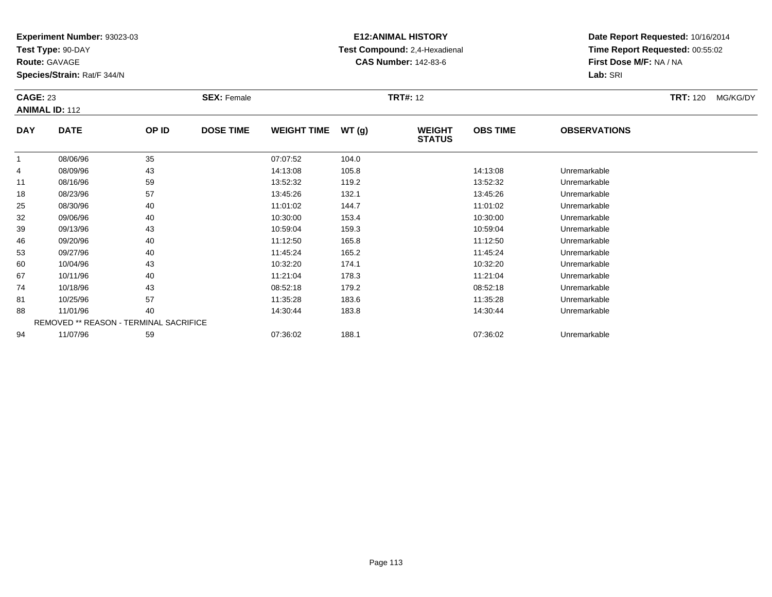**Test Type:** 90-DAY

**Route:** GAVAGE

**Species/Strain:** Rat/F 344/N

# **E12:ANIMAL HISTORY Test Compound:** 2,4-Hexadienal **CAS Number:** 142-83-6

| <b>CAGE: 23</b> | <b>ANIMAL ID: 112</b>                         |       | <b>SEX: Female</b><br><b>DOSE TIME</b> |                    |       | <b>TRT#: 12</b>                |                 | <b>TRT:</b> 120     | MG/KG/DY |  |
|-----------------|-----------------------------------------------|-------|----------------------------------------|--------------------|-------|--------------------------------|-----------------|---------------------|----------|--|
| <b>DAY</b>      | <b>DATE</b>                                   | OP ID |                                        | <b>WEIGHT TIME</b> | WT(g) | <b>WEIGHT</b><br><b>STATUS</b> | <b>OBS TIME</b> | <b>OBSERVATIONS</b> |          |  |
| 1               | 08/06/96                                      | 35    |                                        | 07:07:52           | 104.0 |                                |                 |                     |          |  |
| 4               | 08/09/96                                      | 43    |                                        | 14:13:08           | 105.8 |                                | 14:13:08        | Unremarkable        |          |  |
| 11              | 08/16/96                                      | 59    |                                        | 13:52:32           | 119.2 |                                | 13:52:32        | Unremarkable        |          |  |
| 18              | 08/23/96                                      | 57    |                                        | 13:45:26           | 132.1 |                                | 13:45:26        | Unremarkable        |          |  |
| 25              | 08/30/96                                      | 40    |                                        | 11:01:02           | 144.7 |                                | 11:01:02        | Unremarkable        |          |  |
| 32              | 09/06/96                                      | 40    |                                        | 10:30:00           | 153.4 |                                | 10:30:00        | Unremarkable        |          |  |
| 39              | 09/13/96                                      | 43    |                                        | 10:59:04           | 159.3 |                                | 10:59:04        | Unremarkable        |          |  |
| 46              | 09/20/96                                      | 40    |                                        | 11:12:50           | 165.8 |                                | 11:12:50        | Unremarkable        |          |  |
| 53              | 09/27/96                                      | 40    |                                        | 11:45:24           | 165.2 |                                | 11:45:24        | Unremarkable        |          |  |
| 60              | 10/04/96                                      | 43    |                                        | 10:32:20           | 174.1 |                                | 10:32:20        | Unremarkable        |          |  |
| 67              | 10/11/96                                      | 40    |                                        | 11:21:04           | 178.3 |                                | 11:21:04        | Unremarkable        |          |  |
| 74              | 10/18/96                                      | 43    |                                        | 08:52:18           | 179.2 |                                | 08:52:18        | Unremarkable        |          |  |
| 81              | 10/25/96                                      | 57    |                                        | 11:35:28           | 183.6 |                                | 11:35:28        | Unremarkable        |          |  |
| 88              | 11/01/96                                      | 40    |                                        | 14:30:44           | 183.8 |                                | 14:30:44        | Unremarkable        |          |  |
|                 | <b>REMOVED ** REASON - TERMINAL SACRIFICE</b> |       |                                        |                    |       |                                |                 |                     |          |  |
| 94              | 11/07/96                                      | 59    |                                        | 07:36:02           | 188.1 |                                | 07:36:02        | Unremarkable        |          |  |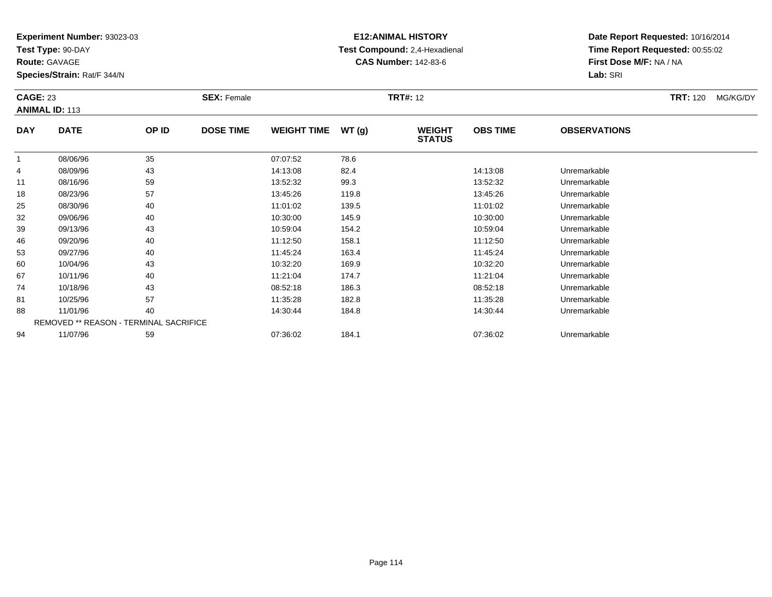**Test Type:** 90-DAY

**Route:** GAVAGE

**Species/Strain:** Rat/F 344/N

# **E12:ANIMAL HISTORY Test Compound:** 2,4-Hexadienal **CAS Number:** 142-83-6

**Date Report Requested:** 10/16/2014**Time Report Requested:** 00:55:02**First Dose M/F:** NA / NA**Lab:** SRI

| <b>CAGE: 23</b> | <b>ANIMAL ID: 113</b>                  |       | <b>SEX: Female</b> |                    |       | <b>TRT#: 12</b>                |                 |                     | <b>TRT: 120</b> | MG/KG/DY |
|-----------------|----------------------------------------|-------|--------------------|--------------------|-------|--------------------------------|-----------------|---------------------|-----------------|----------|
| <b>DAY</b>      | <b>DATE</b>                            | OP ID | <b>DOSE TIME</b>   | <b>WEIGHT TIME</b> | WT(g) | <b>WEIGHT</b><br><b>STATUS</b> | <b>OBS TIME</b> | <b>OBSERVATIONS</b> |                 |          |
| 1               | 08/06/96                               | 35    |                    | 07:07:52           | 78.6  |                                |                 |                     |                 |          |
| 4               | 08/09/96                               | 43    |                    | 14:13:08           | 82.4  |                                | 14:13:08        | Unremarkable        |                 |          |
| 11              | 08/16/96                               | 59    |                    | 13:52:32           | 99.3  |                                | 13:52:32        | Unremarkable        |                 |          |
| 18              | 08/23/96                               | 57    |                    | 13:45:26           | 119.8 |                                | 13:45:26        | Unremarkable        |                 |          |
| 25              | 08/30/96                               | 40    |                    | 11:01:02           | 139.5 |                                | 11:01:02        | Unremarkable        |                 |          |
| 32              | 09/06/96                               | 40    |                    | 10:30:00           | 145.9 |                                | 10:30:00        | Unremarkable        |                 |          |
| 39              | 09/13/96                               | 43    |                    | 10:59:04           | 154.2 |                                | 10:59:04        | Unremarkable        |                 |          |
| 46              | 09/20/96                               | 40    |                    | 11:12:50           | 158.1 |                                | 11:12:50        | Unremarkable        |                 |          |
| 53              | 09/27/96                               | 40    |                    | 11:45:24           | 163.4 |                                | 11:45:24        | Unremarkable        |                 |          |
| 60              | 10/04/96                               | 43    |                    | 10:32:20           | 169.9 |                                | 10:32:20        | Unremarkable        |                 |          |
| 67              | 10/11/96                               | 40    |                    | 11:21:04           | 174.7 |                                | 11:21:04        | Unremarkable        |                 |          |
| 74              | 10/18/96                               | 43    |                    | 08:52:18           | 186.3 |                                | 08:52:18        | Unremarkable        |                 |          |
| 81              | 10/25/96                               | 57    |                    | 11:35:28           | 182.8 |                                | 11:35:28        | Unremarkable        |                 |          |
| 88              | 11/01/96                               | 40    |                    | 14:30:44           | 184.8 |                                | 14:30:44        | Unremarkable        |                 |          |
|                 | REMOVED ** REASON - TERMINAL SACRIFICE |       |                    |                    |       |                                |                 |                     |                 |          |
| 94              | 11/07/96                               | 59    |                    | 07:36:02           | 184.1 |                                | 07:36:02        | Unremarkable        |                 |          |

11/07/96 <sup>59</sup> 07:36:02 184.1 07:36:02 Unremarkable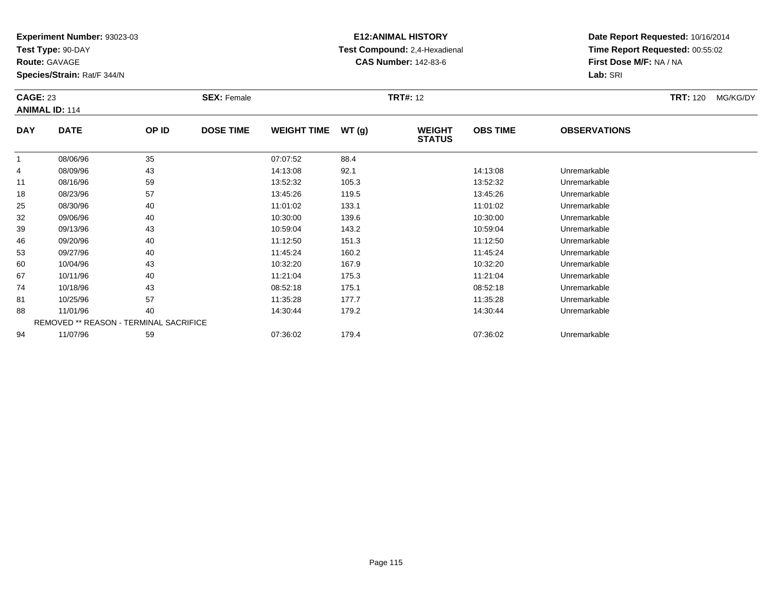**Test Type:** 90-DAY

**Route:** GAVAGE

**Species/Strain:** Rat/F 344/N

# **E12:ANIMAL HISTORY Test Compound:** 2,4-Hexadienal **CAS Number:** 142-83-6

| <b>CAGE: 23</b> | <b>ANIMAL ID: 114</b>                         |       | <b>SEX: Female</b> |                    |       | <b>TRT#: 12</b>                |                 |                     | <b>TRT:</b> 120 | MG/KG/DY |
|-----------------|-----------------------------------------------|-------|--------------------|--------------------|-------|--------------------------------|-----------------|---------------------|-----------------|----------|
| <b>DAY</b>      | <b>DATE</b>                                   | OP ID | <b>DOSE TIME</b>   | <b>WEIGHT TIME</b> | WT(g) | <b>WEIGHT</b><br><b>STATUS</b> | <b>OBS TIME</b> | <b>OBSERVATIONS</b> |                 |          |
| 1               | 08/06/96                                      | 35    |                    | 07:07:52           | 88.4  |                                |                 |                     |                 |          |
| 4               | 08/09/96                                      | 43    |                    | 14:13:08           | 92.1  |                                | 14:13:08        | Unremarkable        |                 |          |
| 11              | 08/16/96                                      | 59    |                    | 13:52:32           | 105.3 |                                | 13:52:32        | Unremarkable        |                 |          |
| 18              | 08/23/96                                      | 57    |                    | 13:45:26           | 119.5 |                                | 13:45:26        | Unremarkable        |                 |          |
| 25              | 08/30/96                                      | 40    |                    | 11:01:02           | 133.1 |                                | 11:01:02        | Unremarkable        |                 |          |
| 32              | 09/06/96                                      | 40    |                    | 10:30:00           | 139.6 |                                | 10:30:00        | Unremarkable        |                 |          |
| 39              | 09/13/96                                      | 43    |                    | 10:59:04           | 143.2 |                                | 10:59:04        | Unremarkable        |                 |          |
| 46              | 09/20/96                                      | 40    |                    | 11:12:50           | 151.3 |                                | 11:12:50        | Unremarkable        |                 |          |
| 53              | 09/27/96                                      | 40    |                    | 11:45:24           | 160.2 |                                | 11:45:24        | Unremarkable        |                 |          |
| 60              | 10/04/96                                      | 43    |                    | 10:32:20           | 167.9 |                                | 10:32:20        | Unremarkable        |                 |          |
| 67              | 10/11/96                                      | 40    |                    | 11:21:04           | 175.3 |                                | 11:21:04        | Unremarkable        |                 |          |
| 74              | 10/18/96                                      | 43    |                    | 08:52:18           | 175.1 |                                | 08:52:18        | Unremarkable        |                 |          |
| 81              | 10/25/96                                      | 57    |                    | 11:35:28           | 177.7 |                                | 11:35:28        | Unremarkable        |                 |          |
| 88              | 11/01/96                                      | 40    |                    | 14:30:44           | 179.2 |                                | 14:30:44        | Unremarkable        |                 |          |
|                 | <b>REMOVED ** REASON - TERMINAL SACRIFICE</b> |       |                    |                    |       |                                |                 |                     |                 |          |
| 94              | 11/07/96                                      | 59    |                    | 07:36:02           | 179.4 |                                | 07:36:02        | Unremarkable        |                 |          |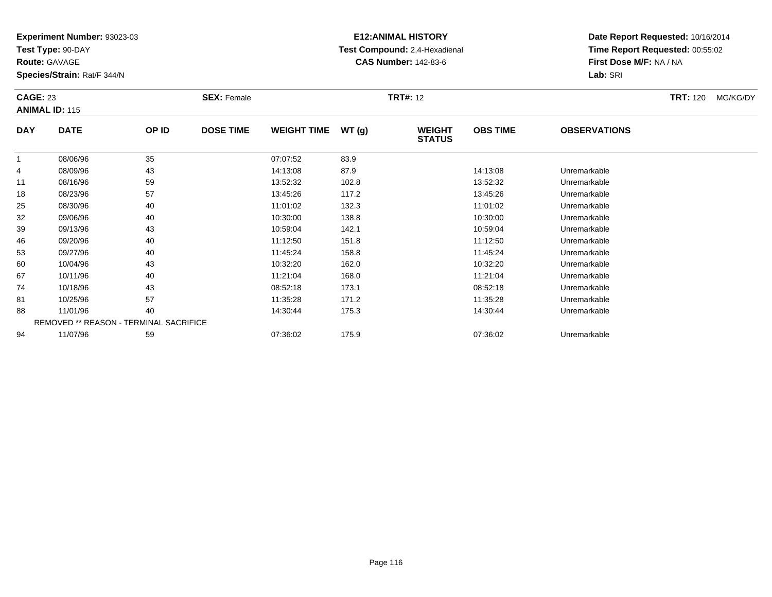**Test Type:** 90-DAY

**Route:** GAVAGE

**Species/Strain:** Rat/F 344/N

# **E12:ANIMAL HISTORY Test Compound:** 2,4-Hexadienal **CAS Number:** 142-83-6

| <b>CAGE: 23</b> | <b>ANIMAL ID: 115</b>                         |       | <b>SEX: Female</b> |                    |       | <b>TRT#: 12</b>                |                 |                     | <b>TRT: 120</b> | MG/KG/DY |
|-----------------|-----------------------------------------------|-------|--------------------|--------------------|-------|--------------------------------|-----------------|---------------------|-----------------|----------|
| <b>DAY</b>      | <b>DATE</b>                                   | OP ID | <b>DOSE TIME</b>   | <b>WEIGHT TIME</b> | WT(g) | <b>WEIGHT</b><br><b>STATUS</b> | <b>OBS TIME</b> | <b>OBSERVATIONS</b> |                 |          |
|                 | 08/06/96                                      | 35    |                    | 07:07:52           | 83.9  |                                |                 |                     |                 |          |
| 4               | 08/09/96                                      | 43    |                    | 14:13:08           | 87.9  |                                | 14:13:08        | Unremarkable        |                 |          |
| 11              | 08/16/96                                      | 59    |                    | 13:52:32           | 102.8 |                                | 13:52:32        | Unremarkable        |                 |          |
| 18              | 08/23/96                                      | 57    |                    | 13:45:26           | 117.2 |                                | 13:45:26        | Unremarkable        |                 |          |
| 25              | 08/30/96                                      | 40    |                    | 11:01:02           | 132.3 |                                | 11:01:02        | Unremarkable        |                 |          |
| 32              | 09/06/96                                      | 40    |                    | 10:30:00           | 138.8 |                                | 10:30:00        | Unremarkable        |                 |          |
| 39              | 09/13/96                                      | 43    |                    | 10:59:04           | 142.1 |                                | 10:59:04        | Unremarkable        |                 |          |
| 46              | 09/20/96                                      | 40    |                    | 11:12:50           | 151.8 |                                | 11:12:50        | Unremarkable        |                 |          |
| 53              | 09/27/96                                      | 40    |                    | 11:45:24           | 158.8 |                                | 11:45:24        | Unremarkable        |                 |          |
| 60              | 10/04/96                                      | 43    |                    | 10:32:20           | 162.0 |                                | 10:32:20        | Unremarkable        |                 |          |
| 67              | 10/11/96                                      | 40    |                    | 11:21:04           | 168.0 |                                | 11:21:04        | Unremarkable        |                 |          |
| 74              | 10/18/96                                      | 43    |                    | 08:52:18           | 173.1 |                                | 08:52:18        | Unremarkable        |                 |          |
| 81              | 10/25/96                                      | 57    |                    | 11:35:28           | 171.2 |                                | 11:35:28        | Unremarkable        |                 |          |
| 88              | 11/01/96                                      | 40    |                    | 14:30:44           | 175.3 |                                | 14:30:44        | Unremarkable        |                 |          |
|                 | <b>REMOVED ** REASON - TERMINAL SACRIFICE</b> |       |                    |                    |       |                                |                 |                     |                 |          |
| 94              | 11/07/96                                      | 59    |                    | 07:36:02           | 175.9 |                                | 07:36:02        | Unremarkable        |                 |          |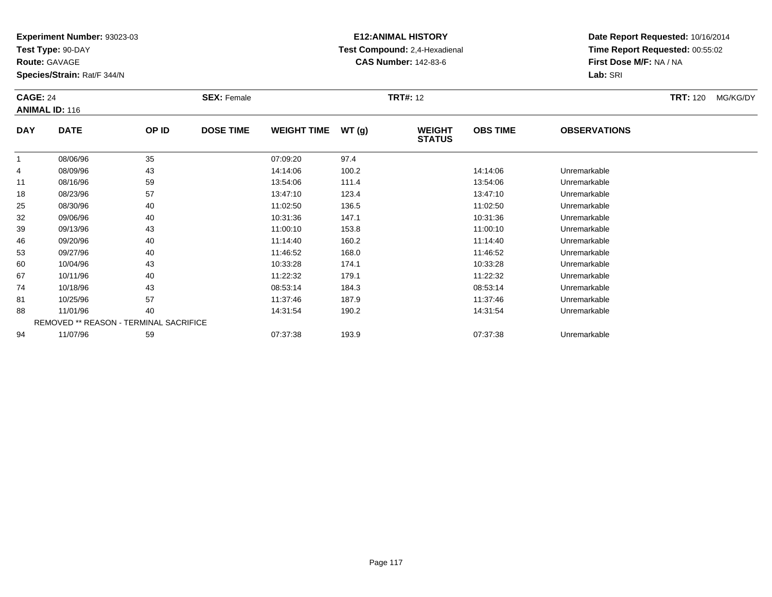**Test Type:** 90-DAY

**Route:** GAVAGE

**Species/Strain:** Rat/F 344/N

# **E12:ANIMAL HISTORY Test Compound:** 2,4-Hexadienal **CAS Number:** 142-83-6

| <b>CAGE: 24</b> | <b>ANIMAL ID: 116</b>                         |       | <b>SEX: Female</b> |                    |       | <b>TRT#: 12</b>                |                 |                     | <b>TRT:</b> 120 | MG/KG/DY |
|-----------------|-----------------------------------------------|-------|--------------------|--------------------|-------|--------------------------------|-----------------|---------------------|-----------------|----------|
| <b>DAY</b>      | <b>DATE</b>                                   | OP ID | <b>DOSE TIME</b>   | <b>WEIGHT TIME</b> | WT(g) | <b>WEIGHT</b><br><b>STATUS</b> | <b>OBS TIME</b> | <b>OBSERVATIONS</b> |                 |          |
| $\mathbf{1}$    | 08/06/96                                      | 35    |                    | 07:09:20           | 97.4  |                                |                 |                     |                 |          |
| 4               | 08/09/96                                      | 43    |                    | 14:14:06           | 100.2 |                                | 14:14:06        | Unremarkable        |                 |          |
| 11              | 08/16/96                                      | 59    |                    | 13:54:06           | 111.4 |                                | 13:54:06        | Unremarkable        |                 |          |
| 18              | 08/23/96                                      | 57    |                    | 13:47:10           | 123.4 |                                | 13:47:10        | Unremarkable        |                 |          |
| 25              | 08/30/96                                      | 40    |                    | 11:02:50           | 136.5 |                                | 11:02:50        | Unremarkable        |                 |          |
| 32              | 09/06/96                                      | 40    |                    | 10:31:36           | 147.1 |                                | 10:31:36        | Unremarkable        |                 |          |
| 39              | 09/13/96                                      | 43    |                    | 11:00:10           | 153.8 |                                | 11:00:10        | Unremarkable        |                 |          |
| 46              | 09/20/96                                      | 40    |                    | 11:14:40           | 160.2 |                                | 11:14:40        | Unremarkable        |                 |          |
| 53              | 09/27/96                                      | 40    |                    | 11:46:52           | 168.0 |                                | 11:46:52        | Unremarkable        |                 |          |
| 60              | 10/04/96                                      | 43    |                    | 10:33:28           | 174.1 |                                | 10:33:28        | Unremarkable        |                 |          |
| 67              | 10/11/96                                      | 40    |                    | 11:22:32           | 179.1 |                                | 11:22:32        | Unremarkable        |                 |          |
| 74              | 10/18/96                                      | 43    |                    | 08:53:14           | 184.3 |                                | 08:53:14        | Unremarkable        |                 |          |
| 81              | 10/25/96                                      | 57    |                    | 11:37:46           | 187.9 |                                | 11:37:46        | Unremarkable        |                 |          |
| 88              | 11/01/96                                      | 40    |                    | 14:31:54           | 190.2 |                                | 14:31:54        | Unremarkable        |                 |          |
|                 | <b>REMOVED ** REASON - TERMINAL SACRIFICE</b> |       |                    |                    |       |                                |                 |                     |                 |          |
| 94              | 11/07/96                                      | 59    |                    | 07:37:38           | 193.9 |                                | 07:37:38        | Unremarkable        |                 |          |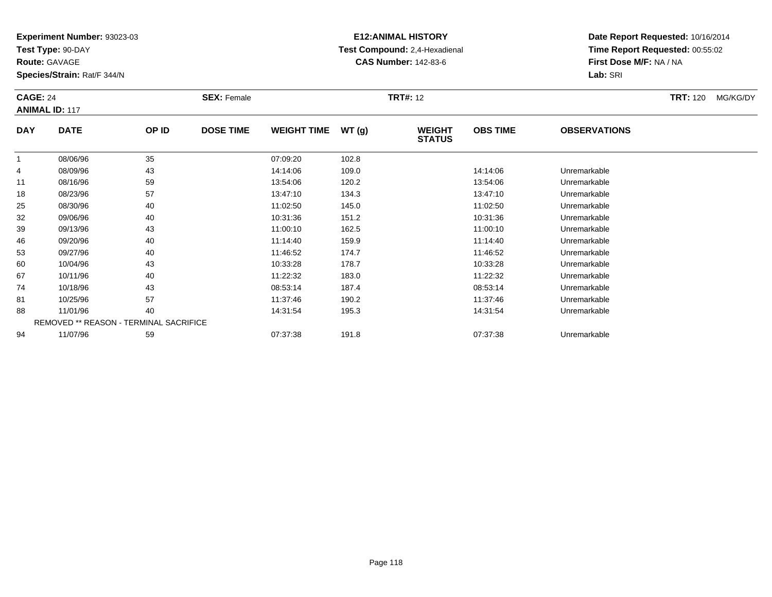**Test Type:** 90-DAY

**Route:** GAVAGE

**Species/Strain:** Rat/F 344/N

# **E12:ANIMAL HISTORY Test Compound:** 2,4-Hexadienal **CAS Number:** 142-83-6

| <b>CAGE: 24</b> | <b>ANIMAL ID: 117</b>                  |       | <b>SEX: Female</b> |                    |       | <b>TRT#: 12</b>                |                 |                     | <b>TRT: 120</b> | MG/KG/DY |
|-----------------|----------------------------------------|-------|--------------------|--------------------|-------|--------------------------------|-----------------|---------------------|-----------------|----------|
| <b>DAY</b>      | <b>DATE</b>                            | OP ID | <b>DOSE TIME</b>   | <b>WEIGHT TIME</b> | WT(g) | <b>WEIGHT</b><br><b>STATUS</b> | <b>OBS TIME</b> | <b>OBSERVATIONS</b> |                 |          |
| $\overline{1}$  | 08/06/96                               | 35    |                    | 07:09:20           | 102.8 |                                |                 |                     |                 |          |
| 4               | 08/09/96                               | 43    |                    | 14:14:06           | 109.0 |                                | 14:14:06        | Unremarkable        |                 |          |
| 11              | 08/16/96                               | 59    |                    | 13:54:06           | 120.2 |                                | 13:54:06        | Unremarkable        |                 |          |
| 18              | 08/23/96                               | 57    |                    | 13:47:10           | 134.3 |                                | 13:47:10        | Unremarkable        |                 |          |
| 25              | 08/30/96                               | 40    |                    | 11:02:50           | 145.0 |                                | 11:02:50        | Unremarkable        |                 |          |
| 32              | 09/06/96                               | 40    |                    | 10:31:36           | 151.2 |                                | 10:31:36        | Unremarkable        |                 |          |
| 39              | 09/13/96                               | 43    |                    | 11:00:10           | 162.5 |                                | 11:00:10        | Unremarkable        |                 |          |
| 46              | 09/20/96                               | 40    |                    | 11:14:40           | 159.9 |                                | 11:14:40        | Unremarkable        |                 |          |
| 53              | 09/27/96                               | 40    |                    | 11:46:52           | 174.7 |                                | 11:46:52        | Unremarkable        |                 |          |
| 60              | 10/04/96                               | 43    |                    | 10:33:28           | 178.7 |                                | 10:33:28        | Unremarkable        |                 |          |
| 67              | 10/11/96                               | 40    |                    | 11:22:32           | 183.0 |                                | 11:22:32        | Unremarkable        |                 |          |
| 74              | 10/18/96                               | 43    |                    | 08:53:14           | 187.4 |                                | 08:53:14        | Unremarkable        |                 |          |
| 81              | 10/25/96                               | 57    |                    | 11:37:46           | 190.2 |                                | 11:37:46        | Unremarkable        |                 |          |
| 88              | 11/01/96                               | 40    |                    | 14:31:54           | 195.3 |                                | 14:31:54        | Unremarkable        |                 |          |
|                 | REMOVED ** REASON - TERMINAL SACRIFICE |       |                    |                    |       |                                |                 |                     |                 |          |
| 94              | 11/07/96                               | 59    |                    | 07:37:38           | 191.8 |                                | 07:37:38        | Unremarkable        |                 |          |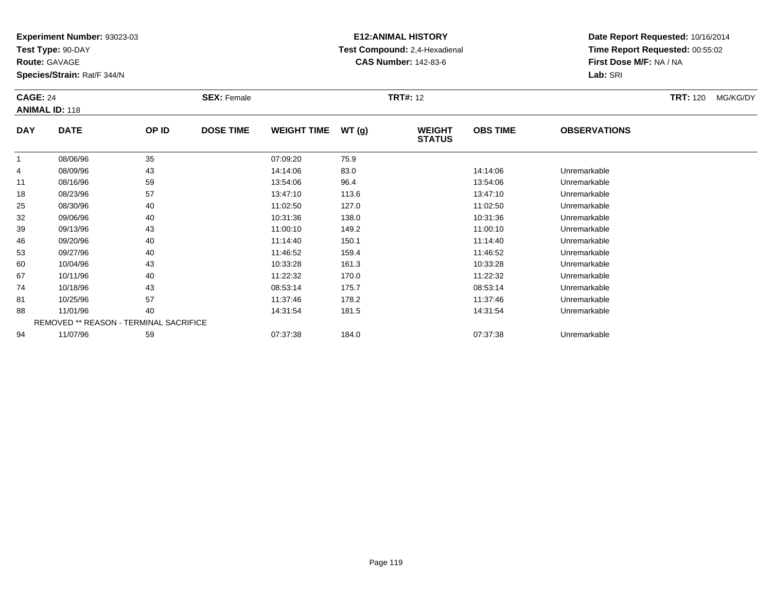**Test Type:** 90-DAY

**Route:** GAVAGE

**Species/Strain:** Rat/F 344/N

# **E12:ANIMAL HISTORY Test Compound:** 2,4-Hexadienal **CAS Number:** 142-83-6

**Date Report Requested:** 10/16/2014**Time Report Requested:** 00:55:02**First Dose M/F:** NA / NA**Lab:** SRI

| <b>CAGE: 24</b> | <b>ANIMAL ID: 118</b>                         |       | <b>SEX: Female</b> |                    |       | <b>TRT#: 12</b>                |                 |                     | <b>TRT:</b> 120 | MG/KG/DY |
|-----------------|-----------------------------------------------|-------|--------------------|--------------------|-------|--------------------------------|-----------------|---------------------|-----------------|----------|
| <b>DAY</b>      | <b>DATE</b>                                   | OP ID | <b>DOSE TIME</b>   | <b>WEIGHT TIME</b> | WT(g) | <b>WEIGHT</b><br><b>STATUS</b> | <b>OBS TIME</b> | <b>OBSERVATIONS</b> |                 |          |
|                 | 08/06/96                                      | 35    |                    | 07:09:20           | 75.9  |                                |                 |                     |                 |          |
| 4               | 08/09/96                                      | 43    |                    | 14:14:06           | 83.0  |                                | 14:14:06        | Unremarkable        |                 |          |
| 11              | 08/16/96                                      | 59    |                    | 13:54:06           | 96.4  |                                | 13:54:06        | Unremarkable        |                 |          |
| 18              | 08/23/96                                      | 57    |                    | 13:47:10           | 113.6 |                                | 13:47:10        | Unremarkable        |                 |          |
| 25              | 08/30/96                                      | 40    |                    | 11:02:50           | 127.0 |                                | 11:02:50        | Unremarkable        |                 |          |
| 32              | 09/06/96                                      | 40    |                    | 10:31:36           | 138.0 |                                | 10:31:36        | Unremarkable        |                 |          |
| 39              | 09/13/96                                      | 43    |                    | 11:00:10           | 149.2 |                                | 11:00:10        | Unremarkable        |                 |          |
| 46              | 09/20/96                                      | 40    |                    | 11:14:40           | 150.1 |                                | 11:14:40        | Unremarkable        |                 |          |
| 53              | 09/27/96                                      | 40    |                    | 11:46:52           | 159.4 |                                | 11:46:52        | Unremarkable        |                 |          |
| 60              | 10/04/96                                      | 43    |                    | 10:33:28           | 161.3 |                                | 10:33:28        | Unremarkable        |                 |          |
| 67              | 10/11/96                                      | 40    |                    | 11:22:32           | 170.0 |                                | 11:22:32        | Unremarkable        |                 |          |
| 74              | 10/18/96                                      | 43    |                    | 08:53:14           | 175.7 |                                | 08:53:14        | Unremarkable        |                 |          |
| 81              | 10/25/96                                      | 57    |                    | 11:37:46           | 178.2 |                                | 11:37:46        | Unremarkable        |                 |          |
| 88              | 11/01/96                                      | 40    |                    | 14:31:54           | 181.5 |                                | 14:31:54        | Unremarkable        |                 |          |
|                 | <b>REMOVED ** REASON - TERMINAL SACRIFICE</b> |       |                    |                    |       |                                |                 |                     |                 |          |
| 94              | 11/07/96                                      | 59    |                    | 07:37:38           | 184.0 |                                | 07:37:38        | Unremarkable        |                 |          |

11/07/96 <sup>59</sup> 07:37:38 184.0 07:37:38 Unremarkable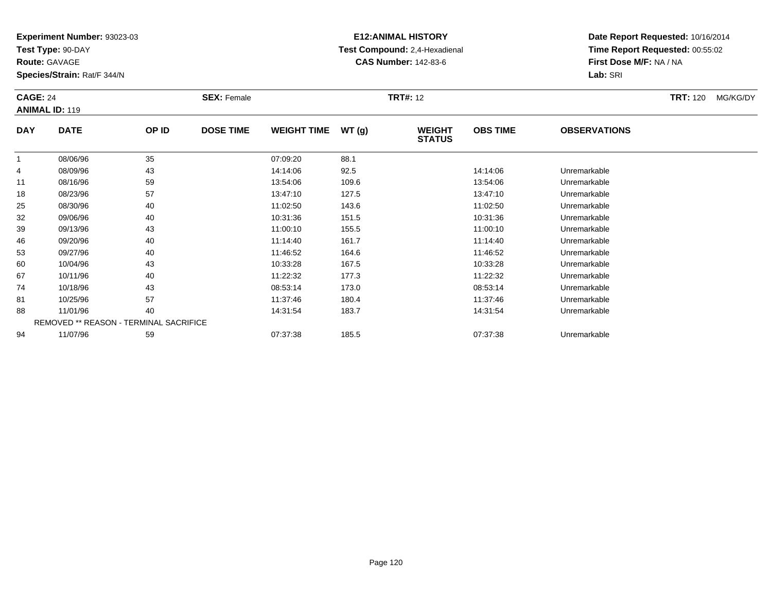**Test Type:** 90-DAY

**Route:** GAVAGE

**Species/Strain:** Rat/F 344/N

# **E12:ANIMAL HISTORY Test Compound:** 2,4-Hexadienal **CAS Number:** 142-83-6

| <b>CAGE: 24</b> | <b>ANIMAL ID: 119</b>                  |       | <b>SEX: Female</b> |                    |       | <b>TRT#: 12</b>                |                 |                     | <b>TRT: 120</b> | MG/KG/DY |
|-----------------|----------------------------------------|-------|--------------------|--------------------|-------|--------------------------------|-----------------|---------------------|-----------------|----------|
| <b>DAY</b>      | <b>DATE</b>                            | OP ID | <b>DOSE TIME</b>   | <b>WEIGHT TIME</b> | WT(g) | <b>WEIGHT</b><br><b>STATUS</b> | <b>OBS TIME</b> | <b>OBSERVATIONS</b> |                 |          |
| $\mathbf{1}$    | 08/06/96                               | 35    |                    | 07:09:20           | 88.1  |                                |                 |                     |                 |          |
| 4               | 08/09/96                               | 43    |                    | 14:14:06           | 92.5  |                                | 14:14:06        | Unremarkable        |                 |          |
| 11              | 08/16/96                               | 59    |                    | 13:54:06           | 109.6 |                                | 13:54:06        | Unremarkable        |                 |          |
| 18              | 08/23/96                               | 57    |                    | 13:47:10           | 127.5 |                                | 13:47:10        | Unremarkable        |                 |          |
| 25              | 08/30/96                               | 40    |                    | 11:02:50           | 143.6 |                                | 11:02:50        | Unremarkable        |                 |          |
| 32              | 09/06/96                               | 40    |                    | 10:31:36           | 151.5 |                                | 10:31:36        | Unremarkable        |                 |          |
| 39              | 09/13/96                               | 43    |                    | 11:00:10           | 155.5 |                                | 11:00:10        | Unremarkable        |                 |          |
| 46              | 09/20/96                               | 40    |                    | 11:14:40           | 161.7 |                                | 11:14:40        | Unremarkable        |                 |          |
| 53              | 09/27/96                               | 40    |                    | 11:46:52           | 164.6 |                                | 11:46:52        | Unremarkable        |                 |          |
| 60              | 10/04/96                               | 43    |                    | 10:33:28           | 167.5 |                                | 10:33:28        | Unremarkable        |                 |          |
| 67              | 10/11/96                               | 40    |                    | 11:22:32           | 177.3 |                                | 11:22:32        | Unremarkable        |                 |          |
| 74              | 10/18/96                               | 43    |                    | 08:53:14           | 173.0 |                                | 08:53:14        | Unremarkable        |                 |          |
| 81              | 10/25/96                               | 57    |                    | 11:37:46           | 180.4 |                                | 11:37:46        | Unremarkable        |                 |          |
| 88              | 11/01/96                               | 40    |                    | 14:31:54           | 183.7 |                                | 14:31:54        | Unremarkable        |                 |          |
|                 | REMOVED ** REASON - TERMINAL SACRIFICE |       |                    |                    |       |                                |                 |                     |                 |          |
| 94              | 11/07/96                               | 59    |                    | 07:37:38           | 185.5 |                                | 07:37:38        | Unremarkable        |                 |          |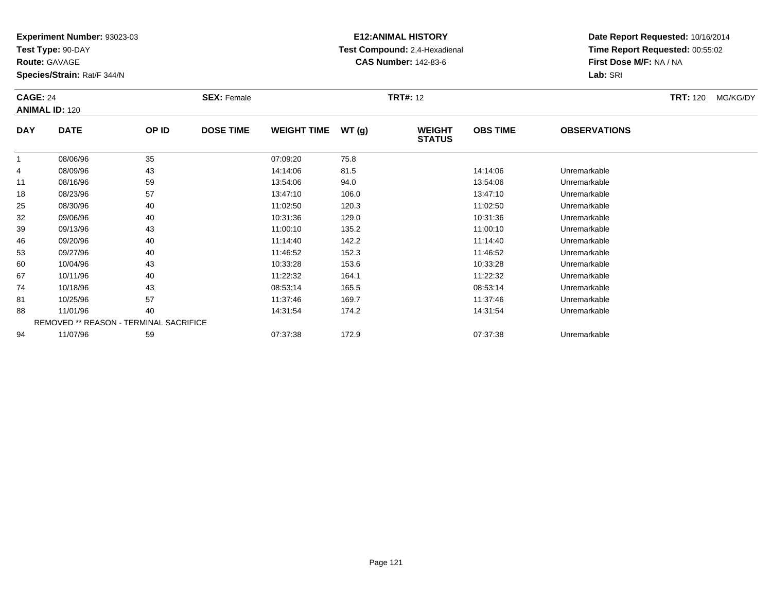**Test Type:** 90-DAY

**Route:** GAVAGE

**Species/Strain:** Rat/F 344/N

# **E12:ANIMAL HISTORY Test Compound:** 2,4-Hexadienal **CAS Number:** 142-83-6

| <b>CAGE: 24</b><br><b>ANIMAL ID: 120</b> |                                               |       | <b>SEX: Female</b> | <b>TRT#: 12</b>    |       |                                |                 |                     | <b>TRT:</b> 120 | MG/KG/DY |
|------------------------------------------|-----------------------------------------------|-------|--------------------|--------------------|-------|--------------------------------|-----------------|---------------------|-----------------|----------|
| <b>DAY</b>                               | <b>DATE</b>                                   | OP ID | <b>DOSE TIME</b>   | <b>WEIGHT TIME</b> | WT(g) | <b>WEIGHT</b><br><b>STATUS</b> | <b>OBS TIME</b> | <b>OBSERVATIONS</b> |                 |          |
|                                          | 08/06/96                                      | 35    |                    | 07:09:20           | 75.8  |                                |                 |                     |                 |          |
| 4                                        | 08/09/96                                      | 43    |                    | 14:14:06           | 81.5  |                                | 14:14:06        | Unremarkable        |                 |          |
| 11                                       | 08/16/96                                      | 59    |                    | 13:54:06           | 94.0  |                                | 13:54:06        | Unremarkable        |                 |          |
| 18                                       | 08/23/96                                      | 57    |                    | 13:47:10           | 106.0 |                                | 13:47:10        | Unremarkable        |                 |          |
| 25                                       | 08/30/96                                      | 40    |                    | 11:02:50           | 120.3 |                                | 11:02:50        | Unremarkable        |                 |          |
| 32                                       | 09/06/96                                      | 40    |                    | 10:31:36           | 129.0 |                                | 10:31:36        | Unremarkable        |                 |          |
| 39                                       | 09/13/96                                      | 43    |                    | 11:00:10           | 135.2 |                                | 11:00:10        | Unremarkable        |                 |          |
| 46                                       | 09/20/96                                      | 40    |                    | 11:14:40           | 142.2 |                                | 11:14:40        | Unremarkable        |                 |          |
| 53                                       | 09/27/96                                      | 40    |                    | 11:46:52           | 152.3 |                                | 11:46:52        | Unremarkable        |                 |          |
| 60                                       | 10/04/96                                      | 43    |                    | 10:33:28           | 153.6 |                                | 10:33:28        | Unremarkable        |                 |          |
| 67                                       | 10/11/96                                      | 40    |                    | 11:22:32           | 164.1 |                                | 11:22:32        | Unremarkable        |                 |          |
| 74                                       | 10/18/96                                      | 43    |                    | 08:53:14           | 165.5 |                                | 08:53:14        | Unremarkable        |                 |          |
| 81                                       | 10/25/96                                      | 57    |                    | 11:37:46           | 169.7 |                                | 11:37:46        | Unremarkable        |                 |          |
| 88                                       | 11/01/96                                      | 40    |                    | 14:31:54           | 174.2 |                                | 14:31:54        | Unremarkable        |                 |          |
|                                          | <b>REMOVED ** REASON - TERMINAL SACRIFICE</b> |       |                    |                    |       |                                |                 |                     |                 |          |
| 94                                       | 11/07/96                                      | 59    |                    | 07:37:38           | 172.9 |                                | 07:37:38        | Unremarkable        |                 |          |